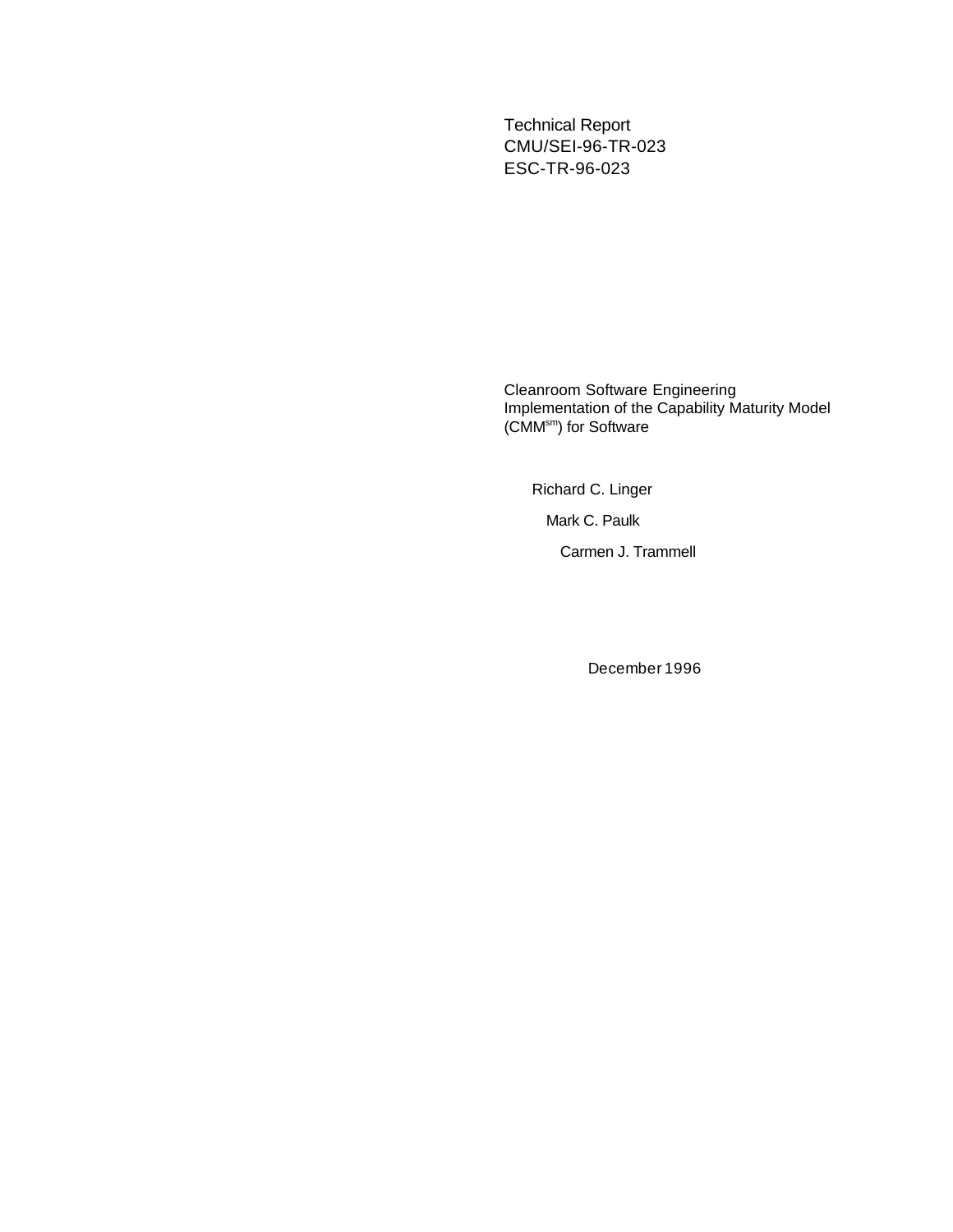Technical Report CMU/SEI-96-TR-023 ESC-TR-96-023

Cleanroom Software Engineering Implementation of the Capability Maturity Model (CMM<sup>sm</sup>) for Software

Richard C. Linger

Mark C. Paulk

Carmen J. Trammell

December 1996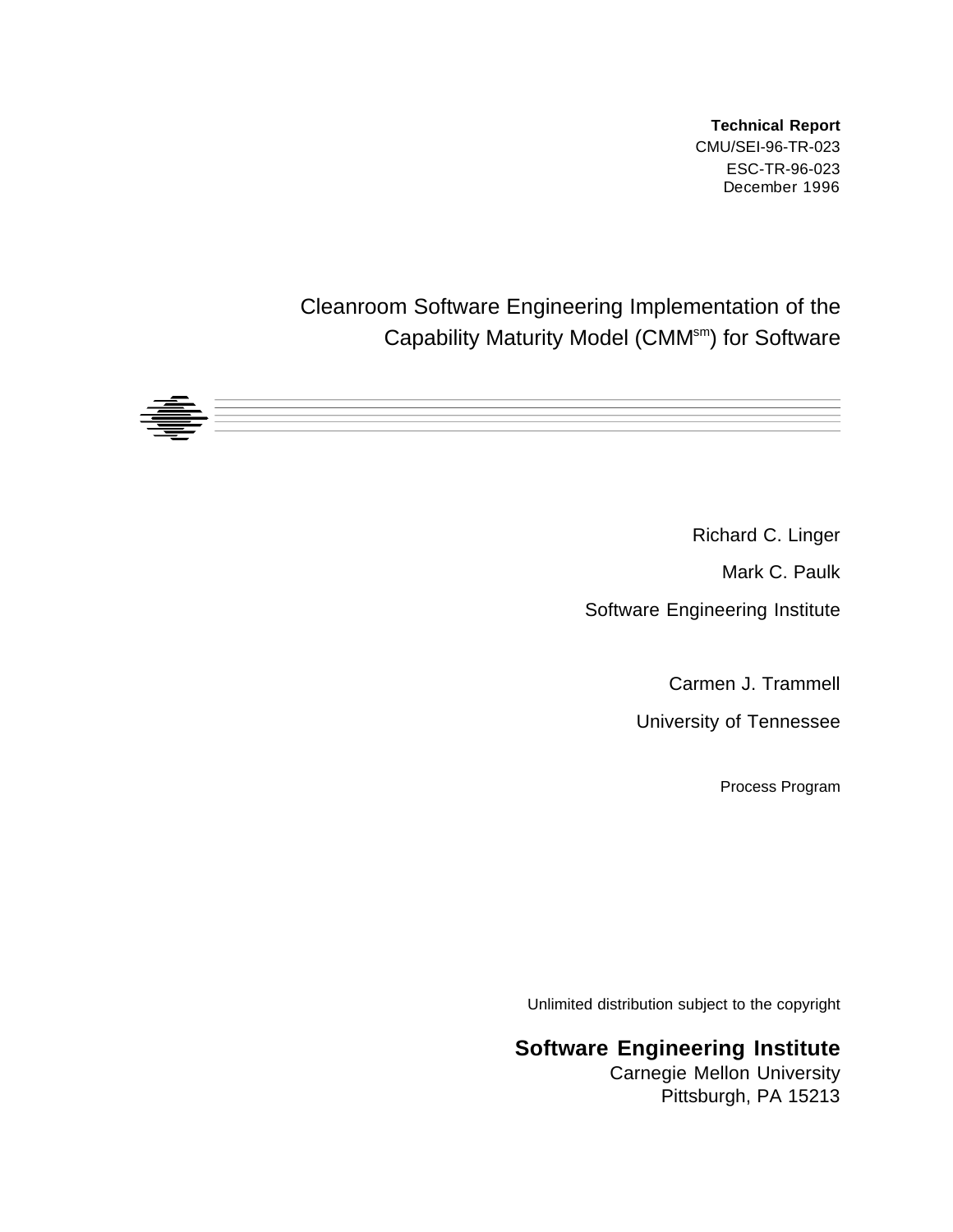**Technical Report** CMU/SEI-96-TR-023 ESC-TR-96-023 December 1996

### Cleanroom Software Engineering Implementation of the Capability Maturity Model (CMM<sup>sm</sup>) for Software



Richard C. Linger

Mark C. Paulk

Software Engineering Institute

Carmen J. Trammell

University of Tennessee

Process Program

Unlimited distribution subject to the copyright

#### **Software Engineering Institute**

Carnegie Mellon University Pittsburgh, PA 15213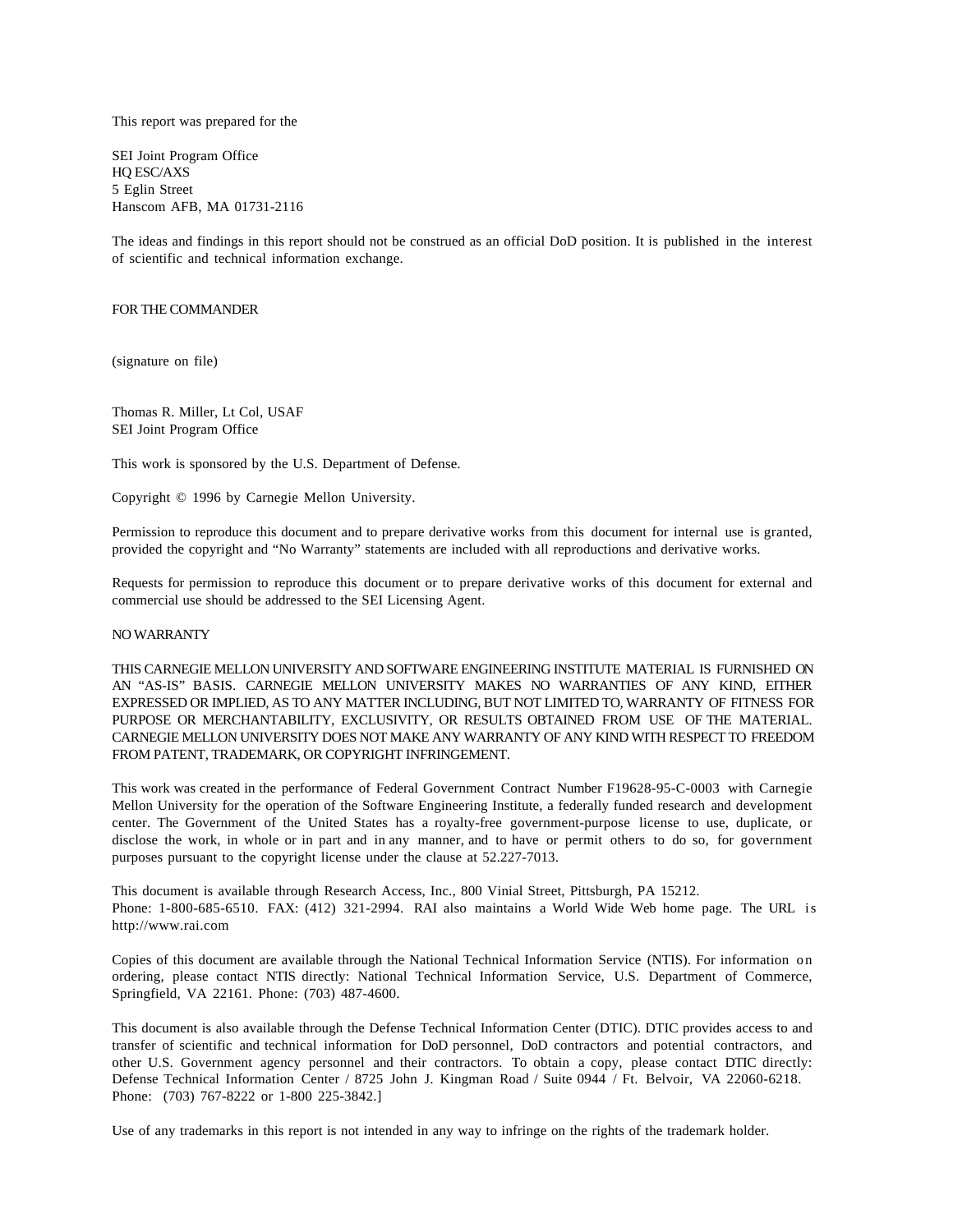This report was prepared for the

SEI Joint Program Office HQ ESC/AXS 5 Eglin Street Hanscom AFB, MA 01731-2116

The ideas and findings in this report should not be construed as an official DoD position. It is published in the interest of scientific and technical information exchange.

#### FOR THE COMMANDER

(signature on file)

Thomas R. Miller, Lt Col, USAF SEI Joint Program Office

This work is sponsored by the U.S. Department of Defense.

Copyright © 1996 by Carnegie Mellon University.

Permission to reproduce this document and to prepare derivative works from this document for internal use is granted, provided the copyright and "No Warranty" statements are included with all reproductions and derivative works.

Requests for permission to reproduce this document or to prepare derivative works of this document for external and commercial use should be addressed to the SEI Licensing Agent.

#### NO WARRANTY

THIS CARNEGIE MELLON UNIVERSITY AND SOFTWARE ENGINEERING INSTITUTE MATERIAL IS FURNISHED ON AN "AS-IS" BASIS. CARNEGIE MELLON UNIVERSITY MAKES NO WARRANTIES OF ANY KIND, EITHER EXPRESSED OR IMPLIED, AS TO ANY MATTER INCLUDING, BUT NOT LIMITED TO, WARRANTY OF FITNESS FOR PURPOSE OR MERCHANTABILITY, EXCLUSIVITY, OR RESULTS OBTAINED FROM USE OF THE MATERIAL. CARNEGIE MELLON UNIVERSITY DOES NOT MAKE ANY WARRANTY OF ANY KIND WITH RESPECT TO FREEDOM FROM PATENT, TRADEMARK, OR COPYRIGHT INFRINGEMENT.

This work was created in the performance of Federal Government Contract Number F19628-95-C-0003 with Carnegie Mellon University for the operation of the Software Engineering Institute, a federally funded research and development center. The Government of the United States has a royalty-free government-purpose license to use, duplicate, or disclose the work, in whole or in part and in any manner, and to have or permit others to do so, for government purposes pursuant to the copyright license under the clause at 52.227-7013.

This document is available through Research Access, Inc., 800 Vinial Street, Pittsburgh, PA 15212. Phone: 1-800-685-6510. FAX: (412) 321-2994. RAI also maintains a World Wide Web home page. The URL is http://www.rai.com

Copies of this document are available through the National Technical Information Service (NTIS). For information on ordering, please contact NTIS directly: National Technical Information Service, U.S. Department of Commerce, Springfield, VA 22161. Phone: (703) 487-4600.

This document is also available through the Defense Technical Information Center (DTIC). DTIC provides access to and transfer of scientific and technical information for DoD personnel, DoD contractors and potential contractors, and other U.S. Government agency personnel and their contractors. To obtain a copy, please contact DTIC directly: Defense Technical Information Center / 8725 John J. Kingman Road / Suite 0944 / Ft. Belvoir, VA 22060-6218. Phone: (703) 767-8222 or 1-800 225-3842.]

Use of any trademarks in this report is not intended in any way to infringe on the rights of the trademark holder.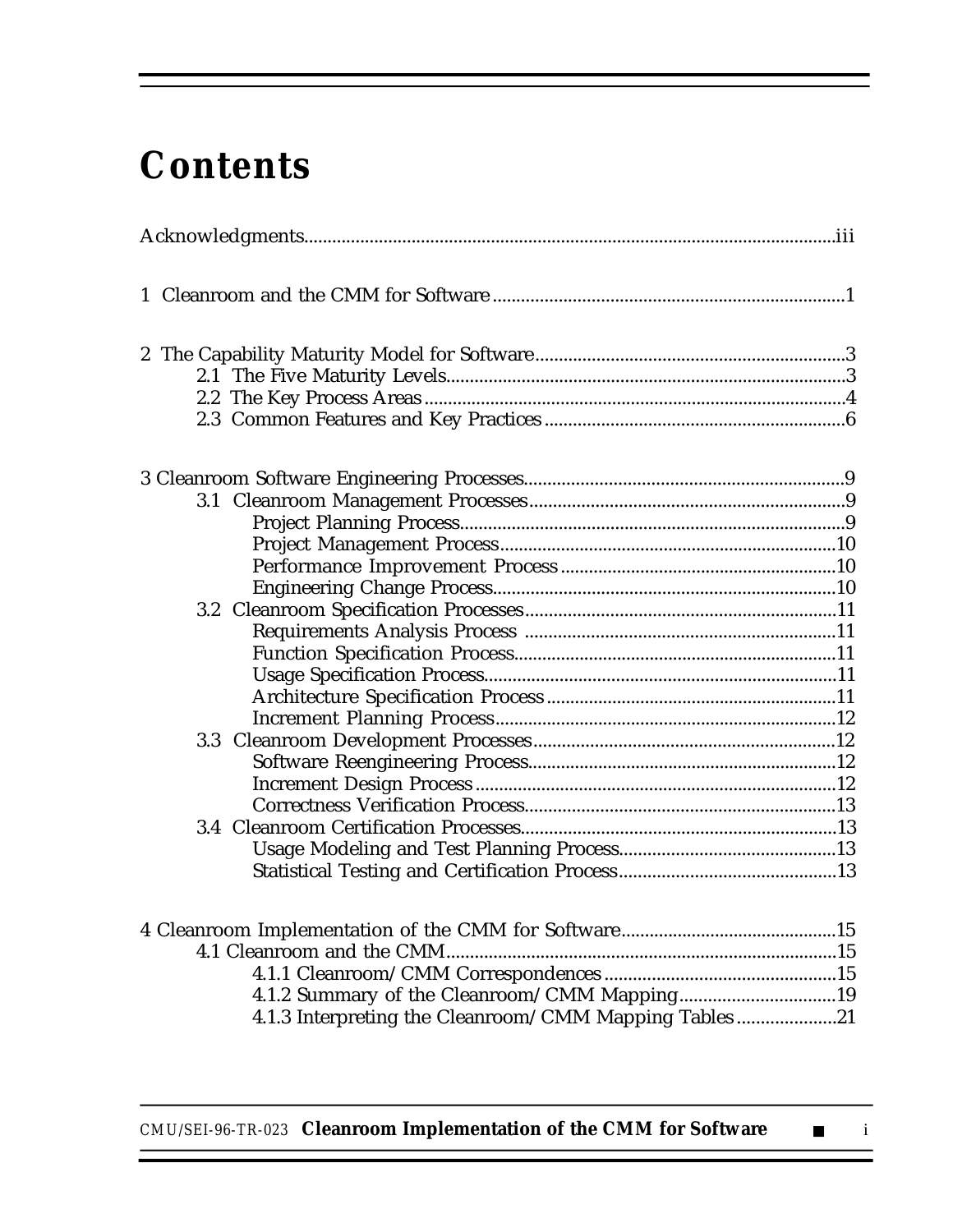# **Contents**

| 4.1.2 Summary of the Cleanroom/CMM Mapping19<br>4.1.3 Interpreting the Cleanroom/CMM Mapping Tables21 |  |  |  |
|-------------------------------------------------------------------------------------------------------|--|--|--|

*CMU/SEI-96-TR-023* **Cleanroom Implementation of the CMM for Software** ■ i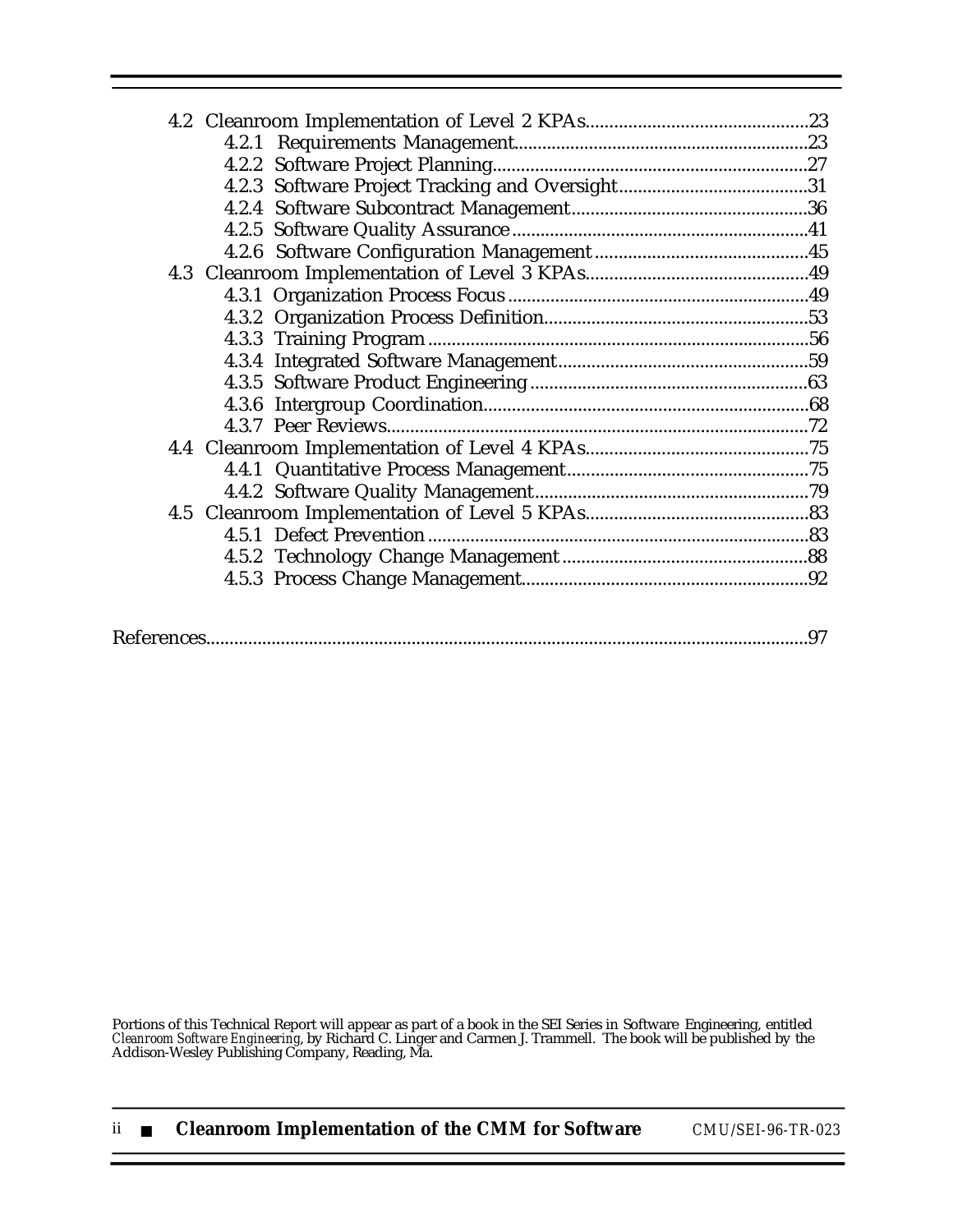|--|

Portions of this Technical Report will appear as part of a book in the SEI Series in Software Engineering, entitled *Cleanroom Software Engineering*, by Richard C. Linger and Carmen J. Trammell. The book will be published by the Addison-Wesley Publishing Company, Reading, Ma.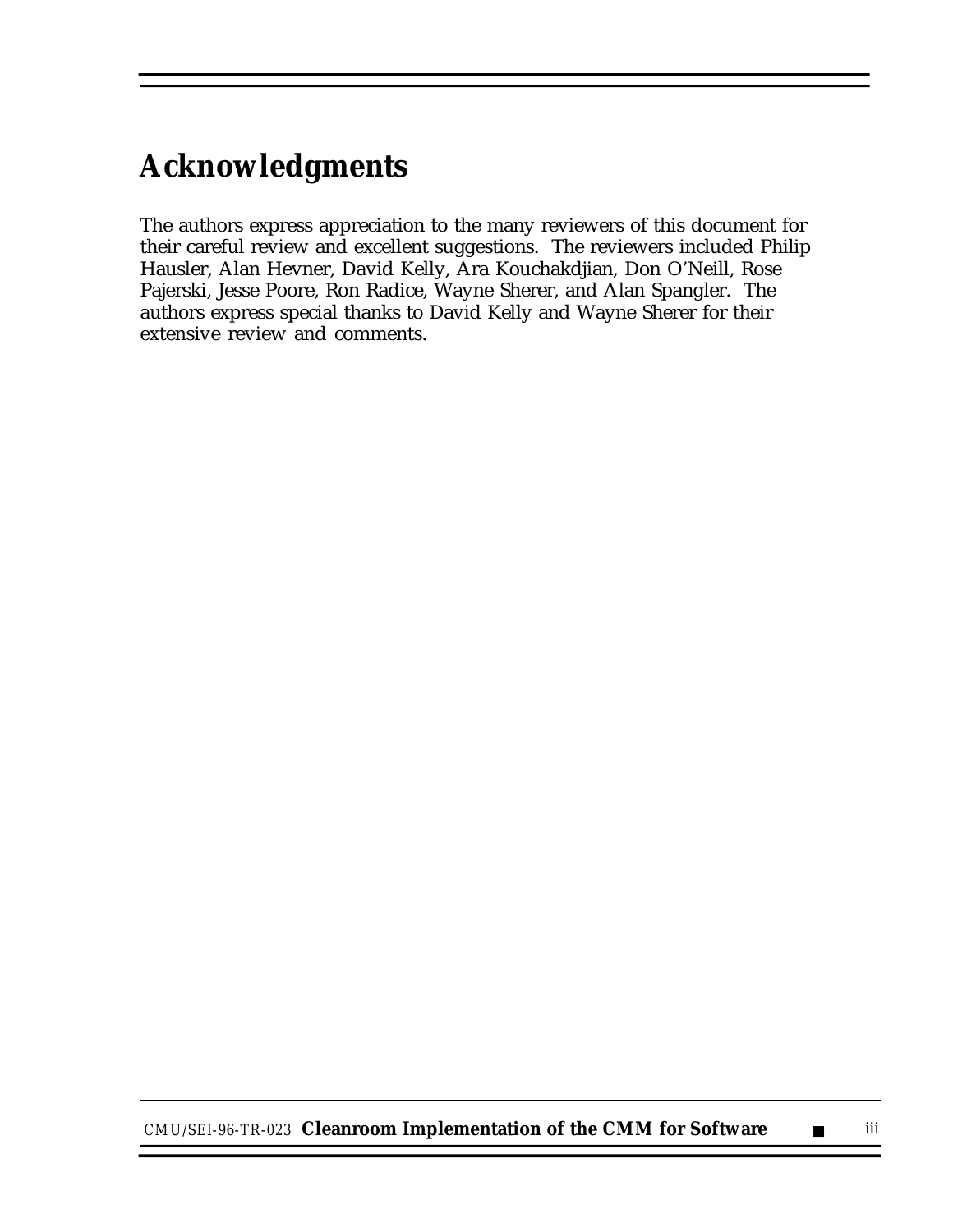# **Acknowledgments**

The authors express appreciation to the many reviewers of this document for their careful review and excellent suggestions. The reviewers included Philip Hausler, Alan Hevner, David Kelly, Ara Kouchakdjian, Don O'Neill, Rose Pajerski, Jesse Poore, Ron Radice, Wayne Sherer, and Alan Spangler. The authors express special thanks to David Kelly and Wayne Sherer for their extensive review and comments.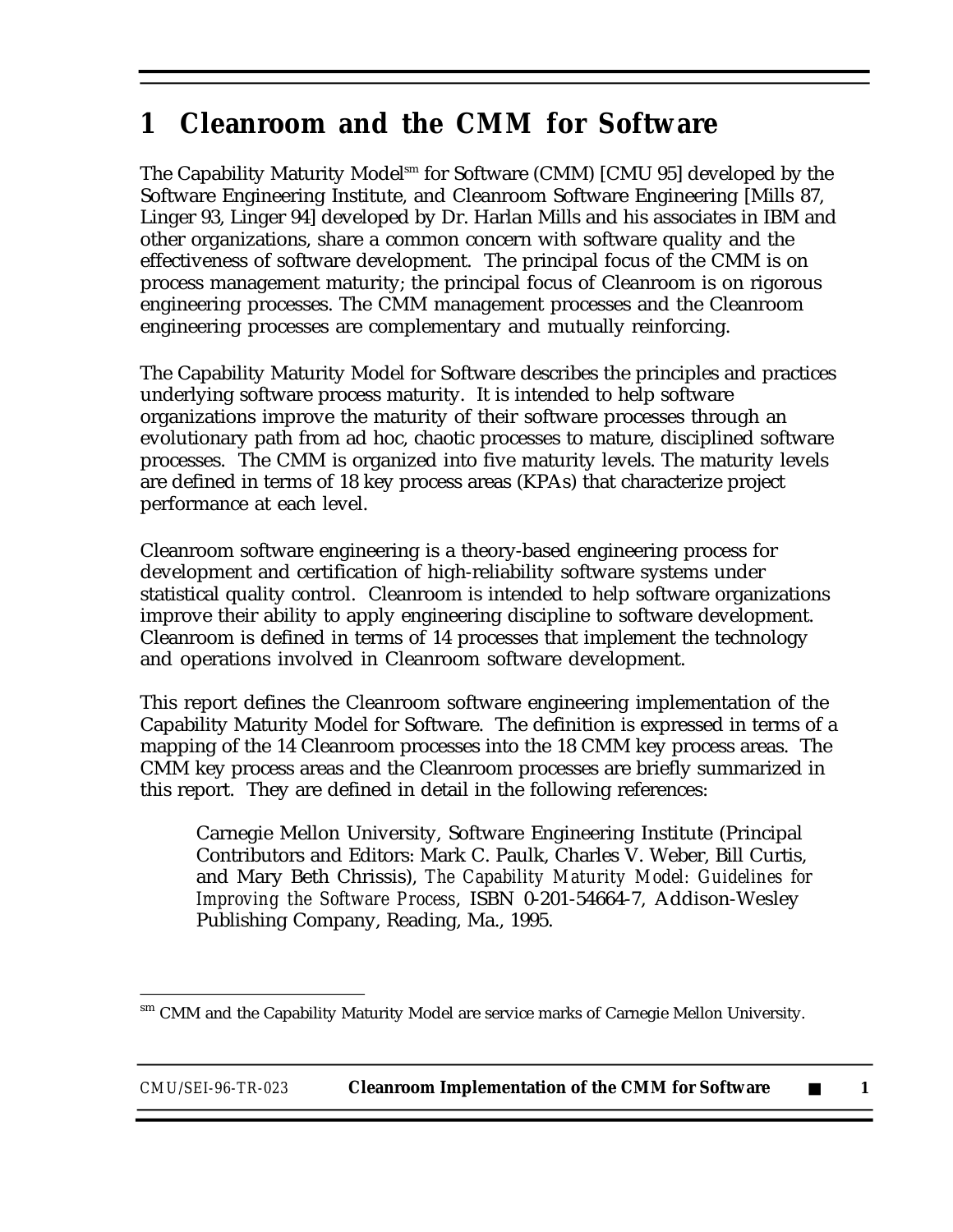# **1 Cleanroom and the CMM for Software**

The Capability Maturity Model<sup>sm</sup> for Software (CMM) [CMU 95] developed by the Software Engineering Institute, and Cleanroom Software Engineering [Mills 87, Linger 93, Linger 94] developed by Dr. Harlan Mills and his associates in IBM and other organizations, share a common concern with software quality and the effectiveness of software development. The principal focus of the CMM is on process management maturity; the principal focus of Cleanroom is on rigorous engineering processes. The CMM management processes and the Cleanroom engineering processes are complementary and mutually reinforcing.

The Capability Maturity Model for Software describes the principles and practices underlying software process maturity. It is intended to help software organizations improve the maturity of their software processes through an evolutionary path from ad hoc, chaotic processes to mature, disciplined software processes. The CMM is organized into five maturity levels. The maturity levels are defined in terms of 18 key process areas (KPAs) that characterize project performance at each level.

Cleanroom software engineering is a theory-based engineering process for development and certification of high-reliability software systems under statistical quality control. Cleanroom is intended to help software organizations improve their ability to apply engineering discipline to software development. Cleanroom is defined in terms of 14 processes that implement the technology and operations involved in Cleanroom software development.

This report defines the Cleanroom software engineering implementation of the Capability Maturity Model for Software. The definition is expressed in terms of a mapping of the 14 Cleanroom processes into the 18 CMM key process areas. The CMM key process areas and the Cleanroom processes are briefly summarized in this report. They are defined in detail in the following references:

Carnegie Mellon University, Software Engineering Institute (Principal Contributors and Editors: Mark C. Paulk, Charles V. Weber, Bill Curtis, and Mary Beth Chrissis), *The Capability Maturity Model: Guidelines for Improving the Software Process*, ISBN 0-201-54664-7, Addison-Wesley Publishing Company, Reading, Ma., 1995.

 $\overline{a}$ sm CMM and the Capability Maturity Model are service marks of Carnegie Mellon University.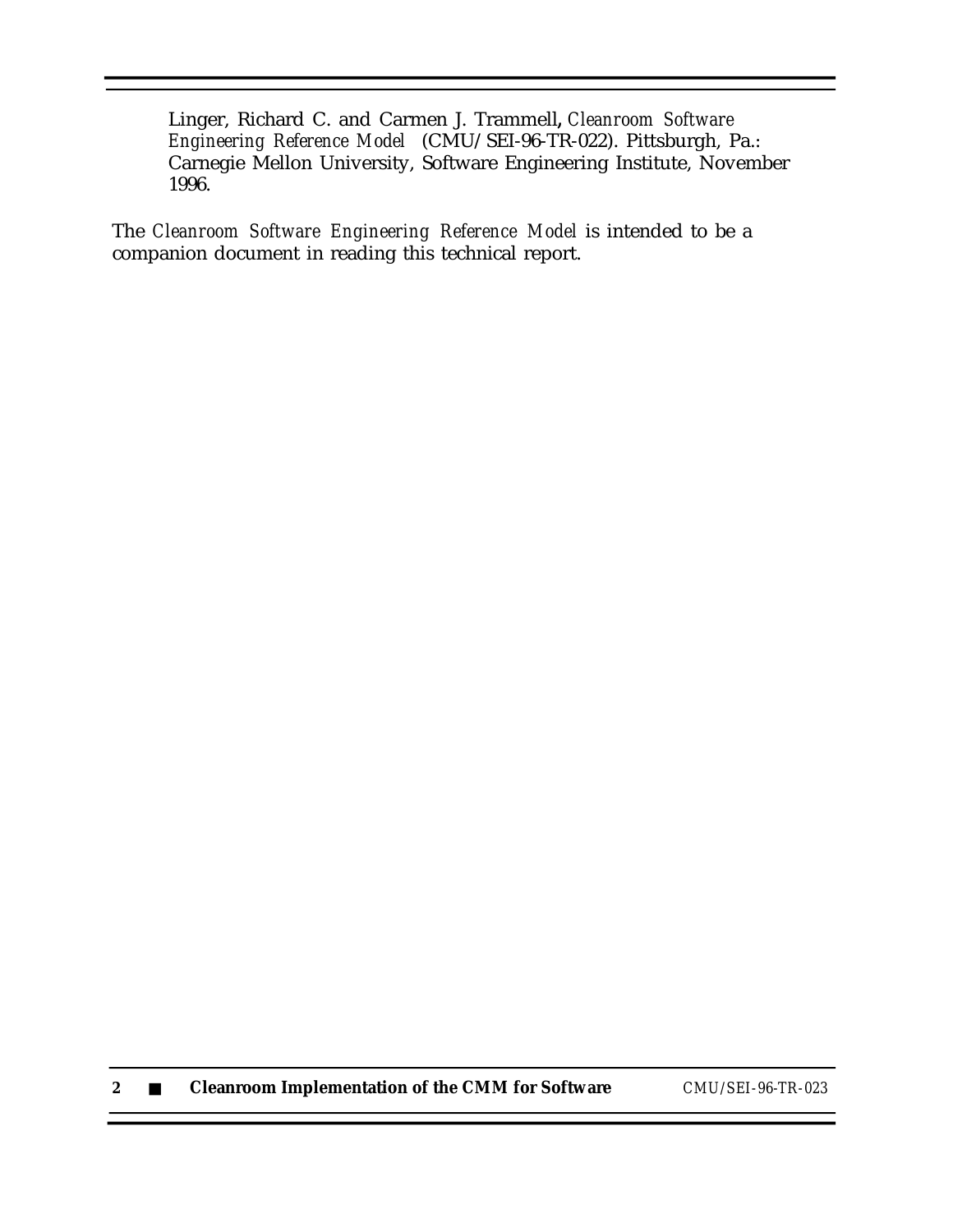Linger, Richard C. and Carmen J. Trammell**,** *Cleanroom Software Engineering Reference Model* (CMU/SEI-96-TR-022). Pittsburgh, Pa.: Carnegie Mellon University, Software Engineering Institute, November 1996.

The *Cleanroom Software Engineering Reference Model* is intended to be a companion document in reading this technical report.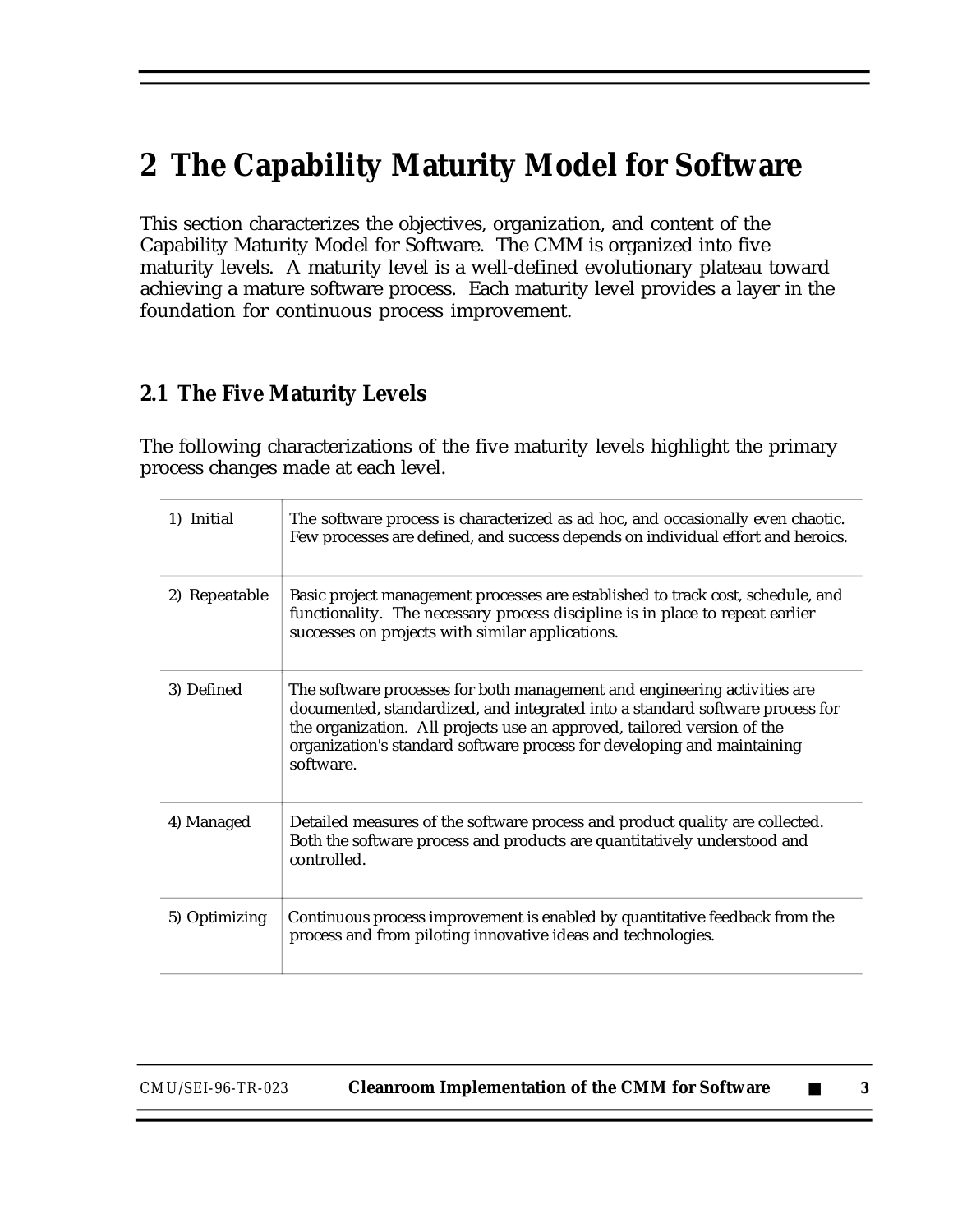# **2 The Capability Maturity Model for Software**

This section characterizes the objectives, organization, and content of the Capability Maturity Model for Software. The CMM is organized into five maturity levels. A maturity level is a well-defined evolutionary plateau toward achieving a mature software process. Each maturity level provides a layer in the foundation for continuous process improvement.

#### **2.1 The Five Maturity Levels**

The following characterizations of the five maturity levels highlight the primary process changes made at each level.

| 1) Initial    | The software process is characterized as ad hoc, and occasionally even chaotic.<br>Few processes are defined, and success depends on individual effort and heroics.                                                                                                                                                           |
|---------------|-------------------------------------------------------------------------------------------------------------------------------------------------------------------------------------------------------------------------------------------------------------------------------------------------------------------------------|
| 2) Repeatable | Basic project management processes are established to track cost, schedule, and<br>functionality. The necessary process discipline is in place to repeat earlier<br>successes on projects with similar applications.                                                                                                          |
| 3) Defined    | The software processes for both management and engineering activities are<br>documented, standardized, and integrated into a standard software process for<br>the organization. All projects use an approved, tailored version of the<br>organization's standard software process for developing and maintaining<br>software. |
| 4) Managed    | Detailed measures of the software process and product quality are collected.<br>Both the software process and products are quantitatively understood and<br>controlled.                                                                                                                                                       |
| 5) Optimizing | Continuous process improvement is enabled by quantitative feedback from the<br>process and from piloting innovative ideas and technologies.                                                                                                                                                                                   |

| CMU/SEI-96-TR-023 | <b>Cleanroom Implementation of the CMM for Software</b> |  |  |
|-------------------|---------------------------------------------------------|--|--|
|-------------------|---------------------------------------------------------|--|--|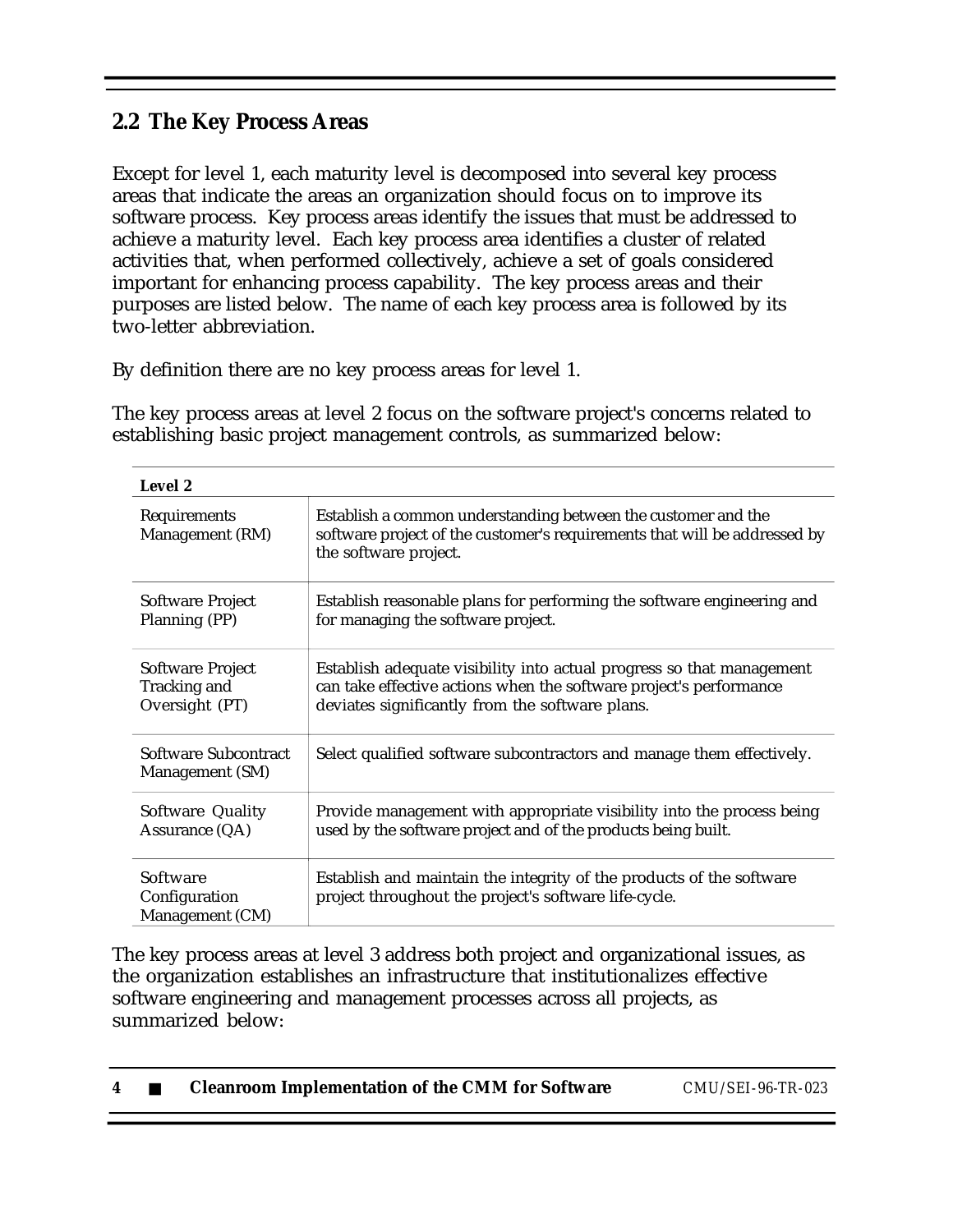#### **2.2 The Key Process Areas**

Except for level 1, each maturity level is decomposed into several key process areas that indicate the areas an organization should focus on to improve its software process. Key process areas identify the issues that must be addressed to achieve a maturity level. Each key process area identifies a cluster of related activities that, when performed collectively, achieve a set of goals considered important for enhancing process capability. The key process areas and their purposes are listed below. The name of each key process area is followed by its two-letter abbreviation.

By definition there are no key process areas for level 1.

The key process areas at level 2 focus on the software project's concerns related to establishing basic project management controls, as summarized below:

| Level 2                                            |                                                                                                                                                                                                |  |
|----------------------------------------------------|------------------------------------------------------------------------------------------------------------------------------------------------------------------------------------------------|--|
| Requirements<br>Management (RM)                    | Establish a common understanding between the customer and the<br>software project of the customer's requirements that will be addressed by<br>the software project.                            |  |
| Software Project<br>Planning (PP)                  | Establish reasonable plans for performing the software engineering and<br>for managing the software project.                                                                                   |  |
| Software Project<br>Tracking and<br>Oversight (PT) | Establish adequate visibility into actual progress so that management<br>can take effective actions when the software project's performance<br>deviates significantly from the software plans. |  |
| Software Subcontract<br>Management (SM)            | Select qualified software subcontractors and manage them effectively.                                                                                                                          |  |
| Software Quality<br>Assurance (QA)                 | Provide management with appropriate visibility into the process being<br>used by the software project and of the products being built.                                                         |  |
| Software<br>Configuration<br>Management (CM)       | Establish and maintain the integrity of the products of the software<br>project throughout the project's software life-cycle.                                                                  |  |

The key process areas at level 3 address both project and organizational issues, as the organization establishes an infrastructure that institutionalizes effective software engineering and management processes across all projects, as summarized below:

|  |  | <b>Cleanroom Implementation of the CMM for Software</b> | CMU/SEI-96-TR-023 |
|--|--|---------------------------------------------------------|-------------------|
|--|--|---------------------------------------------------------|-------------------|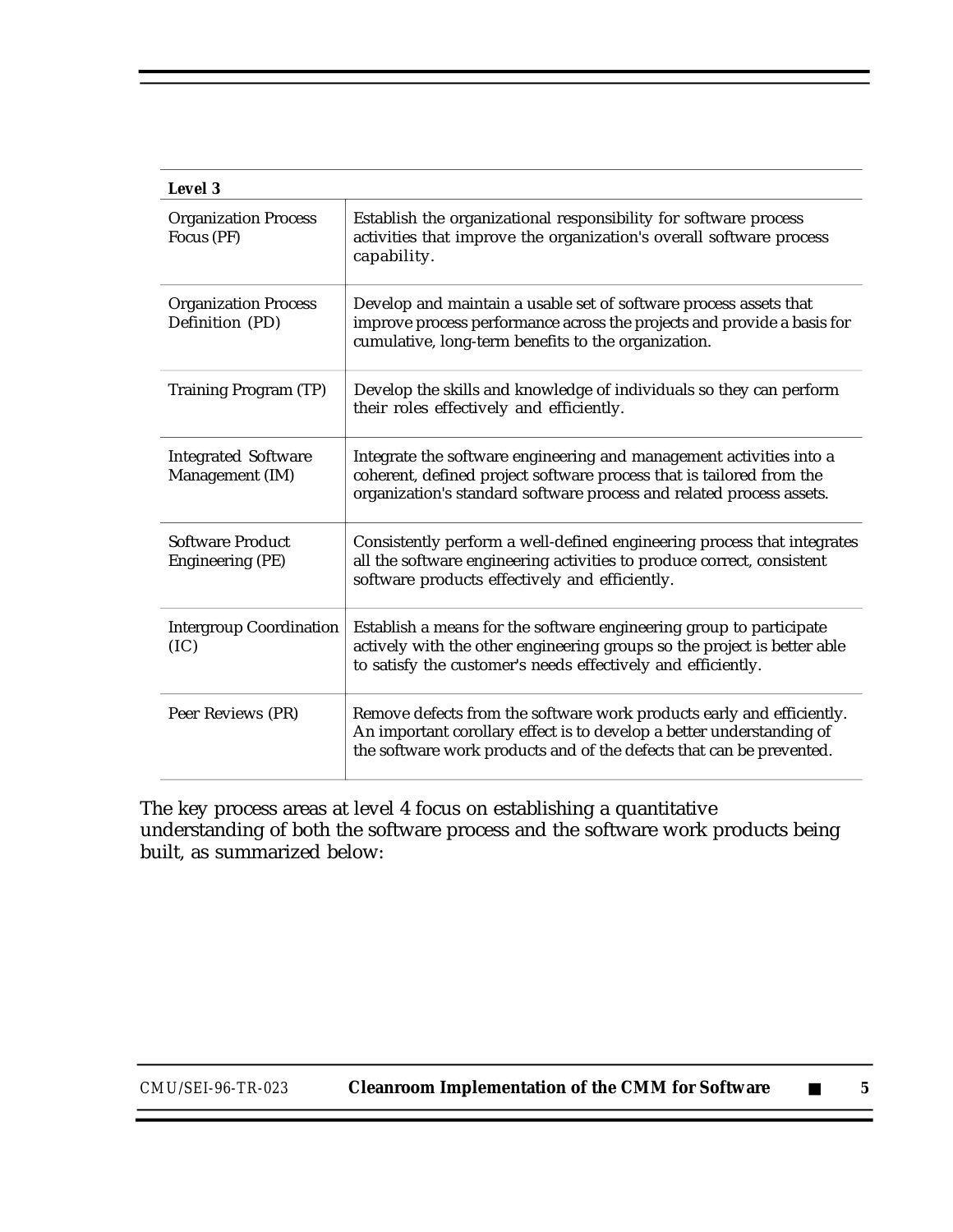| Level 3                                        |                                                                                                                                                                                                                        |  |  |
|------------------------------------------------|------------------------------------------------------------------------------------------------------------------------------------------------------------------------------------------------------------------------|--|--|
| <b>Organization Process</b><br>Focus (PF)      | Establish the organizational responsibility for software process<br>activities that improve the organization's overall software process<br>capability.                                                                 |  |  |
| <b>Organization Process</b><br>Definition (PD) | Develop and maintain a usable set of software process assets that<br>improve process performance across the projects and provide a basis for<br>cumulative, long-term benefits to the organization.                    |  |  |
| <b>Training Program (TP)</b>                   | Develop the skills and knowledge of individuals so they can perform<br>their roles effectively and efficiently.                                                                                                        |  |  |
| <b>Integrated Software</b><br>Management (IM)  | Integrate the software engineering and management activities into a<br>coherent, defined project software process that is tailored from the<br>organization's standard software process and related process assets.    |  |  |
| <b>Software Product</b><br>Engineering (PE)    | Consistently perform a well-defined engineering process that integrates<br>all the software engineering activities to produce correct, consistent<br>software products effectively and efficiently.                    |  |  |
| <b>Intergroup Coordination</b><br>(IC)         | Establish a means for the software engineering group to participate<br>actively with the other engineering groups so the project is better able<br>to satisfy the customer's needs effectively and efficiently.        |  |  |
| Peer Reviews (PR)                              | Remove defects from the software work products early and efficiently.<br>An important corollary effect is to develop a better understanding of<br>the software work products and of the defects that can be prevented. |  |  |

The key process areas at level 4 focus on establishing a quantitative understanding of both the software process and the software work products being built, as summarized below: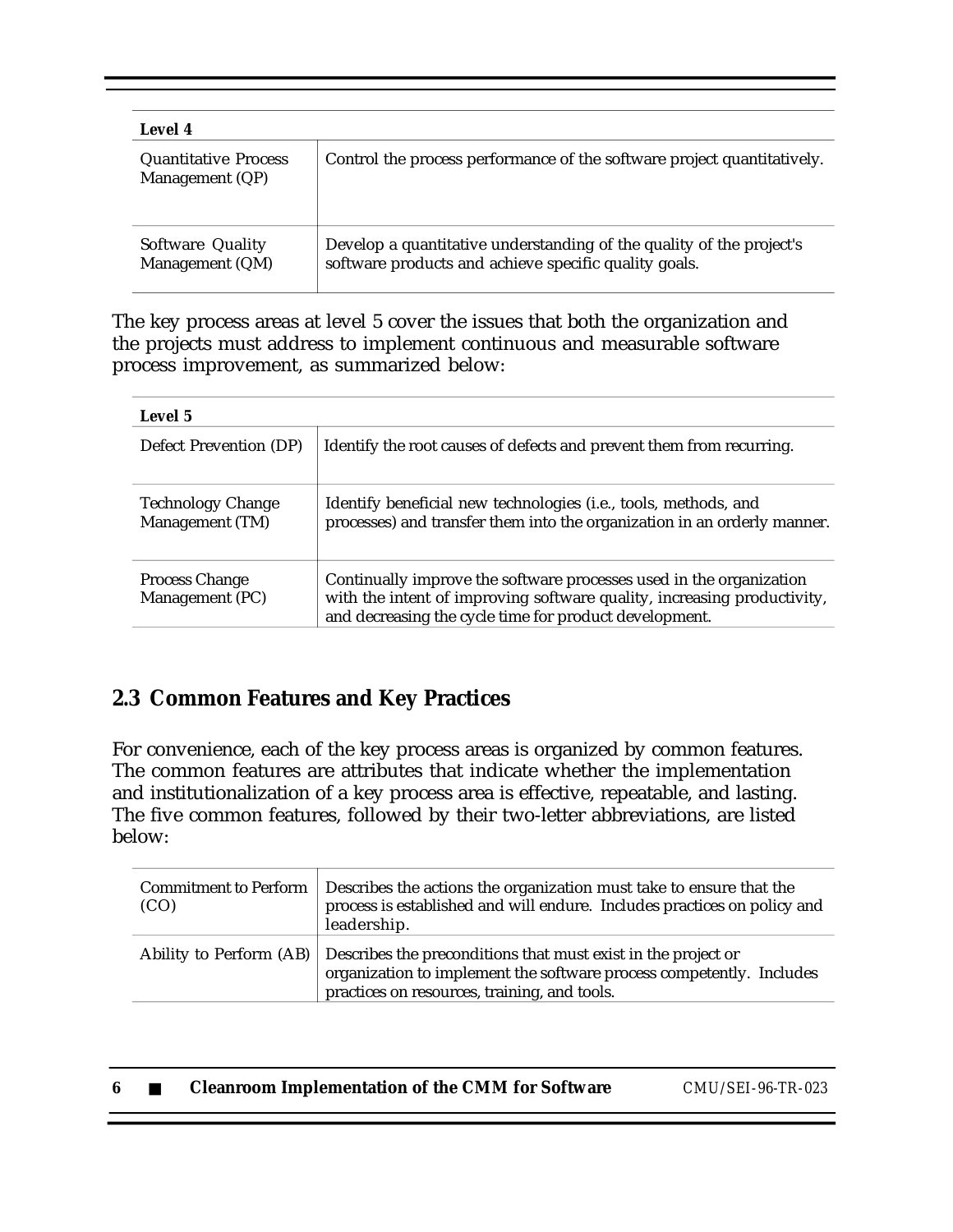| Level 4                                        |                                                                                                                               |
|------------------------------------------------|-------------------------------------------------------------------------------------------------------------------------------|
| <b>Quantitative Process</b><br>Management (QP) | Control the process performance of the software project quantitatively.                                                       |
| Software Quality<br>Management (QM)            | Develop a quantitative understanding of the quality of the project's<br>software products and achieve specific quality goals. |

The key process areas at level 5 cover the issues that both the organization and the projects must address to implement continuous and measurable software process improvement, as summarized below:

| Level 5                                     |                                                                                                                                                                                                          |  |  |
|---------------------------------------------|----------------------------------------------------------------------------------------------------------------------------------------------------------------------------------------------------------|--|--|
| Defect Prevention (DP)                      | Identify the root causes of defects and prevent them from recurring.                                                                                                                                     |  |  |
| <b>Technology Change</b><br>Management (TM) | Identify beneficial new technologies (i.e., tools, methods, and<br>processes) and transfer them into the organization in an orderly manner.                                                              |  |  |
| <b>Process Change</b><br>Management (PC)    | Continually improve the software processes used in the organization<br>with the intent of improving software quality, increasing productivity,<br>and decreasing the cycle time for product development. |  |  |

### **2.3 Common Features and Key Practices**

For convenience, each of the key process areas is organized by common features. The common features are attributes that indicate whether the implementation and institutionalization of a key process area is effective, repeatable, and lasting. The five common features, followed by their two-letter abbreviations, are listed below:

| (CO) | Commitment to Perform   Describes the actions the organization must take to ensure that the<br>process is established and will endure. Includes practices on policy and<br>leadership.                        |
|------|---------------------------------------------------------------------------------------------------------------------------------------------------------------------------------------------------------------|
|      | Ability to Perform (AB) Describes the preconditions that must exist in the project or<br>organization to implement the software process competently. Includes<br>practices on resources, training, and tools. |

| <b>Cleanroom Implementation of the CMM for Software</b> | CMU/SEI-96-TR-023 |
|---------------------------------------------------------|-------------------|
|---------------------------------------------------------|-------------------|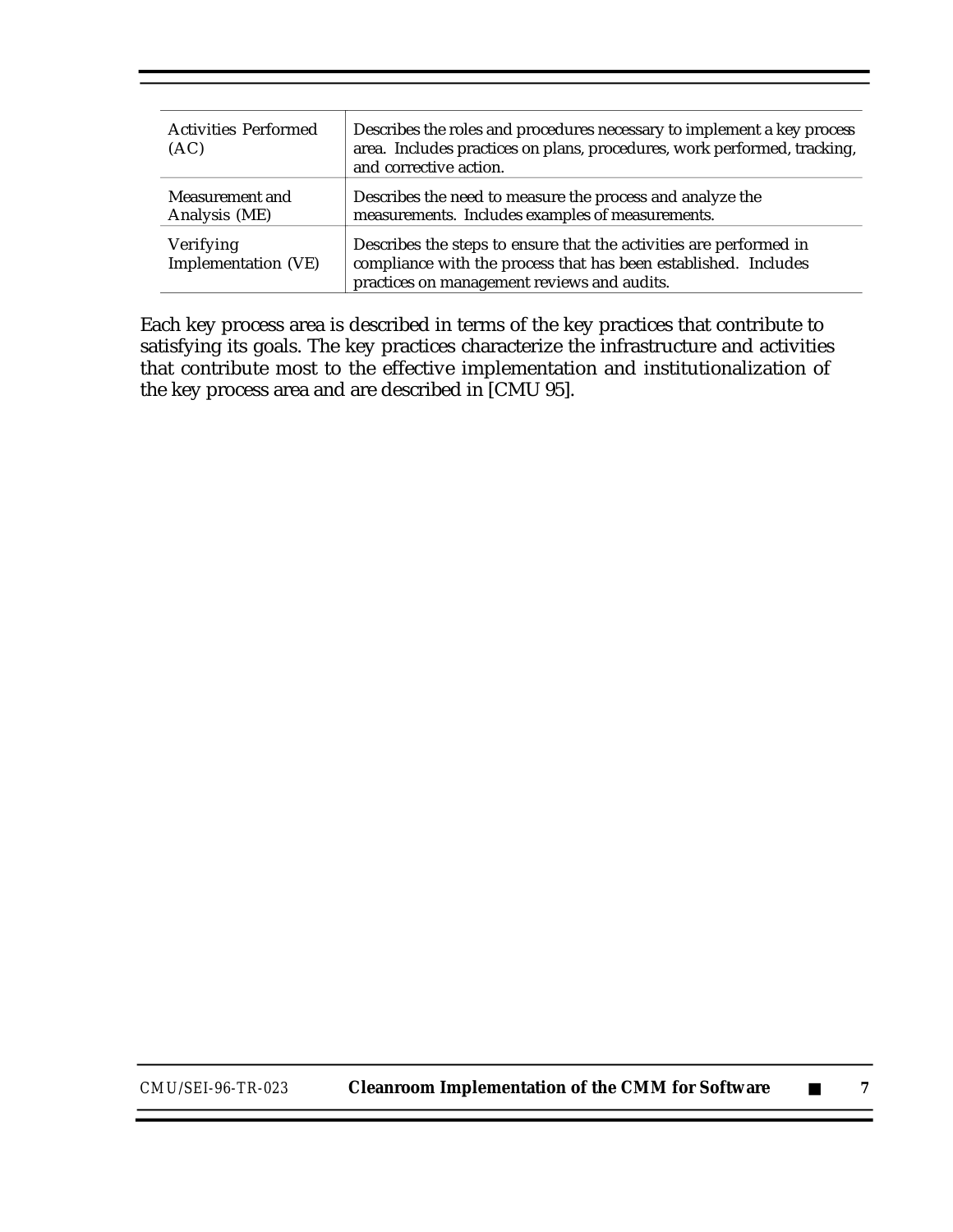| <b>Activities Performed</b><br>(AC) | Describes the roles and procedures necessary to implement a key process<br>area. Includes practices on plans, procedures, work performed, tracking,<br>and corrective action.        |
|-------------------------------------|--------------------------------------------------------------------------------------------------------------------------------------------------------------------------------------|
| Measurement and<br>Analysis (ME)    | Describes the need to measure the process and analyze the<br>measurements. Includes examples of measurements.                                                                        |
| Verifying<br>Implementation (VE)    | Describes the steps to ensure that the activities are performed in<br>compliance with the process that has been established. Includes<br>practices on management reviews and audits. |

Each key process area is described in terms of the key practices that contribute to satisfying its goals. The key practices characterize the infrastructure and activities that contribute most to the effective implementation and institutionalization of the key process area and are described in [CMU 95].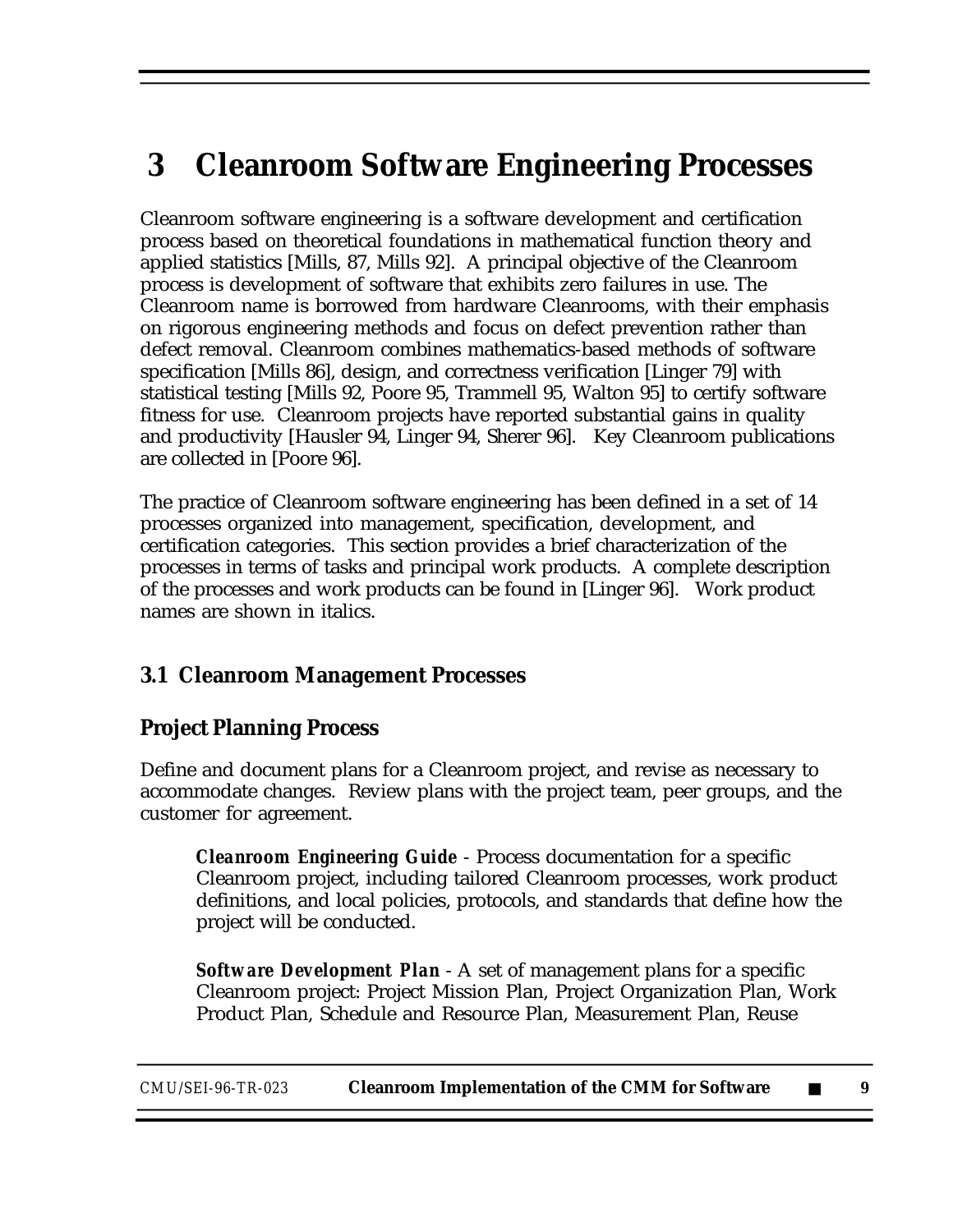# **3 Cleanroom Software Engineering Processes**

Cleanroom software engineering is a software development and certification process based on theoretical foundations in mathematical function theory and applied statistics [Mills, 87, Mills 92]. A principal objective of the Cleanroom process is development of software that exhibits zero failures in use. The Cleanroom name is borrowed from hardware Cleanrooms, with their emphasis on rigorous engineering methods and focus on defect prevention rather than defect removal. Cleanroom combines mathematics-based methods of software specification [Mills 86], design, and correctness verification [Linger 79] with statistical testing [Mills 92, Poore 95, Trammell 95, Walton 95] to certify software fitness for use. Cleanroom projects have reported substantial gains in quality and productivity [Hausler 94, Linger 94, Sherer 96]. Key Cleanroom publications are collected in [Poore 96].

The practice of Cleanroom software engineering has been defined in a set of 14 processes organized into management, specification, development, and certification categories. This section provides a brief characterization of the processes in terms of tasks and principal work products. A complete description of the processes and work products can be found in [Linger 96]. Work product names are shown in italics.

#### **3.1 Cleanroom Management Processes**

### **Project Planning Process**

Define and document plans for a Cleanroom project, and revise as necessary to accommodate changes. Review plans with the project team, peer groups, and the customer for agreement.

*Cleanroom Engineering Guide* - Process documentation for a specific Cleanroom project, including tailored Cleanroom processes, work product definitions, and local policies, protocols, and standards that define how the project will be conducted.

*Software Development Plan* - A set of management plans for a specific Cleanroom project: Project Mission Plan, Project Organization Plan, Work Product Plan, Schedule and Resource Plan, Measurement Plan, Reuse

| CMU/SEI-96-TR-023 | <b>Cleanroom Implementation of the CMM for Software</b> |  |  |
|-------------------|---------------------------------------------------------|--|--|
|-------------------|---------------------------------------------------------|--|--|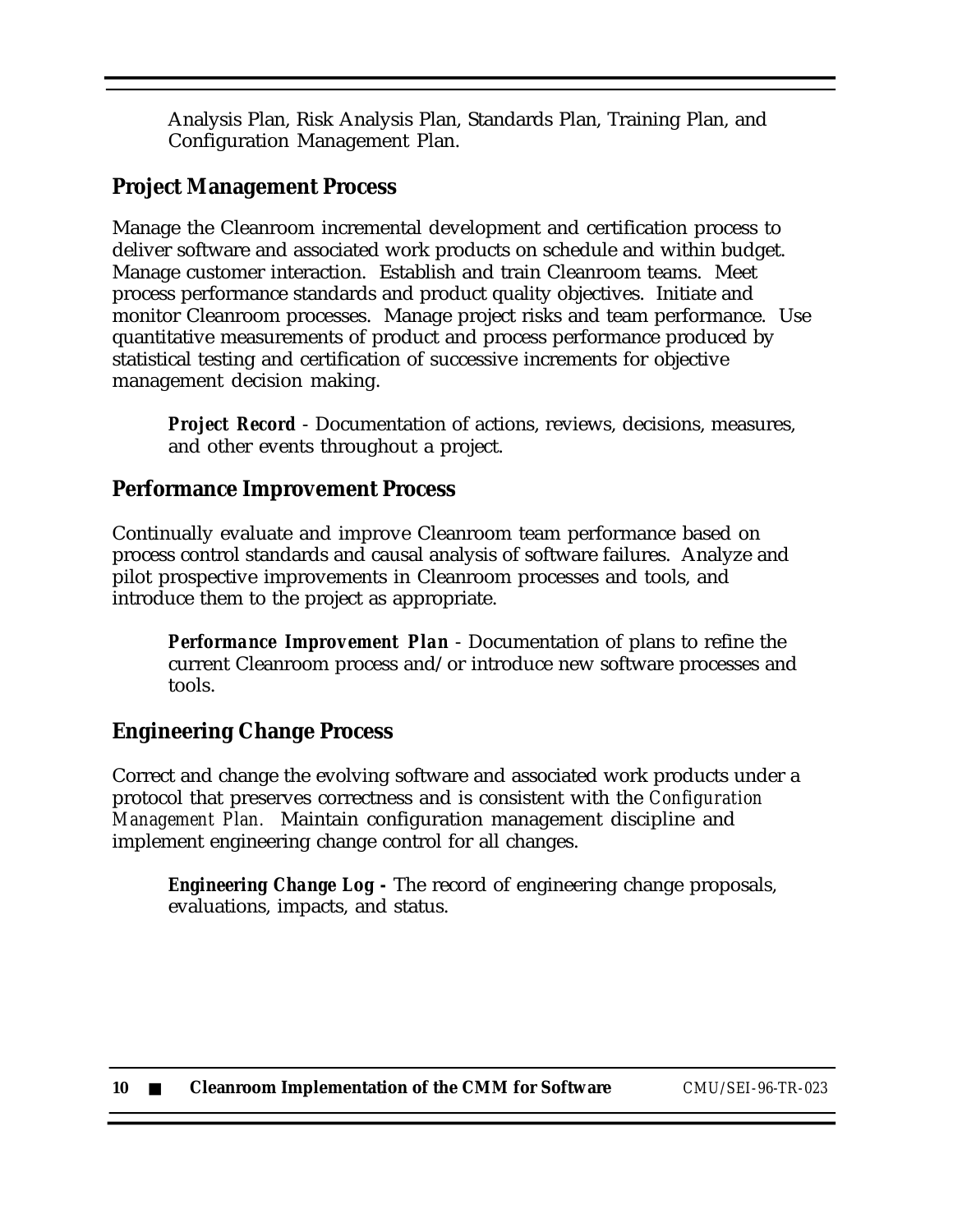Analysis Plan, Risk Analysis Plan, Standards Plan, Training Plan, and Configuration Management Plan.

#### **Project Management Process**

Manage the Cleanroom incremental development and certification process to deliver software and associated work products on schedule and within budget. Manage customer interaction. Establish and train Cleanroom teams. Meet process performance standards and product quality objectives. Initiate and monitor Cleanroom processes. Manage project risks and team performance. Use quantitative measurements of product and process performance produced by statistical testing and certification of successive increments for objective management decision making.

*Project Record* - Documentation of actions, reviews, decisions, measures, and other events throughout a project.

#### **Performance Improvement Process**

Continually evaluate and improve Cleanroom team performance based on process control standards and causal analysis of software failures. Analyze and pilot prospective improvements in Cleanroom processes and tools, and introduce them to the project as appropriate.

*Performance Improvement Plan* - Documentation of plans to refine the current Cleanroom process and/or introduce new software processes and tools.

#### **Engineering Change Process**

Correct and change the evolving software and associated work products under a protocol that preserves correctness and is consistent with the *Configuration Management Plan.* Maintain configuration management discipline and implement engineering change control for all changes.

*Engineering Change Log -* The record of engineering change proposals, evaluations, impacts, and status.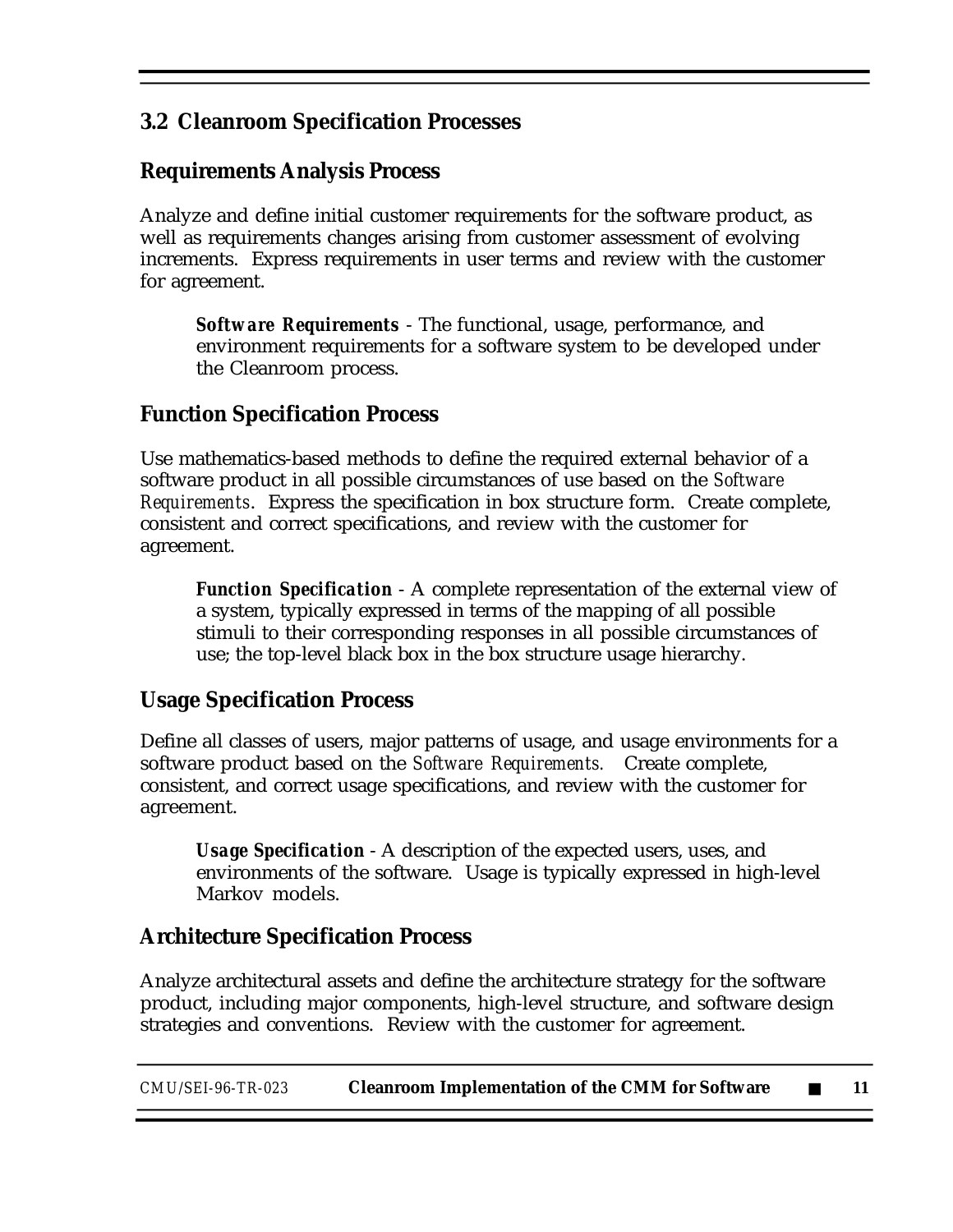### **3.2 Cleanroom Specification Processes**

#### **Requirements Analysis Process**

Analyze and define initial customer requirements for the software product, as well as requirements changes arising from customer assessment of evolving increments. Express requirements in user terms and review with the customer for agreement.

*Software Requirements* - The functional, usage, performance, and environment requirements for a software system to be developed under the Cleanroom process.

#### **Function Specification Process**

Use mathematics-based methods to define the required external behavior of a software product in all possible circumstances of use based on the *Software Requirements*. Express the specification in box structure form. Create complete, consistent and correct specifications, and review with the customer for agreement.

*Function Specification* - A complete representation of the external view of a system, typically expressed in terms of the mapping of all possible stimuli to their corresponding responses in all possible circumstances of use; the top-level black box in the box structure usage hierarchy.

### **Usage Specification Process**

Define all classes of users, major patterns of usage, and usage environments for a software product based on the *Software Requirements.* Create complete, consistent, and correct usage specifications, and review with the customer for agreement.

*Usage Specification* - A description of the expected users, uses, and environments of the software. Usage is typically expressed in high-level Markov models.

### **Architecture Specification Process**

Analyze architectural assets and define the architecture strategy for the software product, including major components, high-level structure, and software design strategies and conventions. Review with the customer for agreement.

| CMU/SEI-96-TR-023 | <b>Cleanroom Implementation of the CMM for Software</b> |  |  |
|-------------------|---------------------------------------------------------|--|--|
|-------------------|---------------------------------------------------------|--|--|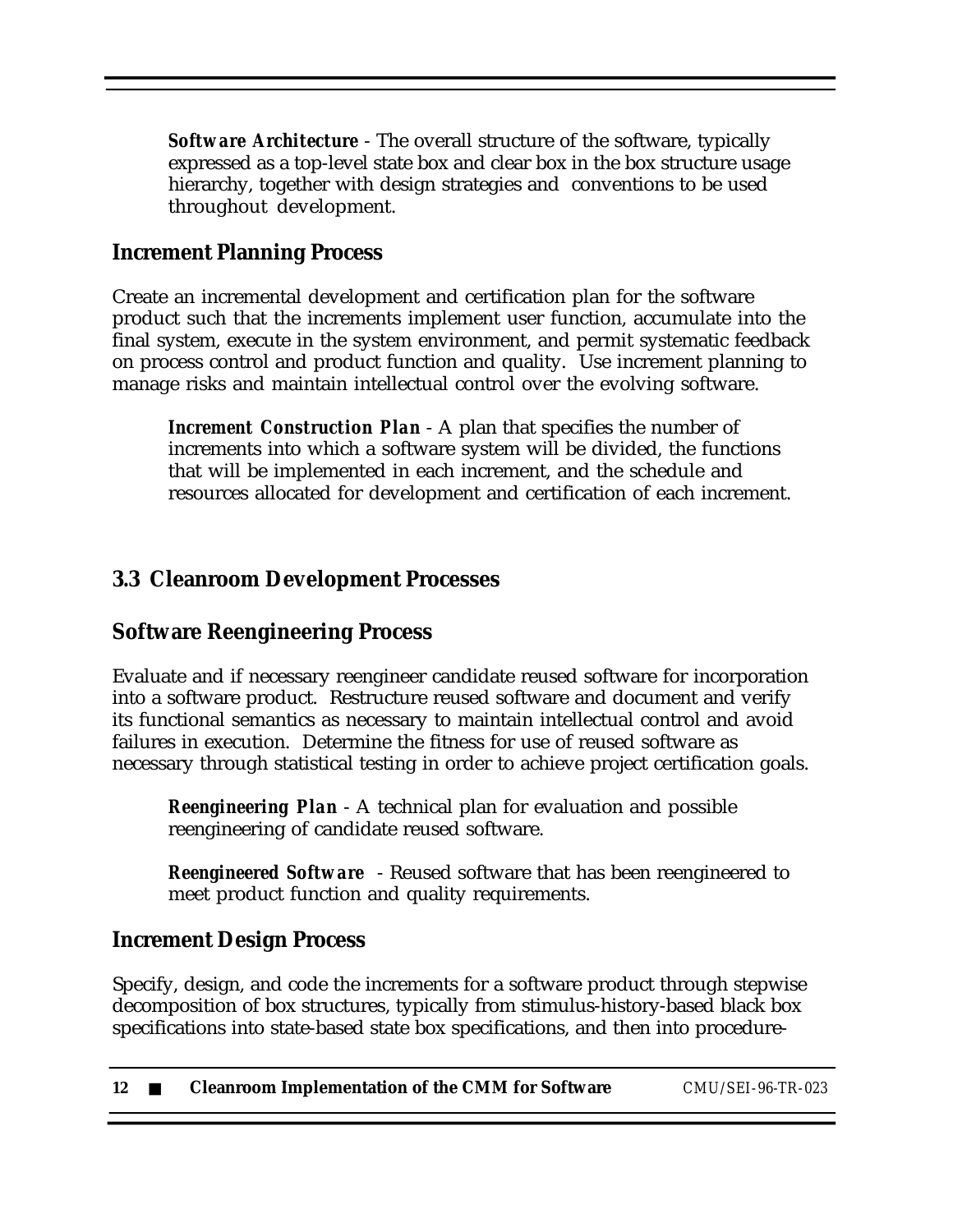*Software Architecture* - The overall structure of the software, typically expressed as a top-level state box and clear box in the box structure usage hierarchy, together with design strategies and conventions to be used throughout development.

#### **Increment Planning Process**

Create an incremental development and certification plan for the software product such that the increments implement user function, accumulate into the final system, execute in the system environment, and permit systematic feedback on process control and product function and quality. Use increment planning to manage risks and maintain intellectual control over the evolving software.

*Increment Construction Plan* - A plan that specifies the number of increments into which a software system will be divided, the functions that will be implemented in each increment, and the schedule and resources allocated for development and certification of each increment.

#### **3.3 Cleanroom Development Processes**

#### **Software Reengineering Process**

Evaluate and if necessary reengineer candidate reused software for incorporation into a software product. Restructure reused software and document and verify its functional semantics as necessary to maintain intellectual control and avoid failures in execution. Determine the fitness for use of reused software as necessary through statistical testing in order to achieve project certification goals.

*Reengineering Plan* - A technical plan for evaluation and possible reengineering of candidate reused software.

*Reengineered Software* - Reused software that has been reengineered to meet product function and quality requirements.

#### **Increment Design Process**

Specify, design, and code the increments for a software product through stepwise decomposition of box structures, typically from stimulus-history-based black box specifications into state-based state box specifications, and then into procedure-

| 12 | <b>Cleanroom Implementation of the CMM for Software</b> | CMU/SEI-96-TR-023 |
|----|---------------------------------------------------------|-------------------|
|----|---------------------------------------------------------|-------------------|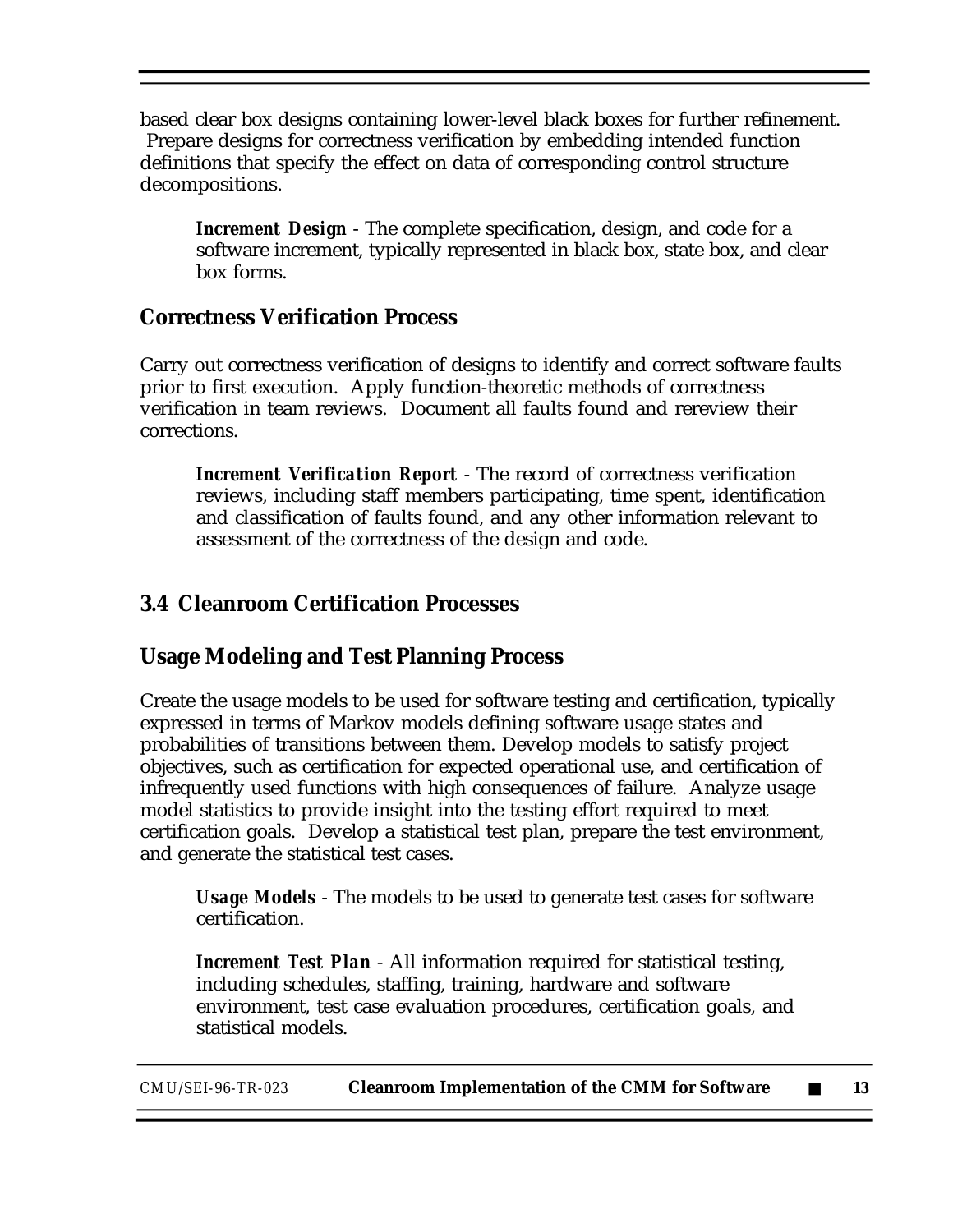based clear box designs containing lower-level black boxes for further refinement. Prepare designs for correctness verification by embedding intended function definitions that specify the effect on data of corresponding control structure decompositions.

*Increment Design* - The complete specification, design, and code for a software increment, typically represented in black box, state box, and clear box forms.

#### **Correctness Verification Process**

Carry out correctness verification of designs to identify and correct software faults prior to first execution. Apply function-theoretic methods of correctness verification in team reviews. Document all faults found and rereview their corrections.

*Increment Verification Report* - The record of correctness verification reviews, including staff members participating, time spent, identification and classification of faults found, and any other information relevant to assessment of the correctness of the design and code.

#### **3.4 Cleanroom Certification Processes**

#### **Usage Modeling and Test Planning Process**

Create the usage models to be used for software testing and certification, typically expressed in terms of Markov models defining software usage states and probabilities of transitions between them. Develop models to satisfy project objectives, such as certification for expected operational use, and certification of infrequently used functions with high consequences of failure. Analyze usage model statistics to provide insight into the testing effort required to meet certification goals. Develop a statistical test plan, prepare the test environment, and generate the statistical test cases.

*Usage Models* - The models to be used to generate test cases for software certification.

*Increment Test Plan* - All information required for statistical testing, including schedules, staffing, training, hardware and software environment, test case evaluation procedures, certification goals, and statistical models.

*CMU/SEI-96-TR-023* **Cleanroom Implementation of the CMM for Software** ■ **13**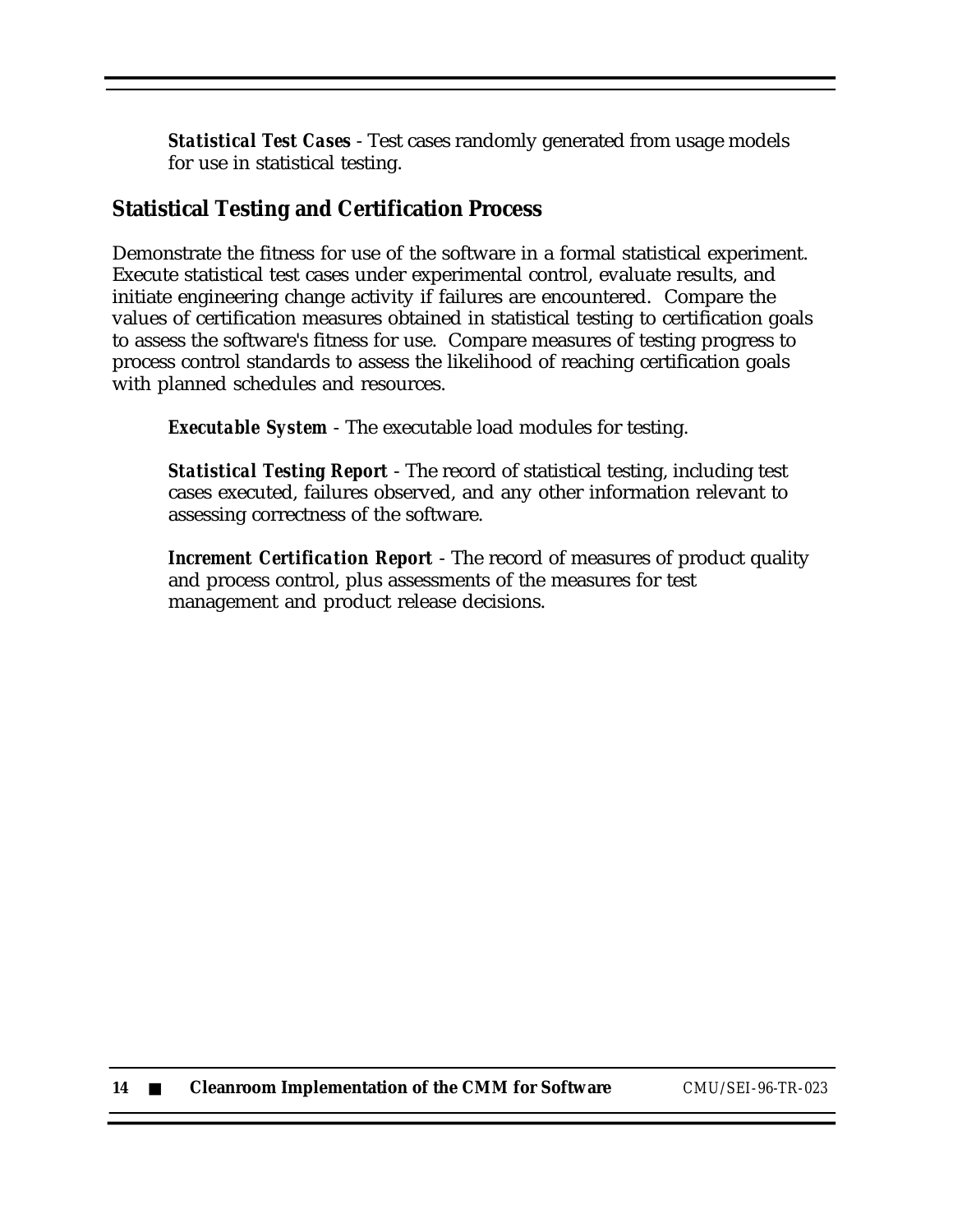*Statistical Test Cases* - Test cases randomly generated from usage models for use in statistical testing.

#### **Statistical Testing and Certification Process**

Demonstrate the fitness for use of the software in a formal statistical experiment. Execute statistical test cases under experimental control, evaluate results, and initiate engineering change activity if failures are encountered. Compare the values of certification measures obtained in statistical testing to certification goals to assess the software's fitness for use. Compare measures of testing progress to process control standards to assess the likelihood of reaching certification goals with planned schedules and resources.

*Executable System* - The executable load modules for testing.

*Statistical Testing Report* - The record of statistical testing, including test cases executed, failures observed, and any other information relevant to assessing correctness of the software.

*Increment Certification Report* - The record of measures of product quality and process control, plus assessments of the measures for test management and product release decisions.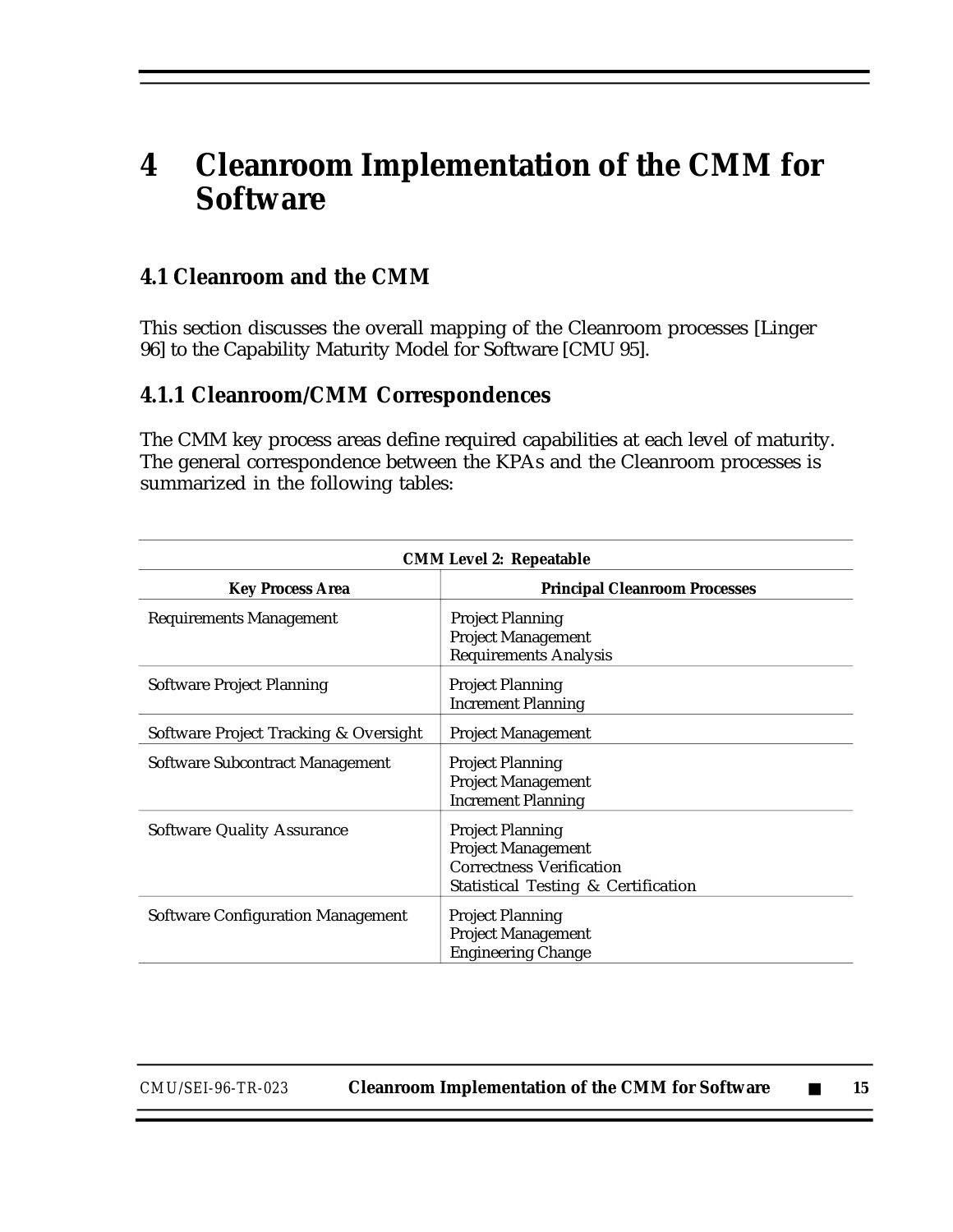# **4 Cleanroom Implementation of the CMM for Software**

#### **4.1 Cleanroom and the CMM**

This section discusses the overall mapping of the Cleanroom processes [Linger 96] to the Capability Maturity Model for Software [CMU 95].

#### **4.1.1 Cleanroom/CMM Correspondences**

The CMM key process areas define required capabilities at each level of maturity. The general correspondence between the KPAs and the Cleanroom processes is summarized in the following tables:

| <b>CMM Level 2: Repeatable</b>           |                                                                                                                                |  |  |
|------------------------------------------|--------------------------------------------------------------------------------------------------------------------------------|--|--|
| <b>Key Process Area</b>                  | <b>Principal Cleanroom Processes</b>                                                                                           |  |  |
| <b>Requirements Management</b>           | <b>Project Planning</b><br><b>Project Management</b><br><b>Requirements Analysis</b>                                           |  |  |
| Software Project Planning                | <b>Project Planning</b><br><b>Increment Planning</b>                                                                           |  |  |
| Software Project Tracking & Oversight    | <b>Project Management</b>                                                                                                      |  |  |
| Software Subcontract Management          | <b>Project Planning</b><br><b>Project Management</b><br><b>Increment Planning</b>                                              |  |  |
| <b>Software Quality Assurance</b>        | <b>Project Planning</b><br><b>Project Management</b><br><b>Correctness Verification</b><br>Statistical Testing & Certification |  |  |
| <b>Software Configuration Management</b> | <b>Project Planning</b><br><b>Project Management</b><br><b>Engineering Change</b>                                              |  |  |

*CMU/SEI-96-TR-023* **Cleanroom Implementation of the CMM for Software** ■ **15**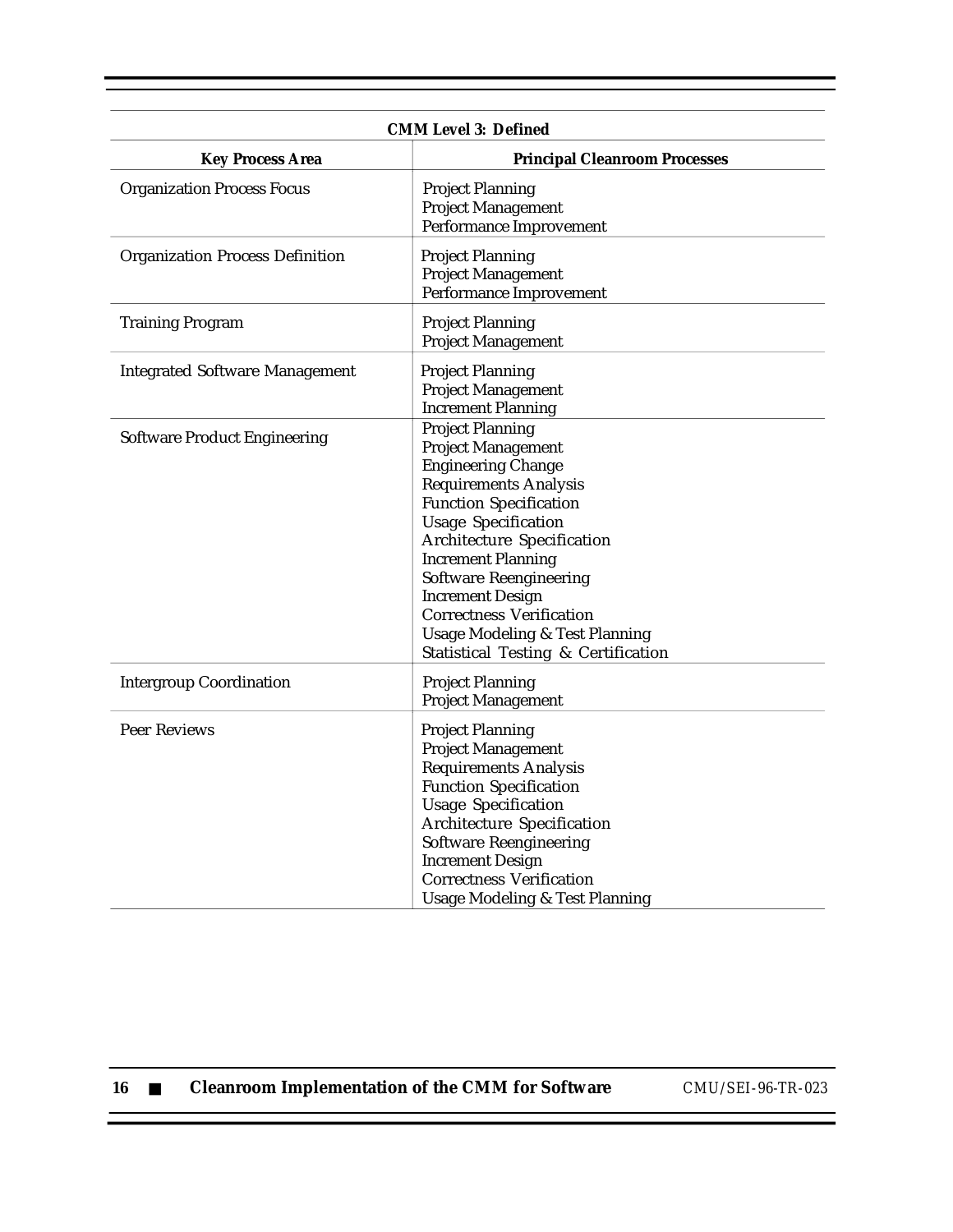| <b>CMM Level 3: Defined</b>            |                                                                                                                                                                                                                                                                                                                                                                                                                                |  |
|----------------------------------------|--------------------------------------------------------------------------------------------------------------------------------------------------------------------------------------------------------------------------------------------------------------------------------------------------------------------------------------------------------------------------------------------------------------------------------|--|
| <b>Key Process Area</b>                | <b>Principal Cleanroom Processes</b>                                                                                                                                                                                                                                                                                                                                                                                           |  |
| <b>Organization Process Focus</b>      | <b>Project Planning</b><br><b>Project Management</b><br>Performance Improvement                                                                                                                                                                                                                                                                                                                                                |  |
| <b>Organization Process Definition</b> | <b>Project Planning</b><br><b>Project Management</b><br>Performance Improvement                                                                                                                                                                                                                                                                                                                                                |  |
| <b>Training Program</b>                | <b>Project Planning</b><br><b>Project Management</b>                                                                                                                                                                                                                                                                                                                                                                           |  |
| <b>Integrated Software Management</b>  | <b>Project Planning</b><br><b>Project Management</b><br><b>Increment Planning</b>                                                                                                                                                                                                                                                                                                                                              |  |
| <b>Software Product Engineering</b>    | <b>Project Planning</b><br><b>Project Management</b><br><b>Engineering Change</b><br><b>Requirements Analysis</b><br><b>Function Specification</b><br><b>Usage Specification</b><br>Architecture Specification<br><b>Increment Planning</b><br><b>Software Reengineering</b><br><b>Increment Design</b><br><b>Correctness Verification</b><br><b>Usage Modeling &amp; Test Planning</b><br>Statistical Testing & Certification |  |
| <b>Intergroup Coordination</b>         | <b>Project Planning</b><br><b>Project Management</b>                                                                                                                                                                                                                                                                                                                                                                           |  |
| Peer Reviews                           | <b>Project Planning</b><br><b>Project Management</b><br><b>Requirements Analysis</b><br><b>Function Specification</b><br><b>Usage Specification</b><br>Architecture Specification<br><b>Software Reengineering</b><br><b>Increment Design</b><br><b>Correctness Verification</b><br><b>Usage Modeling &amp; Test Planning</b>                                                                                                  |  |

| -16 |  |  | <b>Cleanroom Implementation of the CMM for Software</b> |  |  |  |
|-----|--|--|---------------------------------------------------------|--|--|--|
|-----|--|--|---------------------------------------------------------|--|--|--|

**16** ■ **Cleanroom Implementation of the CMM for Software** *CMU/SEI-96-TR-023*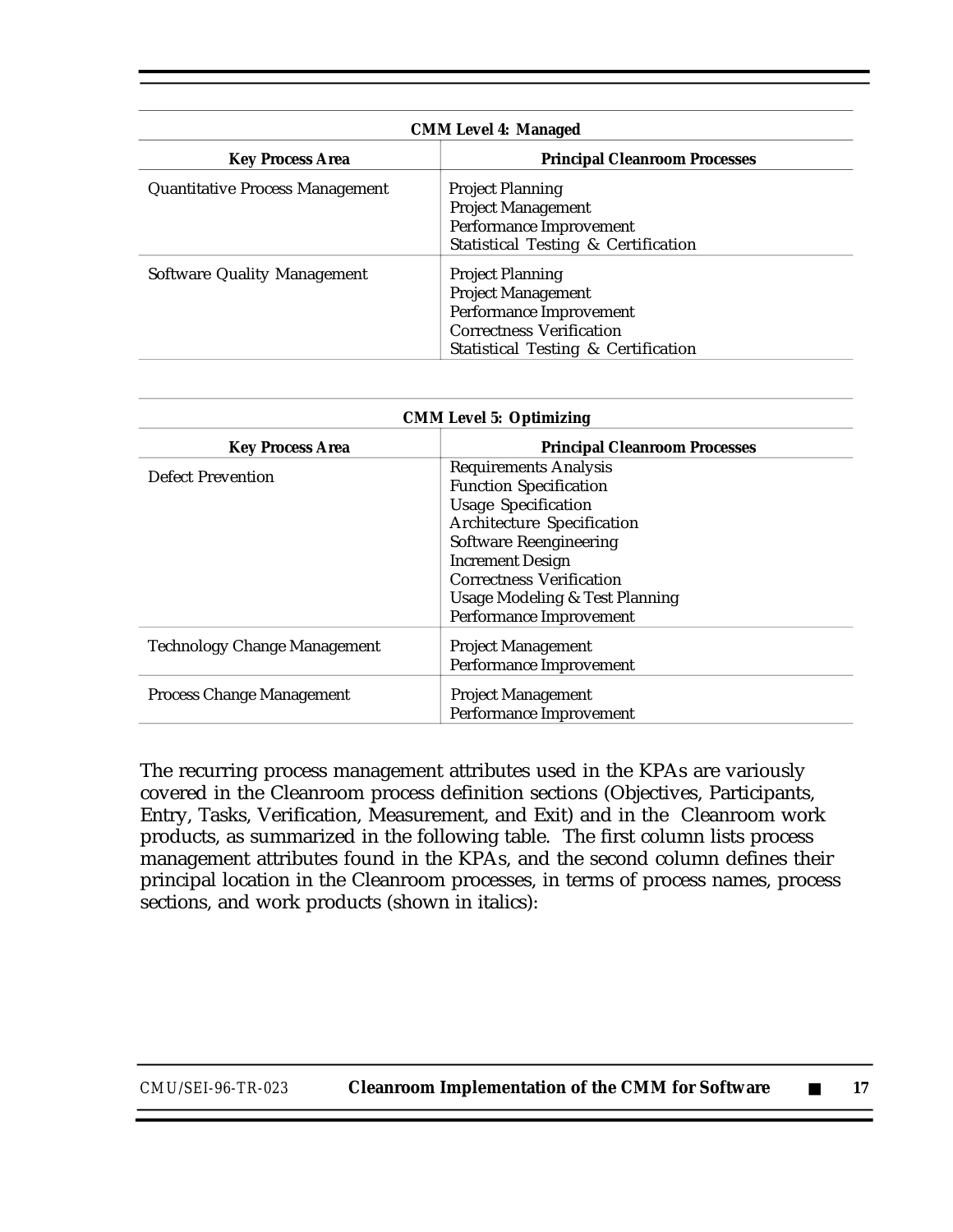|                                        | <b>CMM Level 4: Managed</b>          |
|----------------------------------------|--------------------------------------|
| <b>Key Process Area</b>                | <b>Principal Cleanroom Processes</b> |
| <b>Quantitative Process Management</b> | <b>Project Planning</b>              |
|                                        | <b>Project Management</b>            |
|                                        | Performance Improvement              |
|                                        | Statistical Testing & Certification  |
| <b>Software Quality Management</b>     | <b>Project Planning</b>              |
|                                        | <b>Project Management</b>            |
|                                        | Performance Improvement              |
|                                        | <b>Correctness Verification</b>      |
|                                        | Statistical Testing & Certification  |

| <b>CMM Level 5: Optimizing</b>       |  |  |
|--------------------------------------|--|--|
| <b>Principal Cleanroom Processes</b> |  |  |
| <b>Requirements Analysis</b>         |  |  |
| <b>Function Specification</b>        |  |  |
| <b>Usage Specification</b>           |  |  |
| <b>Architecture Specification</b>    |  |  |
| <b>Software Reengineering</b>        |  |  |
| <b>Increment Design</b>              |  |  |
| <b>Correctness Verification</b>      |  |  |
| Usage Modeling & Test Planning       |  |  |
| Performance Improvement              |  |  |
| <b>Project Management</b>            |  |  |
| Performance Improvement              |  |  |
|                                      |  |  |
| <b>Project Management</b>            |  |  |
| Performance Improvement              |  |  |
|                                      |  |  |

The recurring process management attributes used in the KPAs are variously covered in the Cleanroom process definition sections (Objectives, Participants, Entry, Tasks, Verification, Measurement, and Exit) and in the Cleanroom work products, as summarized in the following table. The first column lists process management attributes found in the KPAs, and the second column defines their principal location in the Cleanroom processes, in terms of process names, process sections, and work products (shown in italics):

| CMU/SEI-96-TR-023 | <b>Cleanroom Implementation of the CMM for Software</b> |  |  |
|-------------------|---------------------------------------------------------|--|--|
|-------------------|---------------------------------------------------------|--|--|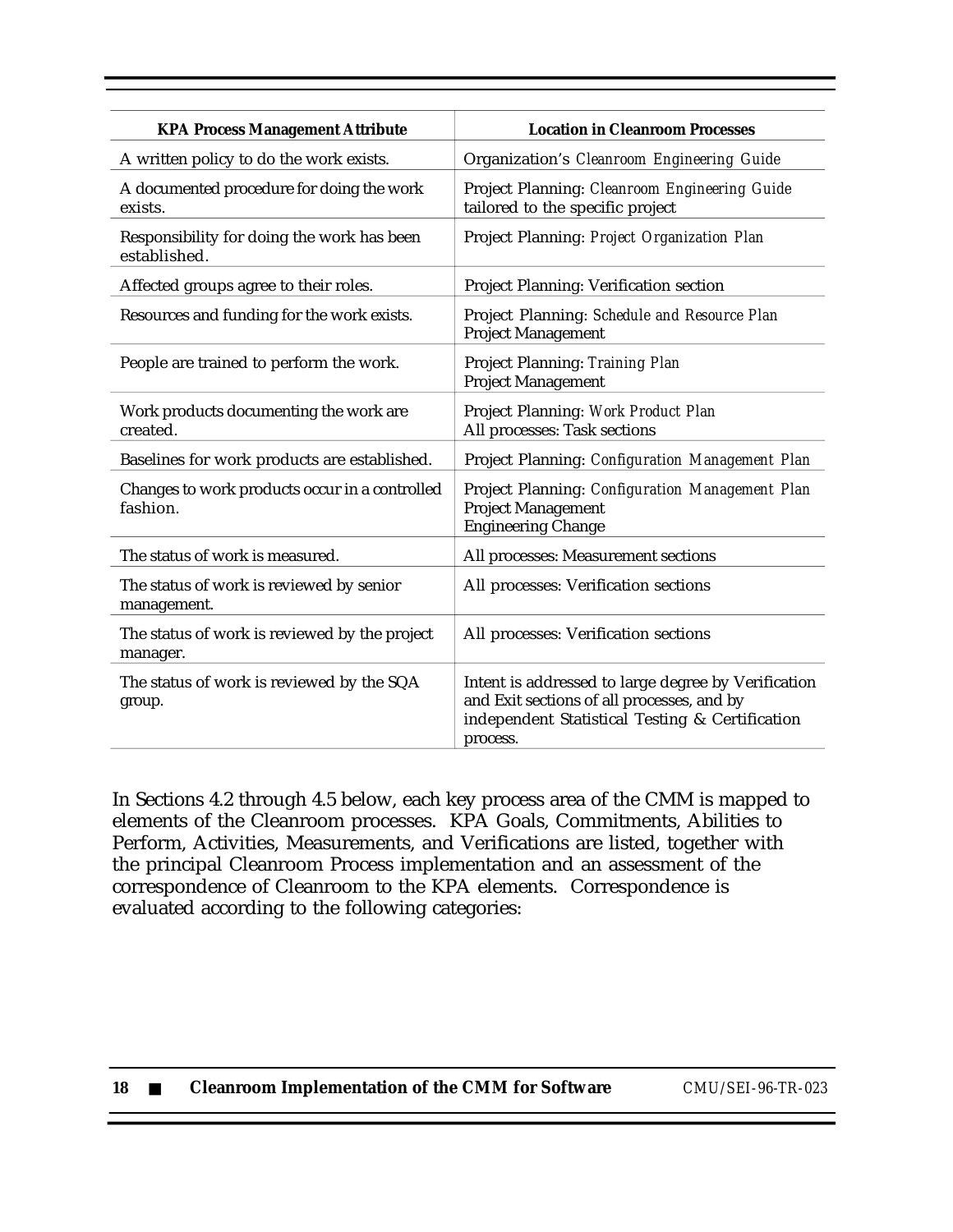| <b>KPA Process Management Attribute</b>                    | <b>Location in Cleanroom Processes</b>                                                                                                                           |
|------------------------------------------------------------|------------------------------------------------------------------------------------------------------------------------------------------------------------------|
| A written policy to do the work exists.                    | Organization's Cleanroom Engineering Guide                                                                                                                       |
| A documented procedure for doing the work<br>exists.       | Project Planning: Cleanroom Engineering Guide<br>tailored to the specific project                                                                                |
| Responsibility for doing the work has been<br>established. | Project Planning: Project Organization Plan                                                                                                                      |
| Affected groups agree to their roles.                      | Project Planning: Verification section                                                                                                                           |
| Resources and funding for the work exists.                 | Project Planning: Schedule and Resource Plan<br><b>Project Management</b>                                                                                        |
| People are trained to perform the work.                    | Project Planning: Training Plan<br><b>Project Management</b>                                                                                                     |
| Work products documenting the work are<br>created.         | Project Planning: Work Product Plan<br>All processes: Task sections                                                                                              |
| Baselines for work products are established.               | Project Planning: Configuration Management Plan                                                                                                                  |
| Changes to work products occur in a controlled<br>fashion. | Project Planning: Configuration Management Plan<br><b>Project Management</b><br><b>Engineering Change</b>                                                        |
| The status of work is measured.                            | All processes: Measurement sections                                                                                                                              |
| The status of work is reviewed by senior<br>management.    | All processes: Verification sections                                                                                                                             |
| The status of work is reviewed by the project<br>manager.  | All processes: Verification sections                                                                                                                             |
| The status of work is reviewed by the SQA<br>group.        | Intent is addressed to large degree by Verification<br>and Exit sections of all processes, and by<br>independent Statistical Testing & Certification<br>process. |

In Sections 4.2 through 4.5 below, each key process area of the CMM is mapped to elements of the Cleanroom processes. KPA Goals, Commitments, Abilities to Perform, Activities, Measurements, and Verifications are listed, together with the principal Cleanroom Process implementation and an assessment of the correspondence of Cleanroom to the KPA elements. Correspondence is evaluated according to the following categories: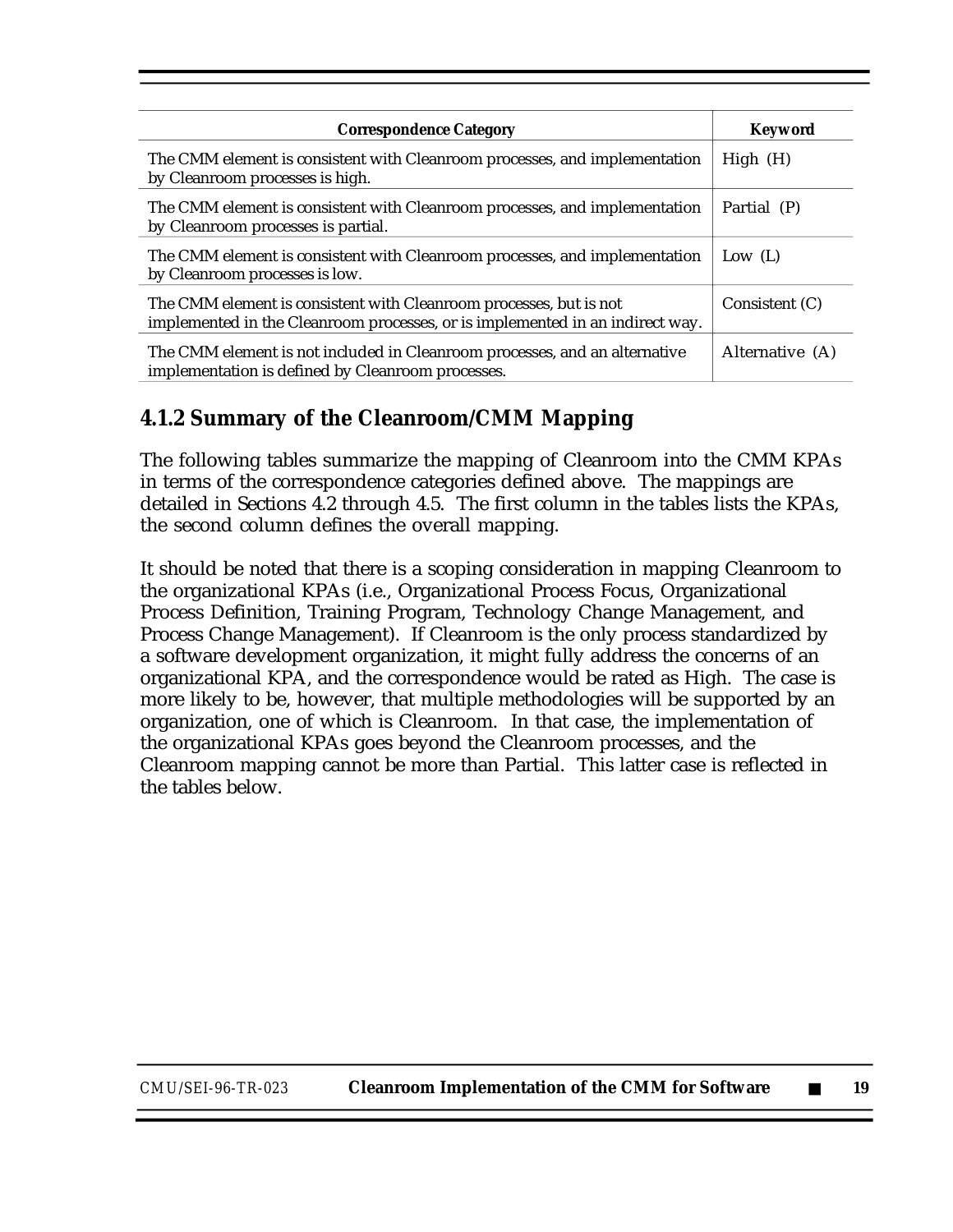| <b>Correspondence Category</b>                                                                                                                      | <b>Keyword</b>  |
|-----------------------------------------------------------------------------------------------------------------------------------------------------|-----------------|
| The CMM element is consistent with Cleanroom processes, and implementation<br>by Cleanroom processes is high.                                       | High(H)         |
| The CMM element is consistent with Cleanroom processes, and implementation<br>by Cleanroom processes is partial.                                    | Partial (P)     |
| The CMM element is consistent with Cleanroom processes, and implementation<br>by Cleanroom processes is low.                                        | Low $(L)$       |
| The CMM element is consistent with Cleanroom processes, but is not<br>implemented in the Cleanroom processes, or is implemented in an indirect way. | Consistent (C)  |
| The CMM element is not included in Cleanroom processes, and an alternative<br>implementation is defined by Cleanroom processes.                     | Alternative (A) |

### **4.1.2 Summary of the Cleanroom/CMM Mapping**

The following tables summarize the mapping of Cleanroom into the CMM KPAs in terms of the correspondence categories defined above. The mappings are detailed in Sections 4.2 through 4.5. The first column in the tables lists the KPAs, the second column defines the overall mapping.

It should be noted that there is a scoping consideration in mapping Cleanroom to the organizational KPAs (i.e., Organizational Process Focus, Organizational Process Definition, Training Program, Technology Change Management, and Process Change Management). If Cleanroom is the only process standardized by a software development organization, it might fully address the concerns of an organizational KPA, and the correspondence would be rated as High. The case is more likely to be, however, that multiple methodologies will be supported by an organization, one of which is Cleanroom. In that case, the implementation of the organizational KPAs goes beyond the Cleanroom processes, and the Cleanroom mapping cannot be more than Partial. This latter case is reflected in the tables below.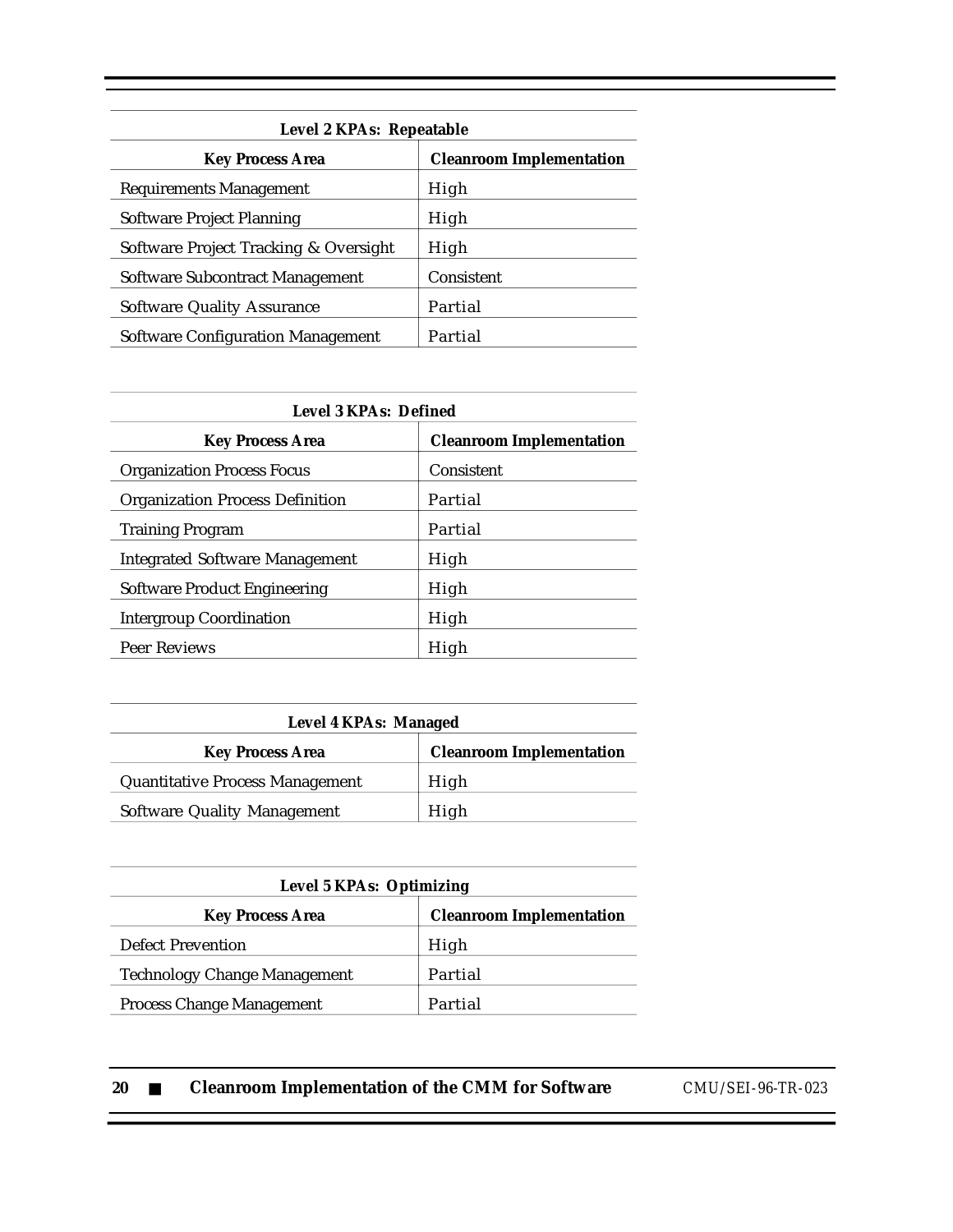| Level 2 KPAs: Repeatable                 |                                 |  |  |
|------------------------------------------|---------------------------------|--|--|
| <b>Key Process Area</b>                  | <b>Cleanroom Implementation</b> |  |  |
| <b>Requirements Management</b>           | High                            |  |  |
| Software Project Planning                | High                            |  |  |
| Software Project Tracking & Oversight    | High                            |  |  |
| <b>Software Subcontract Management</b>   | Consistent                      |  |  |
| <b>Software Quality Assurance</b>        | Partial                         |  |  |
|                                          |                                 |  |  |
| <b>Software Configuration Management</b> | Partial                         |  |  |

| <b>Level 3 KPAs: Defined</b>           |                                 |  |  |
|----------------------------------------|---------------------------------|--|--|
| <b>Key Process Area</b>                | <b>Cleanroom Implementation</b> |  |  |
| <b>Organization Process Focus</b>      | Consistent                      |  |  |
| <b>Organization Process Definition</b> | Partial                         |  |  |
| <b>Training Program</b>                | Partial                         |  |  |
| <b>Integrated Software Management</b>  | High                            |  |  |
| Software Product Engineering           | High                            |  |  |
| <b>Intergroup Coordination</b>         | High                            |  |  |
| Peer Reviews                           | High                            |  |  |

| <b>Level 4 KPAs: Managed</b>           |                                 |  |
|----------------------------------------|---------------------------------|--|
| <b>Key Process Area</b>                | <b>Cleanroom Implementation</b> |  |
| <b>Quantitative Process Management</b> | High                            |  |
| <b>Software Quality Management</b>     | High                            |  |

| <b>Level 5 KPAs: Optimizing</b>     |                                 |  |  |
|-------------------------------------|---------------------------------|--|--|
| <b>Key Process Area</b>             | <b>Cleanroom Implementation</b> |  |  |
| <b>Defect Prevention</b>            | High                            |  |  |
| <b>Technology Change Management</b> | Partial                         |  |  |
| <b>Process Change Management</b>    | Partial                         |  |  |

**20** ■ **Cleanroom Implementation of the CMM for Software** *CMU/SEI-96-TR-023*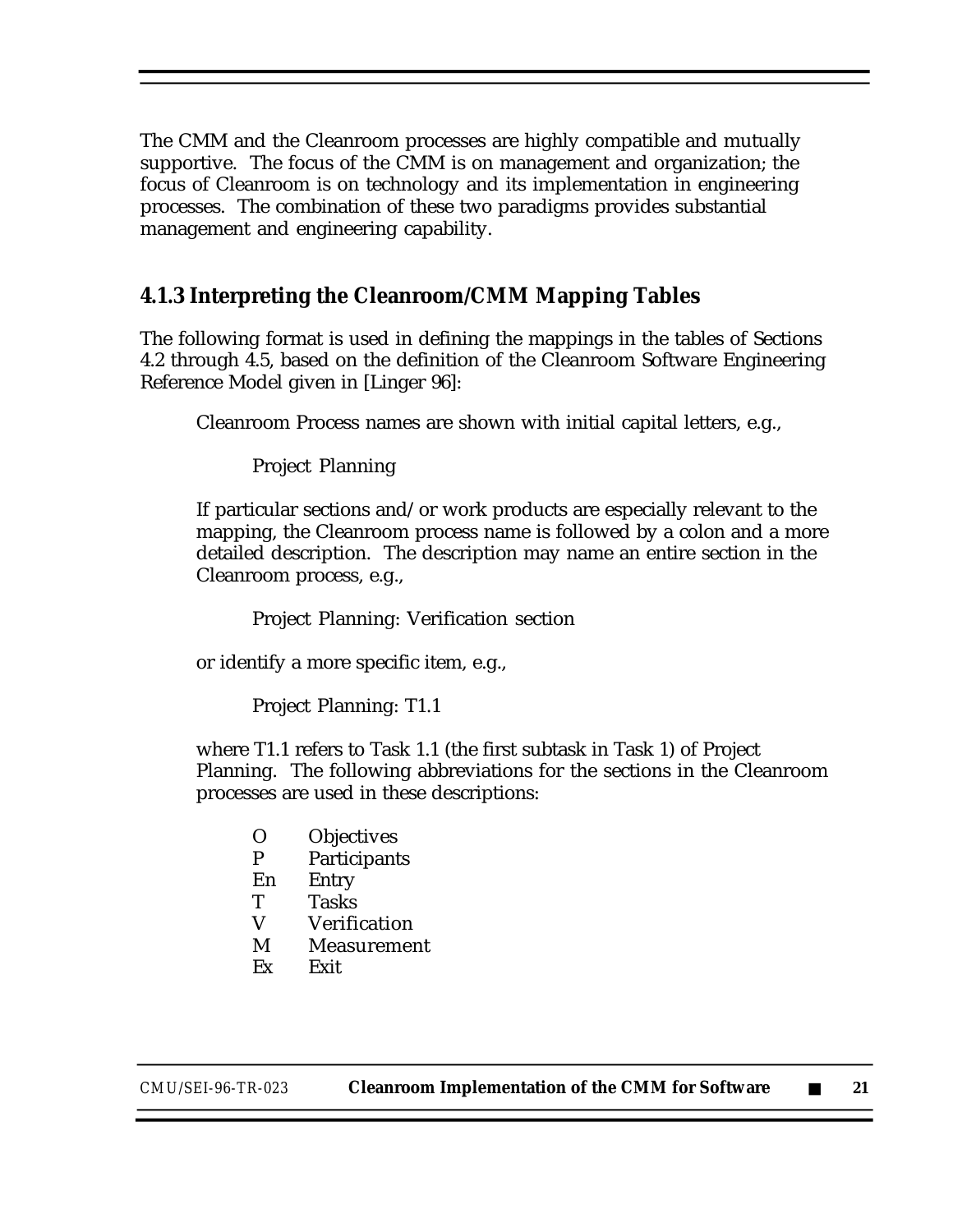The CMM and the Cleanroom processes are highly compatible and mutually supportive. The focus of the CMM is on management and organization; the focus of Cleanroom is on technology and its implementation in engineering processes. The combination of these two paradigms provides substantial management and engineering capability.

#### **4.1.3 Interpreting the Cleanroom/CMM Mapping Tables**

The following format is used in defining the mappings in the tables of Sections 4.2 through 4.5, based on the definition of the Cleanroom Software Engineering Reference Model given in [Linger 96]:

Cleanroom Process names are shown with initial capital letters, e.g.,

Project Planning

If particular sections and/or work products are especially relevant to the mapping, the Cleanroom process name is followed by a colon and a more detailed description. The description may name an entire section in the Cleanroom process, e.g.,

Project Planning: Verification section

or identify a more specific item, e.g.,

Project Planning: T1.1

where T1.1 refers to Task 1.1 (the first subtask in Task 1) of Project Planning. The following abbreviations for the sections in the Cleanroom processes are used in these descriptions:

- O Objectives<br>P Participant
- Participants
- En Entry
- T Tasks<br>V Verifi
- **Verification**
- M Measurement
- Ex Exit

*CMU/SEI-96-TR-023* **Cleanroom Implementation of the CMM for Software** ■ **21**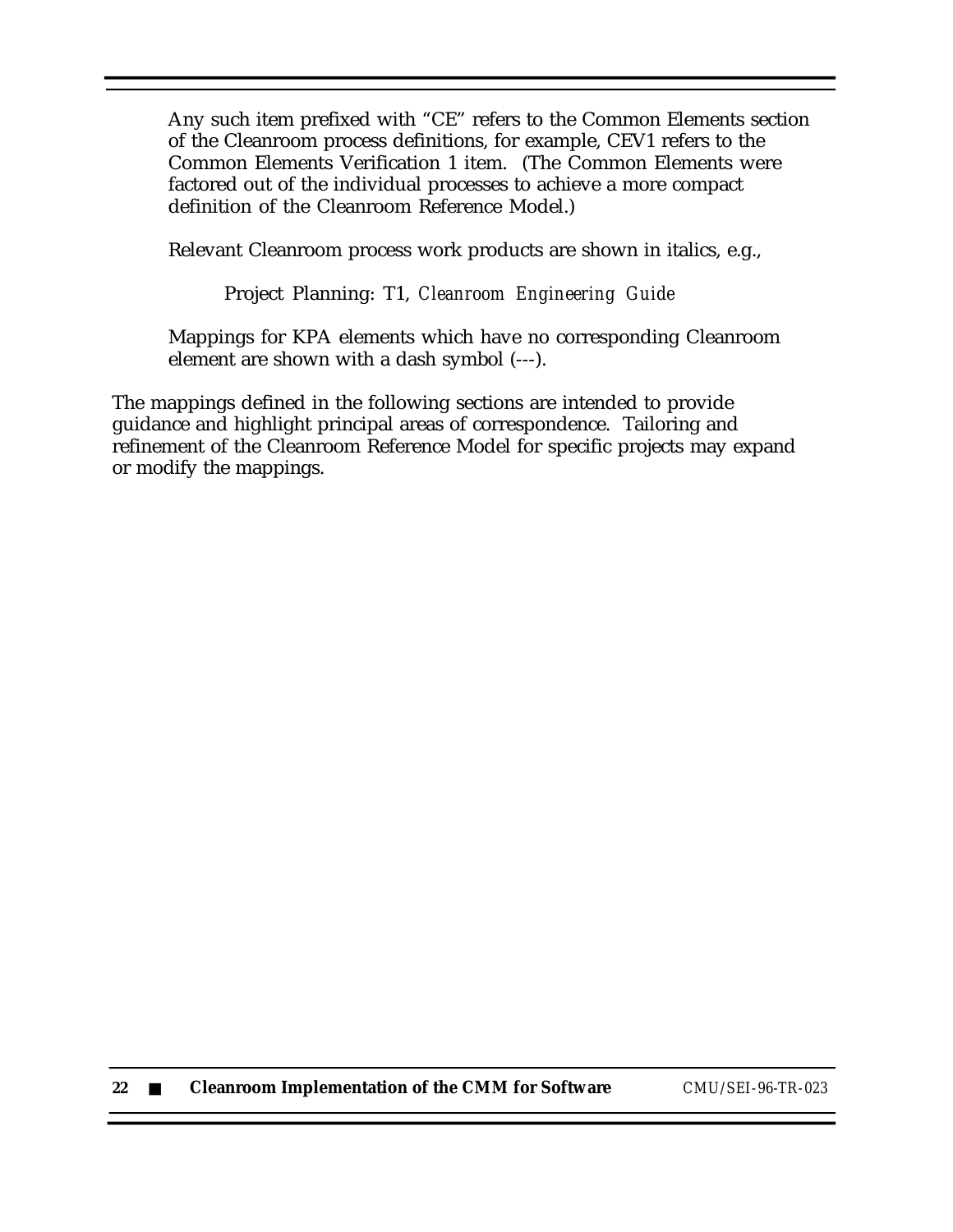Any such item prefixed with "CE" refers to the Common Elements section of the Cleanroom process definitions, for example, CEV1 refers to the Common Elements Verification 1 item. (The Common Elements were factored out of the individual processes to achieve a more compact definition of the Cleanroom Reference Model.)

Relevant Cleanroom process work products are shown in italics, e.g.,

Project Planning: T1, *Cleanroom Engineering Guide*

Mappings for KPA elements which have no corresponding Cleanroom element are shown with a dash symbol (---).

The mappings defined in the following sections are intended to provide guidance and highlight principal areas of correspondence. Tailoring and refinement of the Cleanroom Reference Model for specific projects may expand or modify the mappings.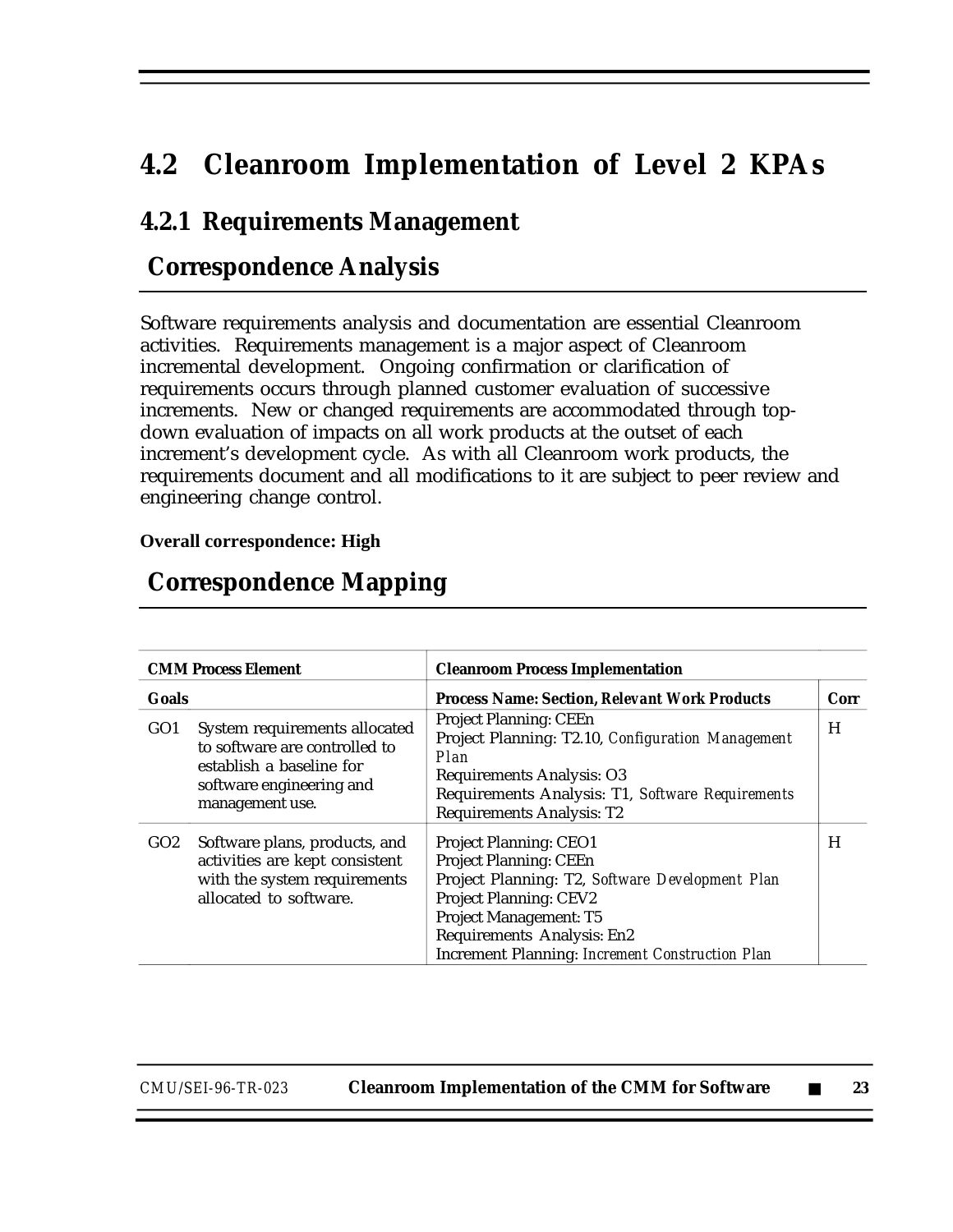# **4.2 Cleanroom Implementation of Level 2 KPAs**

### **4.2.1 Requirements Management**

### **Correspondence Analysis**

Software requirements analysis and documentation are essential Cleanroom activities. Requirements management is a major aspect of Cleanroom incremental development. Ongoing confirmation or clarification of requirements occurs through planned customer evaluation of successive increments. New or changed requirements are accommodated through topdown evaluation of impacts on all work products at the outset of each increment's development cycle. As with all Cleanroom work products, the requirements document and all modifications to it are subject to peer review and engineering change control.

#### **Overall correspondence: High**

|                 | <b>CMM Process Element</b>                                                                                                                | <b>Cleanroom Process Implementation</b>                                                                                                                                                                                                                              |      |
|-----------------|-------------------------------------------------------------------------------------------------------------------------------------------|----------------------------------------------------------------------------------------------------------------------------------------------------------------------------------------------------------------------------------------------------------------------|------|
| <b>Goals</b>    |                                                                                                                                           | <b>Process Name: Section, Relevant Work Products</b>                                                                                                                                                                                                                 | Corr |
| GO <sub>1</sub> | System requirements allocated<br>to software are controlled to<br>establish a baseline for<br>software engineering and<br>management use. | <b>Project Planning: CEEn</b><br>Project Planning: T2.10, Configuration Management<br>Plan<br><b>Requirements Analysis: O3</b><br>Requirements Analysis: T1, Software Requirements<br><b>Requirements Analysis: T2</b>                                               | H    |
| GO2             | Software plans, products, and<br>activities are kept consistent<br>with the system requirements<br>allocated to software.                 | <b>Project Planning: CEO1</b><br><b>Project Planning: CEEn</b><br>Project Planning: T2, Software Development Plan<br><b>Project Planning: CEV2</b><br>Project Management: T5<br>Requirements Analysis: En2<br><b>Increment Planning: Increment Construction Plan</b> | H    |

### **Correspondence Mapping**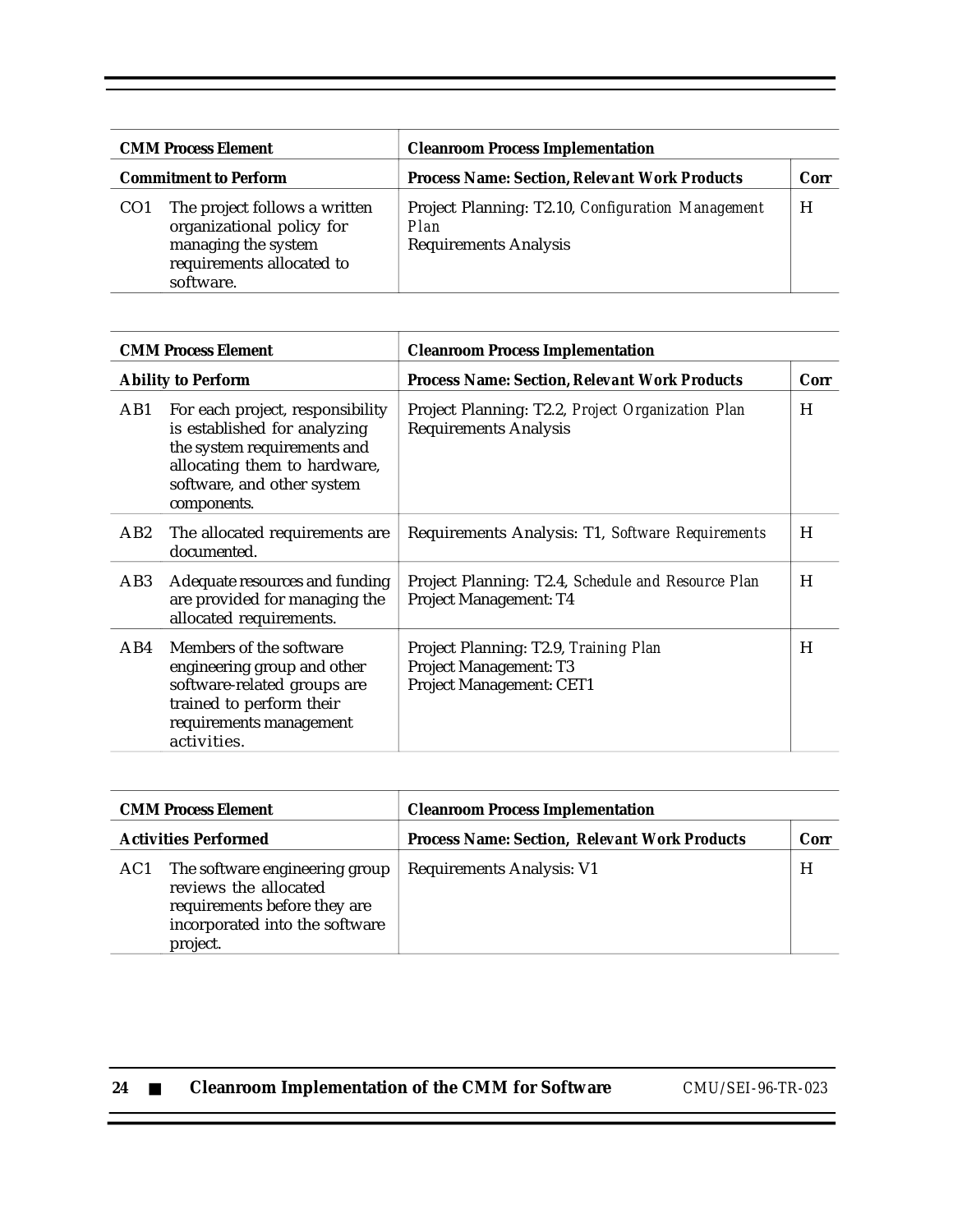| <b>CMM Process Element</b>   |                                                                                                                             | <b>Cleanroom Process Implementation</b>                                                   |      |
|------------------------------|-----------------------------------------------------------------------------------------------------------------------------|-------------------------------------------------------------------------------------------|------|
| <b>Commitment to Perform</b> |                                                                                                                             | <b>Process Name: Section, Relevant Work Products</b>                                      | Corr |
| CO <sub>1</sub>              | The project follows a written<br>organizational policy for<br>managing the system<br>requirements allocated to<br>software. | Project Planning: T2.10, Configuration Management<br>Plan<br><b>Requirements Analysis</b> | H    |

|                           | <b>CMM Process Element</b>                                                                                                                                                   | <b>Cleanroom Process Implementation</b>                                                            |      |
|---------------------------|------------------------------------------------------------------------------------------------------------------------------------------------------------------------------|----------------------------------------------------------------------------------------------------|------|
| <b>Ability to Perform</b> |                                                                                                                                                                              | <b>Process Name: Section, Relevant Work Products</b>                                               | Corr |
| AB1                       | For each project, responsibility<br>is established for analyzing<br>the system requirements and<br>allocating them to hardware,<br>software, and other system<br>components. | Project Planning: T2.2, Project Organization Plan<br><b>Requirements Analysis</b>                  | H    |
| AB2                       | The allocated requirements are.<br>documented.                                                                                                                               | Requirements Analysis: T1, Software Requirements                                                   | H    |
| AB3                       | Adequate resources and funding<br>are provided for managing the<br>allocated requirements.                                                                                   | Project Planning: T2.4, Schedule and Resource Plan<br>Project Management: T4                       | H    |
| AB4                       | Members of the software<br>engineering group and other<br>software-related groups are<br>trained to perform their<br>requirements management<br>activities.                  | Project Planning: T2.9, Training Plan<br><b>Project Management: T3</b><br>Project Management: CET1 | H    |

| <b>CMM Process Element</b>  |                                                                                                                                       | <b>Cleanroom Process Implementation</b>              |      |
|-----------------------------|---------------------------------------------------------------------------------------------------------------------------------------|------------------------------------------------------|------|
| <b>Activities Performed</b> |                                                                                                                                       | <b>Process Name: Section, Relevant Work Products</b> | Corr |
| AC1                         | The software engineering group<br>reviews the allocated<br>requirements before they are<br>incorporated into the software<br>project. | <b>Requirements Analysis: V1</b>                     | H    |

| 24 |  |  |  |  | <b>Cleanroom Implementation of the CMM for Software</b> |  |
|----|--|--|--|--|---------------------------------------------------------|--|
|----|--|--|--|--|---------------------------------------------------------|--|

**24** ■ **Cleanroom Implementation of the CMM for Software** *CMU/SEI-96-TR-023*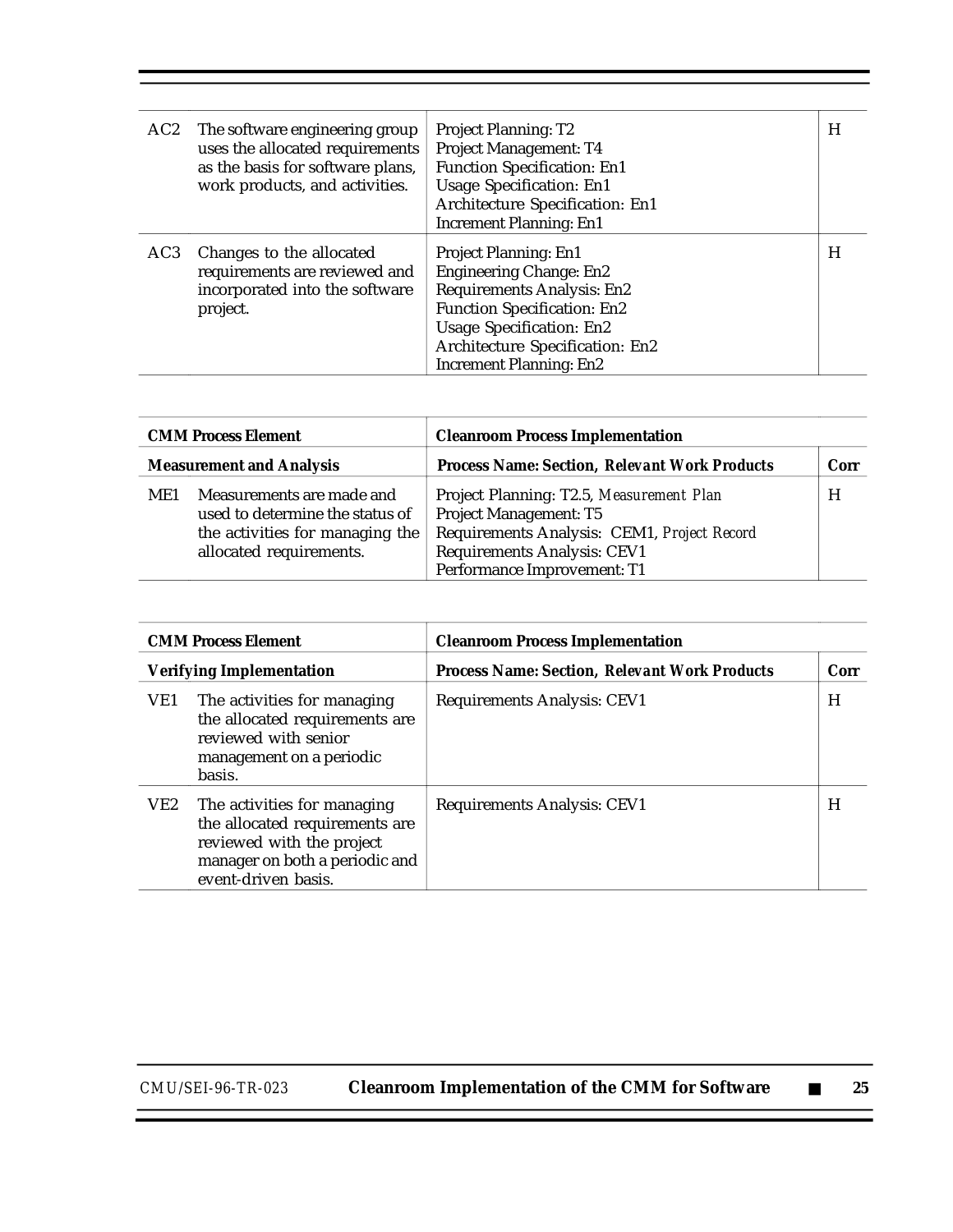| AC2             | The software engineering group<br>uses the allocated requirements<br>as the basis for software plans,<br>work products, and activities. | <b>Project Planning: T2</b><br>Project Management: T4<br><b>Function Specification: En1</b><br><b>Usage Specification: En1</b><br>Architecture Specification: En1<br><b>Increment Planning: En1</b>                                        | H |
|-----------------|-----------------------------------------------------------------------------------------------------------------------------------------|--------------------------------------------------------------------------------------------------------------------------------------------------------------------------------------------------------------------------------------------|---|
| AC <sub>3</sub> | Changes to the allocated<br>requirements are reviewed and<br>incorporated into the software<br>project.                                 | Project Planning: En1<br><b>Engineering Change: En2</b><br><b>Requirements Analysis: En2</b><br><b>Function Specification: En2</b><br><b>Usage Specification: En2</b><br>Architecture Specification: En2<br><b>Increment Planning: En2</b> | H |

|     | <b>CMM Process Element</b>                                                                                                 | <b>Cleanroom Process Implementation</b>                                                                                                                                                       |      |
|-----|----------------------------------------------------------------------------------------------------------------------------|-----------------------------------------------------------------------------------------------------------------------------------------------------------------------------------------------|------|
|     | <b>Measurement and Analysis</b>                                                                                            | <b>Process Name: Section, Relevant Work Products</b>                                                                                                                                          | Corr |
| ME1 | Measurements are made and<br>used to determine the status of<br>the activities for managing the<br>allocated requirements. | Project Planning: T2.5, Measurement Plan<br><b>Project Management: T5</b><br>Requirements Analysis: CEM1, Project Record<br><b>Requirements Analysis: CEV1</b><br>Performance Improvement: T1 | H    |

| <b>CMM Process Element</b> |                                                                                                                                                     | <b>Cleanroom Process Implementation</b>              |      |
|----------------------------|-----------------------------------------------------------------------------------------------------------------------------------------------------|------------------------------------------------------|------|
|                            | <b>Verifying Implementation</b>                                                                                                                     | <b>Process Name: Section, Relevant Work Products</b> | Corr |
| VE1                        | The activities for managing<br>the allocated requirements are<br>reviewed with senior<br>management on a periodic<br>basis.                         | <b>Requirements Analysis: CEV1</b>                   | H    |
| VE2                        | The activities for managing<br>the allocated requirements are<br>reviewed with the project<br>manager on both a periodic and<br>event-driven basis. | <b>Requirements Analysis: CEV1</b>                   | H    |

*CMU/SEI-96-TR-023* **Cleanroom Implementation of the CMM for Software** ■ **25**

Ξ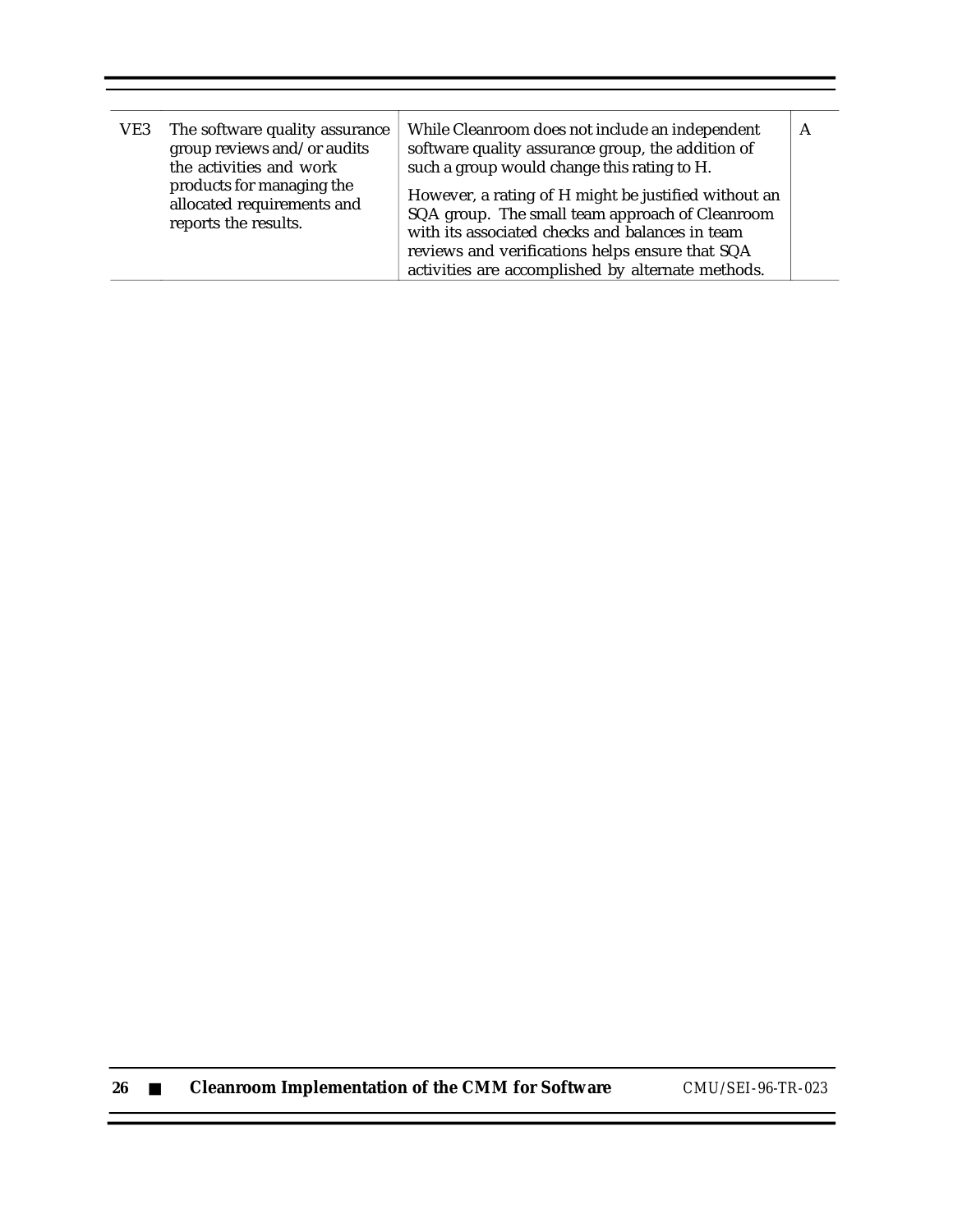| The software quality assurance<br>VE3<br>group reviews and/or audits<br>the activities and work<br>products for managing the<br>allocated requirements and<br>reports the results. |                                                                                                                                                                                                                                                                    | While Cleanroom does not include an independent<br>software quality assurance group, the addition of<br>such a group would change this rating to H. | A |
|------------------------------------------------------------------------------------------------------------------------------------------------------------------------------------|--------------------------------------------------------------------------------------------------------------------------------------------------------------------------------------------------------------------------------------------------------------------|-----------------------------------------------------------------------------------------------------------------------------------------------------|---|
|                                                                                                                                                                                    | However, a rating of H might be justified without an<br>SQA group. The small team approach of Cleanroom<br>with its associated checks and balances in team<br>reviews and verifications helps ensure that SQA<br>activities are accomplished by alternate methods. |                                                                                                                                                     |   |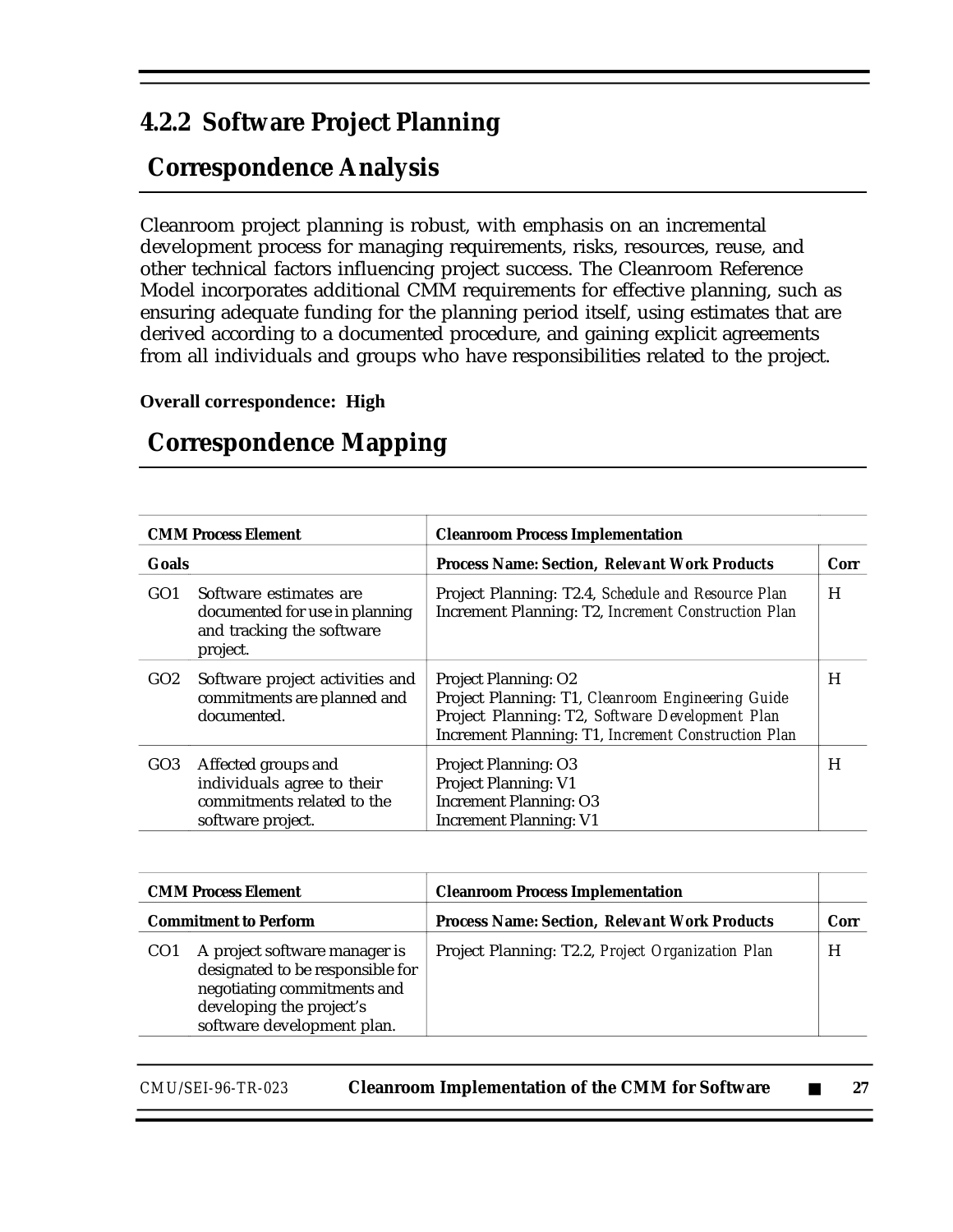### **4.2.2 Software Project Planning**

## **Correspondence Analysis**

Cleanroom project planning is robust, with emphasis on an incremental development process for managing requirements, risks, resources, reuse, and other technical factors influencing project success. The Cleanroom Reference Model incorporates additional CMM requirements for effective planning, such as ensuring adequate funding for the planning period itself, using estimates that are derived according to a documented procedure, and gaining explicit agreements from all individuals and groups who have responsibilities related to the project.

#### **Overall correspondence: High**

|                 | <b>CMM Process Element</b>                                                                           | <b>Cleanroom Process Implementation</b>                                                                                                                                                    |      |
|-----------------|------------------------------------------------------------------------------------------------------|--------------------------------------------------------------------------------------------------------------------------------------------------------------------------------------------|------|
| <b>Goals</b>    |                                                                                                      | <b>Process Name: Section, Relevant Work Products</b>                                                                                                                                       | Corr |
| GO <sub>1</sub> | Software estimates are<br>documented for use in planning<br>and tracking the software<br>project.    | Project Planning: T2.4, Schedule and Resource Plan<br>Increment Planning: T2, Increment Construction Plan                                                                                  | H    |
| GO2             | Software project activities and<br>commitments are planned and<br>documented.                        | <b>Project Planning: O2</b><br>Project Planning: T1, Cleanroom Engineering Guide<br>Project Planning: T2, Software Development Plan<br>Increment Planning: T1, Increment Construction Plan | H    |
| GO3             | Affected groups and<br>individuals agree to their<br>commitments related to the<br>software project. | <b>Project Planning: O3</b><br><b>Project Planning: V1</b><br><b>Increment Planning: O3</b><br><b>Increment Planning: V1</b>                                                               | H    |

## **Correspondence Mapping**

| <b>CMM Process Element</b>   |                                                                                                                                                            | <b>Cleanroom Process Implementation</b>              |      |
|------------------------------|------------------------------------------------------------------------------------------------------------------------------------------------------------|------------------------------------------------------|------|
| <b>Commitment to Perform</b> |                                                                                                                                                            | <b>Process Name: Section, Relevant Work Products</b> | Corr |
| CO <sub>1</sub>              | A project software manager is<br>designated to be responsible for<br>negotiating commitments and<br>developing the project's<br>software development plan. | Project Planning: T2.2, Project Organization Plan    | H    |

*CMU/SEI-96-TR-023* **Cleanroom Implementation of the CMM for Software** ■ **27**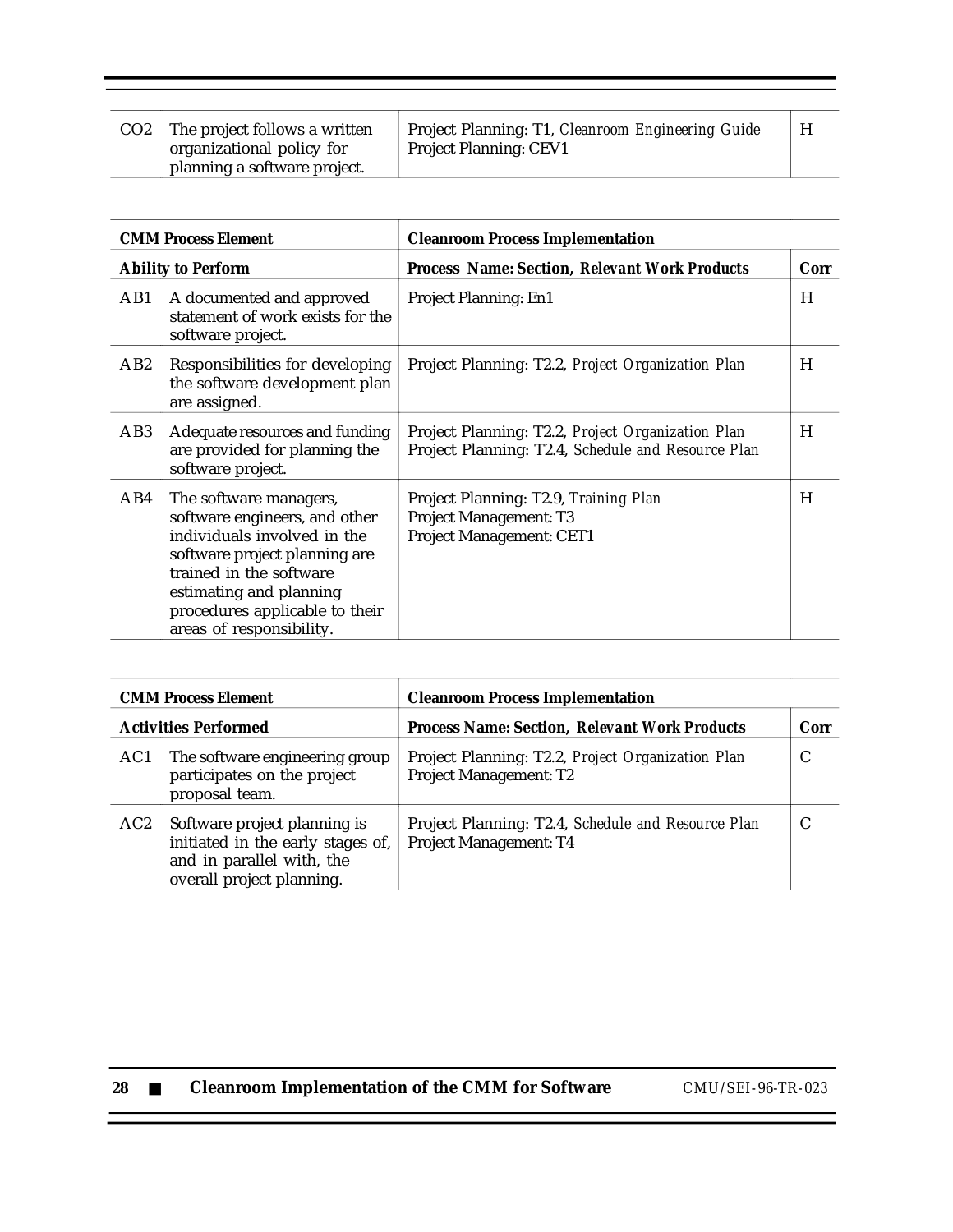| CO <sub>2</sub> | The project follows a written<br>organizational policy for | Project Planning: T1, Cleanroom Engineering Guide<br><b>Project Planning: CEV1</b> | H |
|-----------------|------------------------------------------------------------|------------------------------------------------------------------------------------|---|
|                 | planning a software project.                               |                                                                                    |   |

| <b>CMM Process Element</b> |                                                                                                                                                                                                                                             | <b>Cleanroom Process Implementation</b>                                                                 |      |
|----------------------------|---------------------------------------------------------------------------------------------------------------------------------------------------------------------------------------------------------------------------------------------|---------------------------------------------------------------------------------------------------------|------|
| <b>Ability to Perform</b>  |                                                                                                                                                                                                                                             | <b>Process Name: Section, Relevant Work Products</b>                                                    | Corr |
| AB1                        | A documented and approved<br>statement of work exists for the<br>software project.                                                                                                                                                          | Project Planning: En1                                                                                   | H    |
| AB <sub>2</sub>            | Responsibilities for developing<br>the software development plan<br>are assigned.                                                                                                                                                           | Project Planning: T2.2, Project Organization Plan                                                       | H    |
| AB3                        | Adequate resources and funding<br>are provided for planning the<br>software project.                                                                                                                                                        | Project Planning: T2.2, Project Organization Plan<br>Project Planning: T2.4, Schedule and Resource Plan | H    |
| AB4                        | The software managers,<br>software engineers, and other<br>individuals involved in the<br>software project planning are<br>trained in the software<br>estimating and planning<br>procedures applicable to their<br>areas of responsibility. | Project Planning: T2.9, Training Plan<br><b>Project Management: T3</b><br>Project Management: CET1      | H    |

|                             | <b>CMM Process Element</b>                                                                                                  | <b>Cleanroom Process Implementation</b>                                             |      |
|-----------------------------|-----------------------------------------------------------------------------------------------------------------------------|-------------------------------------------------------------------------------------|------|
| <b>Activities Performed</b> |                                                                                                                             | <b>Process Name: Section, Relevant Work Products</b>                                | Corr |
| AC1                         | The software engineering group<br>participates on the project<br>proposal team.                                             | Project Planning: T2.2, Project Organization Plan<br><b>Project Management: T2</b>  | C    |
| AC2                         | Software project planning is<br>initiated in the early stages of,<br>and in parallel with, the<br>overall project planning. | Project Planning: T2.4, Schedule and Resource Plan<br><b>Project Management: T4</b> |      |

**28** ■ **Cleanroom Implementation of the CMM for Software** *CMU/SEI-96-TR-023*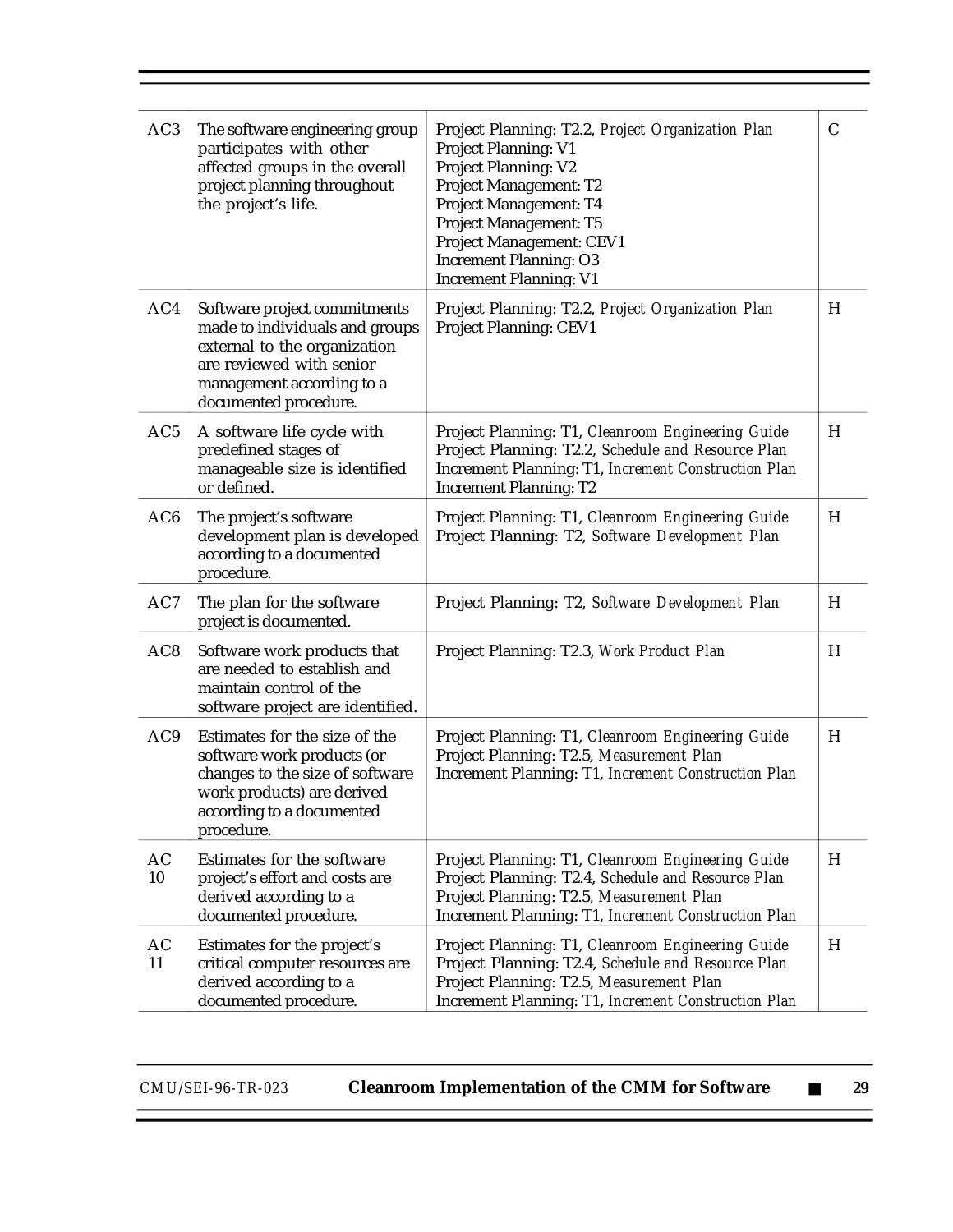| AC <sub>3</sub> | The software engineering group<br>participates with other<br>affected groups in the overall<br>project planning throughout<br>the project's life.                                | Project Planning: T2.2, Project Organization Plan<br><b>Project Planning: V1</b><br><b>Project Planning: V2</b><br>Project Management: T2<br>Project Management: T4<br>Project Management: T5<br>Project Management: CEV1<br><b>Increment Planning: O3</b><br><b>Increment Planning: V1</b> | $\mathcal{C}$ |
|-----------------|----------------------------------------------------------------------------------------------------------------------------------------------------------------------------------|---------------------------------------------------------------------------------------------------------------------------------------------------------------------------------------------------------------------------------------------------------------------------------------------|---------------|
| AC4             | Software project commitments<br>made to individuals and groups<br>external to the organization<br>are reviewed with senior<br>management according to a<br>documented procedure. | Project Planning: T2.2, Project Organization Plan<br>Project Planning: CEV1                                                                                                                                                                                                                 | H             |
| AC5             | A software life cycle with<br>predefined stages of<br>manageable size is identified<br>or defined.                                                                               | Project Planning: T1, Cleanroom Engineering Guide<br>Project Planning: T2.2, Schedule and Resource Plan<br>Increment Planning: T1, Increment Construction Plan<br><b>Increment Planning: T2</b>                                                                                             | H             |
| AC <sub>6</sub> | The project's software<br>development plan is developed<br>according to a documented<br>procedure.                                                                               | Project Planning: T1, Cleanroom Engineering Guide<br>Project Planning: T2, Software Development Plan                                                                                                                                                                                        | H             |
| AC7             | The plan for the software<br>project is documented.                                                                                                                              | Project Planning: T2, Software Development Plan                                                                                                                                                                                                                                             | H             |
| AC <sub>8</sub> | Software work products that<br>are needed to establish and<br>maintain control of the<br>software project are identified.                                                        | Project Planning: T2.3, Work Product Plan                                                                                                                                                                                                                                                   | H             |
| AC <sub>9</sub> | Estimates for the size of the<br>software work products (or<br>changes to the size of software<br>work products) are derived<br>according to a documented<br>procedure.          | Project Planning: T1, Cleanroom Engineering Guide<br>Project Planning: T2.5, Measurement Plan<br>Increment Planning: T1, Increment Construction Plan                                                                                                                                        | H             |
| AC<br>10        | Estimates for the software<br>project's effort and costs are<br>derived according to a<br>documented procedure.                                                                  | Project Planning: T1, Cleanroom Engineering Guide<br>Project Planning: T2.4, Schedule and Resource Plan<br>Project Planning: T2.5, Measurement Plan<br>Increment Planning: T1, Increment Construction Plan                                                                                  | H             |
| AC<br>11        | Estimates for the project's<br>critical computer resources are<br>derived according to a<br>documented procedure.                                                                | Project Planning: T1, Cleanroom Engineering Guide<br>Project Planning: T2.4, Schedule and Resource Plan<br>Project Planning: T2.5, Measurement Plan<br>Increment Planning: T1, Increment Construction Plan                                                                                  | H             |

 $\overline{\phantom{0}}$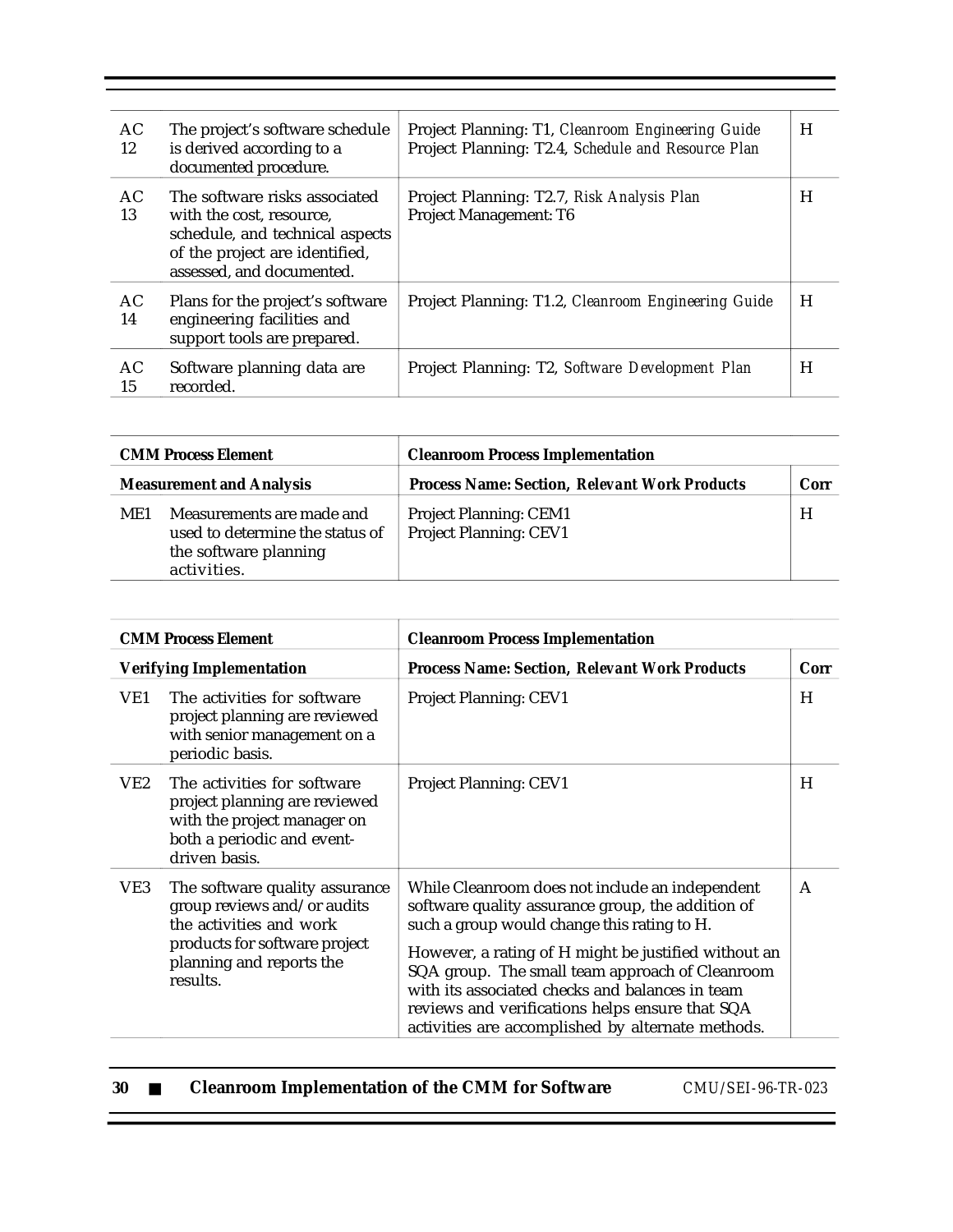| AC<br>12 | The project's software schedule<br>is derived according to a<br>documented procedure.                                                                       | Project Planning: T1, Cleanroom Engineering Guide<br>Project Planning: T2.4, Schedule and Resource Plan | H |
|----------|-------------------------------------------------------------------------------------------------------------------------------------------------------------|---------------------------------------------------------------------------------------------------------|---|
| AC<br>13 | The software risks associated<br>with the cost, resource,<br>schedule, and technical aspects<br>of the project are identified,<br>assessed, and documented. | Project Planning: T2.7, Risk Analysis Plan<br>Project Management: T6                                    | H |
| AC<br>14 | Plans for the project's software<br>engineering facilities and<br>support tools are prepared.                                                               | Project Planning: T1.2, Cleanroom Engineering Guide                                                     | H |
| AC<br>15 | Software planning data are<br>recorded.                                                                                                                     | Project Planning: T2, Software Development Plan                                                         | H |

| <b>CMM Process Element</b><br><b>Measurement and Analysis</b> |                                                                                                      | <b>Cleanroom Process Implementation</b>                        |      |
|---------------------------------------------------------------|------------------------------------------------------------------------------------------------------|----------------------------------------------------------------|------|
|                                                               |                                                                                                      | <b>Process Name: Section, Relevant Work Products</b>           | Corr |
| ME1                                                           | Measurements are made and<br>used to determine the status of<br>the software planning<br>activities. | <b>Project Planning: CEM1</b><br><b>Project Planning: CEV1</b> | H    |

| <b>CMM Process Element</b> |                                                                                                                                                                   | <b>Cleanroom Process Implementation</b>                                                                                                                                                                                                                                                                                                                                                                                   |      |
|----------------------------|-------------------------------------------------------------------------------------------------------------------------------------------------------------------|---------------------------------------------------------------------------------------------------------------------------------------------------------------------------------------------------------------------------------------------------------------------------------------------------------------------------------------------------------------------------------------------------------------------------|------|
|                            | <b>Verifying Implementation</b>                                                                                                                                   | <b>Process Name: Section, Relevant Work Products</b>                                                                                                                                                                                                                                                                                                                                                                      | Corr |
| VE1                        | The activities for software<br>project planning are reviewed<br>with senior management on a<br>periodic basis.                                                    | <b>Project Planning: CEV1</b>                                                                                                                                                                                                                                                                                                                                                                                             | H    |
| VE2                        | The activities for software<br>project planning are reviewed<br>with the project manager on<br>both a periodic and event-<br>driven basis.                        | <b>Project Planning: CEV1</b>                                                                                                                                                                                                                                                                                                                                                                                             | H    |
| VE3                        | The software quality assurance<br>group reviews and/or audits<br>the activities and work<br>products for software project<br>planning and reports the<br>results. | While Cleanroom does not include an independent<br>software quality assurance group, the addition of<br>such a group would change this rating to H.<br>However, a rating of H might be justified without an<br>SQA group. The small team approach of Cleanroom<br>with its associated checks and balances in team<br>reviews and verifications helps ensure that SQA<br>activities are accomplished by alternate methods. | A    |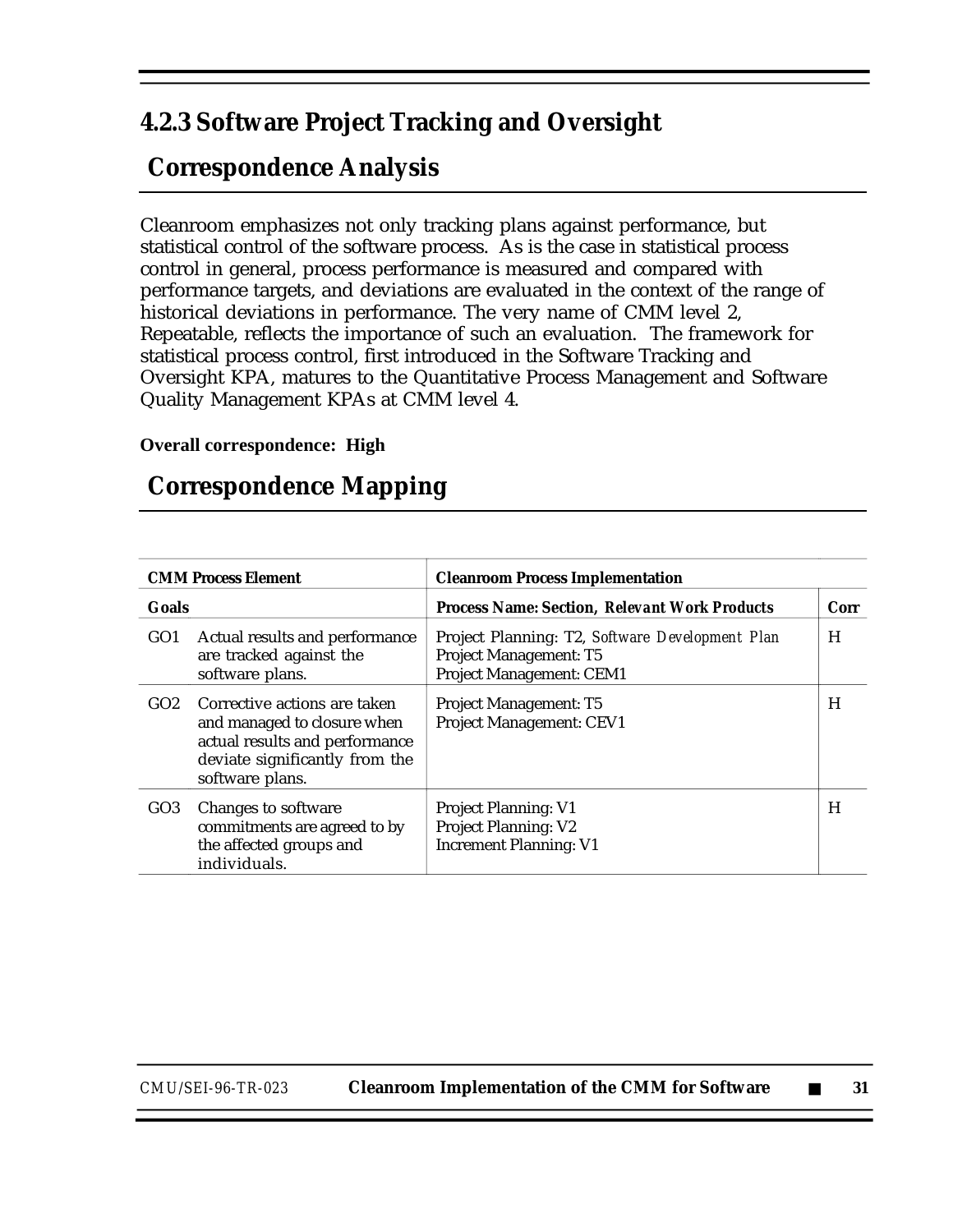## **4.2.3 Software Project Tracking and Oversight**

## **Correspondence Analysis**

Cleanroom emphasizes not only tracking plans against performance, but statistical control of the software process. As is the case in statistical process control in general, process performance is measured and compared with performance targets, and deviations are evaluated in the context of the range of historical deviations in performance. The very name of CMM level 2, Repeatable, reflects the importance of such an evaluation. The framework for statistical process control, first introduced in the Software Tracking and Oversight KPA, matures to the Quantitative Process Management and Software Quality Management KPAs at CMM level 4.

#### **Overall correspondence: High**

## **Correspondence Mapping**

|                 | <b>CMM Process Element</b>                                                                                                                         | <b>Cleanroom Process Implementation</b>                                                                      |      |
|-----------------|----------------------------------------------------------------------------------------------------------------------------------------------------|--------------------------------------------------------------------------------------------------------------|------|
| <b>Goals</b>    |                                                                                                                                                    | <b>Process Name: Section, Relevant Work Products</b>                                                         | Corr |
| GO <sub>1</sub> | Actual results and performance<br>are tracked against the<br>software plans.                                                                       | Project Planning: T2, Software Development Plan<br><b>Project Management: T5</b><br>Project Management: CEM1 | H    |
| GO2             | Corrective actions are taken<br>and managed to closure when<br>actual results and performance<br>deviate significantly from the<br>software plans. | <b>Project Management: T5</b><br>Project Management: CEV1                                                    | H    |
| GO <sub>3</sub> | Changes to software<br>commitments are agreed to by<br>the affected groups and<br>individuals.                                                     | <b>Project Planning: V1</b><br><b>Project Planning: V2</b><br><b>Increment Planning: V1</b>                  | H    |

*CMU/SEI-96-TR-023* **Cleanroom Implementation of the CMM for Software** ■ **31**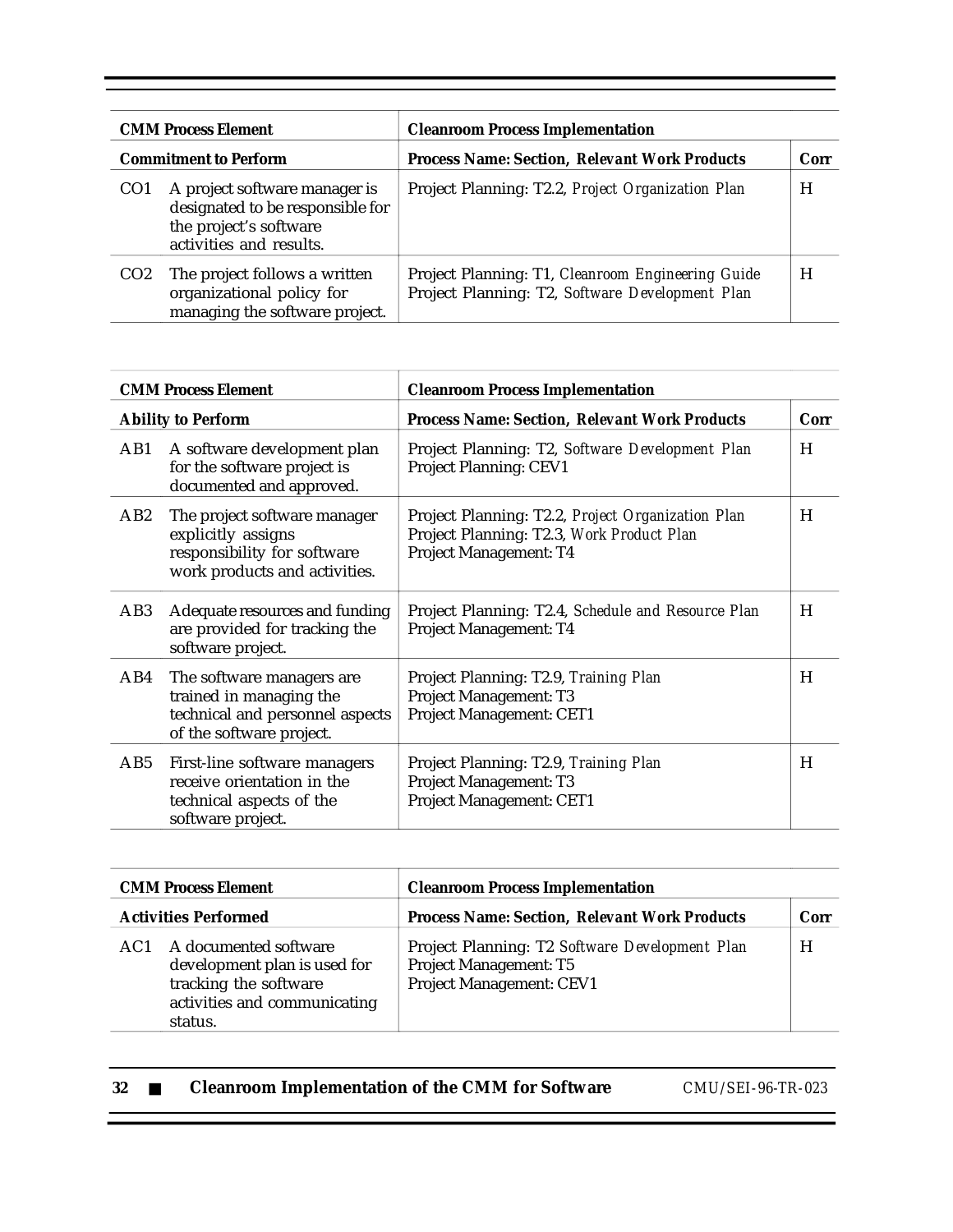| <b>CMM Process Element</b>   |                                                                                                                        | <b>Cleanroom Process Implementation</b>                                                              |      |
|------------------------------|------------------------------------------------------------------------------------------------------------------------|------------------------------------------------------------------------------------------------------|------|
| <b>Commitment to Perform</b> |                                                                                                                        | <b>Process Name: Section, Relevant Work Products</b>                                                 | Corr |
| CO <sub>1</sub>              | A project software manager is<br>designated to be responsible for<br>the project's software<br>activities and results. | Project Planning: T2.2, Project Organization Plan                                                    | H    |
| CO <sub>2</sub>              | The project follows a written<br>organizational policy for<br>managing the software project.                           | Project Planning: T1, Cleanroom Engineering Guide<br>Project Planning: T2, Software Development Plan | H    |

| <b>CMM Process Element</b> |                                                                                                                     | <b>Cleanroom Process Implementation</b>                                                                                  |      |
|----------------------------|---------------------------------------------------------------------------------------------------------------------|--------------------------------------------------------------------------------------------------------------------------|------|
| <b>Ability to Perform</b>  |                                                                                                                     | <b>Process Name: Section, Relevant Work Products</b>                                                                     | Corr |
| AB1                        | A software development plan<br>for the software project is<br>documented and approved.                              | Project Planning: T2, Software Development Plan<br><b>Project Planning: CEV1</b>                                         | H    |
| AB2                        | The project software manager<br>explicitly assigns<br>responsibility for software<br>work products and activities.  | Project Planning: T2.2, Project Organization Plan<br>Project Planning: T2.3, Work Product Plan<br>Project Management: T4 | H    |
| AB <sub>3</sub>            | Adequate resources and funding<br>are provided for tracking the<br>software project.                                | Project Planning: T2.4, Schedule and Resource Plan<br>Project Management: T4                                             | H    |
| AB4                        | The software managers are<br>trained in managing the<br>technical and personnel aspects<br>of the software project. | Project Planning: T2.9, Training Plan<br>Project Management: T3<br>Project Management: CET1                              | H    |
| AB5                        | First-line software managers<br>receive orientation in the<br>technical aspects of the<br>software project.         | Project Planning: T2.9, Training Plan<br>Project Management: T3<br>Project Management: CET1                              | H    |

| <b>CMM Process Element</b>  |                                                                                                                           | <b>Cleanroom Process Implementation</b>                                                                            |      |
|-----------------------------|---------------------------------------------------------------------------------------------------------------------------|--------------------------------------------------------------------------------------------------------------------|------|
| <b>Activities Performed</b> |                                                                                                                           | <b>Process Name: Section, Relevant Work Products</b>                                                               | Corr |
| AC1                         | A documented software<br>development plan is used for<br>tracking the software<br>activities and communicating<br>status. | Project Planning: T2 Software Development Plan<br><b>Project Management: T5</b><br><b>Project Management: CEV1</b> | H    |

| 32 |  | <b>Cleanroom Implementation of the CMM for Software</b> | CMU/SEI-96-TR-023 |
|----|--|---------------------------------------------------------|-------------------|
|----|--|---------------------------------------------------------|-------------------|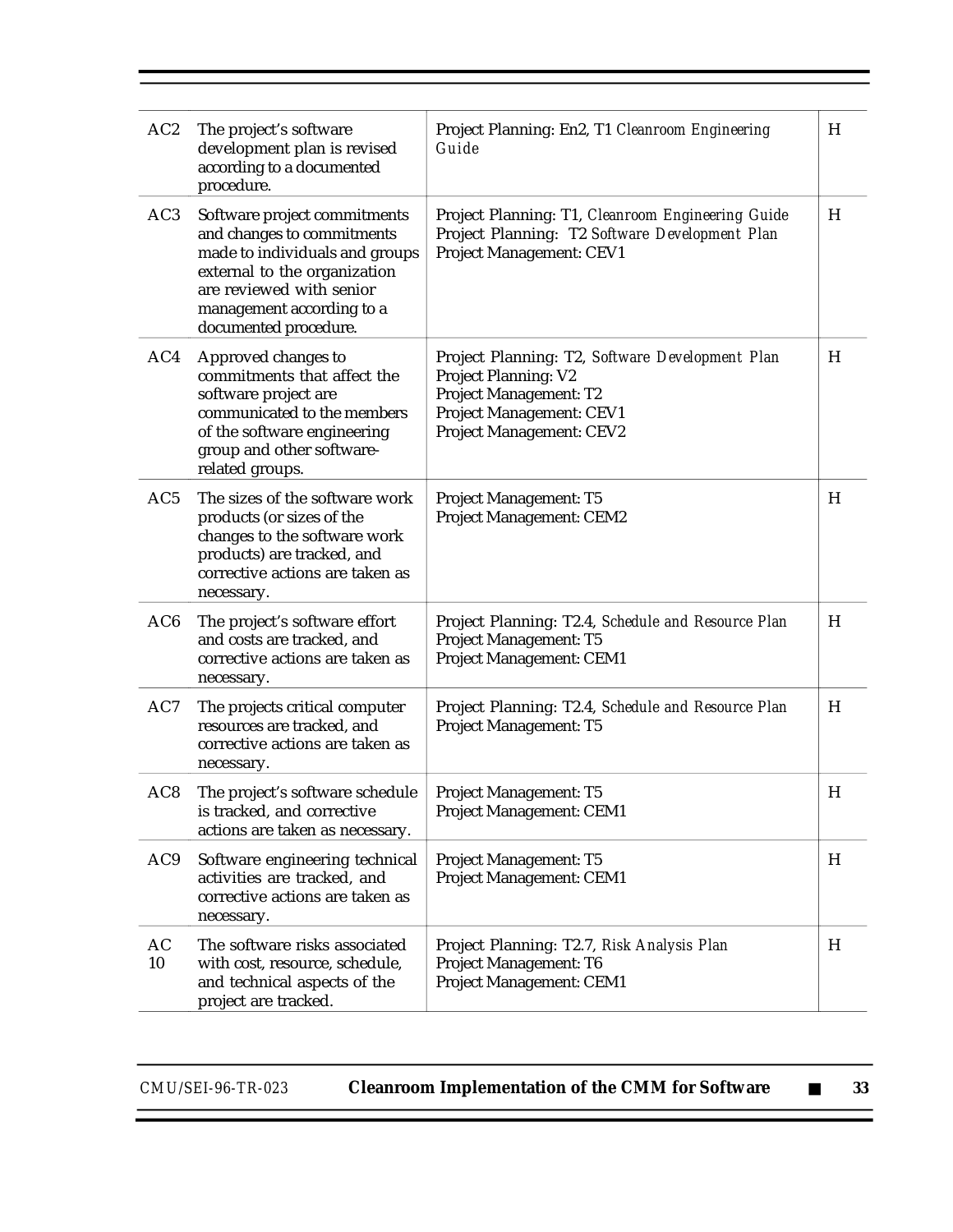| AC2             | The project's software<br>development plan is revised<br>according to a documented<br>procedure.                                                                                                               | Project Planning: En2, T1 Cleanroom Engineering<br>Guide                                                                                                         | H |
|-----------------|----------------------------------------------------------------------------------------------------------------------------------------------------------------------------------------------------------------|------------------------------------------------------------------------------------------------------------------------------------------------------------------|---|
| AC3             | Software project commitments<br>and changes to commitments<br>made to individuals and groups<br>external to the organization<br>are reviewed with senior<br>management according to a<br>documented procedure. | Project Planning: T1, Cleanroom Engineering Guide<br>Project Planning: T2 Software Development Plan<br>Project Management: CEV1                                  | H |
| AC4             | Approved changes to<br>commitments that affect the<br>software project are<br>communicated to the members<br>of the software engineering<br>group and other software-<br>related groups.                       | Project Planning: T2, Software Development Plan<br><b>Project Planning: V2</b><br>Project Management: T2<br>Project Management: CEV1<br>Project Management: CEV2 | H |
| AC5             | The sizes of the software work<br>products (or sizes of the<br>changes to the software work<br>products) are tracked, and<br>corrective actions are taken as<br>necessary.                                     | Project Management: T5<br>Project Management: CEM2                                                                                                               | H |
| AC <sub>6</sub> | The project's software effort<br>and costs are tracked, and<br>corrective actions are taken as<br>necessary.                                                                                                   | Project Planning: T2.4, Schedule and Resource Plan<br>Project Management: T5<br>Project Management: CEM1                                                         | H |
| AC7             | The projects critical computer<br>resources are tracked, and<br>corrective actions are taken as<br>necessary.                                                                                                  | Project Planning: T2.4, Schedule and Resource Plan<br>Project Management: T5                                                                                     | H |
| AC8             | The project's software schedule<br>is tracked, and corrective<br>actions are taken as necessary.                                                                                                               | Project Management: T5<br>Project Management: CEM1                                                                                                               | H |
| AC <sub>9</sub> | Software engineering technical<br>activities are tracked, and<br>corrective actions are taken as<br>necessary.                                                                                                 | <b>Project Management: T5</b><br>Project Management: CEM1                                                                                                        | H |
| AC<br>10        | The software risks associated<br>with cost, resource, schedule,<br>and technical aspects of the<br>project are tracked.                                                                                        | Project Planning: T2.7, Risk Analysis Plan<br>Project Management: T6<br>Project Management: CEM1                                                                 | H |
|                 |                                                                                                                                                                                                                |                                                                                                                                                                  |   |

 $\equiv$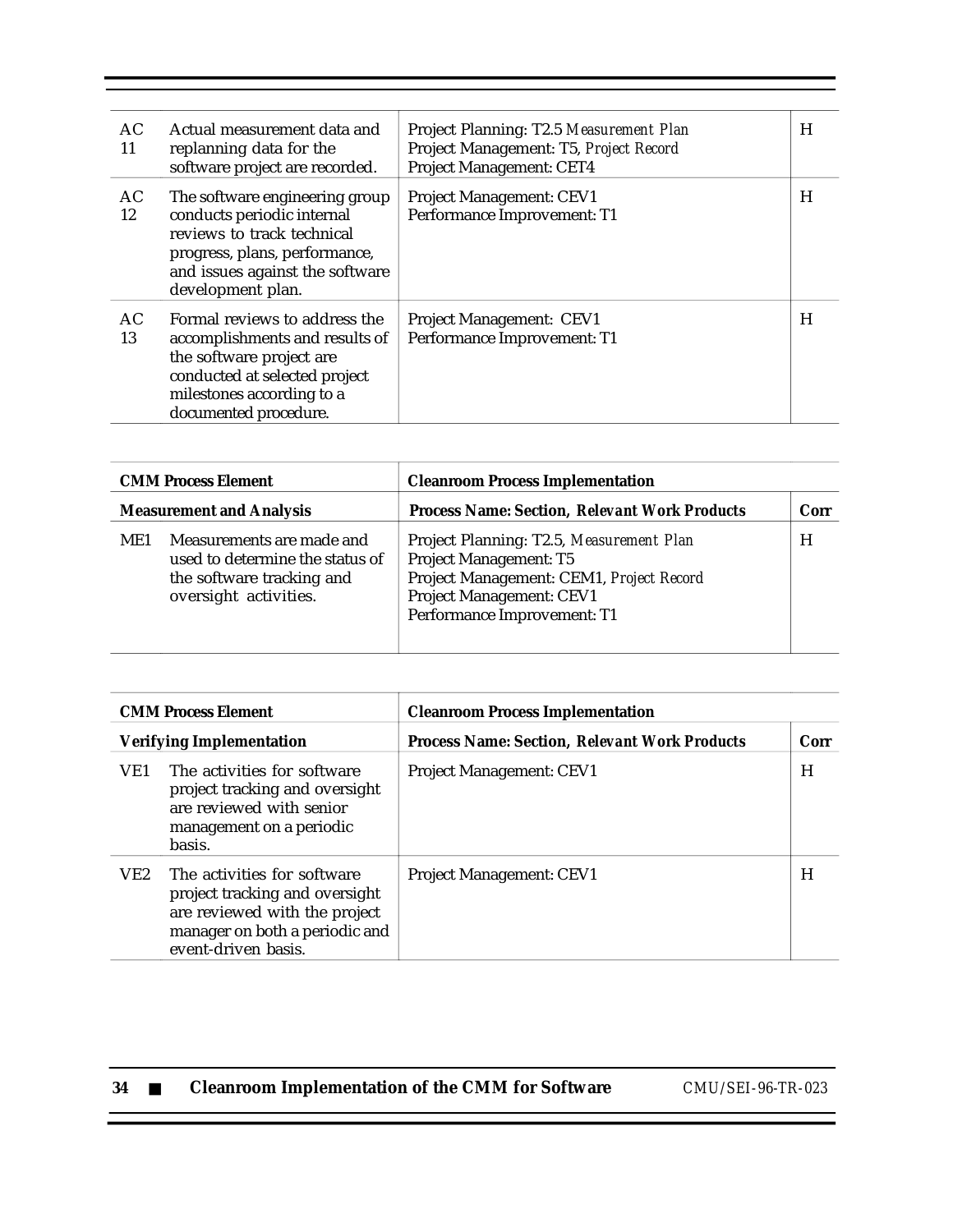| AC.<br>11 | Actual measurement data and<br>replanning data for the<br>software project are recorded.                                                                                            | Project Planning: T2.5 Measurement Plan<br>Project Management: T5, Project Record<br>Project Management: CET4 | H |
|-----------|-------------------------------------------------------------------------------------------------------------------------------------------------------------------------------------|---------------------------------------------------------------------------------------------------------------|---|
| AC.<br>12 | The software engineering group<br>conducts periodic internal<br>reviews to track technical<br>progress, plans, performance,<br>and issues against the software<br>development plan. | <b>Project Management: CEV1</b><br>Performance Improvement: T1                                                | H |
| AC<br>13  | Formal reviews to address the<br>accomplishments and results of<br>the software project are<br>conducted at selected project<br>milestones according to a<br>documented procedure.  | Project Management: CEV1<br>Performance Improvement: T1                                                       | H |

| <b>CMM Process Element</b>      |                                                                                                                    | <b>Cleanroom Process Implementation</b>                                                                                                                                          |      |
|---------------------------------|--------------------------------------------------------------------------------------------------------------------|----------------------------------------------------------------------------------------------------------------------------------------------------------------------------------|------|
| <b>Measurement and Analysis</b> |                                                                                                                    | <b>Process Name: Section, Relevant Work Products</b>                                                                                                                             | Corr |
| ME1                             | Measurements are made and<br>used to determine the status of<br>the software tracking and<br>oversight activities. | Project Planning: T2.5, Measurement Plan<br><b>Project Management: T5</b><br>Project Management: CEM1, Project Record<br>Project Management: CEV1<br>Performance Improvement: T1 | H    |

| <b>CMM Process Element</b> |                                                                                                                                                         | <b>Cleanroom Process Implementation</b>              |      |
|----------------------------|---------------------------------------------------------------------------------------------------------------------------------------------------------|------------------------------------------------------|------|
|                            | <b>Verifying Implementation</b>                                                                                                                         | <b>Process Name: Section, Relevant Work Products</b> | Corr |
| VE <sub>1</sub>            | The activities for software<br>project tracking and oversight<br>are reviewed with senior<br>management on a periodic<br>basis.                         | <b>Project Management: CEV1</b>                      | H    |
| VE2                        | The activities for software<br>project tracking and oversight<br>are reviewed with the project<br>manager on both a periodic and<br>event-driven basis. | <b>Project Management: CEV1</b>                      | H    |

| -34 |  | <b>Cleanroom Implementation of the CMM for Software</b> |
|-----|--|---------------------------------------------------------|
|-----|--|---------------------------------------------------------|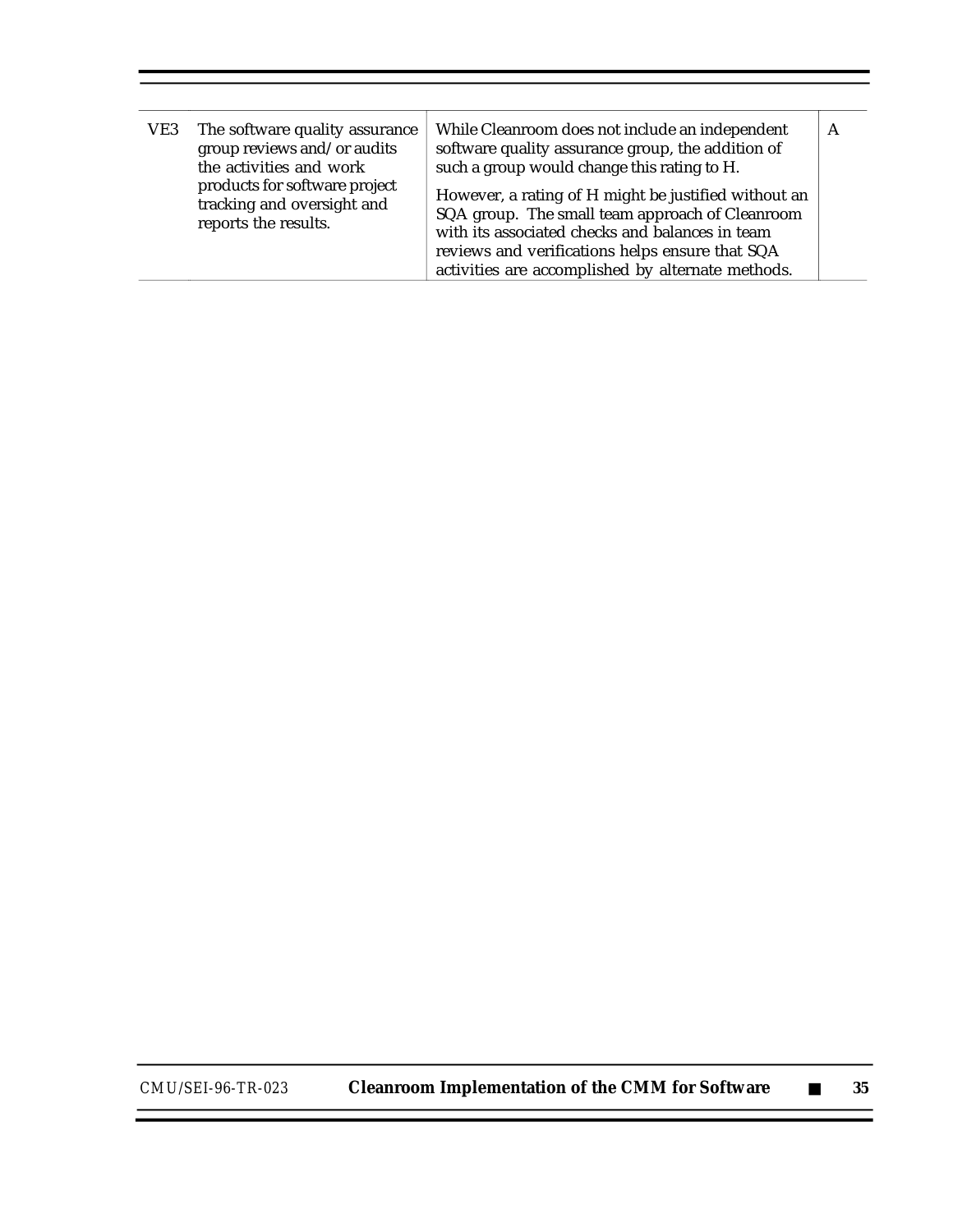| VE3 | The software quality assurance<br>group reviews and/or audits<br>the activities and work<br>products for software project<br>tracking and oversight and<br>reports the results. | While Cleanroom does not include an independent<br>software quality assurance group, the addition of<br>such a group would change this rating to H.<br>However, a rating of H might be justified without an<br>SQA group. The small team approach of Cleanroom<br>with its associated checks and balances in team<br>reviews and verifications helps ensure that SQA |  |
|-----|---------------------------------------------------------------------------------------------------------------------------------------------------------------------------------|----------------------------------------------------------------------------------------------------------------------------------------------------------------------------------------------------------------------------------------------------------------------------------------------------------------------------------------------------------------------|--|
|     |                                                                                                                                                                                 | activities are accomplished by alternate methods.                                                                                                                                                                                                                                                                                                                    |  |

 $\equiv$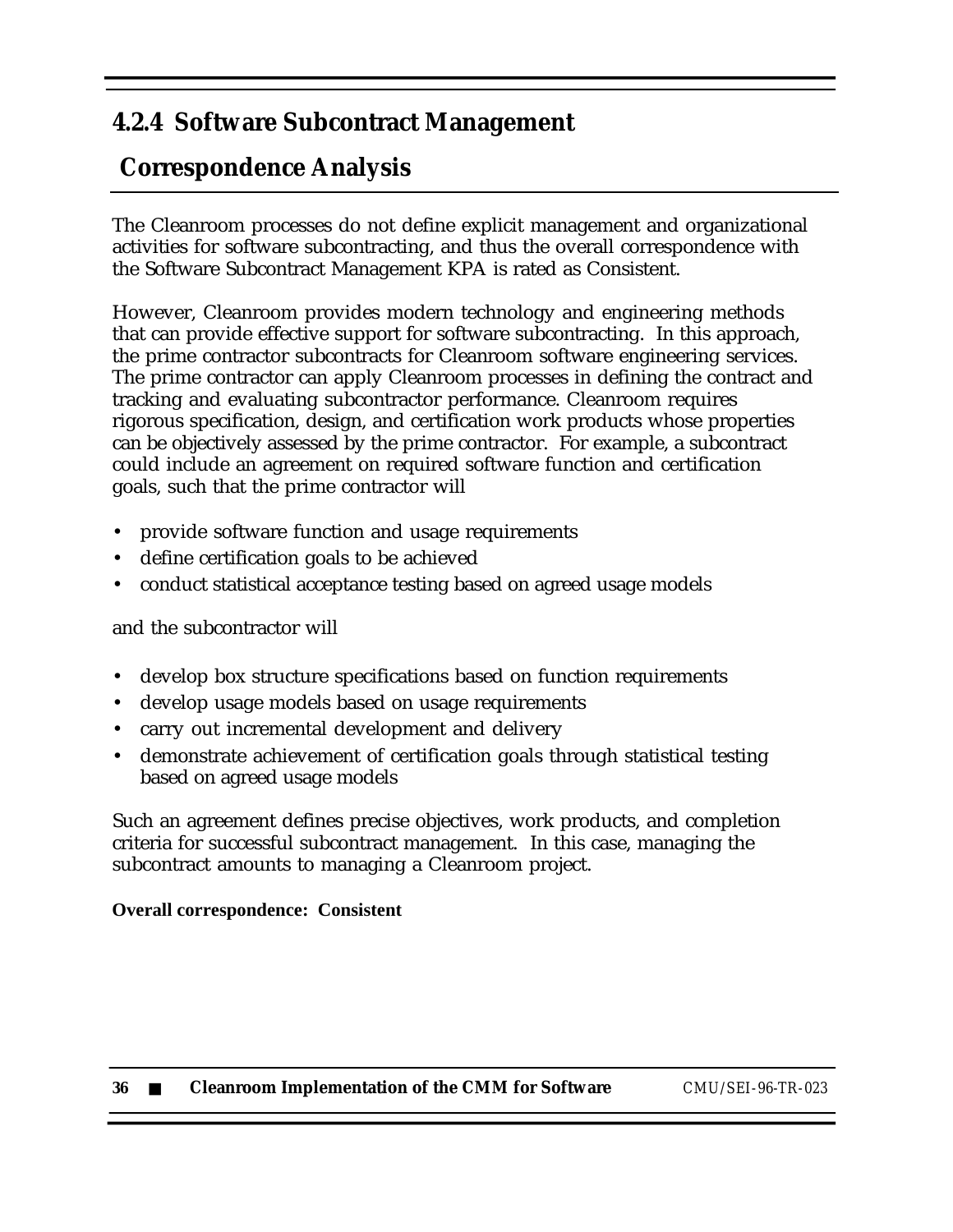### **4.2.4 Software Subcontract Management**

## **Correspondence Analysis**

The Cleanroom processes do not define explicit management and organizational activities for software subcontracting, and thus the overall correspondence with the Software Subcontract Management KPA is rated as Consistent.

However, Cleanroom provides modern technology and engineering methods that can provide effective support for software subcontracting. In this approach, the prime contractor subcontracts for Cleanroom software engineering services. The prime contractor can apply Cleanroom processes in defining the contract and tracking and evaluating subcontractor performance. Cleanroom requires rigorous specification, design, and certification work products whose properties can be objectively assessed by the prime contractor. For example, a subcontract could include an agreement on required software function and certification goals, such that the prime contractor will

- provide software function and usage requirements
- define certification goals to be achieved
- conduct statistical acceptance testing based on agreed usage models

#### and the subcontractor will

- develop box structure specifications based on function requirements
- develop usage models based on usage requirements
- carry out incremental development and delivery
- demonstrate achievement of certification goals through statistical testing based on agreed usage models

Such an agreement defines precise objectives, work products, and completion criteria for successful subcontract management. In this case, managing the subcontract amounts to managing a Cleanroom project.

#### **Overall correspondence: Consistent**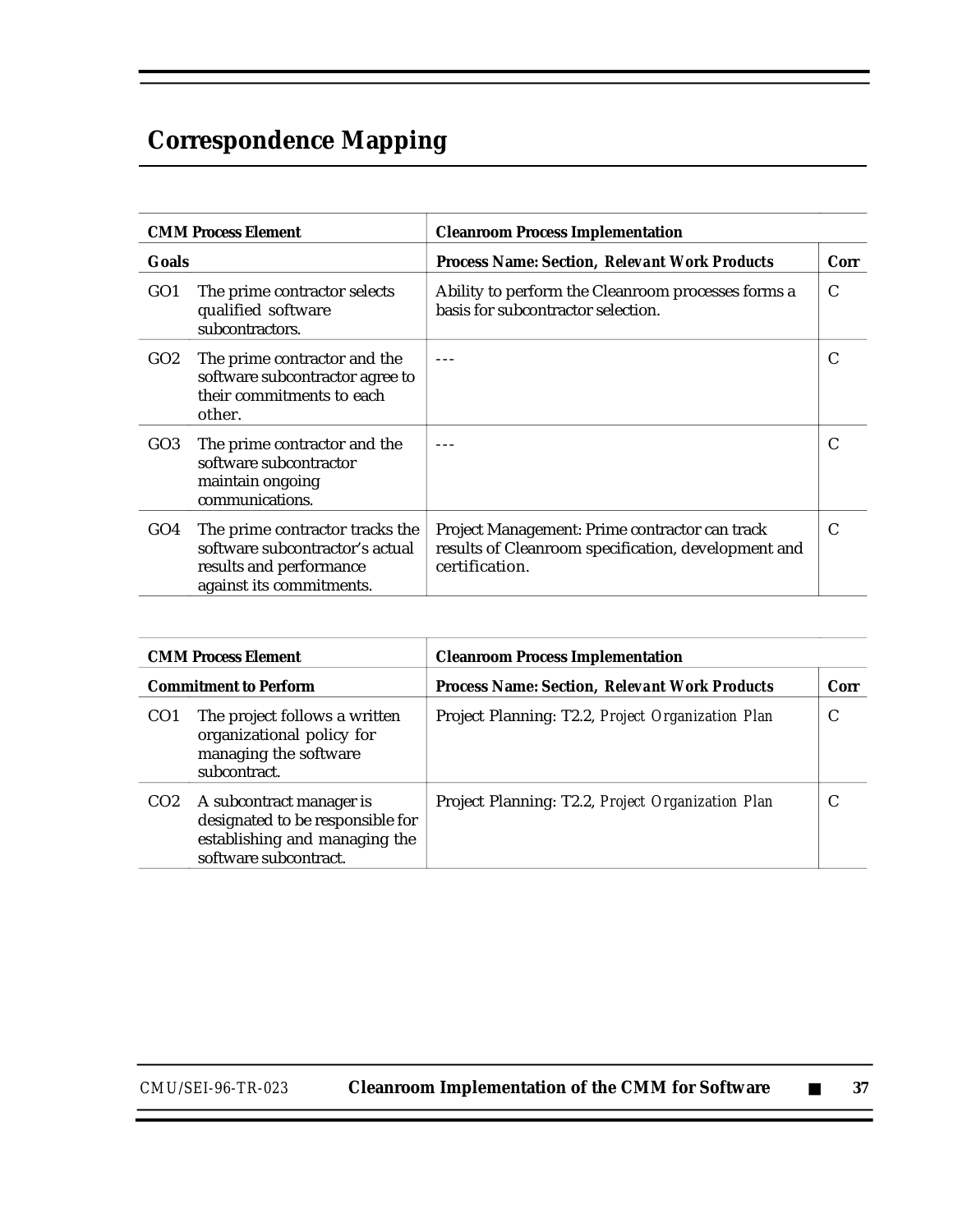# **Correspondence Mapping**

|                 | <b>CMM Process Element</b>                                                                                                | <b>Cleanroom Process Implementation</b>                                                                                 |      |  |
|-----------------|---------------------------------------------------------------------------------------------------------------------------|-------------------------------------------------------------------------------------------------------------------------|------|--|
| Goals           |                                                                                                                           | <b>Process Name: Section, Relevant Work Products</b>                                                                    | Corr |  |
| GO <sub>1</sub> | The prime contractor selects<br>qualified software<br>subcontractors.                                                     | Ability to perform the Cleanroom processes forms a<br>basis for subcontractor selection.                                | C    |  |
| GO2             | The prime contractor and the<br>software subcontractor agree to<br>their commitments to each<br>other.                    |                                                                                                                         | C    |  |
| GO <sub>3</sub> | The prime contractor and the<br>software subcontractor<br>maintain ongoing<br>communications.                             |                                                                                                                         |      |  |
| GO4             | The prime contractor tracks the<br>software subcontractor's actual<br>results and performance<br>against its commitments. | Project Management: Prime contractor can track<br>results of Cleanroom specification, development and<br>certification. | C    |  |

| <b>CMM Process Element</b>   |                                                                                                                        | <b>Cleanroom Process Implementation</b>              |      |
|------------------------------|------------------------------------------------------------------------------------------------------------------------|------------------------------------------------------|------|
| <b>Commitment to Perform</b> |                                                                                                                        | <b>Process Name: Section, Relevant Work Products</b> | Corr |
| CO <sub>1</sub>              | The project follows a written<br>organizational policy for<br>managing the software<br>subcontract.                    | Project Planning: T2.2, Project Organization Plan    | C    |
| CO <sub>2</sub>              | A subcontract manager is<br>designated to be responsible for<br>establishing and managing the<br>software subcontract. | Project Planning: T2.2, Project Organization Plan    |      |

*CMU/SEI-96-TR-023* **Cleanroom Implementation of the CMM for Software** ■ **37**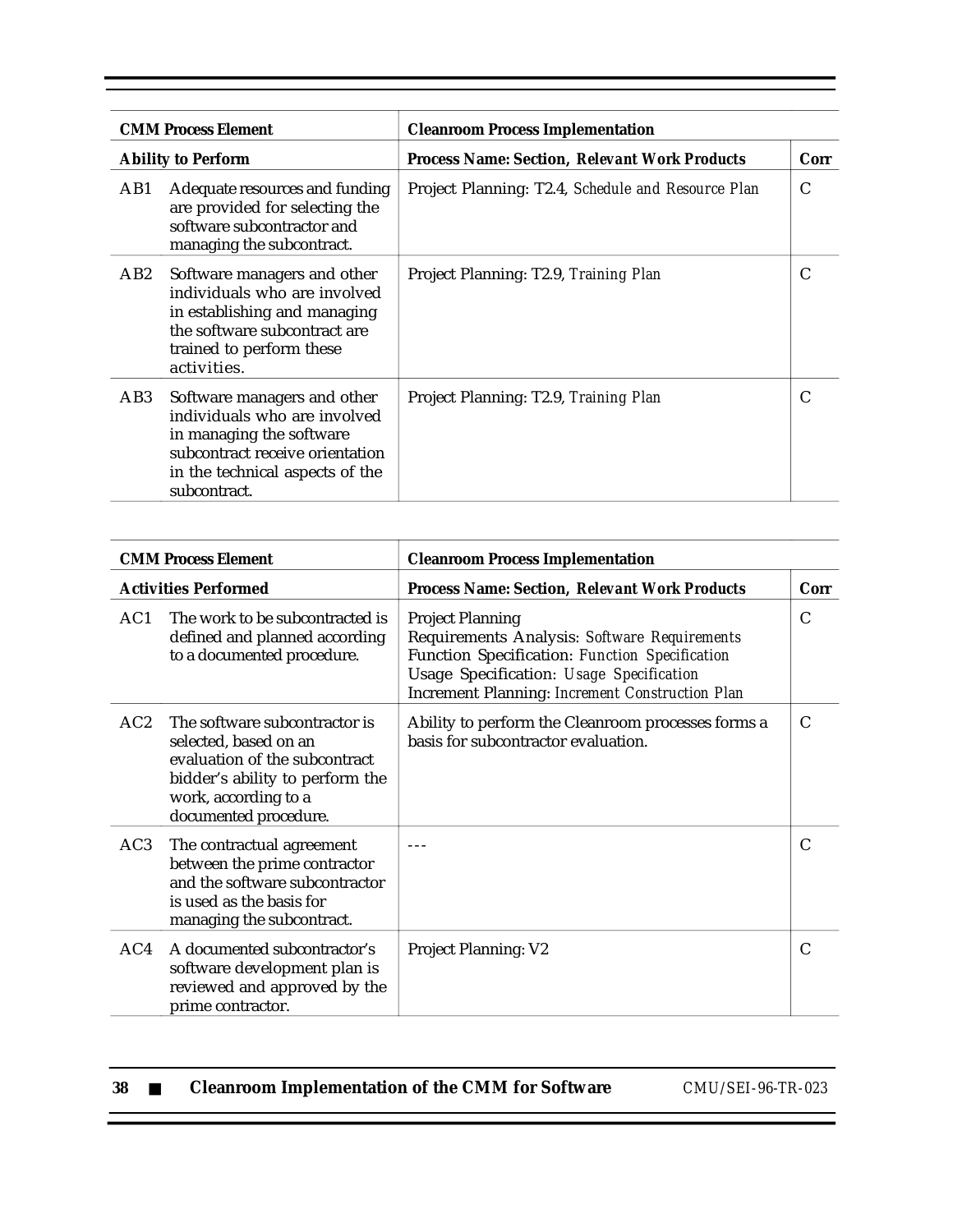|                 | <b>CMM Process Element</b>                                                                                                                                                    | <b>Cleanroom Process Implementation</b>              |      |
|-----------------|-------------------------------------------------------------------------------------------------------------------------------------------------------------------------------|------------------------------------------------------|------|
|                 | <b>Ability to Perform</b>                                                                                                                                                     | <b>Process Name: Section. Relevant Work Products</b> | Corr |
| AB1             | Adequate resources and funding<br>are provided for selecting the<br>software subcontractor and<br>managing the subcontract.                                                   | Project Planning: T2.4, Schedule and Resource Plan   | C    |
| AB2             | Software managers and other<br>individuals who are involved<br>in establishing and managing<br>the software subcontract are<br>trained to perform these<br>activities.        | Project Planning: T2.9, Training Plan                | C    |
| AB <sub>3</sub> | Software managers and other<br>individuals who are involved<br>in managing the software<br>subcontract receive orientation<br>in the technical aspects of the<br>subcontract. | Project Planning: T2.9, Training Plan                | C    |

| <b>CMM Process Element</b>  |                                                                                                                                                                             | <b>Cleanroom Process Implementation</b>                                                                                                                                                                                  |      |
|-----------------------------|-----------------------------------------------------------------------------------------------------------------------------------------------------------------------------|--------------------------------------------------------------------------------------------------------------------------------------------------------------------------------------------------------------------------|------|
| <b>Activities Performed</b> |                                                                                                                                                                             | <b>Process Name: Section, Relevant Work Products</b>                                                                                                                                                                     | Corr |
| AC1                         | The work to be subcontracted is<br>defined and planned according<br>to a documented procedure.                                                                              | <b>Project Planning</b><br>Requirements Analysis: Software Requirements<br>Function Specification: Function Specification<br>Usage Specification: Usage Specification<br>Increment Planning: Increment Construction Plan | C    |
| AC2                         | The software subcontractor is<br>selected, based on an<br>evaluation of the subcontract<br>bidder's ability to perform the<br>work, according to a<br>documented procedure. | Ability to perform the Cleanroom processes forms a<br>basis for subcontractor evaluation.                                                                                                                                | C    |
| AC3                         | The contractual agreement<br>between the prime contractor<br>and the software subcontractor<br>is used as the basis for<br>managing the subcontract.                        |                                                                                                                                                                                                                          | C    |
| AC4                         | A documented subcontractor's<br>software development plan is<br>reviewed and approved by the<br>prime contractor.                                                           | <b>Project Planning: V2</b>                                                                                                                                                                                              | C    |

| -38 |  | <b>Cleanroom Implementation of the CMM for Software</b> |  |
|-----|--|---------------------------------------------------------|--|
|-----|--|---------------------------------------------------------|--|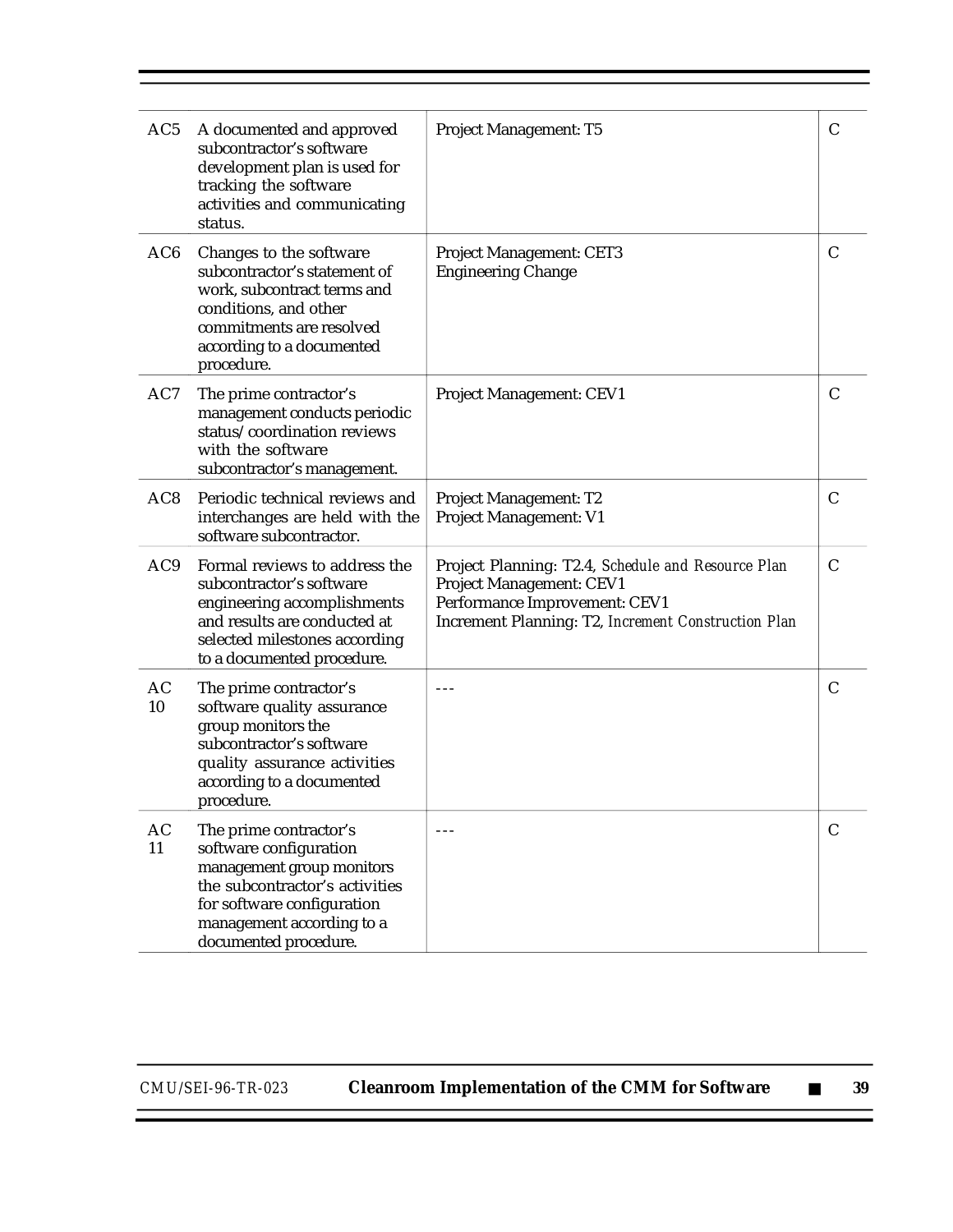| AC5             | A documented and approved<br>subcontractor's software<br>development plan is used for<br>tracking the software<br>activities and communicating<br>status.                                           | <b>Project Management: T5</b>                                                                                                                                          | C            |
|-----------------|-----------------------------------------------------------------------------------------------------------------------------------------------------------------------------------------------------|------------------------------------------------------------------------------------------------------------------------------------------------------------------------|--------------|
| AC <sub>6</sub> | Changes to the software<br>subcontractor's statement of<br>work, subcontract terms and<br>conditions, and other<br>commitments are resolved<br>according to a documented<br>procedure.              | Project Management: CET3<br><b>Engineering Change</b>                                                                                                                  | C            |
| AC7             | The prime contractor's<br>management conducts periodic<br>status/coordination reviews<br>with the software<br>subcontractor's management.                                                           | Project Management: CEV1                                                                                                                                               | C            |
| AC <sub>8</sub> | Periodic technical reviews and<br>interchanges are held with the<br>software subcontractor.                                                                                                         | Project Management: T2<br>Project Management: V1                                                                                                                       | C            |
| AC <sub>9</sub> | Formal reviews to address the<br>subcontractor's software<br>engineering accomplishments<br>and results are conducted at<br>selected milestones according<br>to a documented procedure.             | Project Planning: T2.4, Schedule and Resource Plan<br>Project Management: CEV1<br>Performance Improvement: CEV1<br>Increment Planning: T2, Increment Construction Plan | C            |
| AC<br>10        | The prime contractor's<br>software quality assurance<br>group monitors the<br>subcontractor's software<br>quality assurance activities<br>according to a documented<br>procedure.                   | $- - -$                                                                                                                                                                | $\mathsf{C}$ |
| AC<br>11        | The prime contractor's<br>software configuration<br>management group monitors<br>the subcontractor's activities<br>for software configuration<br>management according to a<br>documented procedure. | $- - -$                                                                                                                                                                | C            |

Ξ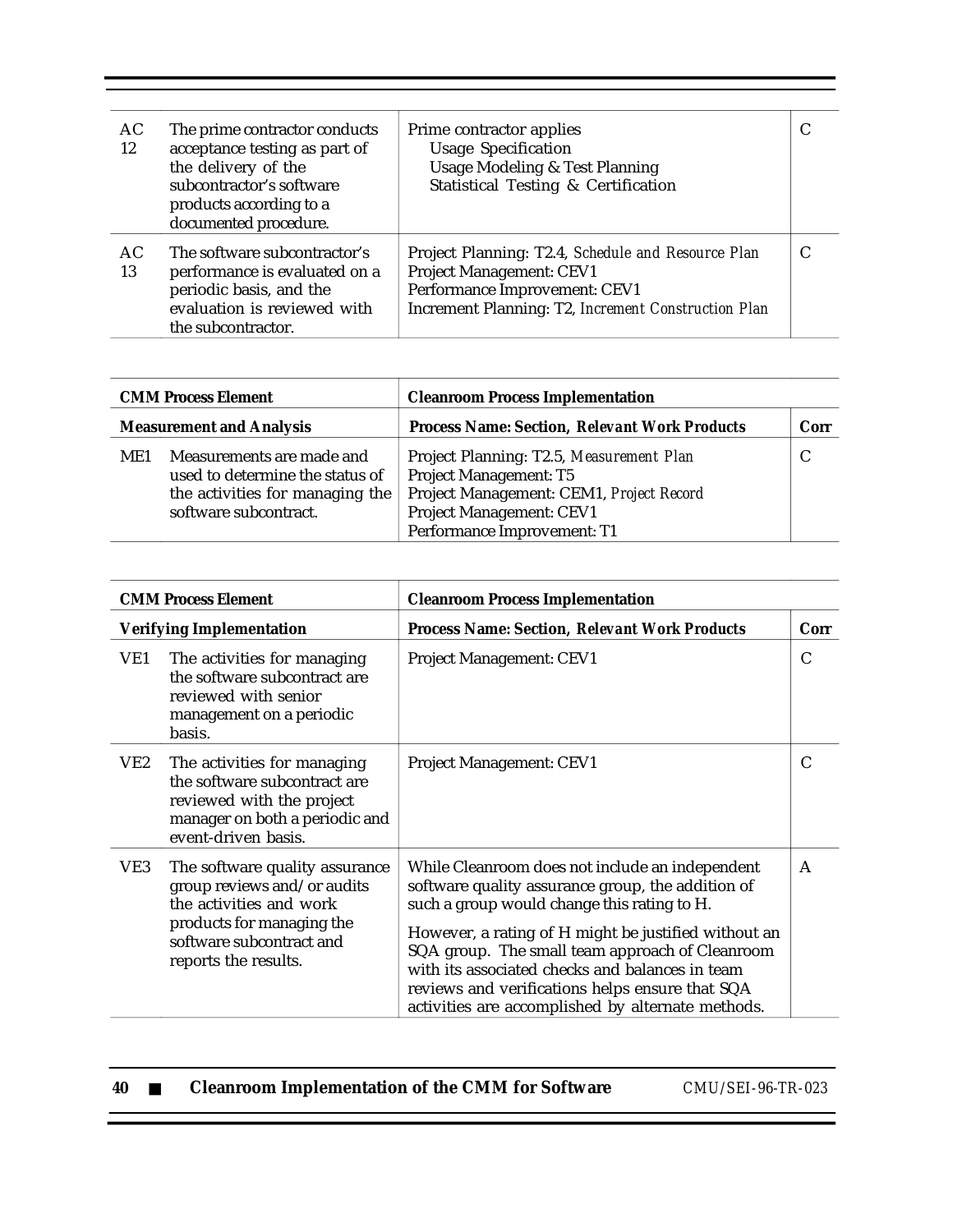| AC<br>12 | The prime contractor conducts<br>acceptance testing as part of<br>the delivery of the<br>subcontractor's software<br>products according to a<br>documented procedure. | Prime contractor applies<br><b>Usage Specification</b><br><b>Usage Modeling &amp; Test Planning</b><br>Statistical Testing & Certification                             |   |
|----------|-----------------------------------------------------------------------------------------------------------------------------------------------------------------------|------------------------------------------------------------------------------------------------------------------------------------------------------------------------|---|
| AC<br>13 | The software subcontractor's<br>performance is evaluated on a<br>periodic basis, and the<br>evaluation is reviewed with<br>the subcontractor.                         | Project Planning: T2.4, Schedule and Resource Plan<br>Project Management: CEV1<br>Performance Improvement: CEV1<br>Increment Planning: T2, Increment Construction Plan | C |

| <b>CMM Process Element</b><br><b>Measurement and Analysis</b> |                                                                                                                          | <b>Cleanroom Process Implementation</b>                                                                                                                                          |      |
|---------------------------------------------------------------|--------------------------------------------------------------------------------------------------------------------------|----------------------------------------------------------------------------------------------------------------------------------------------------------------------------------|------|
|                                                               |                                                                                                                          | <b>Process Name: Section, Relevant Work Products</b>                                                                                                                             | Corr |
| ME1                                                           | Measurements are made and<br>used to determine the status of<br>the activities for managing the<br>software subcontract. | Project Planning: T2.5, Measurement Plan<br><b>Project Management: T5</b><br>Project Management: CEM1, Project Record<br>Project Management: CEV1<br>Performance Improvement: T1 |      |

| <b>CMM Process Element</b>      |                                                                                                                                                                           | <b>Cleanroom Process Implementation</b>                                                                                                                                                                                                                                                                                                                                                                                   |      |
|---------------------------------|---------------------------------------------------------------------------------------------------------------------------------------------------------------------------|---------------------------------------------------------------------------------------------------------------------------------------------------------------------------------------------------------------------------------------------------------------------------------------------------------------------------------------------------------------------------------------------------------------------------|------|
| <b>Verifying Implementation</b> |                                                                                                                                                                           | <b>Process Name: Section, Relevant Work Products</b>                                                                                                                                                                                                                                                                                                                                                                      | Corr |
| VE1                             | The activities for managing<br>the software subcontract are<br>reviewed with senior<br>management on a periodic<br>basis.                                                 | Project Management: CEV1                                                                                                                                                                                                                                                                                                                                                                                                  | C    |
| VE2                             | The activities for managing<br>the software subcontract are<br>reviewed with the project<br>manager on both a periodic and<br>event-driven basis.                         | <b>Project Management: CEV1</b>                                                                                                                                                                                                                                                                                                                                                                                           | C    |
| VE3                             | The software quality assurance<br>group reviews and/or audits<br>the activities and work<br>products for managing the<br>software subcontract and<br>reports the results. | While Cleanroom does not include an independent<br>software quality assurance group, the addition of<br>such a group would change this rating to H.<br>However, a rating of H might be justified without an<br>SQA group. The small team approach of Cleanroom<br>with its associated checks and balances in team<br>reviews and verifications helps ensure that SQA<br>activities are accomplished by alternate methods. | A    |

| 40 |  | <b>Cleanroom Implementation of the CMM for Software</b> | CMU/SEI-96-TR-023 |
|----|--|---------------------------------------------------------|-------------------|
|----|--|---------------------------------------------------------|-------------------|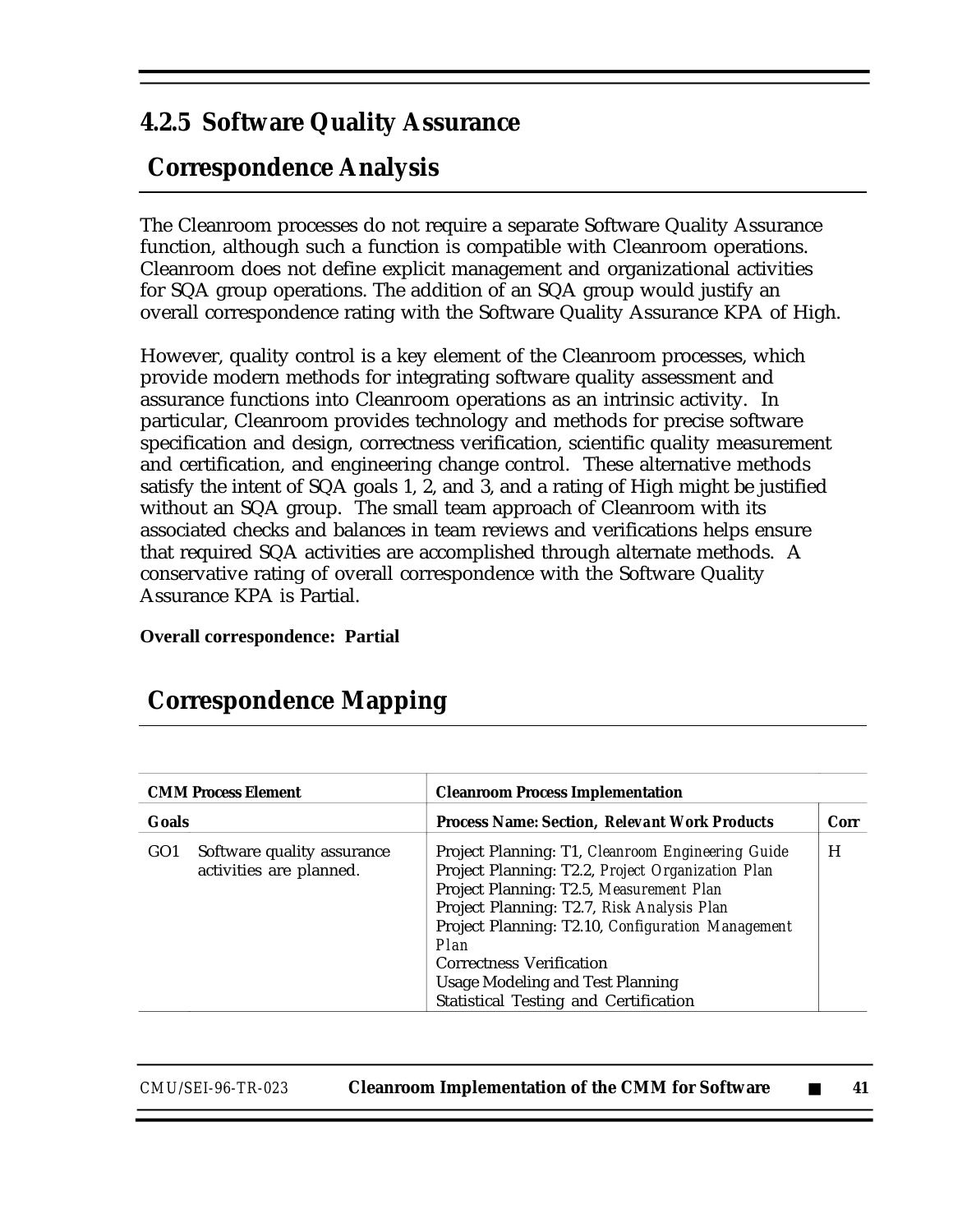### **4.2.5 Software Quality Assurance**

## **Correspondence Analysis**

The Cleanroom processes do not require a separate Software Quality Assurance function, although such a function is compatible with Cleanroom operations. Cleanroom does not define explicit management and organizational activities for SQA group operations. The addition of an SQA group would justify an overall correspondence rating with the Software Quality Assurance KPA of High.

However, quality control is a key element of the Cleanroom processes, which provide modern methods for integrating software quality assessment and assurance functions into Cleanroom operations as an intrinsic activity. In particular, Cleanroom provides technology and methods for precise software specification and design, correctness verification, scientific quality measurement and certification, and engineering change control. These alternative methods satisfy the intent of SQA goals 1, 2, and 3, and a rating of High might be justified without an SQA group. The small team approach of Cleanroom with its associated checks and balances in team reviews and verifications helps ensure that required SQA activities are accomplished through alternate methods. A conservative rating of overall correspondence with the Software Quality Assurance KPA is Partial.

**Overall correspondence: Partial**

## **Correspondence Mapping**

| <b>CMM Process Element</b> |                                                       | <b>Cleanroom Process Implementation</b>                                                                                                                                                                                                                                                                                                                                              |      |
|----------------------------|-------------------------------------------------------|--------------------------------------------------------------------------------------------------------------------------------------------------------------------------------------------------------------------------------------------------------------------------------------------------------------------------------------------------------------------------------------|------|
| Goals                      |                                                       | <b>Process Name: Section, Relevant Work Products</b>                                                                                                                                                                                                                                                                                                                                 | Corr |
| GO <sub>1</sub>            | Software quality assurance<br>activities are planned. | Project Planning: T1, Cleanroom Engineering Guide<br>Project Planning: T2.2, Project Organization Plan<br>Project Planning: T2.5, Measurement Plan<br>Project Planning: T2.7, Risk Analysis Plan<br>Project Planning: T2.10, Configuration Management<br>Plan<br><b>Correctness Verification</b><br><b>Usage Modeling and Test Planning</b><br>Statistical Testing and Certification | H    |

| <i>CMU/SEI-96-TR-023</i> | <b>Cleanroom Implementation of the CMM for Software</b> |  |  |
|--------------------------|---------------------------------------------------------|--|--|
|--------------------------|---------------------------------------------------------|--|--|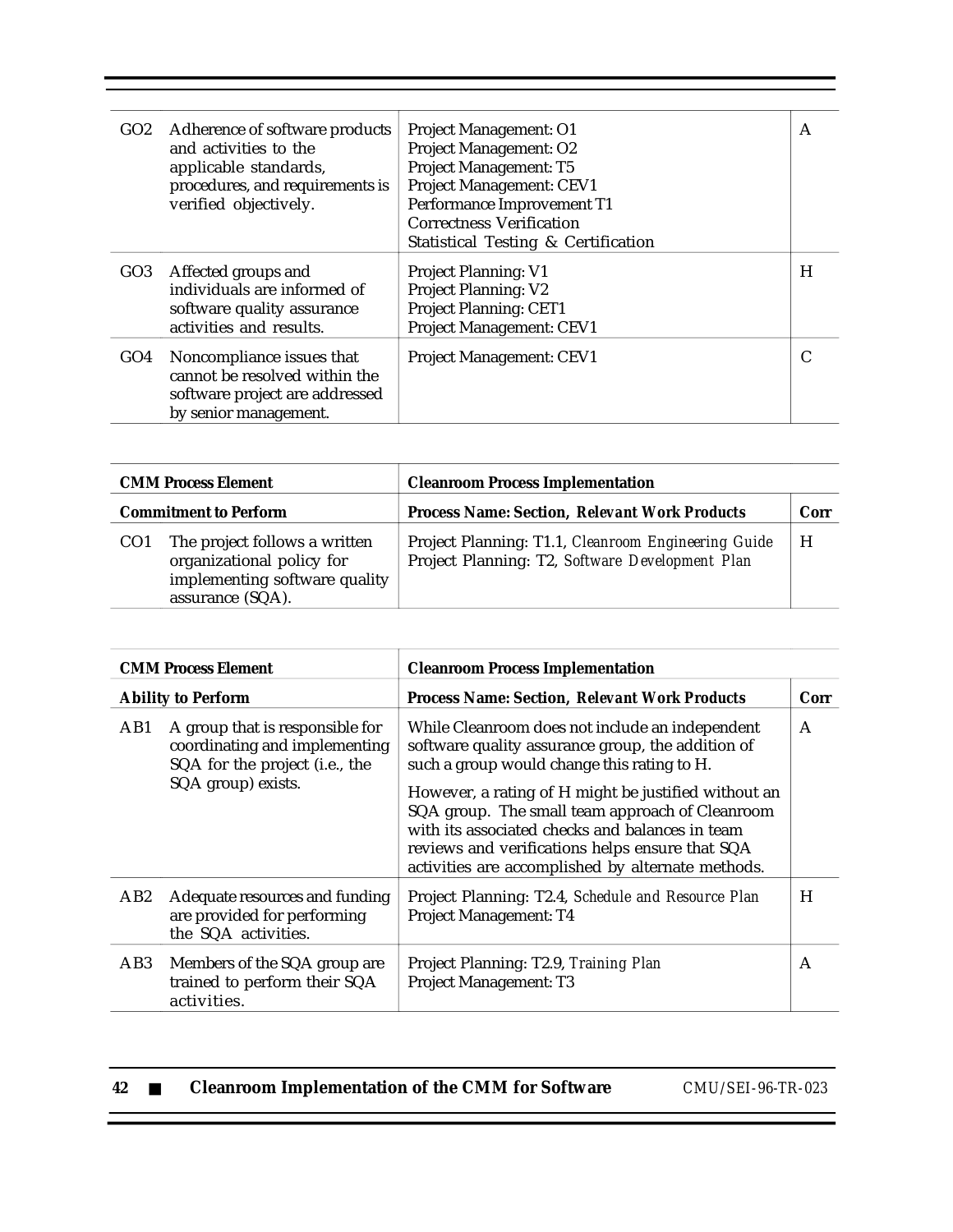| GO2 | Adherence of software products<br>and activities to the<br>applicable standards,<br>procedures, and requirements is<br>verified objectively. | Project Management: O1<br>Project Management: O2<br><b>Project Management: T5</b><br><b>Project Management: CEV1</b><br>Performance Improvement T1<br><b>Correctness Verification</b><br>Statistical Testing & Certification | A |
|-----|----------------------------------------------------------------------------------------------------------------------------------------------|------------------------------------------------------------------------------------------------------------------------------------------------------------------------------------------------------------------------------|---|
| GO3 | Affected groups and<br>individuals are informed of<br>software quality assurance<br>activities and results.                                  | <b>Project Planning: V1</b><br><b>Project Planning: V2</b><br><b>Project Planning: CET1</b><br><b>Project Management: CEV1</b>                                                                                               | H |
| GO4 | Noncompliance issues that<br>cannot be resolved within the<br>software project are addressed<br>by senior management.                        | <b>Project Management: CEV1</b>                                                                                                                                                                                              |   |

| <b>CMM Process Element</b>   |                                                                                                                 | <b>Cleanroom Process Implementation</b>                                                                |      |
|------------------------------|-----------------------------------------------------------------------------------------------------------------|--------------------------------------------------------------------------------------------------------|------|
| <b>Commitment to Perform</b> |                                                                                                                 | <b>Process Name: Section, Relevant Work Products</b>                                                   | Corr |
| CO <sub>1</sub>              | The project follows a written<br>organizational policy for<br>implementing software quality<br>assurance (SQA). | Project Planning: T1.1, Cleanroom Engineering Guide<br>Project Planning: T2, Software Development Plan | H    |

|     | <b>CMM Process Element</b>                                                                                               | <b>Cleanroom Process Implementation</b>                                                                                                                                                                                                                                                                           |      |
|-----|--------------------------------------------------------------------------------------------------------------------------|-------------------------------------------------------------------------------------------------------------------------------------------------------------------------------------------------------------------------------------------------------------------------------------------------------------------|------|
|     | <b>Ability to Perform</b>                                                                                                | <b>Process Name: Section, Relevant Work Products</b>                                                                                                                                                                                                                                                              | Corr |
| AB1 | A group that is responsible for<br>coordinating and implementing<br>SQA for the project (i.e., the<br>SQA group) exists. | While Cleanroom does not include an independent<br>software quality assurance group, the addition of<br>such a group would change this rating to H.<br>However, a rating of H might be justified without an<br>SQA group. The small team approach of Cleanroom<br>with its associated checks and balances in team | A    |
|     |                                                                                                                          | reviews and verifications helps ensure that SQA<br>activities are accomplished by alternate methods.                                                                                                                                                                                                              |      |
| AB2 | Adequate resources and funding<br>are provided for performing<br>the SQA activities.                                     | Project Planning: T2.4, Schedule and Resource Plan<br>Project Management: T4                                                                                                                                                                                                                                      | H    |
| AB3 | Members of the SQA group are<br>trained to perform their SQA<br>activities.                                              | Project Planning: T2.9, Training Plan<br>Project Management: T3                                                                                                                                                                                                                                                   | A    |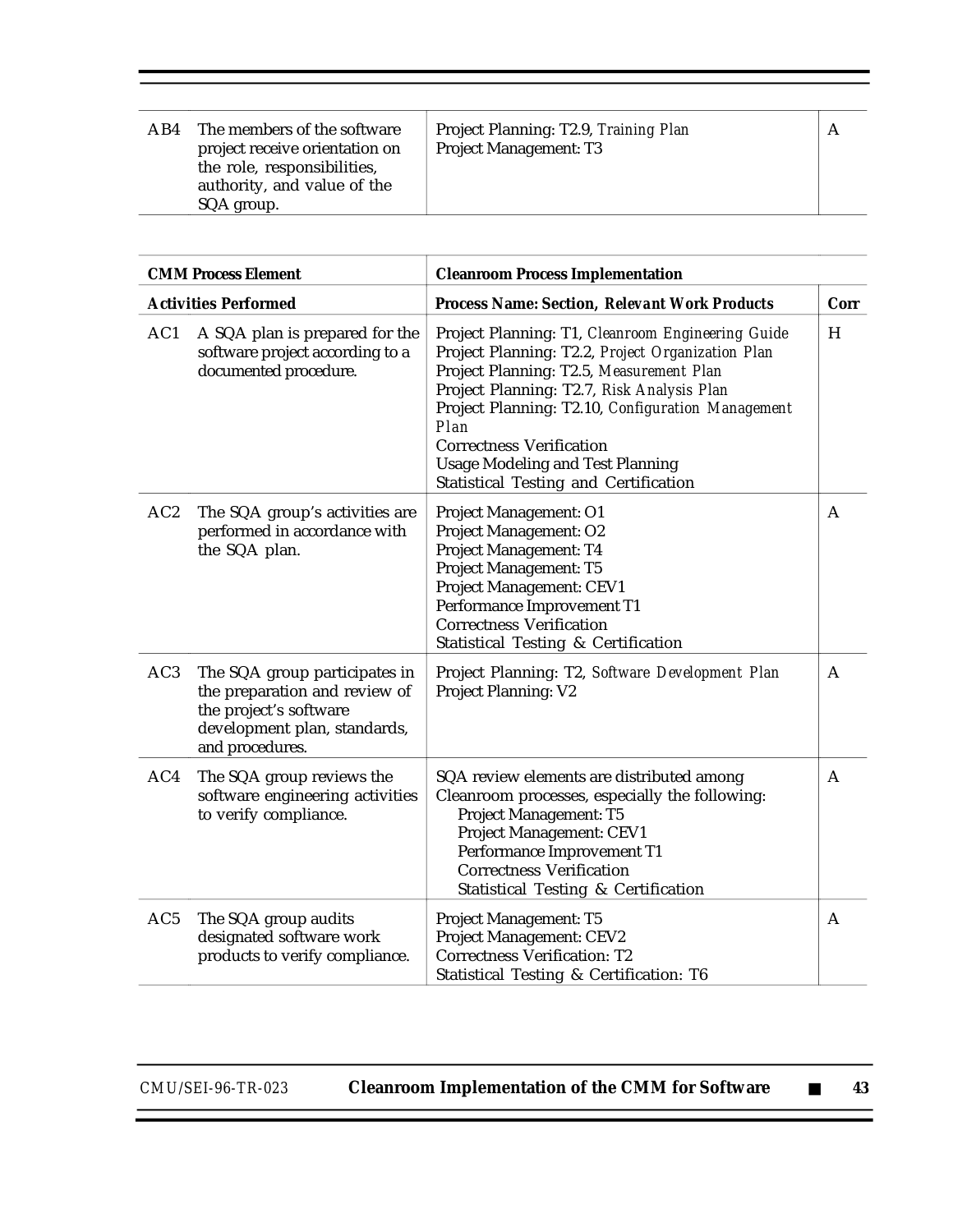| AB4 | The members of the software<br>project receive orientation on<br>the role, responsibilities,<br>authority, and value of the | Project Planning: T2.9, Training Plan<br><b>Project Management: T3</b> | А |
|-----|-----------------------------------------------------------------------------------------------------------------------------|------------------------------------------------------------------------|---|
|     | SQA group.                                                                                                                  |                                                                        |   |

|                 | <b>CMM Process Element</b>                                                                                                                  | <b>Cleanroom Process Implementation</b>                                                                                                                                                                                                                                                                                                                                                     |              |
|-----------------|---------------------------------------------------------------------------------------------------------------------------------------------|---------------------------------------------------------------------------------------------------------------------------------------------------------------------------------------------------------------------------------------------------------------------------------------------------------------------------------------------------------------------------------------------|--------------|
|                 | <b>Activities Performed</b>                                                                                                                 | <b>Process Name: Section, Relevant Work Products</b>                                                                                                                                                                                                                                                                                                                                        | Corr         |
| AC1             | A SQA plan is prepared for the<br>software project according to a<br>documented procedure.                                                  | Project Planning: T1, Cleanroom Engineering Guide<br>Project Planning: T2.2, Project Organization Plan<br>Project Planning: T2.5, Measurement Plan<br>Project Planning: T2.7, Risk Analysis Plan<br>Project Planning: T2.10, Configuration Management<br>Plan<br><b>Correctness Verification</b><br><b>Usage Modeling and Test Planning</b><br><b>Statistical Testing and Certification</b> | H            |
| AC <sub>2</sub> | The SQA group's activities are<br>performed in accordance with<br>the SQA plan.                                                             | Project Management: O1<br>Project Management: O2<br>Project Management: T4<br>Project Management: T5<br>Project Management: CEV1<br>Performance Improvement T1<br><b>Correctness Verification</b><br>Statistical Testing & Certification                                                                                                                                                    | A            |
| AC3             | The SQA group participates in<br>the preparation and review of<br>the project's software<br>development plan, standards,<br>and procedures. | Project Planning: T2, Software Development Plan<br><b>Project Planning: V2</b>                                                                                                                                                                                                                                                                                                              | $\mathsf{A}$ |
| AC4             | The SQA group reviews the<br>software engineering activities<br>to verify compliance.                                                       | SQA review elements are distributed among<br>Cleanroom processes, especially the following:<br>Project Management: T5<br>Project Management: CEV1<br>Performance Improvement T1<br><b>Correctness Verification</b><br>Statistical Testing & Certification                                                                                                                                   | A            |
| AC <sub>5</sub> | The SQA group audits<br>designated software work<br>products to verify compliance.                                                          | <b>Project Management: T5</b><br>Project Management: CEV2<br><b>Correctness Verification: T2</b><br>Statistical Testing & Certification: T6                                                                                                                                                                                                                                                 | A            |

Ξ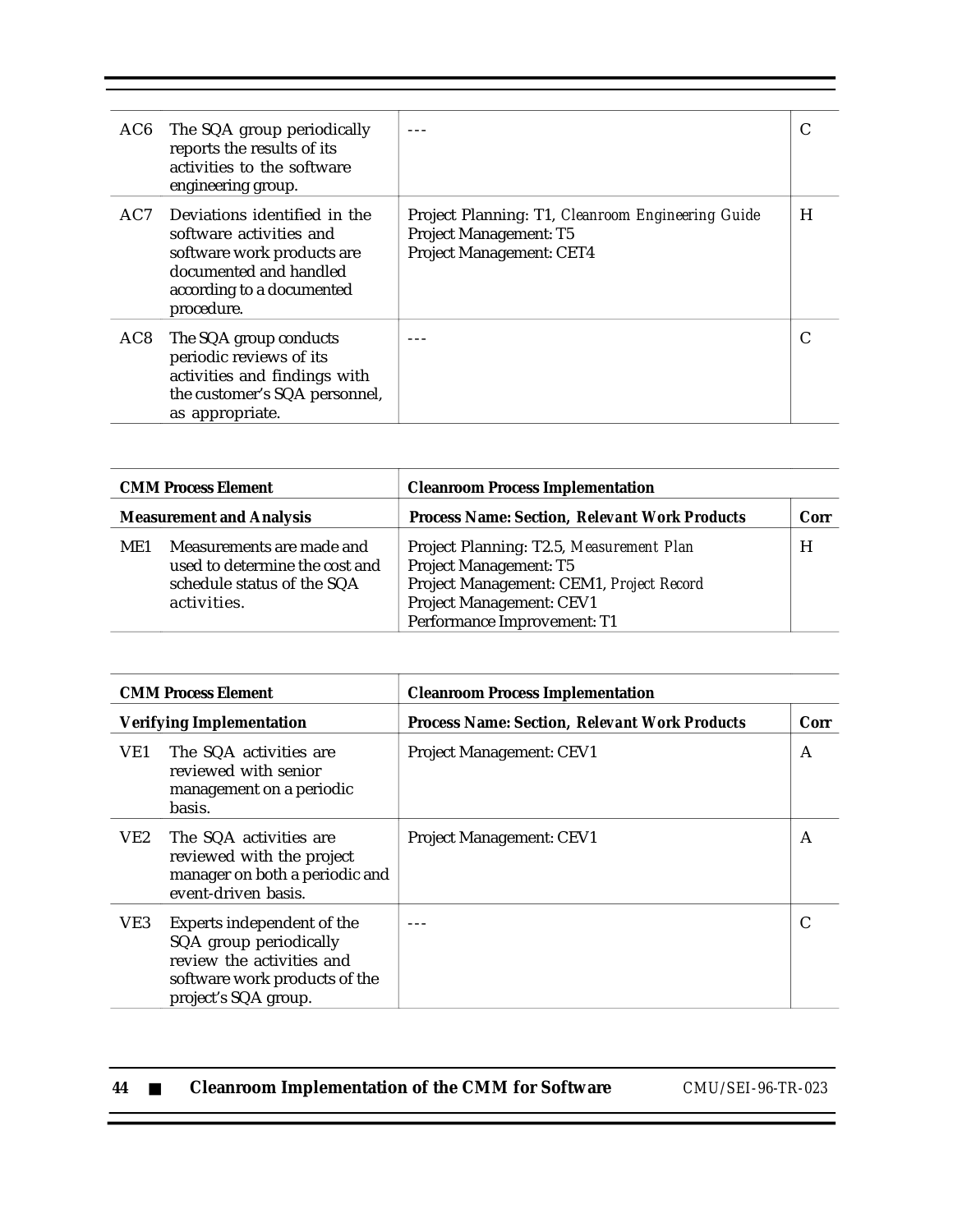| AC6             | The SQA group periodically<br>reports the results of its<br>activities to the software<br>engineering group.                                               |                                                                                                                       |   |
|-----------------|------------------------------------------------------------------------------------------------------------------------------------------------------------|-----------------------------------------------------------------------------------------------------------------------|---|
| AC7             | Deviations identified in the<br>software activities and<br>software work products are<br>documented and handled<br>according to a documented<br>procedure. | Project Planning: T1, Cleanroom Engineering Guide<br><b>Project Management: T5</b><br><b>Project Management: CET4</b> | H |
| AC <sub>8</sub> | The SQA group conducts<br>periodic reviews of its<br>activities and findings with<br>the customer's SQA personnel,<br>as appropriate.                      |                                                                                                                       |   |

|                                 | <b>CMM Process Element</b>                                                                               | <b>Cleanroom Process Implementation</b>                                                                                                                                   |      |
|---------------------------------|----------------------------------------------------------------------------------------------------------|---------------------------------------------------------------------------------------------------------------------------------------------------------------------------|------|
| <b>Measurement and Analysis</b> |                                                                                                          | <b>Process Name: Section, Relevant Work Products</b>                                                                                                                      | Corr |
| ME1                             | Measurements are made and<br>used to determine the cost and<br>schedule status of the SQA<br>activities. | Project Planning: T2.5, Measurement Plan<br>Project Management: T5<br>Project Management: CEM1, Project Record<br>Project Management: CEV1<br>Performance Improvement: T1 | H    |

| <b>CMM Process Element</b> |                                                                                                                                            | <b>Cleanroom Process Implementation</b>              |      |
|----------------------------|--------------------------------------------------------------------------------------------------------------------------------------------|------------------------------------------------------|------|
|                            | <b>Verifying Implementation</b>                                                                                                            | <b>Process Name: Section, Relevant Work Products</b> | Corr |
| VE1                        | The SQA activities are<br>reviewed with senior<br>management on a periodic<br>basis.                                                       | <b>Project Management: CEV1</b>                      | A    |
| VE2                        | The SQA activities are<br>reviewed with the project<br>manager on both a periodic and<br>event-driven basis.                               | Project Management: CEV1                             | A    |
| VE3                        | Experts independent of the<br>SQA group periodically<br>review the activities and<br>software work products of the<br>project's SQA group. |                                                      |      |

| -44 |  | <b>Cleanroom Implementation of the CMM for Software</b> |  |
|-----|--|---------------------------------------------------------|--|
|-----|--|---------------------------------------------------------|--|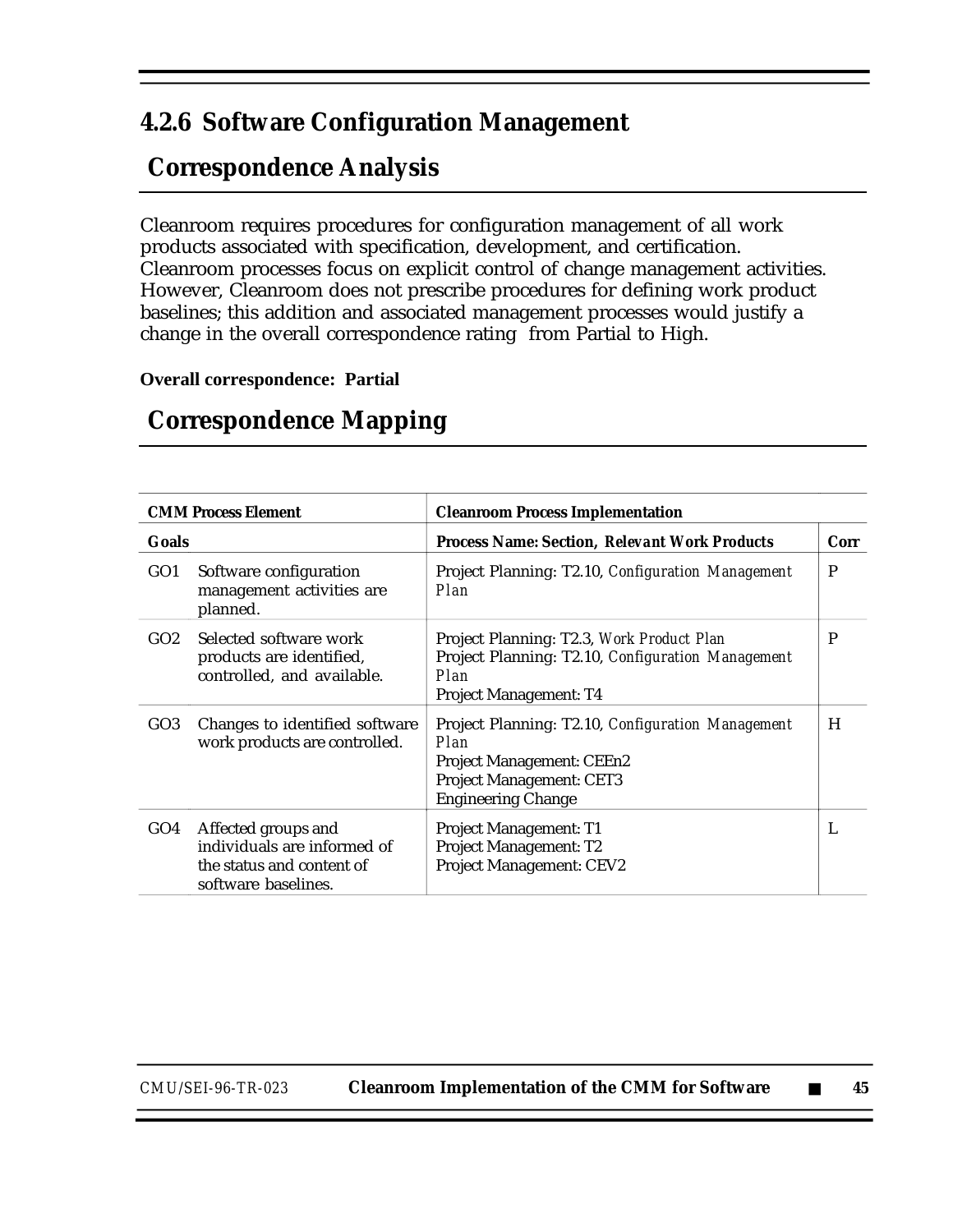### **4.2.6 Software Configuration Management**

## **Correspondence Analysis**

Cleanroom requires procedures for configuration management of all work products associated with specification, development, and certification. Cleanroom processes focus on explicit control of change management activities. However, Cleanroom does not prescribe procedures for defining work product baselines; this addition and associated management processes would justify a change in the overall correspondence rating from Partial to High.

#### **Overall correspondence: Partial**

|                 | <b>CMM Process Element</b><br><b>Cleanroom Process Implementation</b>                                  |                                                                                                                                                        |      |  |  |
|-----------------|--------------------------------------------------------------------------------------------------------|--------------------------------------------------------------------------------------------------------------------------------------------------------|------|--|--|
| Goals           |                                                                                                        | <b>Process Name: Section, Relevant Work Products</b>                                                                                                   | Corr |  |  |
| GO <sub>1</sub> | Software configuration<br>management activities are<br>planned.                                        | Project Planning: T2.10, Configuration Management<br>Plan                                                                                              | P    |  |  |
| GO2             | Selected software work<br>products are identified,<br>controlled, and available.                       | Project Planning: T2.3, Work Product Plan<br>Project Planning: T2.10, Configuration Management<br>Plan<br><b>Project Management: T4</b>                | P    |  |  |
| GO <sub>3</sub> | Changes to identified software<br>work products are controlled.                                        | Project Planning: T2.10, Configuration Management<br>Plan<br>Project Management: CEEn2<br><b>Project Management: CET3</b><br><b>Engineering Change</b> | H    |  |  |
| GO4             | Affected groups and<br>individuals are informed of<br>the status and content of<br>software baselines. | <b>Project Management: T1</b><br>Project Management: T2<br><b>Project Management: CEV2</b>                                                             | L    |  |  |

#### **Correspondence Mapping**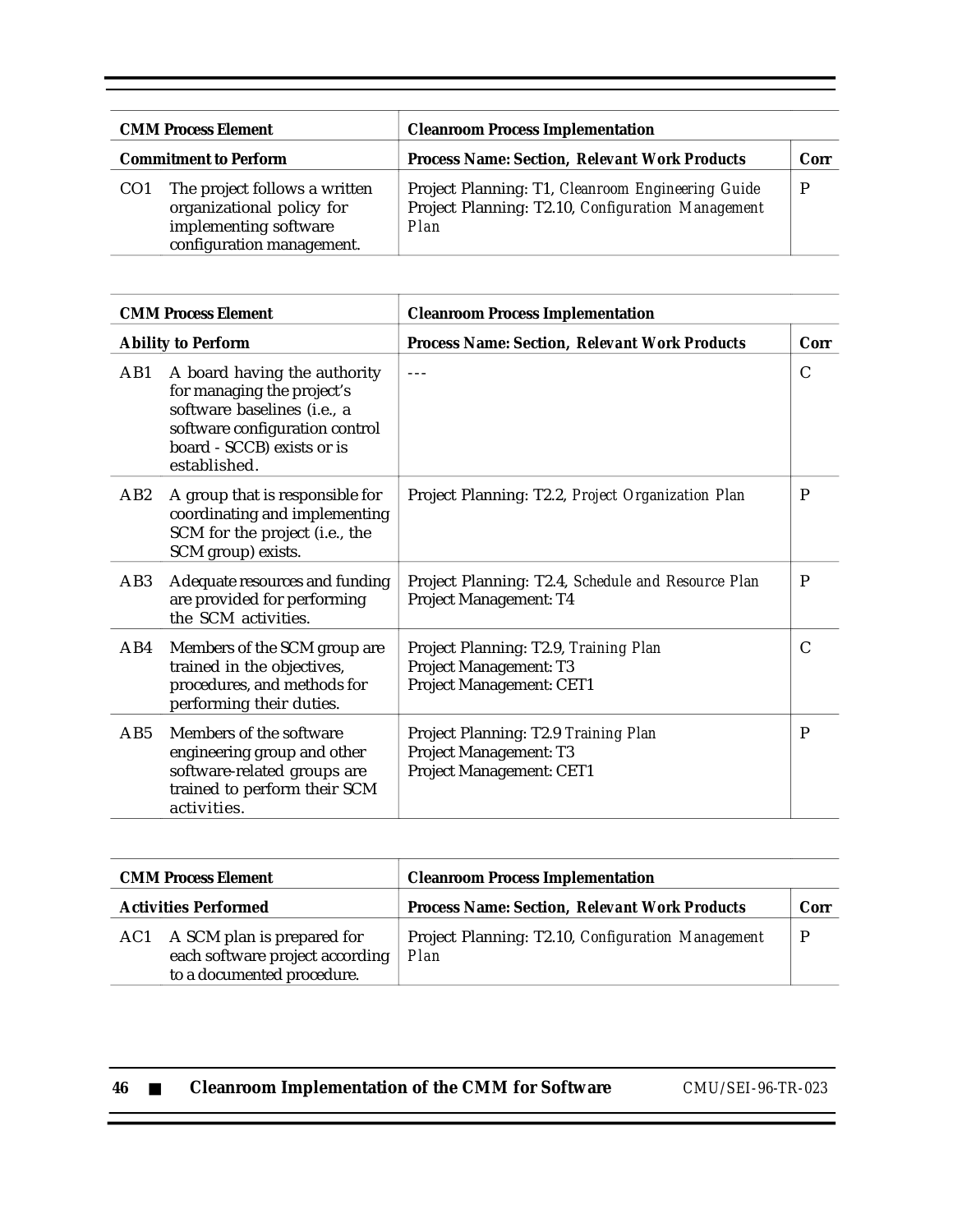| <b>CMM Process Element</b><br><b>Commitment to Perform</b> |                                                                                                                  | <b>Cleanroom Process Implementation</b>                                                                        |      |  |
|------------------------------------------------------------|------------------------------------------------------------------------------------------------------------------|----------------------------------------------------------------------------------------------------------------|------|--|
|                                                            |                                                                                                                  | <b>Process Name: Section, Relevant Work Products</b>                                                           | Corr |  |
|                                                            | The project follows a written<br>organizational policy for<br>implementing software<br>configuration management. | Project Planning: T1, Cleanroom Engineering Guide<br>Project Planning: T2.10, Configuration Management<br>Plan |      |  |

| <b>CMM Process Element</b> |                                                                                                                                                                           | <b>Cleanroom Process Implementation</b>                                                     |              |  |
|----------------------------|---------------------------------------------------------------------------------------------------------------------------------------------------------------------------|---------------------------------------------------------------------------------------------|--------------|--|
|                            | <b>Ability to Perform</b>                                                                                                                                                 | <b>Process Name: Section, Relevant Work Products</b>                                        | Corr         |  |
| AB1                        | A board having the authority<br>for managing the project's<br>software baselines (i.e., a<br>software configuration control<br>board - SCCB) exists or is<br>established. | $- - -$                                                                                     | $\mathsf{C}$ |  |
| AB <sub>2</sub>            | A group that is responsible for<br>coordinating and implementing<br>SCM for the project (i.e., the<br>SCM group) exists.                                                  | Project Planning: T2.2, Project Organization Plan                                           | P            |  |
| AB <sub>3</sub>            | Adequate resources and funding<br>are provided for performing<br>the SCM activities.                                                                                      | Project Planning: T2.4, Schedule and Resource Plan<br>Project Management: T4                | P            |  |
| AB4                        | Members of the SCM group are<br>trained in the objectives,<br>procedures, and methods for<br>performing their duties.                                                     | Project Planning: T2.9, Training Plan<br>Project Management: T3<br>Project Management: CET1 | $\mathsf{C}$ |  |
| AB5                        | Members of the software<br>engineering group and other<br>software-related groups are<br>trained to perform their SCM<br>activities.                                      | Project Planning: T2.9 Training Plan<br>Project Management: T3<br>Project Management: CET1  | P            |  |

| <b>CMM Process Element</b>  |                                                                                                 | <b>Cleanroom Process Implementation</b>                   |      |  |
|-----------------------------|-------------------------------------------------------------------------------------------------|-----------------------------------------------------------|------|--|
| <b>Activities Performed</b> |                                                                                                 | <b>Process Name: Section, Relevant Work Products</b>      | Corr |  |
|                             | AC1 A SCM plan is prepared for<br>each software project according<br>to a documented procedure. | Project Planning: T2.10, Configuration Management<br>Plan | D    |  |

| 46 | <b>Cleanroom Implementation of the CMM for Software</b> | CMU/SEI-96-TR-023 |
|----|---------------------------------------------------------|-------------------|
|    |                                                         |                   |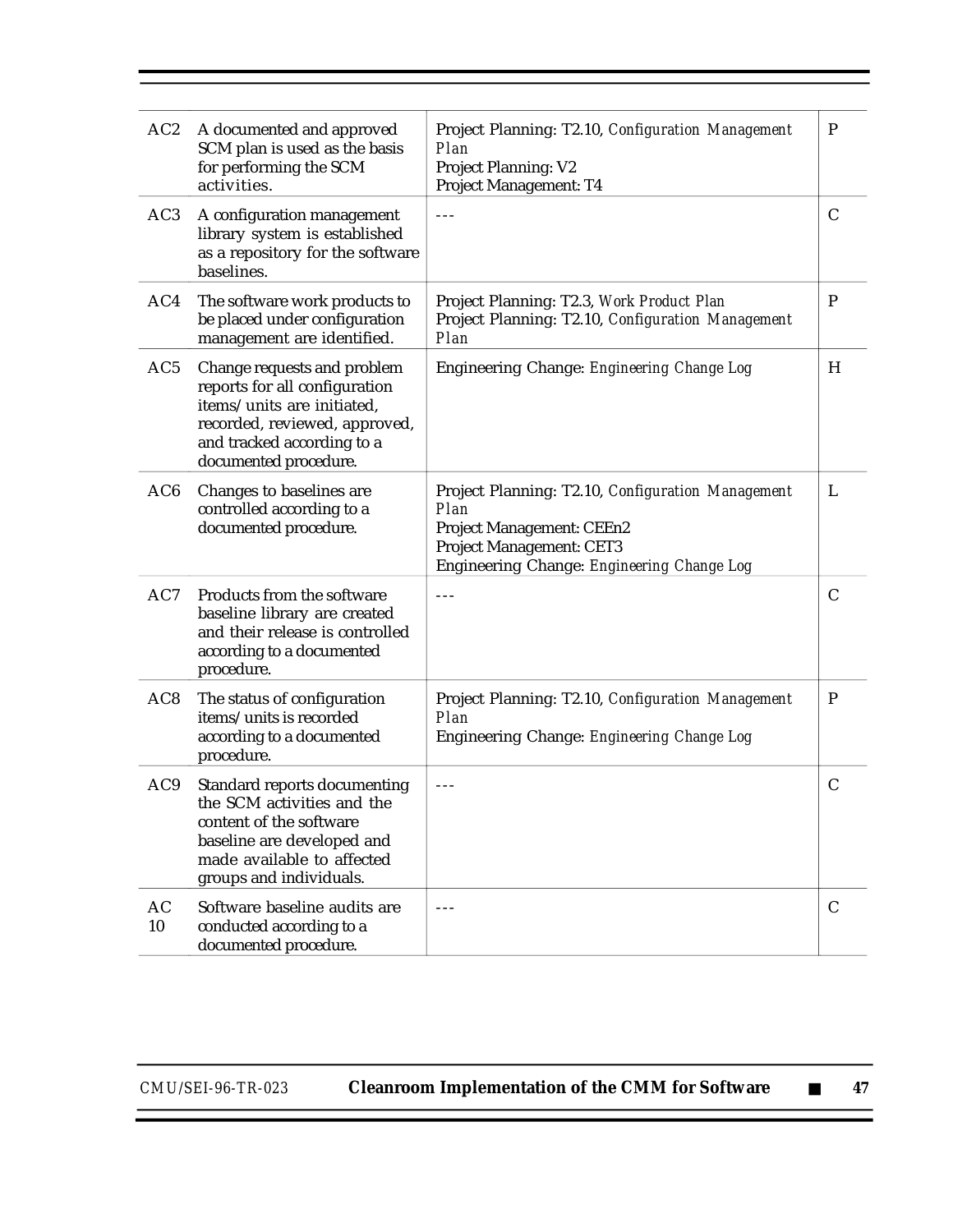| AC2             | A documented and approved<br>SCM plan is used as the basis<br>for performing the SCM<br>activities.                                                                                | Project Planning: T2.10, Configuration Management<br>Plan<br><b>Project Planning: V2</b><br>Project Management: T4                                                      | $\mathbf P$   |
|-----------------|------------------------------------------------------------------------------------------------------------------------------------------------------------------------------------|-------------------------------------------------------------------------------------------------------------------------------------------------------------------------|---------------|
| AC <sub>3</sub> | A configuration management<br>library system is established<br>as a repository for the software<br>baselines.                                                                      | $- - -$                                                                                                                                                                 | $\mathsf{C}$  |
| AC4             | The software work products to<br>be placed under configuration<br>management are identified.                                                                                       | Project Planning: T2.3, Work Product Plan<br>Project Planning: T2.10, Configuration Management<br>Plan                                                                  | P             |
| AC5             | Change requests and problem<br>reports for all configuration<br>items/units are initiated,<br>recorded, reviewed, approved,<br>and tracked according to a<br>documented procedure. | Engineering Change: Engineering Change Log                                                                                                                              | H             |
| AC <sub>6</sub> | Changes to baselines are<br>controlled according to a<br>documented procedure.                                                                                                     | Project Planning: T2.10, Configuration Management<br>Plan<br>Project Management: CEEn2<br><b>Project Management: CET3</b><br>Engineering Change: Engineering Change Log | L             |
| AC7             | Products from the software<br>baseline library are created<br>and their release is controlled<br>according to a documented<br>procedure.                                           | $- - -$                                                                                                                                                                 | $\mathsf{C}$  |
| AC <sub>8</sub> | The status of configuration<br>items/units is recorded<br>according to a documented<br>procedure.                                                                                  | Project Planning: T2.10, Configuration Management<br>Plan<br>Engineering Change: Engineering Change Log                                                                 | $\mathbf P$   |
| AC9             | Standard reports documenting<br>the SCM activities and the<br>content of the software<br>baseline are developed and<br>made available to affected<br>groups and individuals.       | $- - -$                                                                                                                                                                 | $\mathcal{C}$ |
| AC<br>10        | Software baseline audits are<br>conducted according to a<br>documented procedure.                                                                                                  | $- - -$                                                                                                                                                                 | $\mathcal{C}$ |

Ξ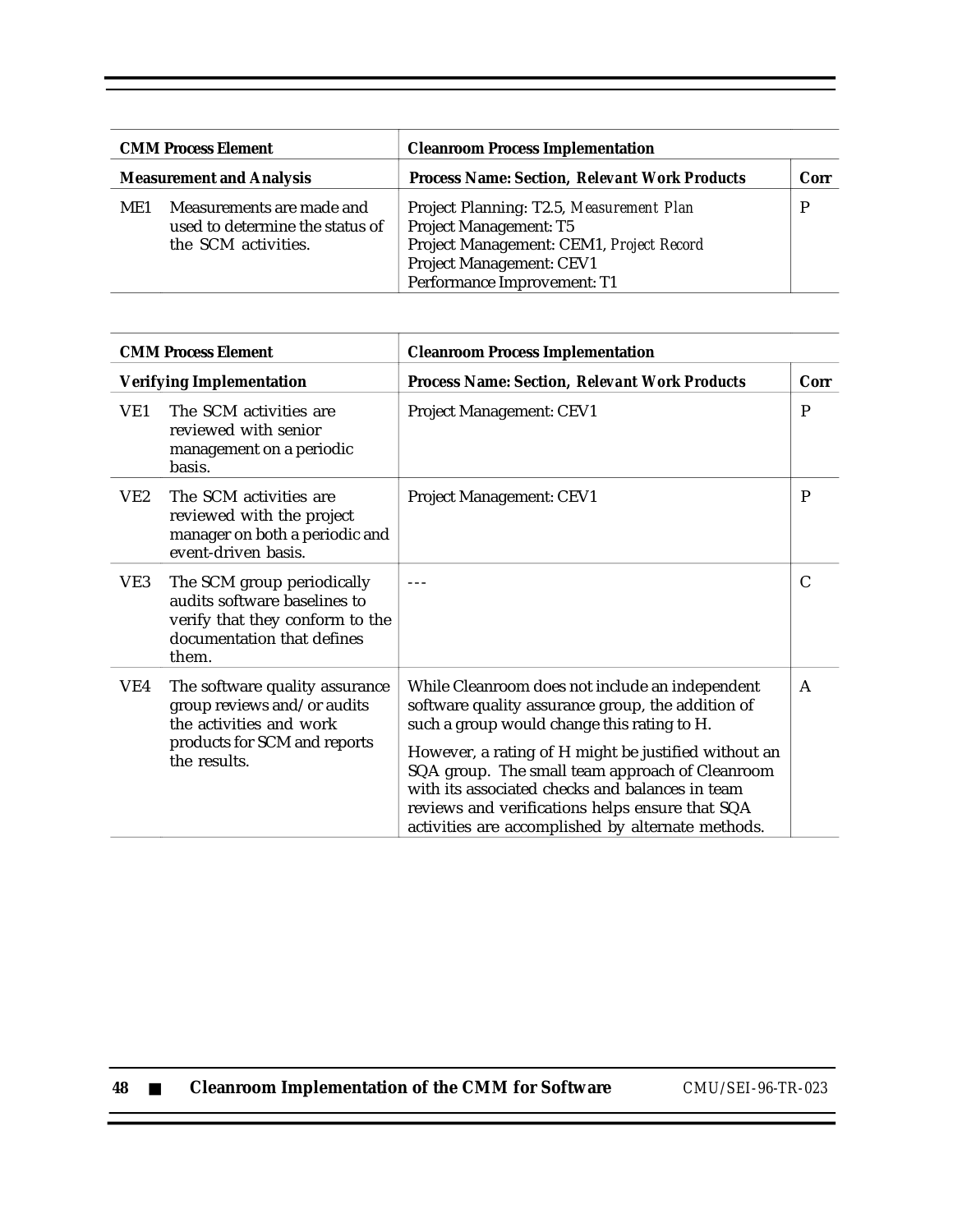| <b>CMM Process Element</b><br><b>Measurement and Analysis</b> |                                                                                     | <b>Cleanroom Process Implementation</b>                                                                                                                                   |      |  |
|---------------------------------------------------------------|-------------------------------------------------------------------------------------|---------------------------------------------------------------------------------------------------------------------------------------------------------------------------|------|--|
|                                                               |                                                                                     | <b>Process Name: Section, Relevant Work Products</b>                                                                                                                      | Corr |  |
| ME1                                                           | Measurements are made and<br>used to determine the status of<br>the SCM activities. | Project Planning: T2.5, Measurement Plan<br>Project Management: T5<br>Project Management: CEM1, Project Record<br>Project Management: CEV1<br>Performance Improvement: T1 |      |  |

| <b>CMM Process Element</b>      |                                                                                                                                          | <b>Cleanroom Process Implementation</b>                                                                                                                                                                                                                                                                                                                                                                                   |              |  |
|---------------------------------|------------------------------------------------------------------------------------------------------------------------------------------|---------------------------------------------------------------------------------------------------------------------------------------------------------------------------------------------------------------------------------------------------------------------------------------------------------------------------------------------------------------------------------------------------------------------------|--------------|--|
| <b>Verifying Implementation</b> |                                                                                                                                          | <b>Process Name: Section, Relevant Work Products</b>                                                                                                                                                                                                                                                                                                                                                                      | Corr         |  |
| VE1                             | The SCM activities are<br>reviewed with senior<br>management on a periodic<br>basis.                                                     | Project Management: CEV1                                                                                                                                                                                                                                                                                                                                                                                                  | $\mathbf{P}$ |  |
| VE2                             | The SCM activities are<br>reviewed with the project<br>manager on both a periodic and<br>event-driven basis.                             | Project Management: CEV1                                                                                                                                                                                                                                                                                                                                                                                                  | P            |  |
| VE3                             | The SCM group periodically<br>audits software baselines to<br>verify that they conform to the<br>documentation that defines<br>them.     |                                                                                                                                                                                                                                                                                                                                                                                                                           | C            |  |
| VE4                             | The software quality assurance<br>group reviews and/or audits<br>the activities and work<br>products for SCM and reports<br>the results. | While Cleanroom does not include an independent<br>software quality assurance group, the addition of<br>such a group would change this rating to H.<br>However, a rating of H might be justified without an<br>SQA group. The small team approach of Cleanroom<br>with its associated checks and balances in team<br>reviews and verifications helps ensure that SQA<br>activities are accomplished by alternate methods. | $\mathsf{A}$ |  |

| 48 |  |  | <b>Cleanroom Implementation of the CMM for Software</b> |  |  |  |
|----|--|--|---------------------------------------------------------|--|--|--|
|----|--|--|---------------------------------------------------------|--|--|--|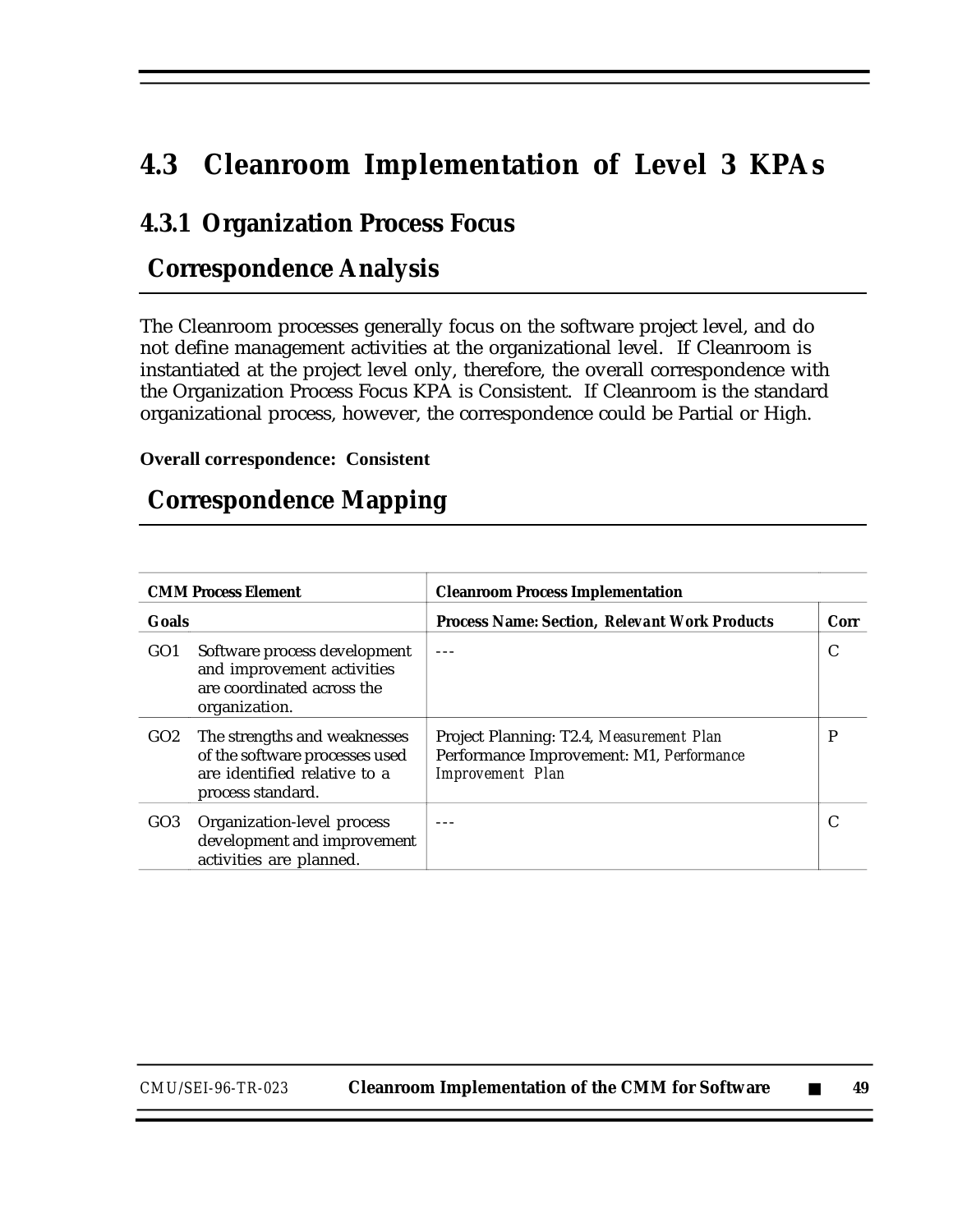# **4.3 Cleanroom Implementation of Level 3 KPAs**

#### **4.3.1 Organization Process Focus**

### **Correspondence Analysis**

The Cleanroom processes generally focus on the software project level, and do not define management activities at the organizational level. If Cleanroom is instantiated at the project level only, therefore, the overall correspondence with the Organization Process Focus KPA is Consistent. If Cleanroom is the standard organizational process, however, the correspondence could be Partial or High.

**Overall correspondence: Consistent**

#### **Correspondence Mapping**

| <b>CMM Process Element</b> |                                                                                                                     | <b>Cleanroom Process Implementation</b>                                                                         |      |  |
|----------------------------|---------------------------------------------------------------------------------------------------------------------|-----------------------------------------------------------------------------------------------------------------|------|--|
| <b>Goals</b>               |                                                                                                                     | <b>Process Name: Section, Relevant Work Products</b>                                                            | Corr |  |
| GO <sub>1</sub>            | Software process development<br>and improvement activities<br>are coordinated across the<br>organization.           |                                                                                                                 | C    |  |
| GO2                        | The strengths and weaknesses<br>of the software processes used<br>are identified relative to a<br>process standard. | Project Planning: T2.4, Measurement Plan<br>Performance Improvement: M1, Performance<br><b>Improvement</b> Plan | P    |  |
| GO3                        | Organization-level process<br>development and improvement<br>activities are planned.                                |                                                                                                                 |      |  |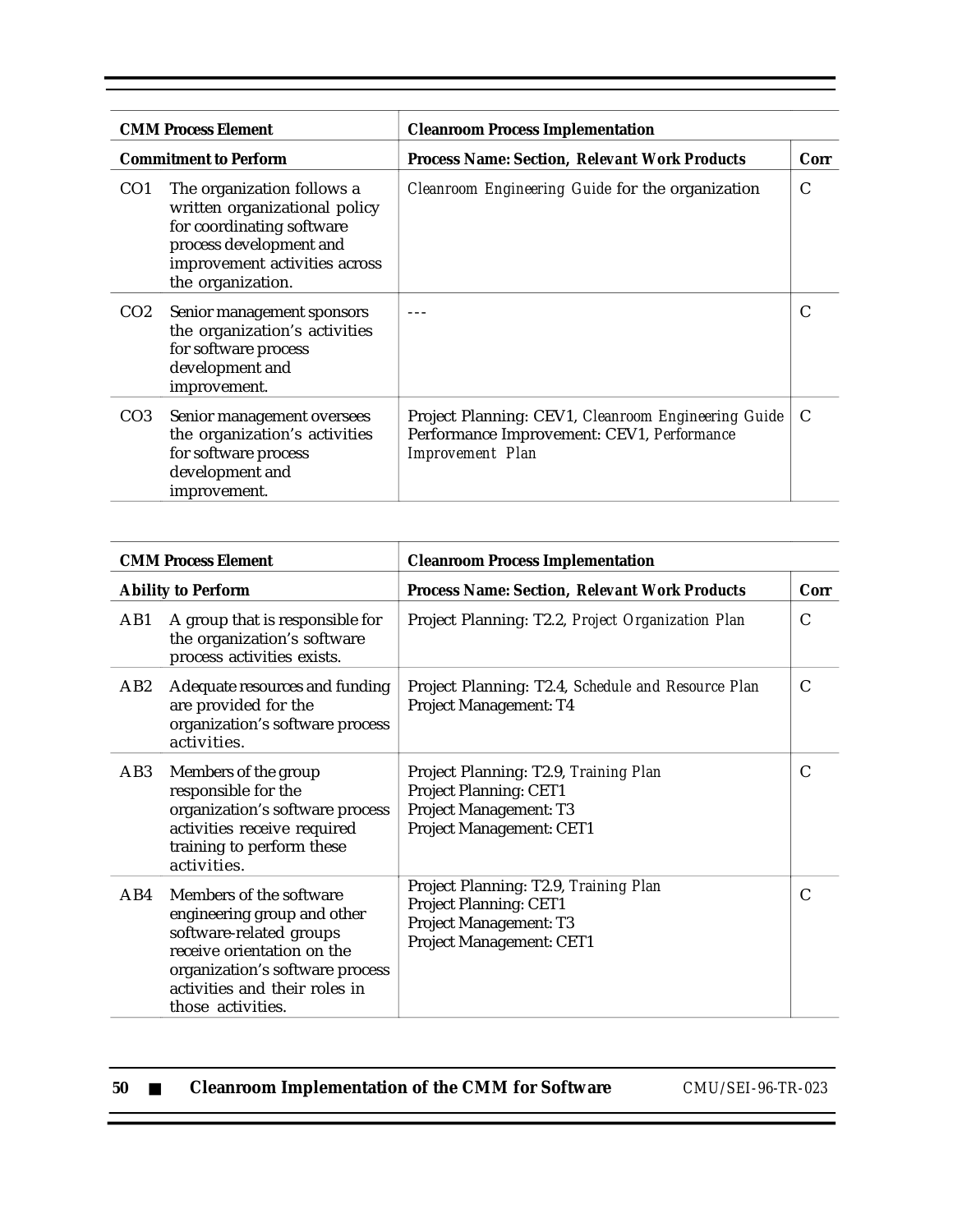|                 | <b>CMM Process Element</b><br><b>Cleanroom Process Implementation</b>                                                                                                     |                                                                                                                              |      |  |  |  |
|-----------------|---------------------------------------------------------------------------------------------------------------------------------------------------------------------------|------------------------------------------------------------------------------------------------------------------------------|------|--|--|--|
|                 | <b>Commitment to Perform</b>                                                                                                                                              | <b>Process Name: Section, Relevant Work Products</b>                                                                         | Corr |  |  |  |
| CO <sub>1</sub> | The organization follows a<br>written organizational policy<br>for coordinating software<br>process development and<br>improvement activities across<br>the organization. | Cleanroom Engineering Guide for the organization                                                                             | C    |  |  |  |
| CO <sub>2</sub> | Senior management sponsors<br>the organization's activities<br>for software process<br>development and<br>improvement.                                                    |                                                                                                                              |      |  |  |  |
| CO <sub>3</sub> | Senior management oversees<br>the organization's activities<br>for software process<br>development and<br>improvement.                                                    | Project Planning: CEV1, Cleanroom Engineering Guide<br>Performance Improvement: CEV1, Performance<br><b>Improvement Plan</b> | C    |  |  |  |

|                           | <b>CMM Process Element</b>                                                                                                                                                                               | <b>Cleanroom Process Implementation</b>                                                                                      |      |
|---------------------------|----------------------------------------------------------------------------------------------------------------------------------------------------------------------------------------------------------|------------------------------------------------------------------------------------------------------------------------------|------|
| <b>Ability to Perform</b> |                                                                                                                                                                                                          | <b>Process Name: Section, Relevant Work Products</b>                                                                         | Corr |
| AB1                       | A group that is responsible for<br>the organization's software<br>process activities exists.                                                                                                             | Project Planning: T2.2, Project Organization Plan                                                                            | C    |
| AB2                       | Adequate resources and funding<br>are provided for the<br>organization's software process<br>activities.                                                                                                 | Project Planning: T2.4, Schedule and Resource Plan<br>Project Management: T4                                                 | C    |
| AB3                       | Members of the group<br>responsible for the<br>organization's software process<br>activities receive required<br>training to perform these<br>activities.                                                | Project Planning: T2.9, Training Plan<br><b>Project Planning: CET1</b><br>Project Management: T3<br>Project Management: CET1 | C    |
| AB4                       | Members of the software<br>engineering group and other<br>software-related groups<br>receive orientation on the<br>organization's software process<br>activities and their roles in<br>those activities. | Project Planning: T2.9, Training Plan<br><b>Project Planning: CET1</b><br>Project Management: T3<br>Project Management: CET1 | C    |

|  | -50 |  |  |  | <b>Cleanroom Implementation of the CMM for Software</b> |
|--|-----|--|--|--|---------------------------------------------------------|
|--|-----|--|--|--|---------------------------------------------------------|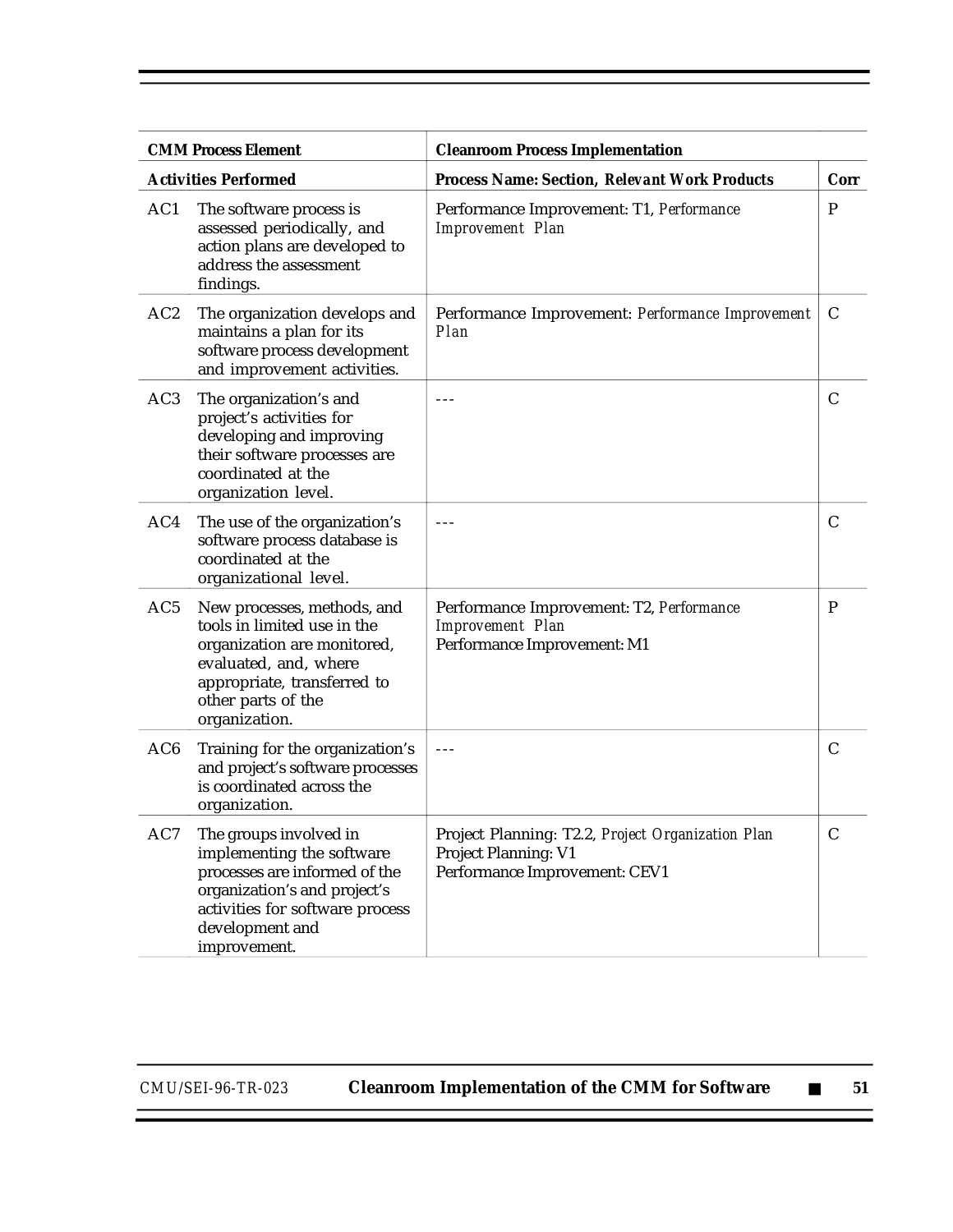| <b>CMM Process Element</b> |                                                                                                                                                                                            | <b>Cleanroom Process Implementation</b>                                                                    |               |
|----------------------------|--------------------------------------------------------------------------------------------------------------------------------------------------------------------------------------------|------------------------------------------------------------------------------------------------------------|---------------|
|                            | <b>Activities Performed</b>                                                                                                                                                                | <b>Process Name: Section, Relevant Work Products</b>                                                       | Corr          |
| AC1                        | The software process is<br>assessed periodically, and<br>action plans are developed to<br>address the assessment<br>findings.                                                              | Performance Improvement: T1, Performance<br><b>Improvement Plan</b>                                        | P             |
| AC <sub>2</sub>            | The organization develops and<br>maintains a plan for its<br>software process development<br>and improvement activities.                                                                   | Performance Improvement: Performance Improvement<br>Plan                                                   | C             |
| AC3                        | The organization's and<br>project's activities for<br>developing and improving<br>their software processes are<br>coordinated at the<br>organization level.                                | ---                                                                                                        | $\mathcal{C}$ |
| AC4                        | The use of the organization's<br>software process database is<br>coordinated at the<br>organizational level.                                                                               | $- - -$                                                                                                    | C             |
| AC5                        | New processes, methods, and<br>tools in limited use in the<br>organization are monitored,<br>evaluated, and, where<br>appropriate, transferred to<br>other parts of the<br>organization.   | Performance Improvement: T2, Performance<br><b>Improvement Plan</b><br>Performance Improvement: M1         | $\mathbf P$   |
| AC6                        | Training for the organization's<br>and project's software processes<br>is coordinated across the<br>organization.                                                                          | $- - -$                                                                                                    | $\mathsf{C}$  |
| AC7                        | The groups involved in<br>implementing the software<br>processes are informed of the<br>organization's and project's<br>activities for software process<br>development and<br>improvement. | Project Planning: T2.2, Project Organization Plan<br>Project Planning: V1<br>Performance Improvement: CEV1 | $\mathsf{C}$  |

Ξ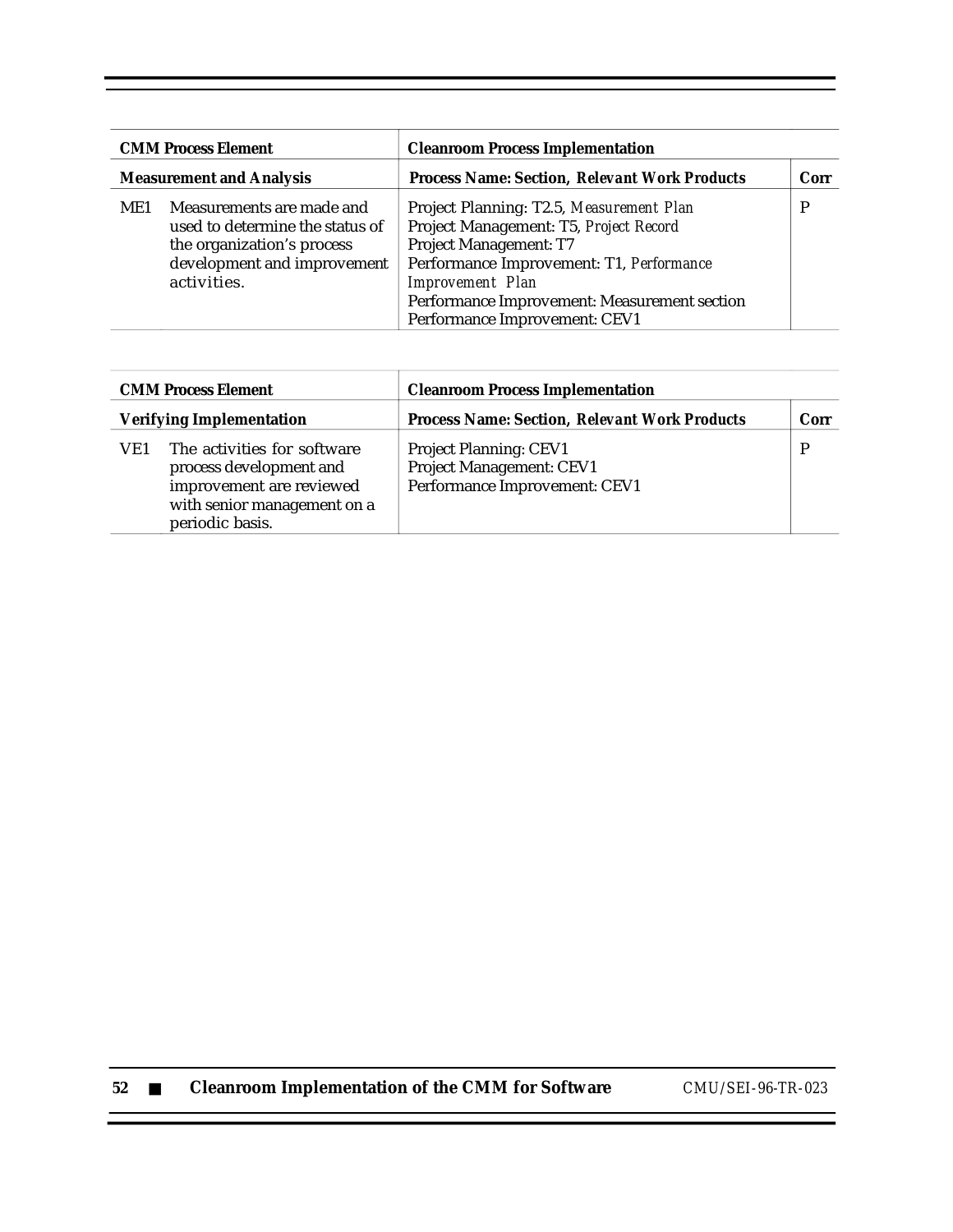| <b>CMM Process Element</b><br><b>Measurement and Analysis</b> |                                                                                                                                          | <b>Cleanroom Process Implementation</b>                                                                                                                                                                                                                                     |      |
|---------------------------------------------------------------|------------------------------------------------------------------------------------------------------------------------------------------|-----------------------------------------------------------------------------------------------------------------------------------------------------------------------------------------------------------------------------------------------------------------------------|------|
|                                                               |                                                                                                                                          | <b>Process Name: Section, Relevant Work Products</b>                                                                                                                                                                                                                        | Corr |
| ME1                                                           | Measurements are made and<br>used to determine the status of<br>the organization's process<br>development and improvement<br>activities. | Project Planning: T2.5, Measurement Plan<br>Project Management: T5, Project Record<br><b>Project Management: T7</b><br>Performance Improvement: T1, Performance<br><b>Improvement</b> Plan<br>Performance Improvement: Measurement section<br>Performance Improvement: CEV1 |      |

|                                 | <b>CMM Process Element</b>                                                                                                           | <b>Cleanroom Process Implementation</b>                                                    |             |
|---------------------------------|--------------------------------------------------------------------------------------------------------------------------------------|--------------------------------------------------------------------------------------------|-------------|
| <b>Verifying Implementation</b> |                                                                                                                                      | <b>Process Name: Section, Relevant Work Products</b>                                       | <b>Corr</b> |
| VE1                             | The activities for software<br>process development and<br>improvement are reviewed<br>with senior management on a<br>periodic basis. | <b>Project Planning: CEV1</b><br>Project Management: CEV1<br>Performance Improvement: CEV1 |             |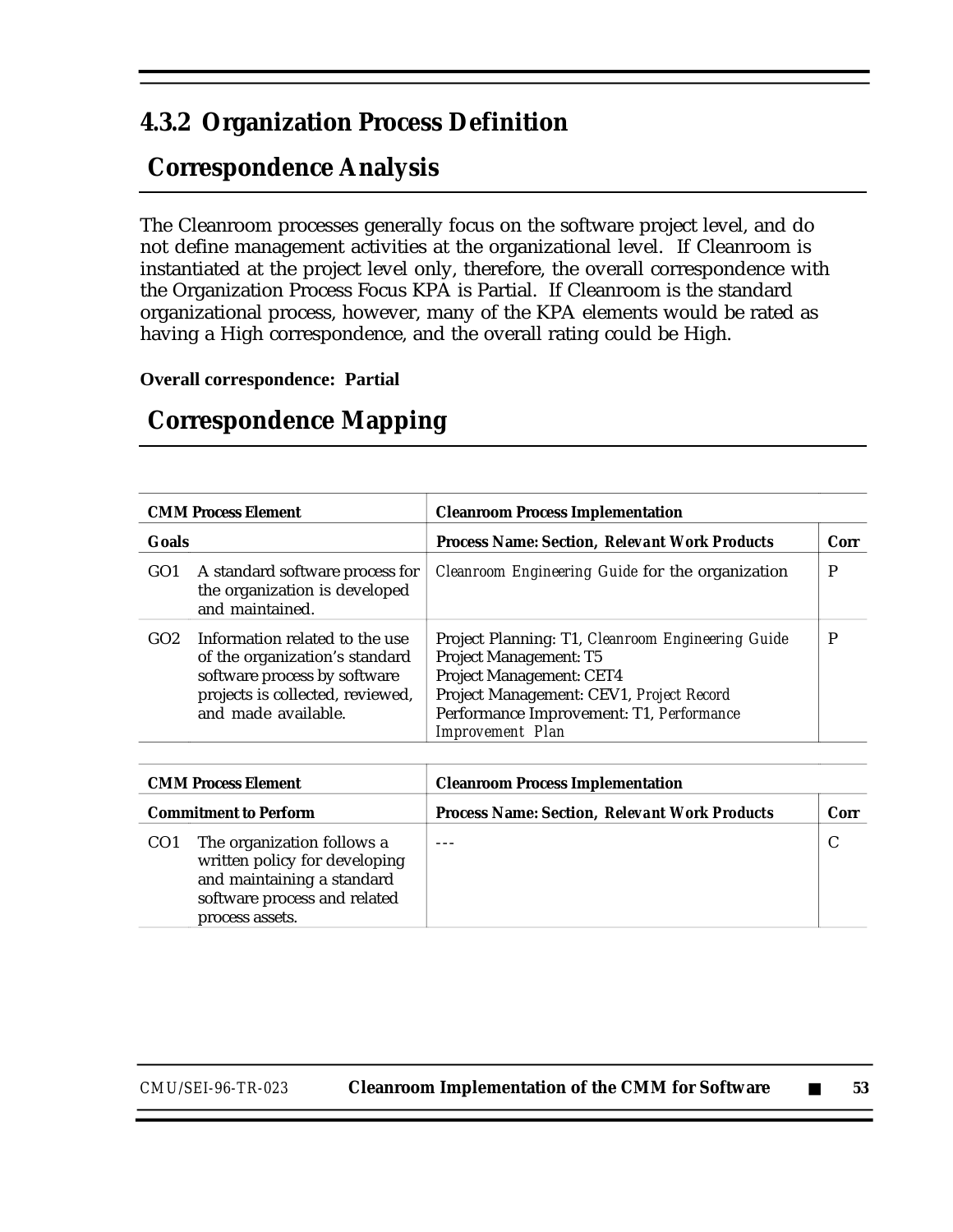### **4.3.2 Organization Process Definition**

## **Correspondence Analysis**

The Cleanroom processes generally focus on the software project level, and do not define management activities at the organizational level. If Cleanroom is instantiated at the project level only, therefore, the overall correspondence with the Organization Process Focus KPA is Partial. If Cleanroom is the standard organizational process, however, many of the KPA elements would be rated as having a High correspondence, and the overall rating could be High.

#### **Overall correspondence: Partial**

| <b>CMM Process Element</b> |                                                                                                                                                             | <b>Cleanroom Process Implementation</b>                                                                                                                                                                                                  |      |
|----------------------------|-------------------------------------------------------------------------------------------------------------------------------------------------------------|------------------------------------------------------------------------------------------------------------------------------------------------------------------------------------------------------------------------------------------|------|
| <b>Goals</b>               |                                                                                                                                                             | <b>Process Name: Section, Relevant Work Products</b>                                                                                                                                                                                     | Corr |
| GO1                        | A standard software process for<br>the organization is developed<br>and maintained.                                                                         | <i>Cleanroom Engineering Guide</i> for the organization                                                                                                                                                                                  | P    |
| GO2                        | Information related to the use<br>of the organization's standard<br>software process by software<br>projects is collected, reviewed,<br>and made available. | Project Planning: T1, Cleanroom Engineering Guide<br><b>Project Management: T5</b><br><b>Project Management: CET4</b><br>Project Management: CEV1, Project Record<br>Performance Improvement: T1, Performance<br><b>Improvement</b> Plan | P    |
|                            |                                                                                                                                                             |                                                                                                                                                                                                                                          |      |
|                            | <b>CMM Process Element</b>                                                                                                                                  | <b>Cleanroom Process Implementation</b>                                                                                                                                                                                                  |      |
|                            | <b>Commitment to Perform</b>                                                                                                                                | <b>Process Name: Section, Relevant Work Products</b>                                                                                                                                                                                     | Corr |
| CO <sub>1</sub>            | The organization follows a<br>written policy for developing<br>and maintaining a standard<br>software process and related<br>process assets.                |                                                                                                                                                                                                                                          | C    |

#### **Correspondence Mapping**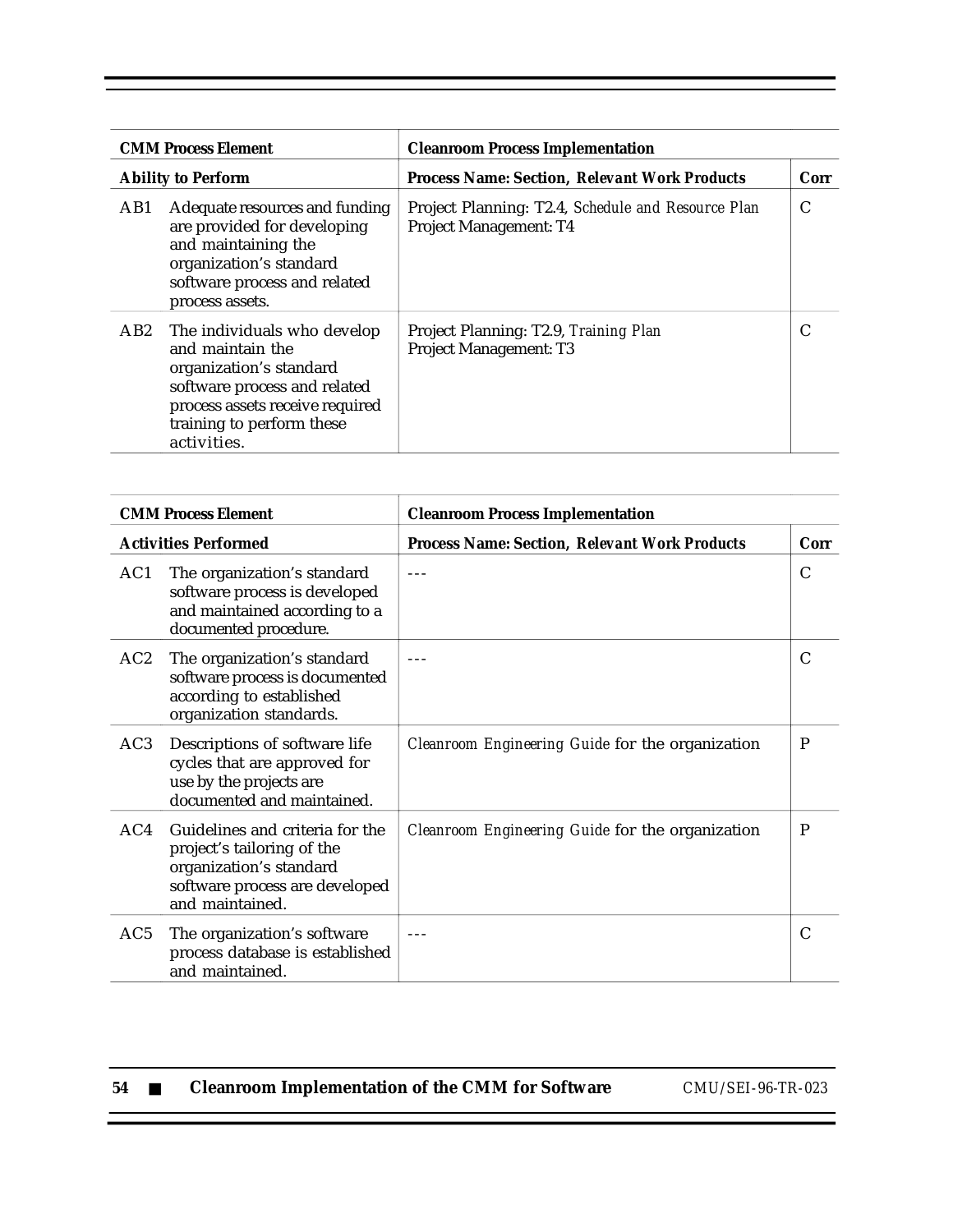|                           | <b>CMM Process Element</b>                                                                                                                                                                | <b>Cleanroom Process Implementation</b>                                      |      |
|---------------------------|-------------------------------------------------------------------------------------------------------------------------------------------------------------------------------------------|------------------------------------------------------------------------------|------|
| <b>Ability to Perform</b> |                                                                                                                                                                                           | <b>Process Name: Section, Relevant Work Products</b>                         | Corr |
| AB1                       | Adequate resources and funding<br>are provided for developing<br>and maintaining the<br>organization's standard<br>software process and related<br>process assets.                        | Project Planning: T2.4, Schedule and Resource Plan<br>Project Management: T4 | C    |
| AB2                       | The individuals who develop<br>and maintain the<br>organization's standard<br>software process and related<br>process assets receive required<br>training to perform these<br>activities. | Project Planning: T2.9, Training Plan<br><b>Project Management: T3</b>       | C    |

| <b>CMM Process Element</b>  |                                                                                                                                               | <b>Cleanroom Process Implementation</b>              |      |
|-----------------------------|-----------------------------------------------------------------------------------------------------------------------------------------------|------------------------------------------------------|------|
| <b>Activities Performed</b> |                                                                                                                                               | <b>Process Name: Section, Relevant Work Products</b> | Corr |
| AC1                         | The organization's standard<br>software process is developed<br>and maintained according to a<br>documented procedure.                        |                                                      | C    |
| AC2                         | The organization's standard<br>software process is documented<br>according to established<br>organization standards.                          |                                                      | C    |
| AC <sub>3</sub>             | Descriptions of software life<br>cycles that are approved for<br>use by the projects are<br>documented and maintained.                        | Cleanroom Engineering Guide for the organization     | P    |
| AC4                         | Guidelines and criteria for the<br>project's tailoring of the<br>organization's standard<br>software process are developed<br>and maintained. | Cleanroom Engineering Guide for the organization     | P    |
| AC <sub>5</sub>             | The organization's software<br>process database is established<br>and maintained.                                                             |                                                      | C    |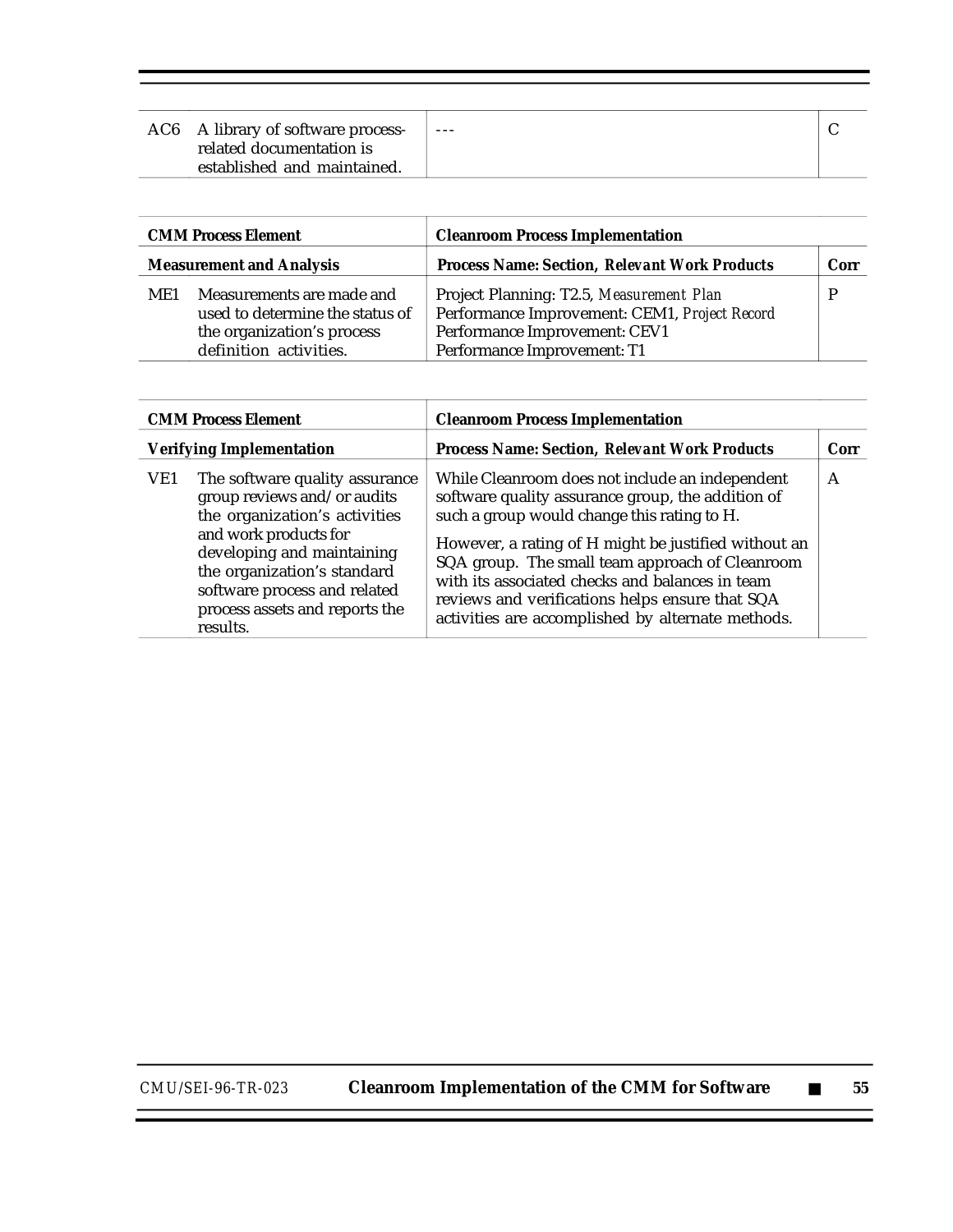| AC6 A library of software process-<br>related documentation is<br>established and maintained. | $- - -$ |  |
|-----------------------------------------------------------------------------------------------|---------|--|
|                                                                                               |         |  |

| <b>CMM Process Element</b><br><b>Measurement and Analysis</b> |                                                                                                                      | <b>Cleanroom Process Implementation</b>                                                                                                                   |      |
|---------------------------------------------------------------|----------------------------------------------------------------------------------------------------------------------|-----------------------------------------------------------------------------------------------------------------------------------------------------------|------|
|                                                               |                                                                                                                      | <b>Process Name: Section, Relevant Work Products</b>                                                                                                      | Corr |
| ME1                                                           | Measurements are made and<br>used to determine the status of<br>the organization's process<br>definition activities. | Project Planning: T2.5, Measurement Plan<br>Performance Improvement: CEM1, Project Record<br>Performance Improvement: CEV1<br>Performance Improvement: T1 |      |

| <b>CMM Process Element</b>      |                                                                                                                                                                                                                                                                    | <b>Cleanroom Process Implementation</b>                                                                                                                                                                                                                                                                                                                                                                                   |              |
|---------------------------------|--------------------------------------------------------------------------------------------------------------------------------------------------------------------------------------------------------------------------------------------------------------------|---------------------------------------------------------------------------------------------------------------------------------------------------------------------------------------------------------------------------------------------------------------------------------------------------------------------------------------------------------------------------------------------------------------------------|--------------|
| <b>Verifying Implementation</b> |                                                                                                                                                                                                                                                                    | <b>Process Name: Section, Relevant Work Products</b>                                                                                                                                                                                                                                                                                                                                                                      | Corr         |
| VE1                             | The software quality assurance<br>group reviews and/or audits<br>the organization's activities<br>and work products for<br>developing and maintaining<br>the organization's standard<br>software process and related<br>process assets and reports the<br>results. | While Cleanroom does not include an independent<br>software quality assurance group, the addition of<br>such a group would change this rating to H.<br>However, a rating of H might be justified without an<br>SQA group. The small team approach of Cleanroom<br>with its associated checks and balances in team<br>reviews and verifications helps ensure that SQA<br>activities are accomplished by alternate methods. | $\mathsf{A}$ |

 $\equiv$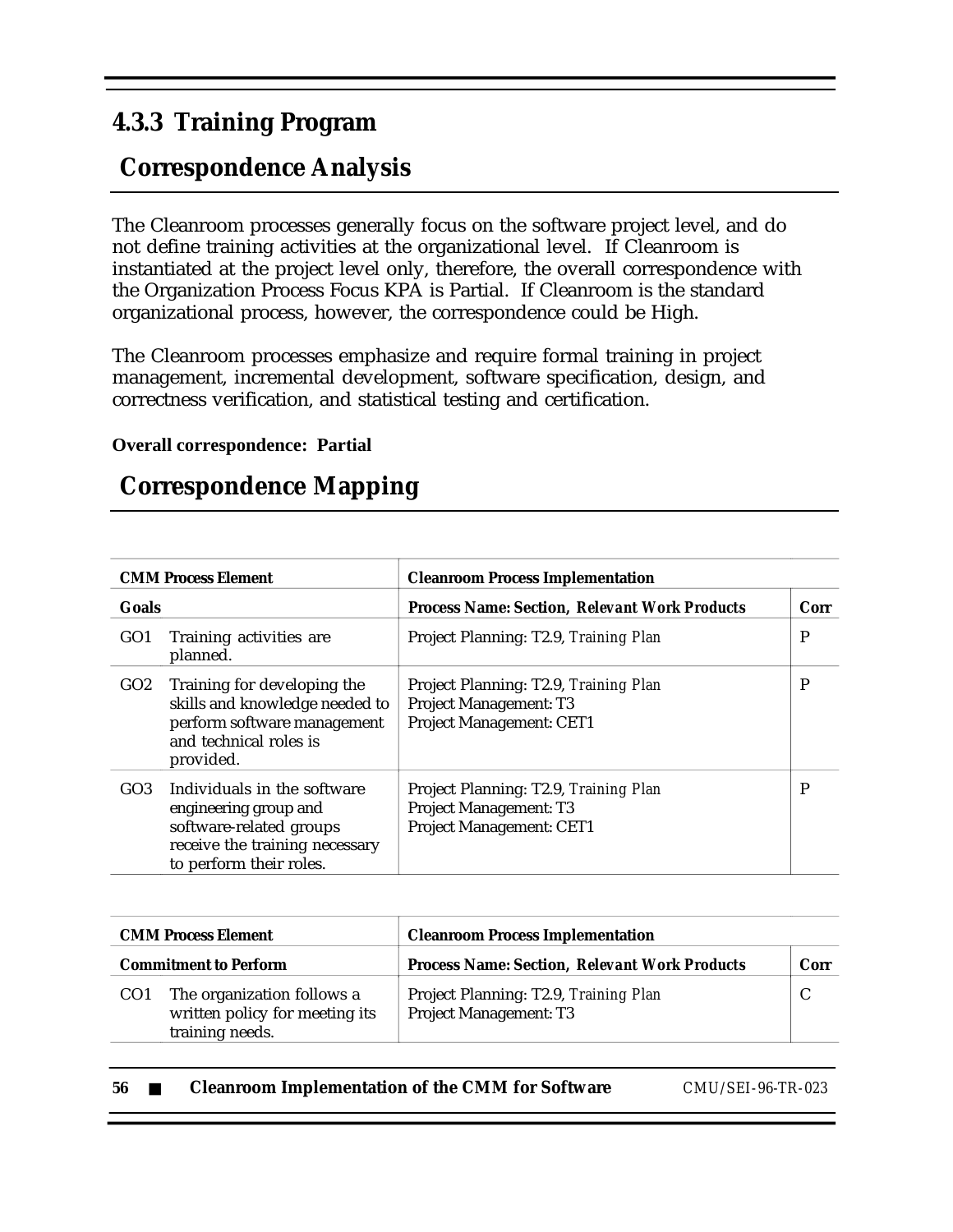### **4.3.3 Training Program**

## **Correspondence Analysis**

The Cleanroom processes generally focus on the software project level, and do not define training activities at the organizational level. If Cleanroom is instantiated at the project level only, therefore, the overall correspondence with the Organization Process Focus KPA is Partial. If Cleanroom is the standard organizational process, however, the correspondence could be High.

The Cleanroom processes emphasize and require formal training in project management, incremental development, software specification, design, and correctness verification, and statistical testing and certification.

#### **Overall correspondence: Partial**

## **Correspondence Mapping**

|                 | <b>CMM Process Element</b>                                                                                                                   | <b>Cleanroom Process Implementation</b>                                                            |      |
|-----------------|----------------------------------------------------------------------------------------------------------------------------------------------|----------------------------------------------------------------------------------------------------|------|
| Goals           |                                                                                                                                              | <b>Process Name: Section, Relevant Work Products</b>                                               | Corr |
| GO <sub>1</sub> | Training activities are<br>planned.                                                                                                          | Project Planning: T2.9, Training Plan                                                              | P    |
| GO2             | Training for developing the<br>skills and knowledge needed to<br>perform software management<br>and technical roles is<br>provided.          | Project Planning: T2.9, Training Plan<br><b>Project Management: T3</b><br>Project Management: CET1 | P    |
| GO <sub>3</sub> | Individuals in the software<br>engineering group and<br>software-related groups<br>receive the training necessary<br>to perform their roles. | Project Planning: T2.9, Training Plan<br>Project Management: T3<br>Project Management: CET1        | P    |

|                              | <b>CMM Process Element</b>                                                      | <b>Cleanroom Process Implementation</b>                                |      |
|------------------------------|---------------------------------------------------------------------------------|------------------------------------------------------------------------|------|
| <b>Commitment to Perform</b> |                                                                                 | <b>Process Name: Section, Relevant Work Products</b>                   | Corr |
| CO <sub>1</sub>              | The organization follows a<br>written policy for meeting its<br>training needs. | Project Planning: T2.9, Training Plan<br><b>Project Management: T3</b> |      |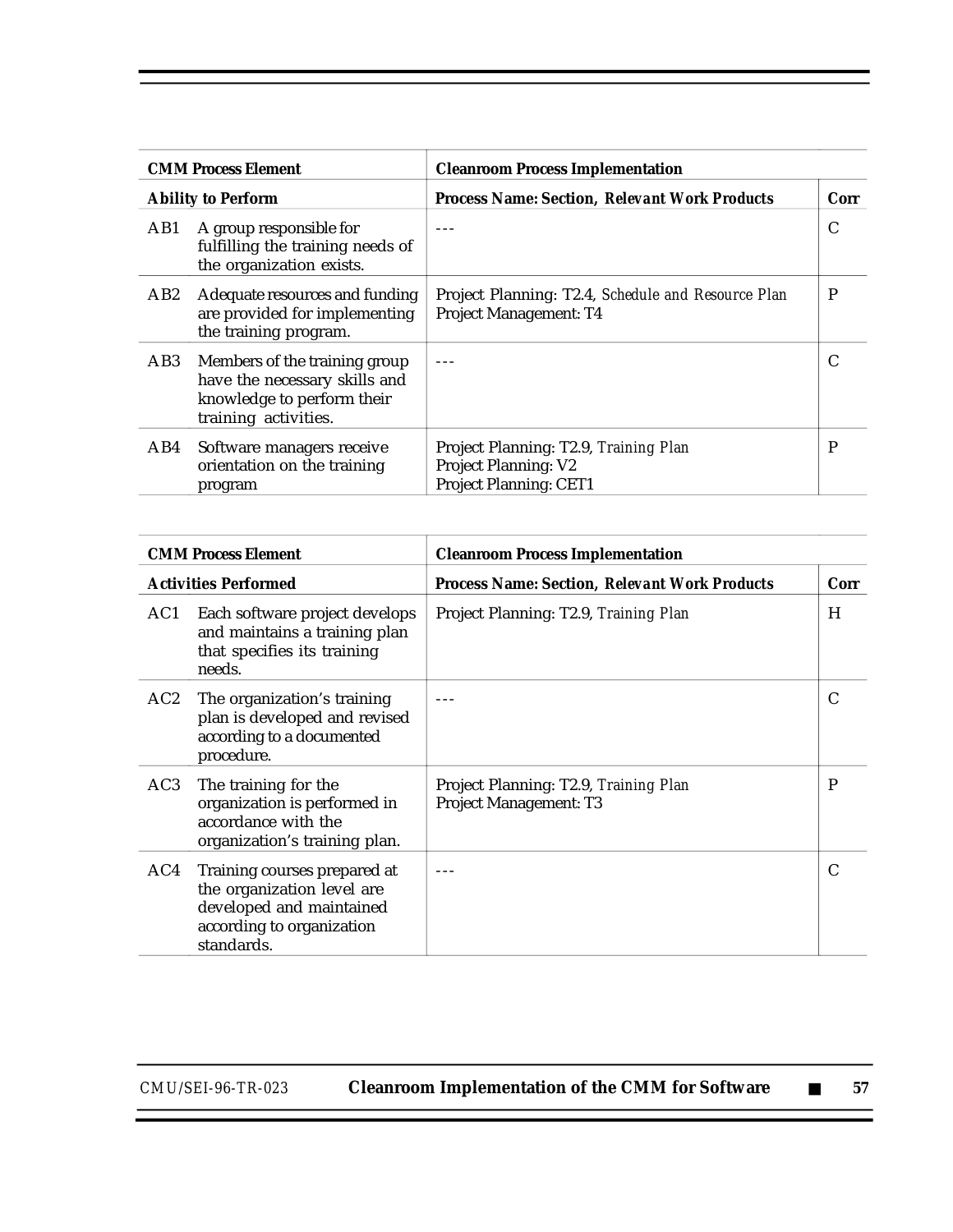|                           | <b>CMM Process Element</b>                                                                                           | <b>Cleanroom Process Implementation</b>                                                               |      |
|---------------------------|----------------------------------------------------------------------------------------------------------------------|-------------------------------------------------------------------------------------------------------|------|
| <b>Ability to Perform</b> |                                                                                                                      | <b>Process Name: Section, Relevant Work Products</b>                                                  | Corr |
| AB1                       | A group responsible for<br>fulfilling the training needs of<br>the organization exists.                              |                                                                                                       | C    |
| AB2                       | Adequate resources and funding<br>are provided for implementing<br>the training program.                             | Project Planning: T2.4, Schedule and Resource Plan<br><b>Project Management: T4</b>                   | P    |
| AB3                       | Members of the training group<br>have the necessary skills and<br>knowledge to perform their<br>training activities. |                                                                                                       |      |
| AB4                       | Software managers receive<br>orientation on the training<br>program                                                  | Project Planning: T2.9, Training Plan<br><b>Project Planning: V2</b><br><b>Project Planning: CET1</b> | P    |

|     | <b>CMM Process Element</b>                                                                                                        | <b>Cleanroom Process Implementation</b>                                |      |
|-----|-----------------------------------------------------------------------------------------------------------------------------------|------------------------------------------------------------------------|------|
|     | <b>Activities Performed</b>                                                                                                       | <b>Process Name: Section, Relevant Work Products</b>                   | Corr |
| AC1 | Each software project develops<br>and maintains a training plan<br>that specifies its training<br>needs.                          | Project Planning: T2.9, Training Plan                                  | H    |
| AC2 | The organization's training<br>plan is developed and revised<br>according to a documented<br>procedure.                           |                                                                        | C    |
| AC3 | The training for the<br>organization is performed in<br>accordance with the<br>organization's training plan.                      | Project Planning: T2.9, Training Plan<br><b>Project Management: T3</b> | P    |
| AC4 | Training courses prepared at<br>the organization level are<br>developed and maintained<br>according to organization<br>standards. |                                                                        |      |

Ξ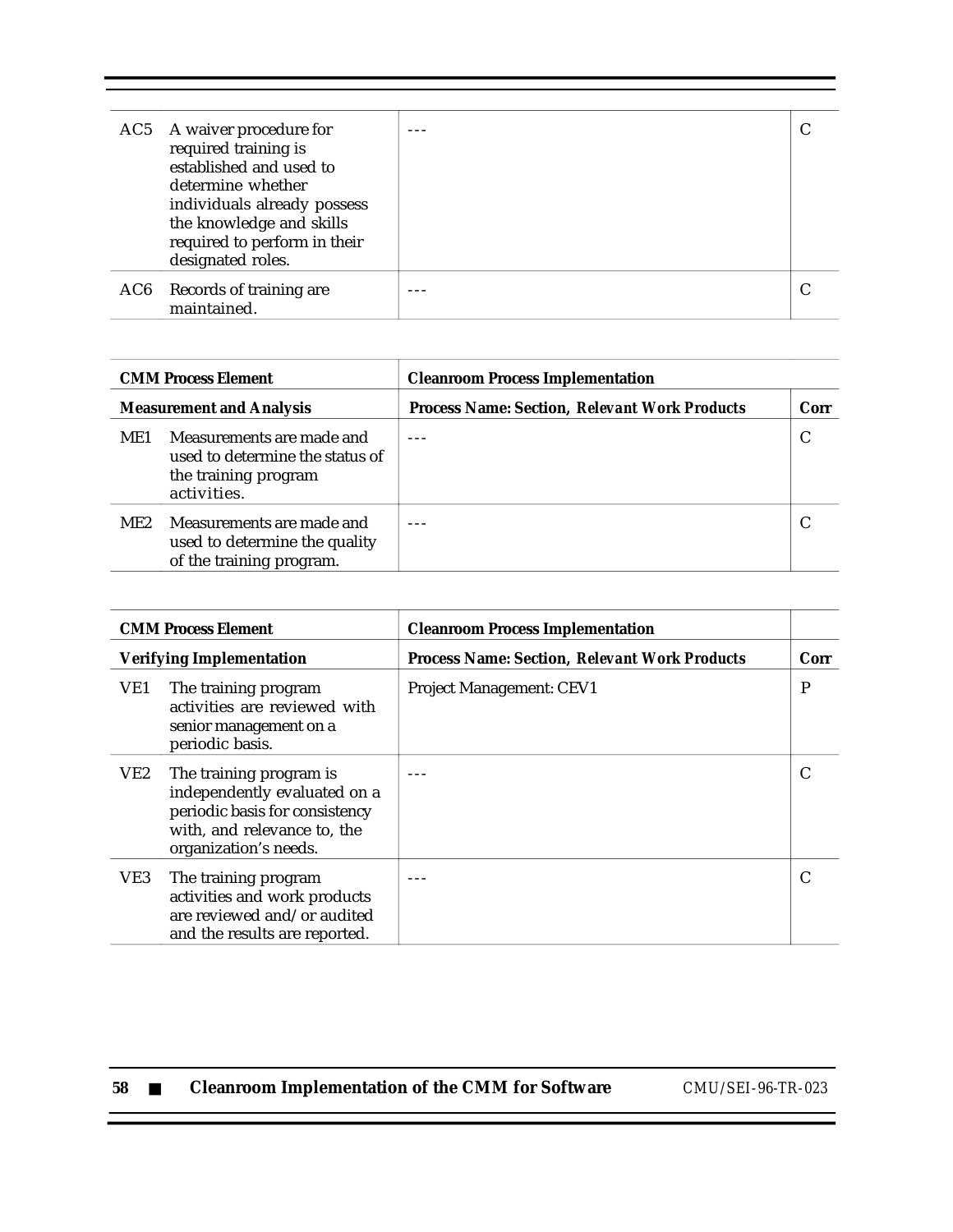| AC5 A waiver procedure for<br>required training is<br>established and used to<br>determine whether<br>individuals already possess<br>the knowledge and skills<br>required to perform in their<br>designated roles. |  |
|--------------------------------------------------------------------------------------------------------------------------------------------------------------------------------------------------------------------|--|
| AC6 Records of training are<br>maintained.                                                                                                                                                                         |  |

|                                 | <b>CMM Process Element</b>                                                                          | <b>Cleanroom Process Implementation</b>              |      |
|---------------------------------|-----------------------------------------------------------------------------------------------------|------------------------------------------------------|------|
| <b>Measurement and Analysis</b> |                                                                                                     | <b>Process Name: Section, Relevant Work Products</b> | Corr |
| ME1                             | Measurements are made and<br>used to determine the status of<br>the training program<br>activities. |                                                      |      |
| ME2                             | Measurements are made and<br>used to determine the quality<br>of the training program.              |                                                      |      |

|                                 | <b>CMM Process Element</b>                                                                                                                        | <b>Cleanroom Process Implementation</b>              |      |
|---------------------------------|---------------------------------------------------------------------------------------------------------------------------------------------------|------------------------------------------------------|------|
| <b>Verifying Implementation</b> |                                                                                                                                                   | <b>Process Name: Section, Relevant Work Products</b> | Corr |
| VE1                             | The training program<br>activities are reviewed with<br>senior management on a<br>periodic basis.                                                 | <b>Project Management: CEV1</b>                      | P    |
| VE2                             | The training program is<br>independently evaluated on a<br>periodic basis for consistency<br>with, and relevance to, the<br>organization's needs. |                                                      |      |
| VE3                             | The training program<br>activities and work products<br>are reviewed and/or audited<br>and the results are reported.                              |                                                      |      |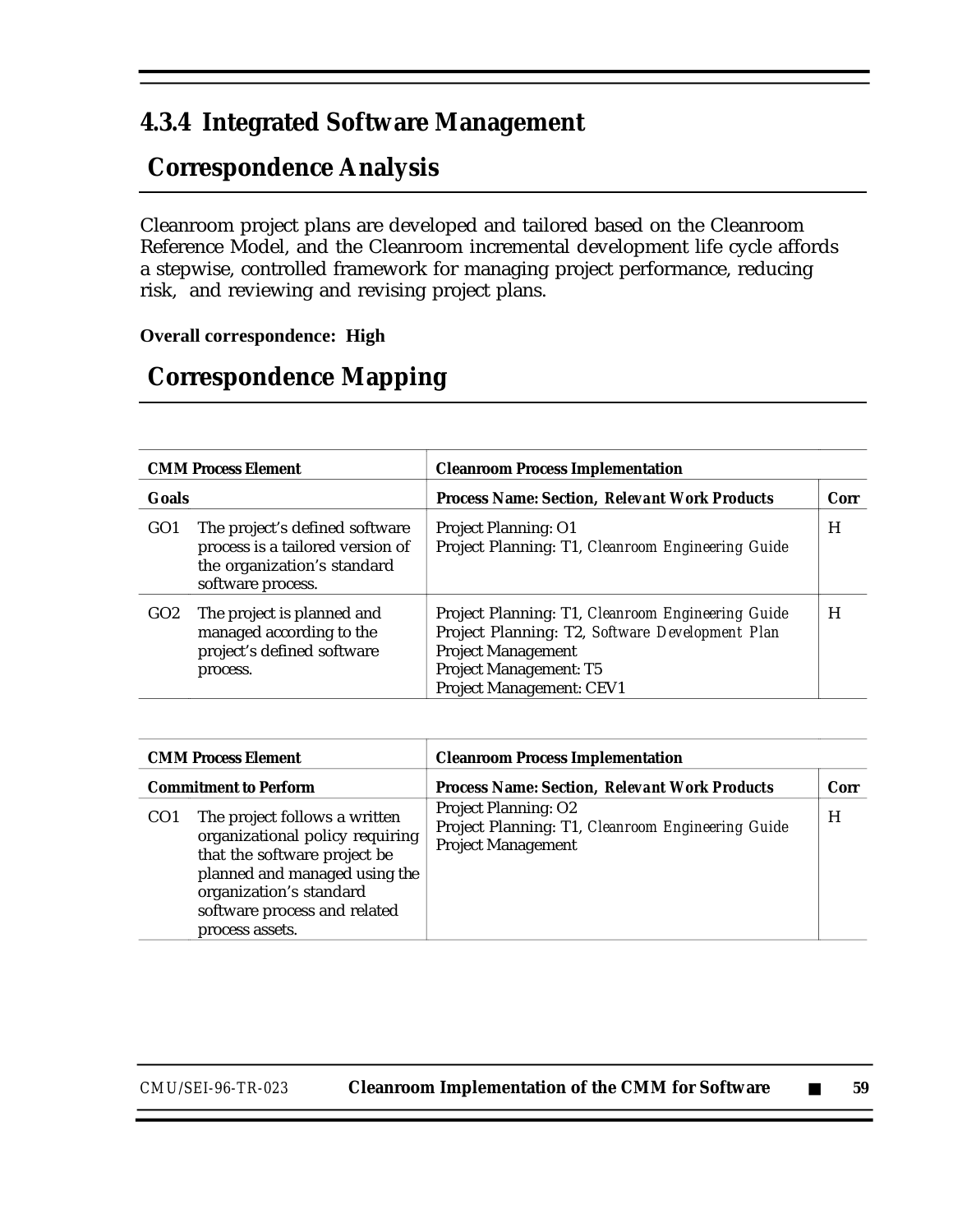### **4.3.4 Integrated Software Management**

## **Correspondence Analysis**

Cleanroom project plans are developed and tailored based on the Cleanroom Reference Model, and the Cleanroom incremental development life cycle affords a stepwise, controlled framework for managing project performance, reducing risk, and reviewing and revising project plans.

#### **Overall correspondence: High**

## **Correspondence Mapping**

| <b>CMM Process Element</b> |                                                                                                                        | <b>Cleanroom Process Implementation</b>                                                                                                                                                 |      |
|----------------------------|------------------------------------------------------------------------------------------------------------------------|-----------------------------------------------------------------------------------------------------------------------------------------------------------------------------------------|------|
| Goals                      |                                                                                                                        | <b>Process Name: Section, Relevant Work Products</b>                                                                                                                                    | Corr |
| GO <sub>1</sub>            | The project's defined software<br>process is a tailored version of<br>the organization's standard<br>software process. | <b>Project Planning: O1</b><br>Project Planning: T1, Cleanroom Engineering Guide                                                                                                        | H    |
| GO2                        | The project is planned and<br>managed according to the<br>project's defined software<br>process.                       | Project Planning: T1, Cleanroom Engineering Guide<br>Project Planning: T2, Software Development Plan<br><b>Project Management</b><br>Project Management: T5<br>Project Management: CEV1 | H    |

| <b>CMM Process Element</b>                                                                                                                                     |                                                                  | <b>Cleanroom Process Implementation</b>                                                                       |      |
|----------------------------------------------------------------------------------------------------------------------------------------------------------------|------------------------------------------------------------------|---------------------------------------------------------------------------------------------------------------|------|
| <b>Commitment to Perform</b>                                                                                                                                   |                                                                  | <b>Process Name: Section, Relevant Work Products</b>                                                          | Corr |
| The project follows a written<br>CO <sub>1</sub><br>that the software project be<br>organization's standard<br>software process and related<br>process assets. | organizational policy requiring<br>planned and managed using the | <b>Project Planning: O2</b><br>Project Planning: T1, Cleanroom Engineering Guide<br><b>Project Management</b> | H    |

*CMU/SEI-96-TR-023* **Cleanroom Implementation of the CMM for Software** ■ **59**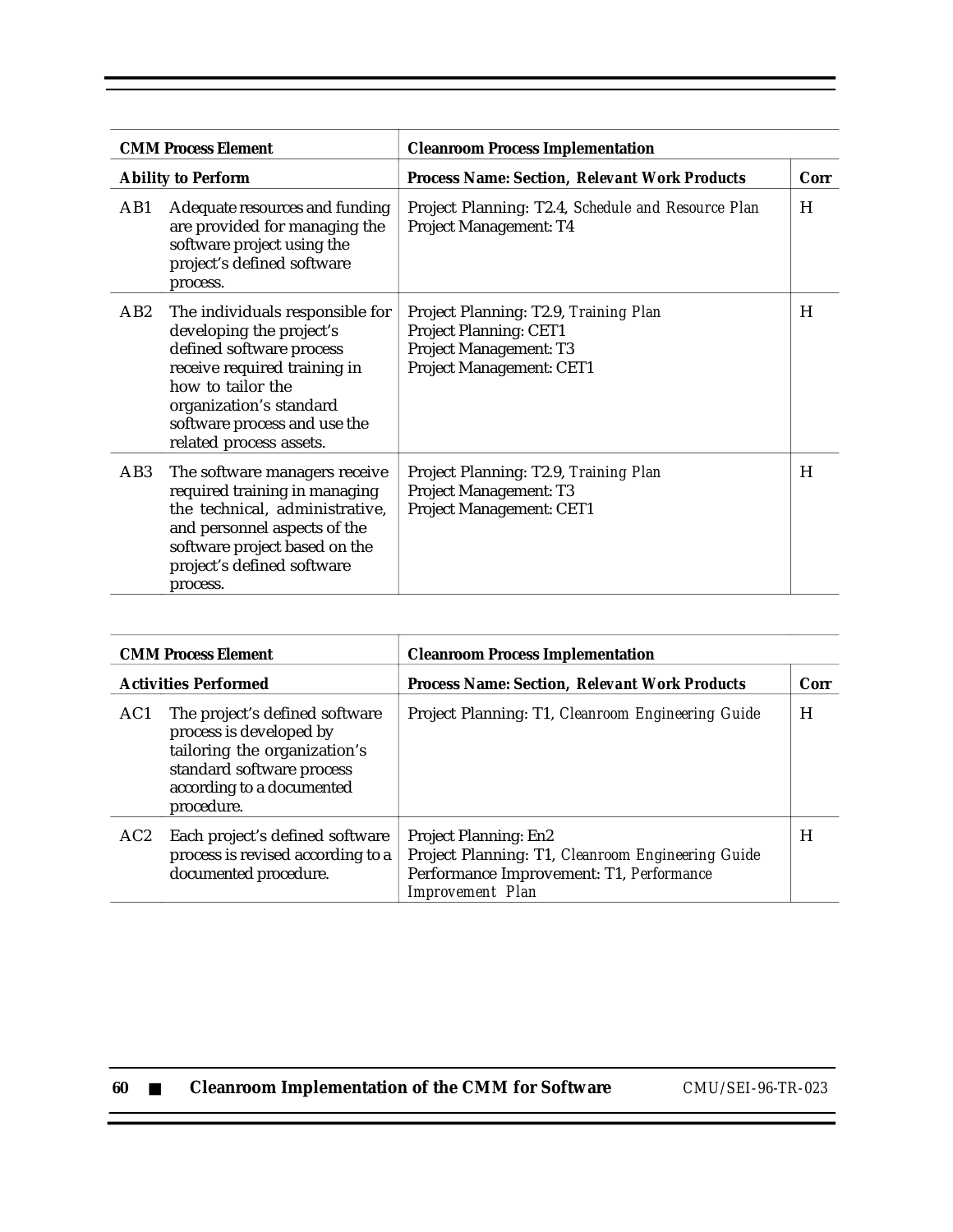|                 | <b>CMM Process Element</b>                                                                                                                                                                                                         | <b>Cleanroom Process Implementation</b>                                                                                      |      |
|-----------------|------------------------------------------------------------------------------------------------------------------------------------------------------------------------------------------------------------------------------------|------------------------------------------------------------------------------------------------------------------------------|------|
|                 | <b>Ability to Perform</b>                                                                                                                                                                                                          | <b>Process Name: Section, Relevant Work Products</b>                                                                         | Corr |
| AB1             | Adequate resources and funding<br>are provided for managing the<br>software project using the<br>project's defined software<br>process.                                                                                            | Project Planning: T2.4, Schedule and Resource Plan<br>Project Management: T4                                                 | H    |
| AB <sub>2</sub> | The individuals responsible for<br>developing the project's<br>defined software process<br>receive required training in<br>how to tailor the<br>organization's standard<br>software process and use the<br>related process assets. | Project Planning: T2.9, Training Plan<br>Project Planning: CET1<br><b>Project Management: T3</b><br>Project Management: CET1 | H    |
| AB3             | The software managers receive<br>required training in managing<br>the technical, administrative,<br>and personnel aspects of the<br>software project based on the<br>project's defined software<br>process.                        | Project Planning: T2.9, Training Plan<br>Project Management: T3<br>Project Management: CET1                                  | H    |

|                             | <b>CMM Process Element</b>                                                                                                                                        | <b>Cleanroom Process Implementation</b>                                                                                                                  |      |
|-----------------------------|-------------------------------------------------------------------------------------------------------------------------------------------------------------------|----------------------------------------------------------------------------------------------------------------------------------------------------------|------|
| <b>Activities Performed</b> |                                                                                                                                                                   | <b>Process Name: Section, Relevant Work Products</b>                                                                                                     | Corr |
| AC1                         | The project's defined software<br>process is developed by<br>tailoring the organization's<br>standard software process<br>according to a documented<br>procedure. | Project Planning: T1, Cleanroom Engineering Guide                                                                                                        | H    |
| AC <sub>2</sub>             | Each project's defined software<br>process is revised according to a<br>documented procedure.                                                                     | <b>Project Planning: En2</b><br>Project Planning: T1, Cleanroom Engineering Guide<br>Performance Improvement: T1, Performance<br><b>Improvement</b> Plan | H    |

| -60 |  | <b>Cleanroom Implementation of the CMM for Software</b> |
|-----|--|---------------------------------------------------------|
|-----|--|---------------------------------------------------------|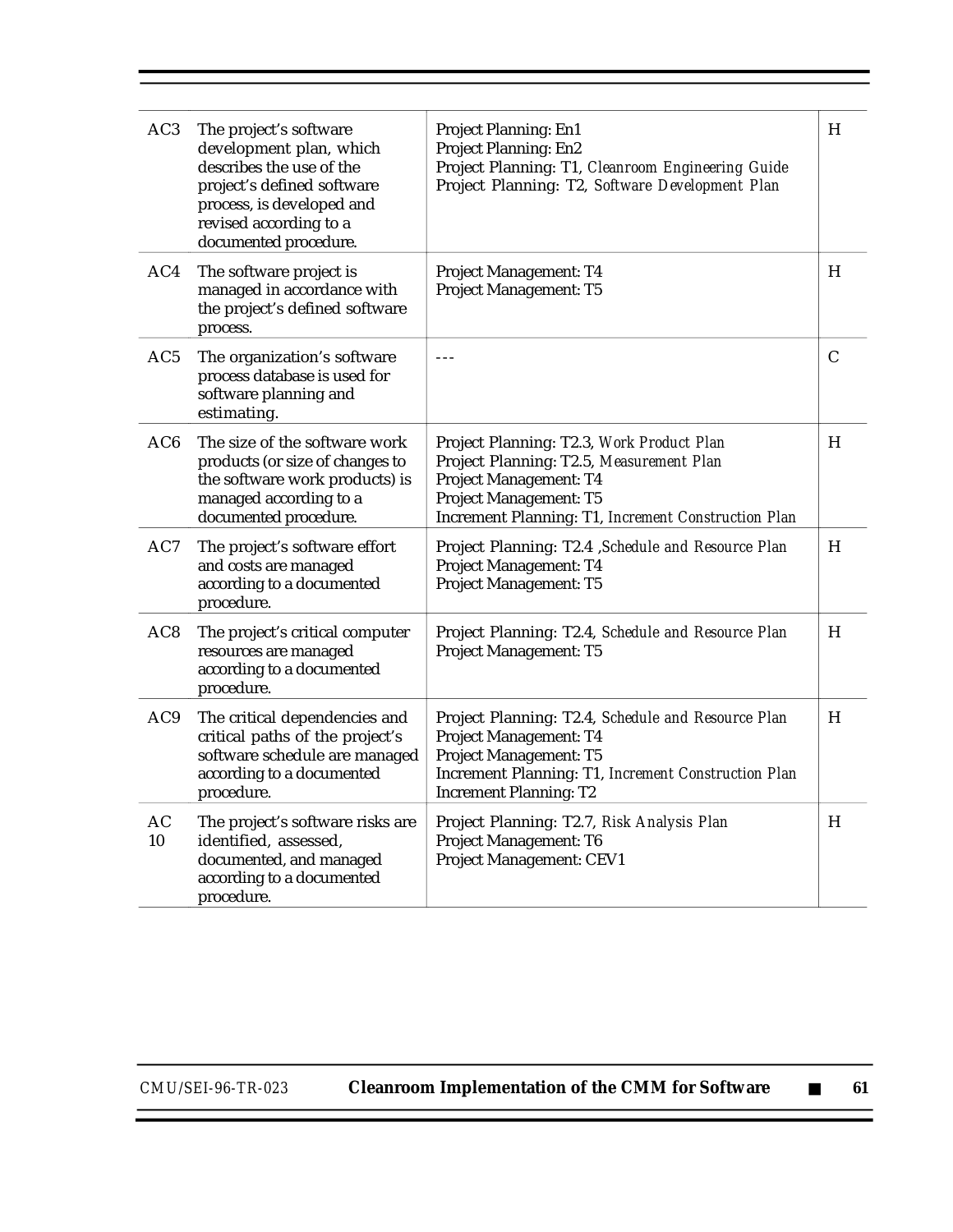| AC <sub>3</sub> | The project's software<br>development plan, which<br>describes the use of the<br>project's defined software<br>process, is developed and<br>revised according to a<br>documented procedure. | Project Planning: En1<br>Project Planning: En2<br>Project Planning: T1, Cleanroom Engineering Guide<br>Project Planning: T2, Software Development Plan                                           | H |
|-----------------|---------------------------------------------------------------------------------------------------------------------------------------------------------------------------------------------|--------------------------------------------------------------------------------------------------------------------------------------------------------------------------------------------------|---|
| AC4             | The software project is<br>managed in accordance with<br>the project's defined software<br>process.                                                                                         | Project Management: T4<br>Project Management: T5                                                                                                                                                 | H |
| AC5             | The organization's software<br>process database is used for<br>software planning and<br>estimating.                                                                                         | $- -$                                                                                                                                                                                            | C |
| AC <sub>6</sub> | The size of the software work<br>products (or size of changes to<br>the software work products) is<br>managed according to a<br>documented procedure.                                       | Project Planning: T2.3, Work Product Plan<br>Project Planning: T2.5, Measurement Plan<br>Project Management: T4<br>Project Management: T5<br>Increment Planning: T1, Increment Construction Plan | H |
| AC7             | The project's software effort<br>and costs are managed<br>according to a documented<br>procedure.                                                                                           | Project Planning: T2.4 , Schedule and Resource Plan<br>Project Management: T4<br>Project Management: T5                                                                                          | H |
| AC <sub>8</sub> | The project's critical computer<br>resources are managed<br>according to a documented<br>procedure.                                                                                         | Project Planning: T2.4, Schedule and Resource Plan<br>Project Management: T5                                                                                                                     | H |
| AC <sub>9</sub> | The critical dependencies and<br>critical paths of the project's<br>software schedule are managed<br>according to a documented<br>procedure.                                                | Project Planning: T2.4, Schedule and Resource Plan<br>Project Management: T4<br>Project Management: T5<br>Increment Planning: T1, Increment Construction Plan<br><b>Increment Planning: T2</b>   | H |
| AC<br>10        | The project's software risks are<br>identified, assessed,<br>documented, and managed<br>according to a documented<br>procedure.                                                             | Project Planning: T2.7, Risk Analysis Plan<br>Project Management: T6<br>Project Management: CEV1                                                                                                 | H |

Ξ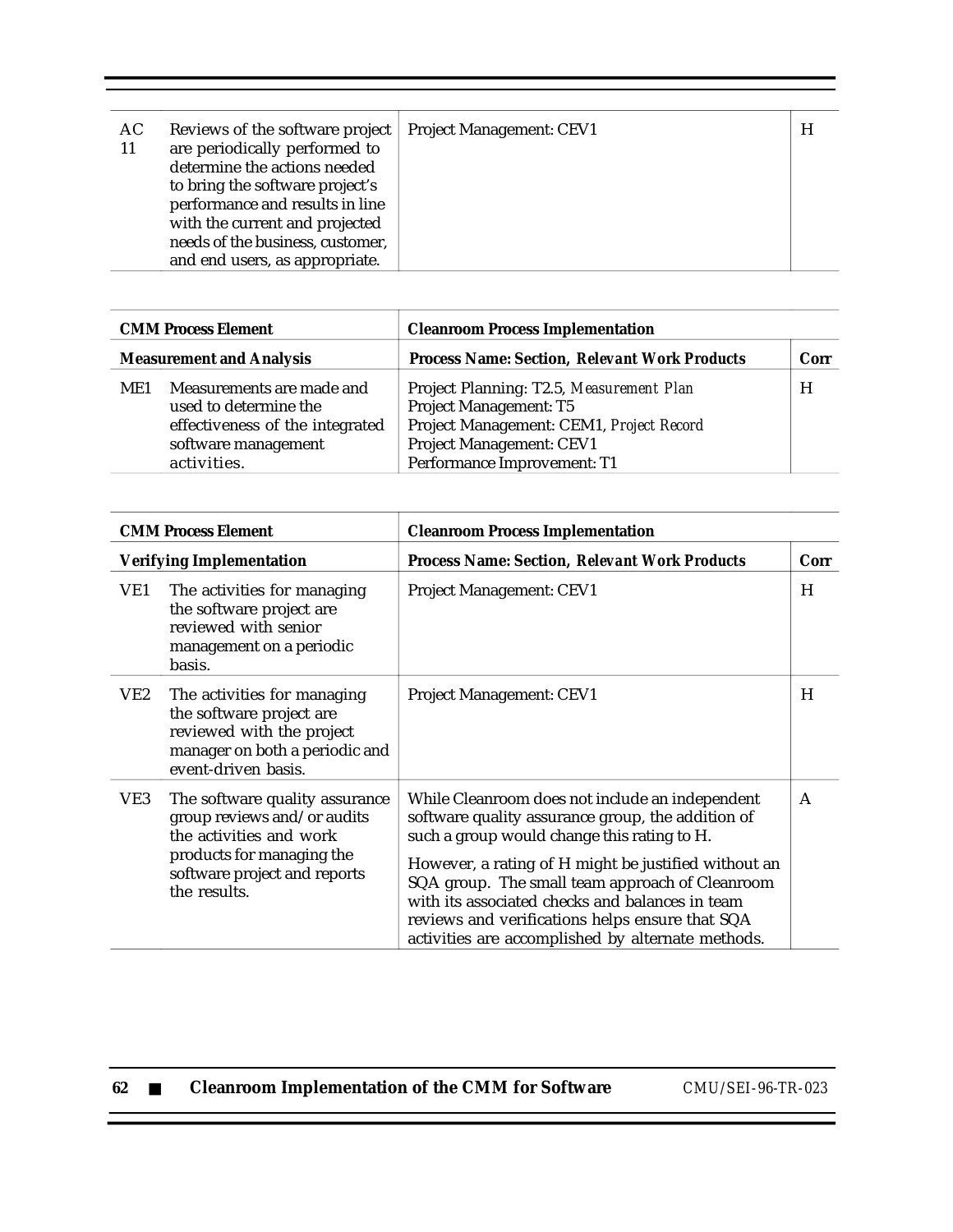| AC.<br>11 | Reviews of the software project<br>are periodically performed to<br>determine the actions needed<br>to bring the software project's<br>performance and results in line<br>with the current and projected<br>needs of the business, customer,<br>and end users, as appropriate. | <b>Project Management: CEV1</b> |  |  |
|-----------|--------------------------------------------------------------------------------------------------------------------------------------------------------------------------------------------------------------------------------------------------------------------------------|---------------------------------|--|--|
|-----------|--------------------------------------------------------------------------------------------------------------------------------------------------------------------------------------------------------------------------------------------------------------------------------|---------------------------------|--|--|

| <b>CMM Process Element</b><br><b>Measurement and Analysis</b>                                                                      |  | <b>Cleanroom Process Implementation</b>                                                                                                                                   |   |  |
|------------------------------------------------------------------------------------------------------------------------------------|--|---------------------------------------------------------------------------------------------------------------------------------------------------------------------------|---|--|
|                                                                                                                                    |  | <b>Process Name: Section, Relevant Work Products</b>                                                                                                                      |   |  |
| Measurements are made and<br>ME1<br>used to determine the<br>effectiveness of the integrated<br>software management<br>activities. |  | Project Planning: T2.5, Measurement Plan<br>Project Management: T5<br>Project Management: CEM1, Project Record<br>Project Management: CEV1<br>Performance Improvement: T1 | H |  |

 $\overline{1}$ 

| <b>CMM Process Element</b> |                                                                                                                                                                       | <b>Cleanroom Process Implementation</b>                                                                                                                                                                                                                                                                                                                                                                                   |      |
|----------------------------|-----------------------------------------------------------------------------------------------------------------------------------------------------------------------|---------------------------------------------------------------------------------------------------------------------------------------------------------------------------------------------------------------------------------------------------------------------------------------------------------------------------------------------------------------------------------------------------------------------------|------|
|                            | <b>Verifying Implementation</b>                                                                                                                                       | <b>Process Name: Section, Relevant Work Products</b>                                                                                                                                                                                                                                                                                                                                                                      | Corr |
| VE1                        | The activities for managing<br>the software project are<br>reviewed with senior<br>management on a periodic<br>basis.                                                 | Project Management: CEV1                                                                                                                                                                                                                                                                                                                                                                                                  | H    |
| VE2                        | The activities for managing<br>the software project are<br>reviewed with the project<br>manager on both a periodic and<br>event-driven basis.                         | <b>Project Management: CEV1</b>                                                                                                                                                                                                                                                                                                                                                                                           | H    |
| VE3                        | The software quality assurance<br>group reviews and/or audits<br>the activities and work<br>products for managing the<br>software project and reports<br>the results. | While Cleanroom does not include an independent<br>software quality assurance group, the addition of<br>such a group would change this rating to H.<br>However, a rating of H might be justified without an<br>SQA group. The small team approach of Cleanroom<br>with its associated checks and balances in team<br>reviews and verifications helps ensure that SQA<br>activities are accomplished by alternate methods. | A    |

| 62 |  |  |  | <b>Cleanroom Implementation of the CMM for Software</b> |
|----|--|--|--|---------------------------------------------------------|
|----|--|--|--|---------------------------------------------------------|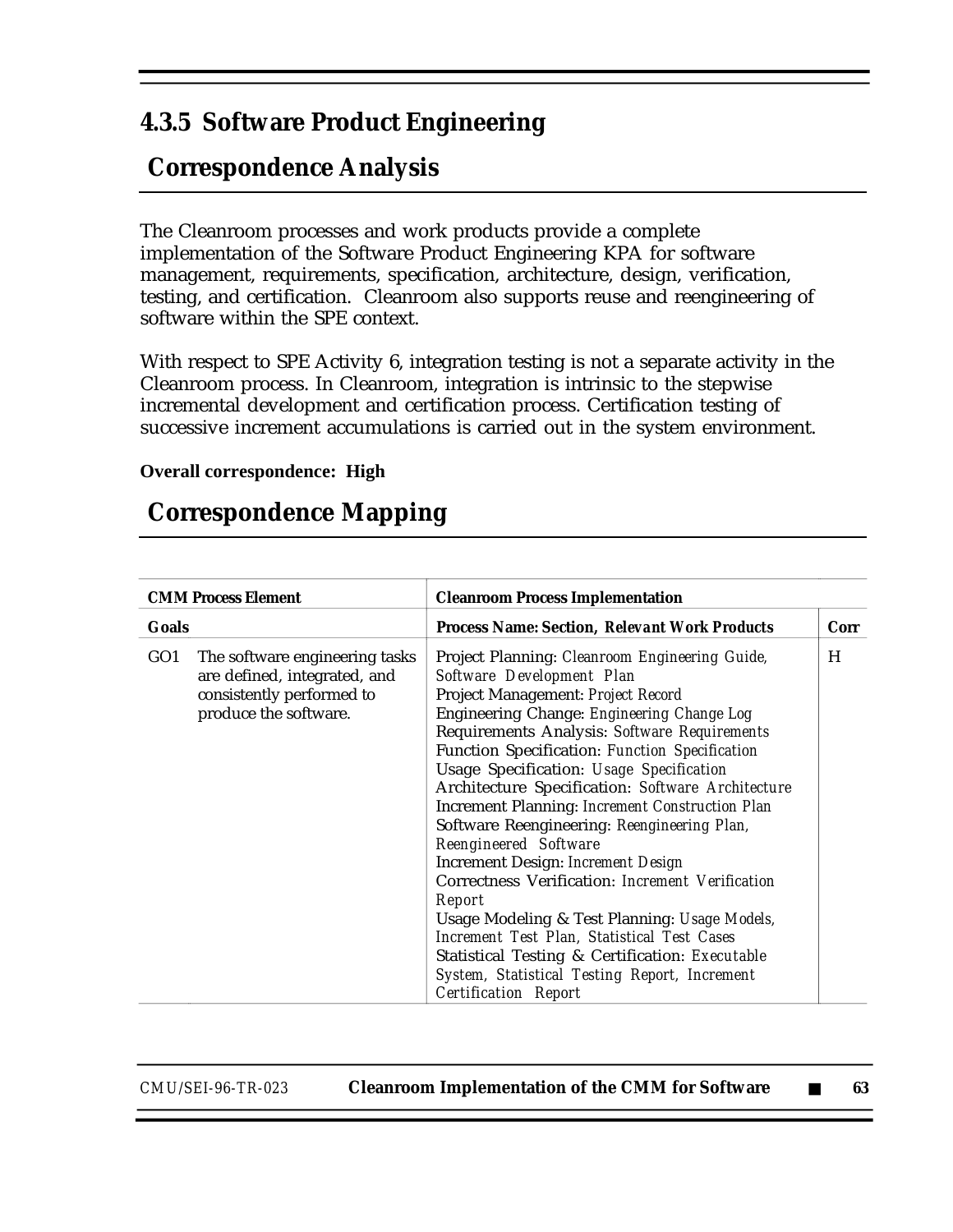### **4.3.5 Software Product Engineering**

## **Correspondence Analysis**

The Cleanroom processes and work products provide a complete implementation of the Software Product Engineering KPA for software management, requirements, specification, architecture, design, verification, testing, and certification. Cleanroom also supports reuse and reengineering of software within the SPE context.

With respect to SPE Activity 6, integration testing is not a separate activity in the Cleanroom process. In Cleanroom, integration is intrinsic to the stepwise incremental development and certification process. Certification testing of successive increment accumulations is carried out in the system environment.

#### **Overall correspondence: High**

#### **Correspondence Mapping**

| <b>CMM Process Element</b> |                                                                                                                      | <b>Cleanroom Process Implementation</b>                                                                                                                                                                                                                                                                                                                                                                                                                                                                                                                                                                                                                                                                                                                                                                                                            |             |  |
|----------------------------|----------------------------------------------------------------------------------------------------------------------|----------------------------------------------------------------------------------------------------------------------------------------------------------------------------------------------------------------------------------------------------------------------------------------------------------------------------------------------------------------------------------------------------------------------------------------------------------------------------------------------------------------------------------------------------------------------------------------------------------------------------------------------------------------------------------------------------------------------------------------------------------------------------------------------------------------------------------------------------|-------------|--|
| Goals                      |                                                                                                                      | <b>Process Name: Section, Relevant Work Products</b>                                                                                                                                                                                                                                                                                                                                                                                                                                                                                                                                                                                                                                                                                                                                                                                               | <b>Corr</b> |  |
| GO1                        | The software engineering tasks<br>are defined, integrated, and<br>consistently performed to<br>produce the software. | Project Planning: Cleanroom Engineering Guide,<br>Software Development Plan<br>Project Management: Project Record<br>Engineering Change: Engineering Change Log<br>Requirements Analysis: Software Requirements<br>Function Specification: Function Specification<br>Usage Specification: Usage Specification<br>Architecture Specification: Software Architecture<br><b>Increment Planning: Increment Construction Plan</b><br>Software Reengineering: Reengineering Plan,<br>Reengineered Software<br><b>Increment Design: Increment Design</b><br>Correctness Verification: Increment Verification<br>Report<br>Usage Modeling & Test Planning: Usage Models,<br>Increment Test Plan, Statistical Test Cases<br>Statistical Testing & Certification: Executable<br>System, Statistical Testing Report, Increment<br><b>Certification Report</b> | H           |  |

*CMU/SEI-96-TR-023* **Cleanroom Implementation of the CMM for Software** ■ **63**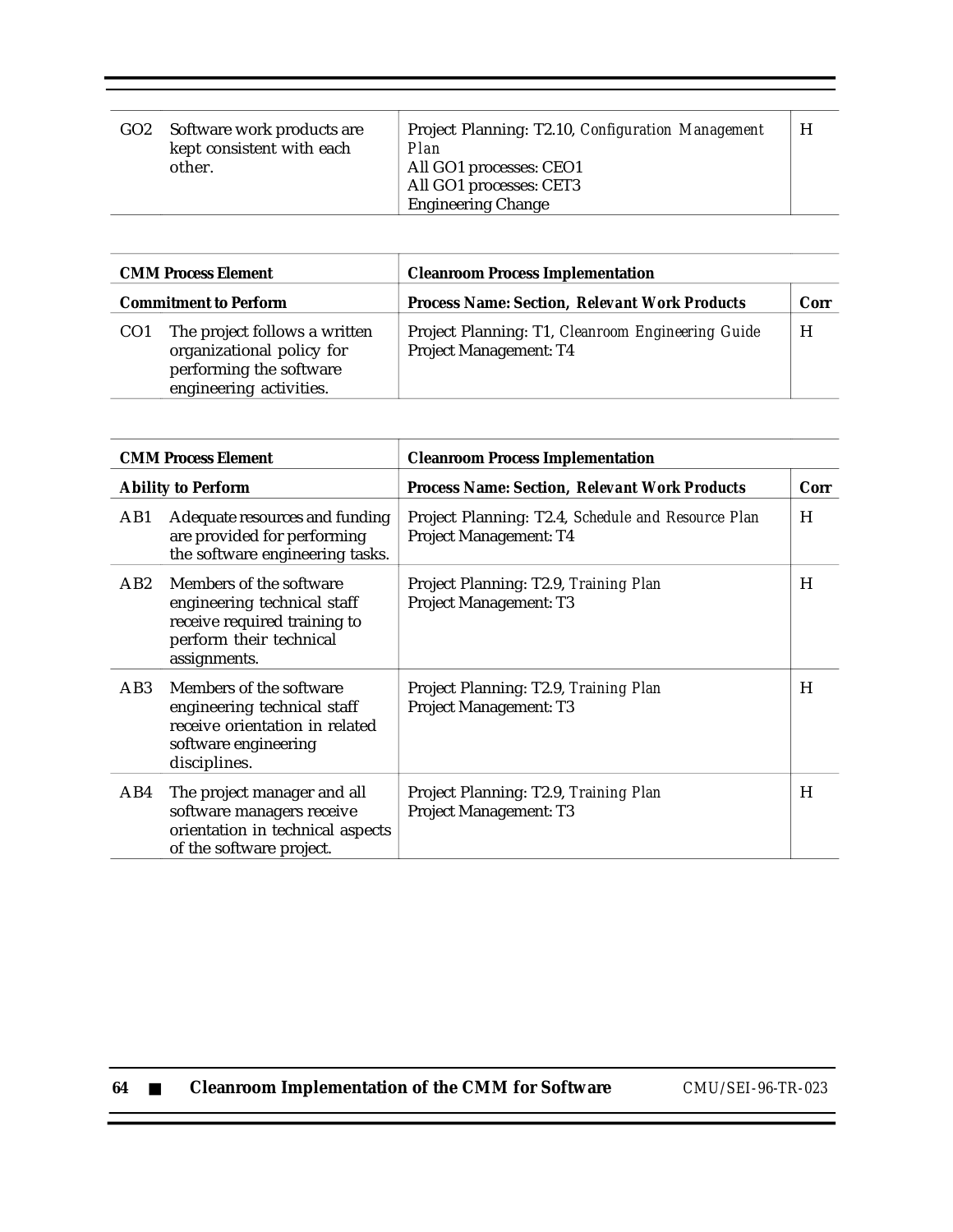| GO <sub>2</sub> | Software work products are<br>kept consistent with each<br>other. | Project Planning: T2.10, Configuration Management<br>Plan<br>All GO1 processes: CEO1<br>All GO1 processes: CET3<br><b>Engineering Change</b> | H |
|-----------------|-------------------------------------------------------------------|----------------------------------------------------------------------------------------------------------------------------------------------|---|
|                 |                                                                   |                                                                                                                                              |   |

| <b>CMM Process Element</b><br><b>Commitment to Perform</b> |                                                                                                                  | <b>Cleanroom Process Implementation</b>                                            |      |  |
|------------------------------------------------------------|------------------------------------------------------------------------------------------------------------------|------------------------------------------------------------------------------------|------|--|
|                                                            |                                                                                                                  | <b>Process Name: Section, Relevant Work Products</b>                               | Corr |  |
| CO <sub>1</sub>                                            | The project follows a written<br>organizational policy for<br>performing the software<br>engineering activities. | Project Planning: T1, Cleanroom Engineering Guide<br><b>Project Management: T4</b> | H    |  |

| <b>CMM Process Element</b> |                                                                                                                                   | <b>Cleanroom Process Implementation</b>                                      |      |  |
|----------------------------|-----------------------------------------------------------------------------------------------------------------------------------|------------------------------------------------------------------------------|------|--|
|                            | <b>Ability to Perform</b>                                                                                                         | <b>Process Name: Section, Relevant Work Products</b>                         | Corr |  |
| AB1                        | Adequate resources and funding<br>are provided for performing<br>the software engineering tasks.                                  | Project Planning: T2.4, Schedule and Resource Plan<br>Project Management: T4 | H    |  |
| AB2                        | Members of the software<br>engineering technical staff<br>receive required training to<br>perform their technical<br>assignments. | Project Planning: T2.9, Training Plan<br>Project Management: T3              | H    |  |
| AB3                        | Members of the software<br>engineering technical staff<br>receive orientation in related<br>software engineering<br>disciplines.  | Project Planning: T2.9, Training Plan<br><b>Project Management: T3</b>       | H    |  |
| AB4                        | The project manager and all<br>software managers receive<br>orientation in technical aspects<br>of the software project.          | Project Planning: T2.9, Training Plan<br>Project Management: T3              | H    |  |

| 64 |  |  |  |  | <b>Cleanroom Implementation of the CMM for Software</b> |
|----|--|--|--|--|---------------------------------------------------------|
|----|--|--|--|--|---------------------------------------------------------|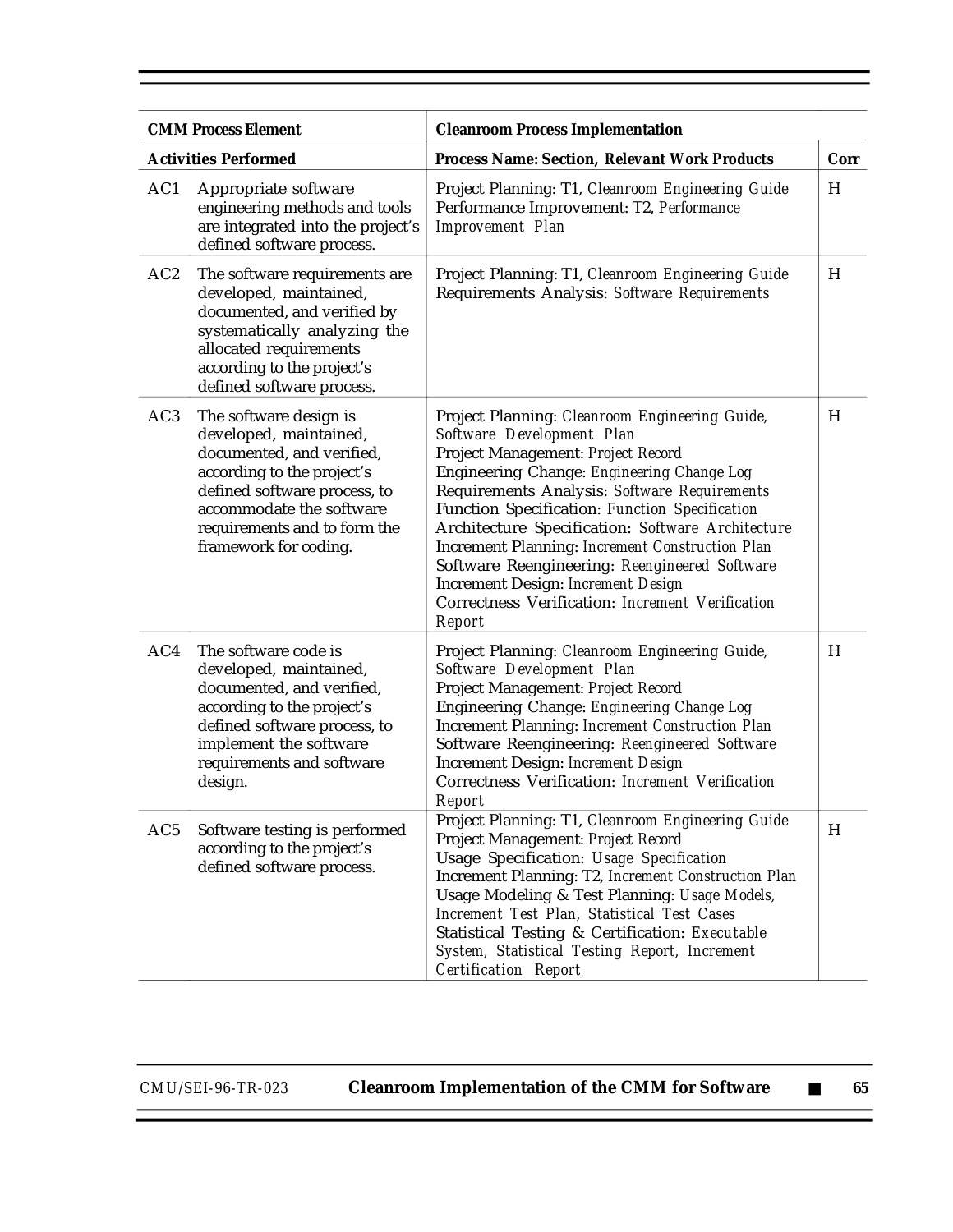|                 | <b>CMM Process Element</b>                                                                                                                                                                                                       | <b>Cleanroom Process Implementation</b>                                                                                                                                                                                                                                                                                                                                                                                                                                                                                                      |      |
|-----------------|----------------------------------------------------------------------------------------------------------------------------------------------------------------------------------------------------------------------------------|----------------------------------------------------------------------------------------------------------------------------------------------------------------------------------------------------------------------------------------------------------------------------------------------------------------------------------------------------------------------------------------------------------------------------------------------------------------------------------------------------------------------------------------------|------|
|                 | <b>Activities Performed</b>                                                                                                                                                                                                      | <b>Process Name: Section, Relevant Work Products</b>                                                                                                                                                                                                                                                                                                                                                                                                                                                                                         | Corr |
| AC1             | Appropriate software<br>engineering methods and tools<br>are integrated into the project's<br>defined software process.                                                                                                          | Project Planning: T1, Cleanroom Engineering Guide<br>Performance Improvement: T2, Performance<br><b>Improvement Plan</b>                                                                                                                                                                                                                                                                                                                                                                                                                     | H    |
| AC2             | The software requirements are<br>developed, maintained,<br>documented, and verified by<br>systematically analyzing the<br>allocated requirements<br>according to the project's<br>defined software process.                      | Project Planning: T1, Cleanroom Engineering Guide<br>Requirements Analysis: Software Requirements                                                                                                                                                                                                                                                                                                                                                                                                                                            | H    |
| AC <sub>3</sub> | The software design is<br>developed, maintained,<br>documented, and verified,<br>according to the project's<br>defined software process, to<br>accommodate the software<br>requirements and to form the<br>framework for coding. | Project Planning: Cleanroom Engineering Guide,<br>Software Development Plan<br>Project Management: Project Record<br>Engineering Change: Engineering Change Log<br>Requirements Analysis: Software Requirements<br>Function Specification: Function Specification<br>Architecture Specification: Software Architecture<br><b>Increment Planning: Increment Construction Plan</b><br>Software Reengineering: Reengineered Software<br><b>Increment Design: Increment Design</b><br>Correctness Verification: Increment Verification<br>Report | H    |
| AC4             | The software code is<br>developed, maintained,<br>documented, and verified,<br>according to the project's<br>defined software process, to<br>implement the software<br>requirements and software<br>design.                      | Project Planning: Cleanroom Engineering Guide,<br>Software Development Plan<br>Project Management: Project Record<br>Engineering Change: Engineering Change Log<br><b>Increment Planning: Increment Construction Plan</b><br>Software Reengineering: Reengineered Software<br>Increment Design: Increment Design<br>Correctness Verification: Increment Verification<br>Report                                                                                                                                                               | H    |
| AC5             | Software testing is performed<br>according to the project's<br>defined software process.                                                                                                                                         | Project Planning: T1, Cleanroom Engineering Guide<br>Project Management: Project Record<br>Usage Specification: Usage Specification<br>Increment Planning: T2, Increment Construction Plan<br>Usage Modeling & Test Planning: Usage Models,<br>Increment Test Plan, Statistical Test Cases<br>Statistical Testing & Certification: Executable<br><b>System, Statistical Testing Report, Increment</b><br><b>Certification Report</b>                                                                                                         | H    |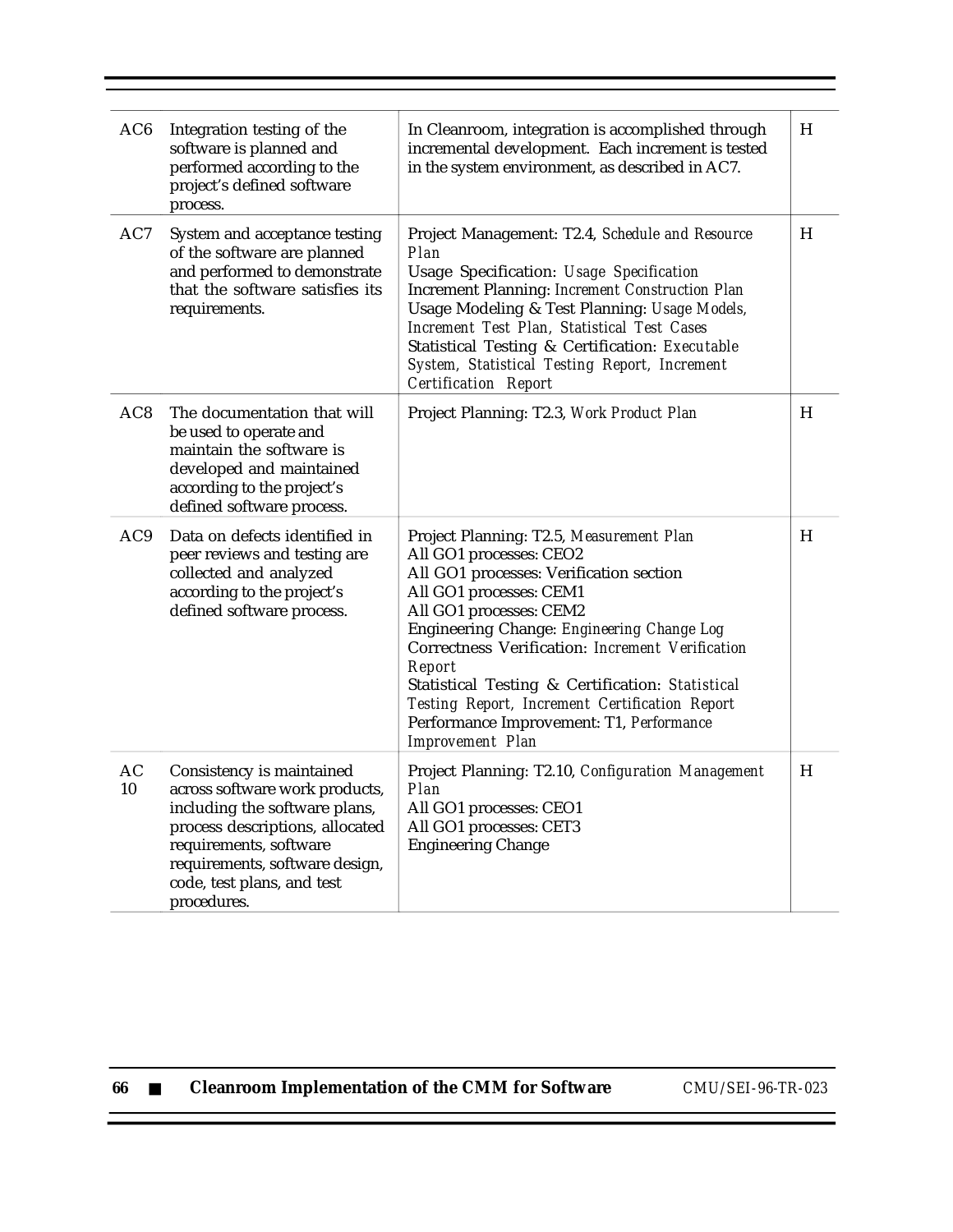| AC6             | Integration testing of the<br>software is planned and<br>performed according to the<br>project's defined software<br>process.                                                                                                            | In Cleanroom, integration is accomplished through<br>incremental development. Each increment is tested<br>in the system environment, as described in AC7.                                                                                                                                                                                                                                                                                                     | H |
|-----------------|------------------------------------------------------------------------------------------------------------------------------------------------------------------------------------------------------------------------------------------|---------------------------------------------------------------------------------------------------------------------------------------------------------------------------------------------------------------------------------------------------------------------------------------------------------------------------------------------------------------------------------------------------------------------------------------------------------------|---|
| AC7             | System and acceptance testing<br>of the software are planned<br>and performed to demonstrate<br>that the software satisfies its<br>requirements.                                                                                         | Project Management: T2.4, Schedule and Resource<br>Plan<br>Usage Specification: Usage Specification<br><b>Increment Planning: Increment Construction Plan</b><br>Usage Modeling & Test Planning: Usage Models,<br>Increment Test Plan, Statistical Test Cases<br>Statistical Testing & Certification: Executable<br>System, Statistical Testing Report, Increment<br><b>Certification Report</b>                                                              | H |
| AC <sub>8</sub> | The documentation that will<br>be used to operate and<br>maintain the software is<br>developed and maintained<br>according to the project's<br>defined software process.                                                                 | Project Planning: T2.3, Work Product Plan                                                                                                                                                                                                                                                                                                                                                                                                                     | H |
| AC9             | Data on defects identified in<br>peer reviews and testing are<br>collected and analyzed<br>according to the project's<br>defined software process.                                                                                       | Project Planning: T2.5, Measurement Plan<br>All GO1 processes: CEO2<br>All GO1 processes: Verification section<br>All GO1 processes: CEM1<br>All GO1 processes: CEM2<br>Engineering Change: Engineering Change Log<br>Correctness Verification: Increment Verification<br>Report<br>Statistical Testing & Certification: Statistical<br>Testing Report, Increment Certification Report<br>Performance Improvement: T1, Performance<br><b>Improvement Plan</b> | H |
| AC<br>10        | Consistency is maintained<br>across software work products,<br>including the software plans,<br>process descriptions, allocated<br>requirements, software<br>requirements, software design,<br>code, test plans, and test<br>procedures. | Project Planning: T2.10, Configuration Management<br><b>Plan</b><br>All GO1 processes: CEO1<br>All GO1 processes: CET3<br><b>Engineering Change</b>                                                                                                                                                                                                                                                                                                           | H |

| 66 |  |  | <b>Cleanroom Implementation of the CMM for Software</b> |  |  |  |
|----|--|--|---------------------------------------------------------|--|--|--|
|----|--|--|---------------------------------------------------------|--|--|--|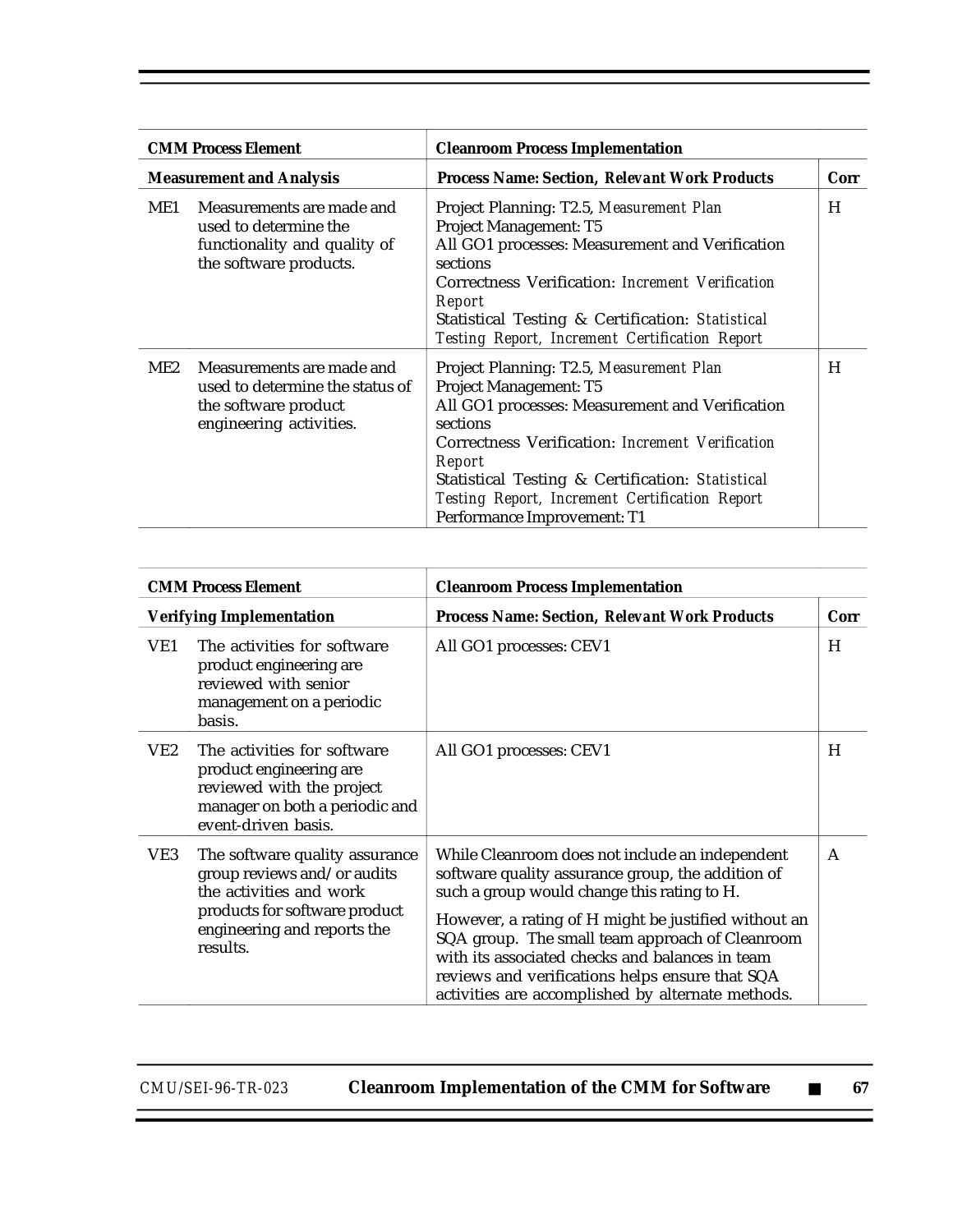| <b>CMM Process Element</b> |                                                                                                                 | <b>Cleanroom Process Implementation</b>                                                                                                                                                                                                                                                                                                     |      |  |
|----------------------------|-----------------------------------------------------------------------------------------------------------------|---------------------------------------------------------------------------------------------------------------------------------------------------------------------------------------------------------------------------------------------------------------------------------------------------------------------------------------------|------|--|
|                            | <b>Measurement and Analysis</b>                                                                                 | <b>Process Name: Section, Relevant Work Products</b>                                                                                                                                                                                                                                                                                        | Corr |  |
| ME1                        | Measurements are made and<br>used to determine the<br>functionality and quality of<br>the software products.    | Project Planning: T2.5, Measurement Plan<br><b>Project Management: T5</b><br>All GO1 processes: Measurement and Verification<br>sections<br>Correctness Verification: Increment Verification<br>Report<br>Statistical Testing & Certification: Statistical<br><b>Testing Report, Increment Certification Report</b>                         | H    |  |
| ME2                        | Measurements are made and<br>used to determine the status of<br>the software product<br>engineering activities. | Project Planning: T2.5, Measurement Plan<br><b>Project Management: T5</b><br>All GO1 processes: Measurement and Verification<br>sections<br>Correctness Verification: Increment Verification<br>Report<br>Statistical Testing & Certification: Statistical<br>Testing Report, Increment Certification Report<br>Performance Improvement: T1 | H    |  |

| <b>CMM Process Element</b> |                                                                                                                                                                      | <b>Cleanroom Process Implementation</b>                                                                                                                                                                                                                                                                                                                                                                                   |      |  |
|----------------------------|----------------------------------------------------------------------------------------------------------------------------------------------------------------------|---------------------------------------------------------------------------------------------------------------------------------------------------------------------------------------------------------------------------------------------------------------------------------------------------------------------------------------------------------------------------------------------------------------------------|------|--|
|                            | <b>Verifying Implementation</b>                                                                                                                                      | <b>Process Name: Section, Relevant Work Products</b>                                                                                                                                                                                                                                                                                                                                                                      | Corr |  |
| VE1                        | The activities for software<br>product engineering are<br>reviewed with senior<br>management on a periodic<br>basis.                                                 | All GO1 processes: CEV1                                                                                                                                                                                                                                                                                                                                                                                                   | H    |  |
| VE2                        | The activities for software<br>product engineering are<br>reviewed with the project<br>manager on both a periodic and<br>event-driven basis.                         | All GO1 processes: CEV1                                                                                                                                                                                                                                                                                                                                                                                                   | H    |  |
| VE3                        | The software quality assurance<br>group reviews and/or audits<br>the activities and work<br>products for software product<br>engineering and reports the<br>results. | While Cleanroom does not include an independent<br>software quality assurance group, the addition of<br>such a group would change this rating to H.<br>However, a rating of H might be justified without an<br>SQA group. The small team approach of Cleanroom<br>with its associated checks and balances in team<br>reviews and verifications helps ensure that SQA<br>activities are accomplished by alternate methods. | A    |  |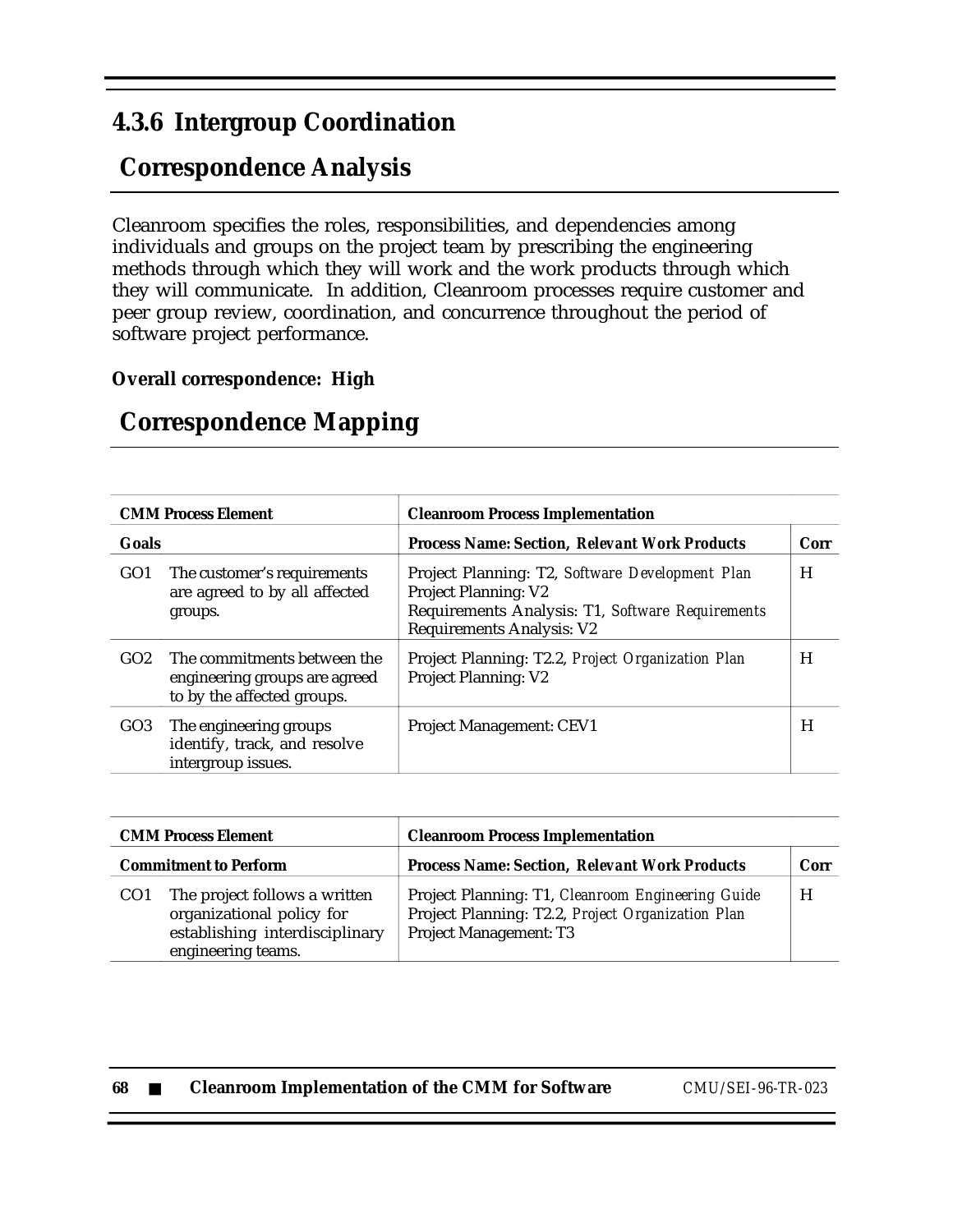### **4.3.6 Intergroup Coordination**

# **Correspondence Analysis**

Cleanroom specifies the roles, responsibilities, and dependencies among individuals and groups on the project team by prescribing the engineering methods through which they will work and the work products through which they will communicate. In addition, Cleanroom processes require customer and peer group review, coordination, and concurrence throughout the period of software project performance.

### **Overall correspondence: High**

| <b>CMM Process Element</b> |                                                                                            | <b>Cleanroom Process Implementation</b>                                                                                                                                |      |  |
|----------------------------|--------------------------------------------------------------------------------------------|------------------------------------------------------------------------------------------------------------------------------------------------------------------------|------|--|
| Goals                      |                                                                                            | <b>Process Name: Section, Relevant Work Products</b>                                                                                                                   | Corr |  |
| GO <sub>1</sub>            | The customer's requirements<br>are agreed to by all affected<br>groups.                    | Project Planning: T2, Software Development Plan<br><b>Project Planning: V2</b><br>Requirements Analysis: T1, Software Requirements<br><b>Requirements Analysis: V2</b> | H    |  |
| GO <sub>2</sub>            | The commitments between the<br>engineering groups are agreed<br>to by the affected groups. | Project Planning: T2.2, Project Organization Plan<br><b>Project Planning: V2</b>                                                                                       | H    |  |
| GO <sub>3</sub>            | The engineering groups<br>identify, track, and resolve<br>intergroup issues.               | Project Management: CEV1                                                                                                                                               | H    |  |

### **Correspondence Mapping**

| <b>CMM Process Element</b>   |                                                                                                                    | <b>Cleanroom Process Implementation</b>                                                                                                 |      |  |
|------------------------------|--------------------------------------------------------------------------------------------------------------------|-----------------------------------------------------------------------------------------------------------------------------------------|------|--|
| <b>Commitment to Perform</b> |                                                                                                                    | <b>Process Name: Section, Relevant Work Products</b>                                                                                    | Corr |  |
|                              | The project follows a written<br>organizational policy for<br>establishing interdisciplinary<br>engineering teams. | Project Planning: T1, Cleanroom Engineering Guide<br>Project Planning: T2.2, Project Organization Plan<br><b>Project Management: T3</b> | H    |  |

| 68 |  | <b>Cleanroom Implementation of the CMM for Software</b> |
|----|--|---------------------------------------------------------|
|----|--|---------------------------------------------------------|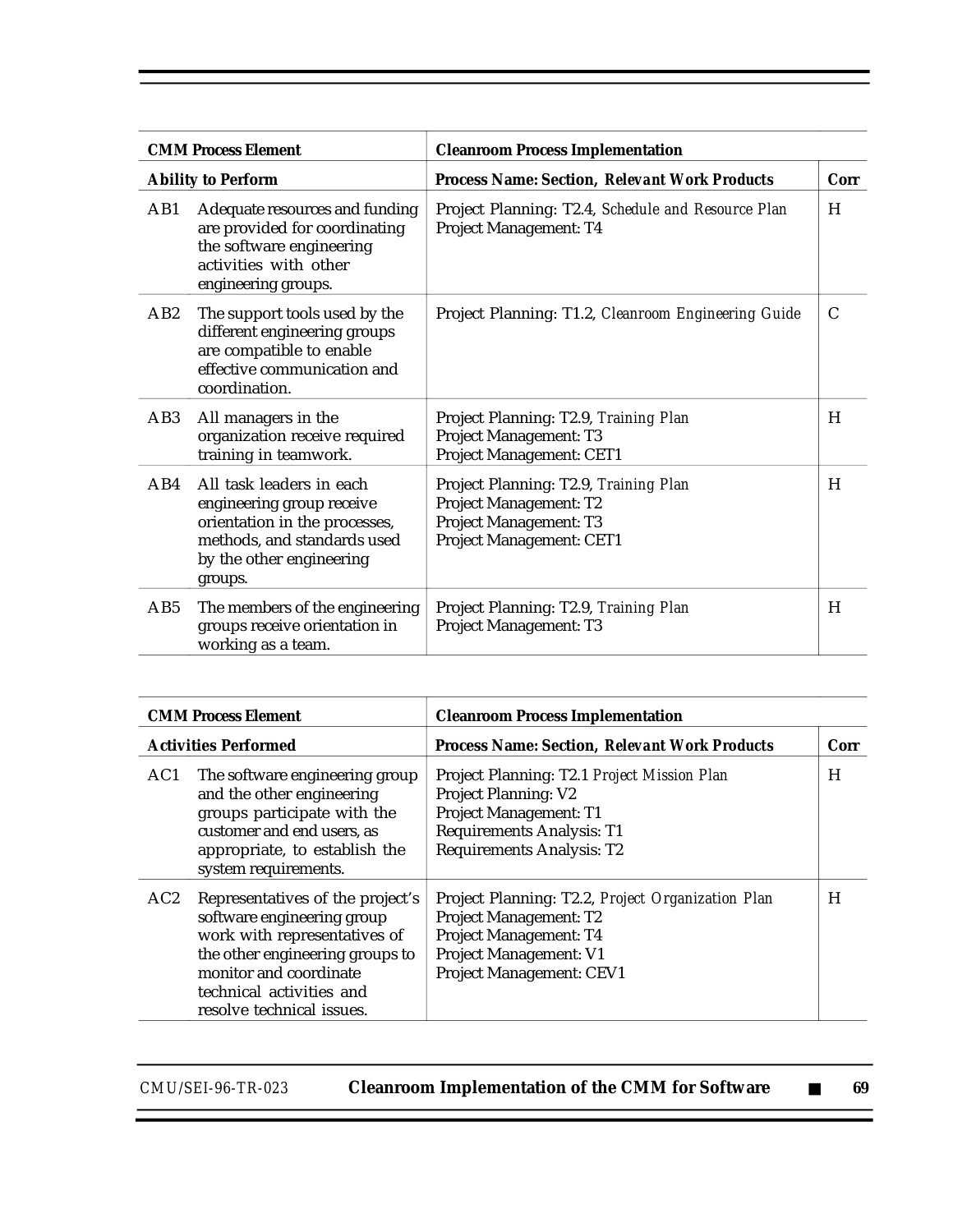| <b>CMM Process Element</b> |                                                                                                                                                              | <b>Cleanroom Process Implementation</b>                                                                               |      |  |
|----------------------------|--------------------------------------------------------------------------------------------------------------------------------------------------------------|-----------------------------------------------------------------------------------------------------------------------|------|--|
|                            | <b>Ability to Perform</b>                                                                                                                                    | <b>Process Name: Section, Relevant Work Products</b>                                                                  | Corr |  |
| AB1                        | Adequate resources and funding<br>are provided for coordinating<br>the software engineering<br>activities with other<br>engineering groups.                  | Project Planning: T2.4, Schedule and Resource Plan<br>Project Management: T4                                          | H    |  |
| AB2                        | The support tools used by the<br>different engineering groups<br>are compatible to enable<br>effective communication and<br>coordination.                    | Project Planning: T1.2, Cleanroom Engineering Guide                                                                   | C    |  |
| AB <sub>3</sub>            | All managers in the<br>organization receive required<br>training in teamwork.                                                                                | Project Planning: T2.9, Training Plan<br><b>Project Management: T3</b><br>Project Management: CET1                    | H    |  |
| AB4                        | All task leaders in each<br>engineering group receive<br>orientation in the processes,<br>methods, and standards used<br>by the other engineering<br>groups. | Project Planning: T2.9, Training Plan<br>Project Management: T2<br>Project Management: T3<br>Project Management: CET1 | H    |  |
| AB5                        | The members of the engineering<br>groups receive orientation in<br>working as a team.                                                                        | Project Planning: T2.9, Training Plan<br>Project Management: T3                                                       | H    |  |

| <b>CMM Process Element</b> |                                                                                                                                                                                                                      | <b>Cleanroom Process Implementation</b>                                                                                                                                      |      |  |
|----------------------------|----------------------------------------------------------------------------------------------------------------------------------------------------------------------------------------------------------------------|------------------------------------------------------------------------------------------------------------------------------------------------------------------------------|------|--|
|                            | <b>Activities Performed</b>                                                                                                                                                                                          | <b>Process Name: Section, Relevant Work Products</b>                                                                                                                         | Corr |  |
| AC1                        | The software engineering group<br>and the other engineering<br>groups participate with the<br>customer and end users, as<br>appropriate, to establish the<br>system requirements.                                    | Project Planning: T2.1 Project Mission Plan<br><b>Project Planning: V2</b><br>Project Management: T1<br><b>Requirements Analysis: T1</b><br><b>Requirements Analysis: T2</b> | H    |  |
| AC2                        | Representatives of the project's<br>software engineering group<br>work with representatives of<br>the other engineering groups to<br>monitor and coordinate<br>technical activities and<br>resolve technical issues. | Project Planning: T2.2, Project Organization Plan<br>Project Management: T2<br>Project Management: T4<br>Project Management: V1<br>Project Management: CEV1                  | H    |  |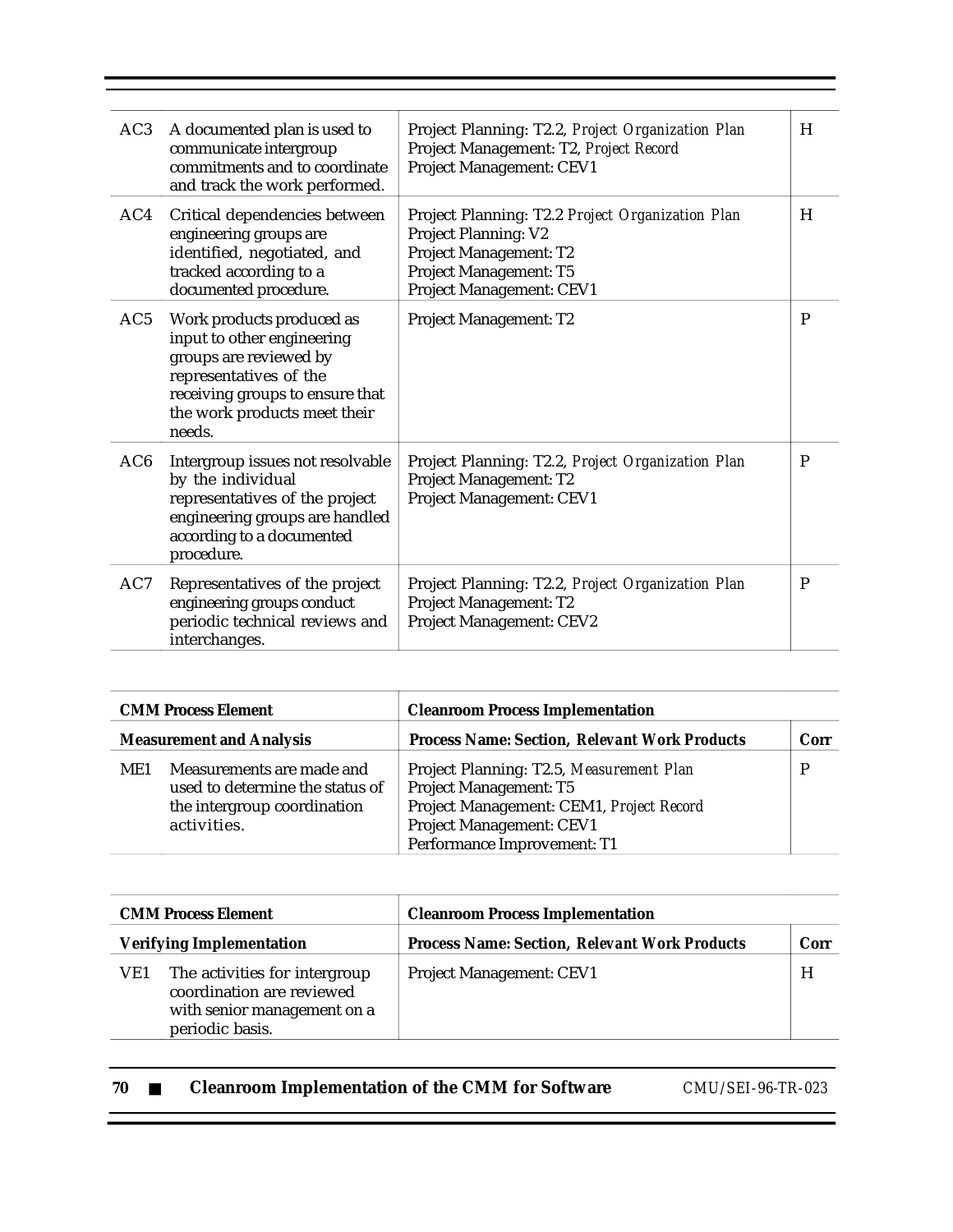| AC3             | A documented plan is used to<br>communicate intergroup<br>commitments and to coordinate<br>and track the work performed.                                                                 | Project Planning: T2.2, Project Organization Plan<br>Project Management: T2, Project Record<br><b>Project Management: CEV1</b>                           | H            |
|-----------------|------------------------------------------------------------------------------------------------------------------------------------------------------------------------------------------|----------------------------------------------------------------------------------------------------------------------------------------------------------|--------------|
| AC4             | Critical dependencies between<br>engineering groups are<br>identified, negotiated, and<br>tracked according to a<br>documented procedure.                                                | Project Planning: T2.2 Project Organization Plan<br>Project Planning: V2<br>Project Management: T2<br>Project Management: T5<br>Project Management: CEV1 | H            |
| AC5             | Work products produced as<br>input to other engineering<br>groups are reviewed by<br>representatives of the<br>receiving groups to ensure that<br>the work products meet their<br>needs. | Project Management: T2                                                                                                                                   | P            |
| AC <sub>6</sub> | Intergroup issues not resolvable<br>by the individual<br>representatives of the project<br>engineering groups are handled<br>according to a documented<br>procedure.                     | Project Planning: T2.2, Project Organization Plan<br>Project Management: T2<br>Project Management: CEV1                                                  | $\mathbf{P}$ |
| AC7             | Representatives of the project<br>engineering groups conduct<br>periodic technical reviews and<br>interchanges.                                                                          | Project Planning: T2.2, Project Organization Plan<br>Project Management: T2<br>Project Management: CEV2                                                  | P            |

| <b>CMM Process Element</b>      |                                                                                                            | <b>Cleanroom Process Implementation</b>                                                                                                                                   |      |  |
|---------------------------------|------------------------------------------------------------------------------------------------------------|---------------------------------------------------------------------------------------------------------------------------------------------------------------------------|------|--|
| <b>Measurement and Analysis</b> |                                                                                                            | <b>Process Name: Section, Relevant Work Products</b>                                                                                                                      | Corr |  |
| ME1                             | Measurements are made and<br>used to determine the status of<br>the intergroup coordination<br>activities. | Project Planning: T2.5, Measurement Plan<br>Project Management: T5<br>Project Management: CEM1, Project Record<br>Project Management: CEV1<br>Performance Improvement: T1 |      |  |

| <b>CMM Process Element</b>      |                                                                                                              | <b>Cleanroom Process Implementation</b>              |      |
|---------------------------------|--------------------------------------------------------------------------------------------------------------|------------------------------------------------------|------|
| <b>Verifying Implementation</b> |                                                                                                              | <b>Process Name: Section, Relevant Work Products</b> | Corr |
| VE1                             | The activities for intergroup<br>coordination are reviewed<br>with senior management on a<br>periodic basis. | <b>Project Management: CEV1</b>                      | H    |

| <b>Cleanroom Implementation of the CMM for Software</b><br>70 |  |
|---------------------------------------------------------------|--|
|---------------------------------------------------------------|--|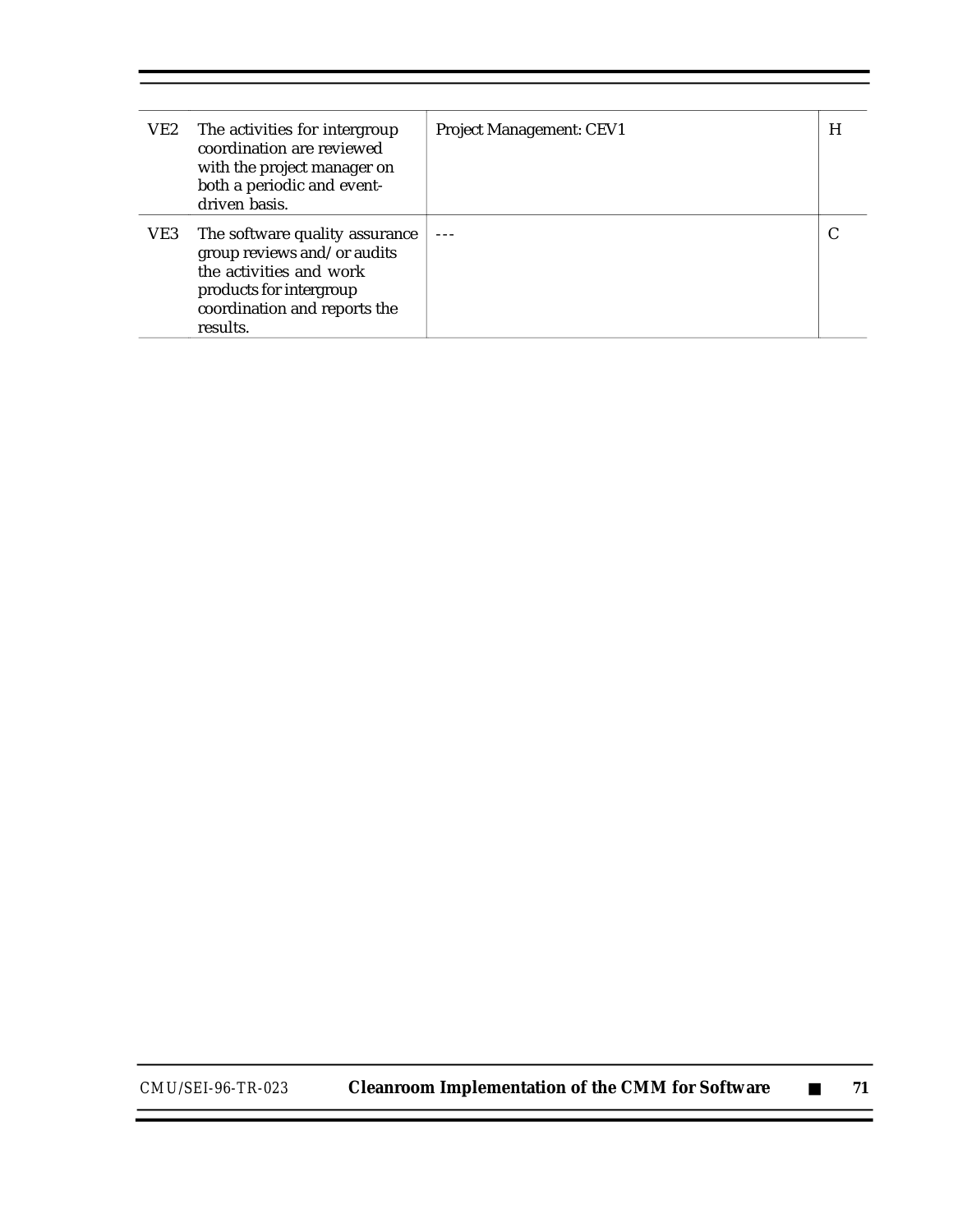| VE2 | The activities for intergroup<br>coordination are reviewed<br>with the project manager on<br>both a periodic and event-<br>driven basis.                        | <b>Project Management: CEV1</b> | H |
|-----|-----------------------------------------------------------------------------------------------------------------------------------------------------------------|---------------------------------|---|
| VE3 | The software quality assurance<br>group reviews and/or audits<br>the activities and work<br>products for intergroup<br>coordination and reports the<br>results. |                                 |   |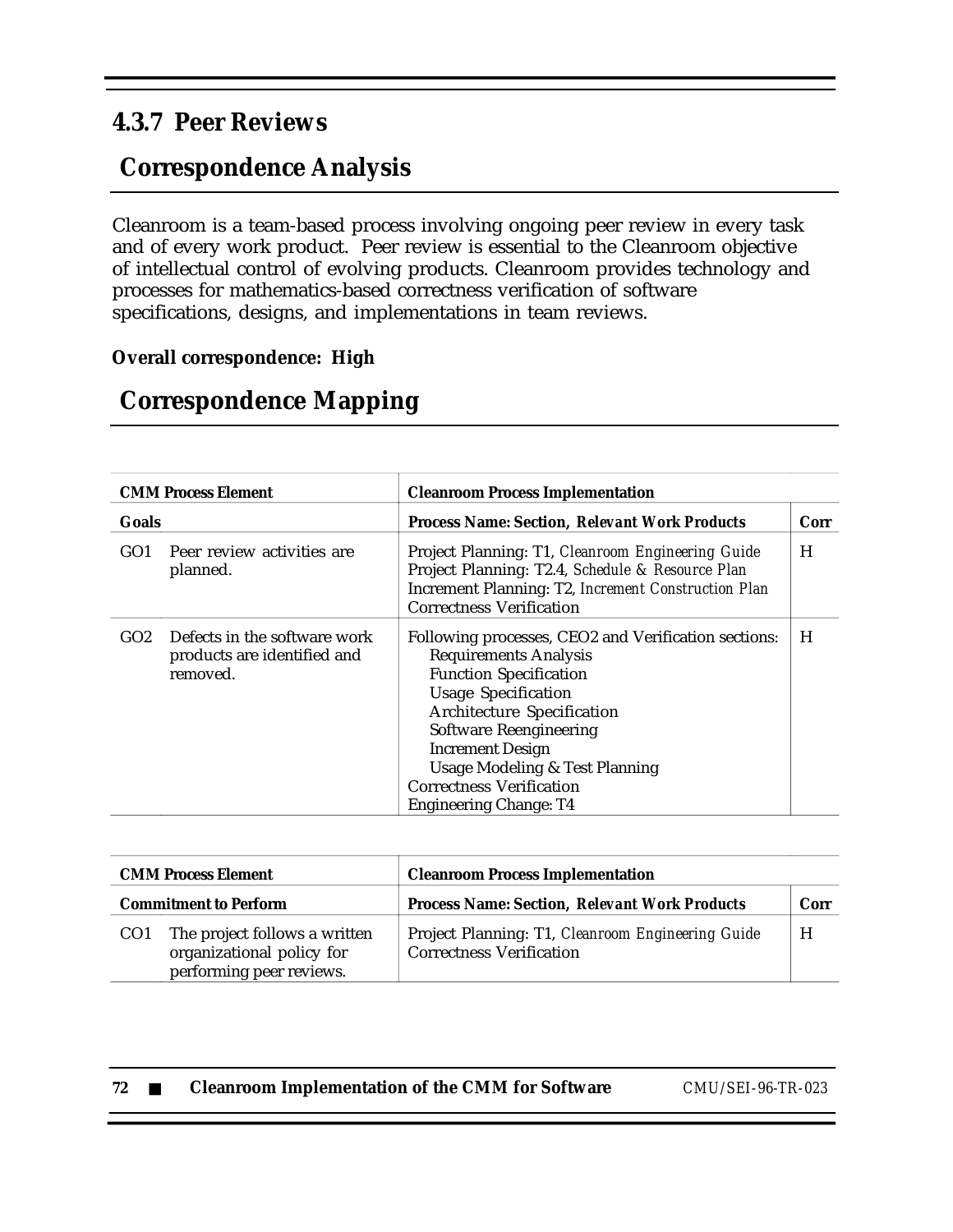### **4.3.7 Peer Reviews**

## **Correspondence Analysis**

Cleanroom is a team-based process involving ongoing peer review in every task and of every work product. Peer review is essential to the Cleanroom objective of intellectual control of evolving products. Cleanroom provides technology and processes for mathematics-based correctness verification of software specifications, designs, and implementations in team reviews.

### **Overall correspondence: High**

## **Correspondence Mapping**

| <b>CMM Process Element</b> |                                                                         | <b>Cleanroom Process Implementation</b>                                                                                                                                                                                                                                                                                                                        |      |
|----------------------------|-------------------------------------------------------------------------|----------------------------------------------------------------------------------------------------------------------------------------------------------------------------------------------------------------------------------------------------------------------------------------------------------------------------------------------------------------|------|
| <b>Goals</b>               |                                                                         | <b>Process Name: Section, Relevant Work Products</b>                                                                                                                                                                                                                                                                                                           | Corr |
| GO <sub>1</sub>            | Peer review activities are<br>planned.                                  | Project Planning: T1, Cleanroom Engineering Guide<br>Project Planning: T2.4, Schedule & Resource Plan<br>Increment Planning: T2, Increment Construction Plan<br><b>Correctness Verification</b>                                                                                                                                                                | H    |
| GO <sub>2</sub>            | Defects in the software work<br>products are identified and<br>removed. | Following processes, CEO2 and Verification sections:<br><b>Requirements Analysis</b><br><b>Function Specification</b><br><b>Usage Specification</b><br><b>Architecture Specification</b><br>Software Reengineering<br><b>Increment Design</b><br><b>Usage Modeling &amp; Test Planning</b><br><b>Correctness Verification</b><br><b>Engineering Change: T4</b> | H    |

|                              | <b>CMM Process Element</b>                                                             | <b>Cleanroom Process Implementation</b>                                              |      |
|------------------------------|----------------------------------------------------------------------------------------|--------------------------------------------------------------------------------------|------|
| <b>Commitment to Perform</b> |                                                                                        | <b>Process Name: Section, Relevant Work Products</b>                                 | Corr |
| CO <sub>1</sub>              | The project follows a written<br>organizational policy for<br>performing peer reviews. | Project Planning: T1, Cleanroom Engineering Guide<br><b>Correctness Verification</b> | H    |

| 72 | <b>Cleanroom Implementation of the CMM for Software</b> | CMU/SEI-96-TR-023 |
|----|---------------------------------------------------------|-------------------|
|    |                                                         |                   |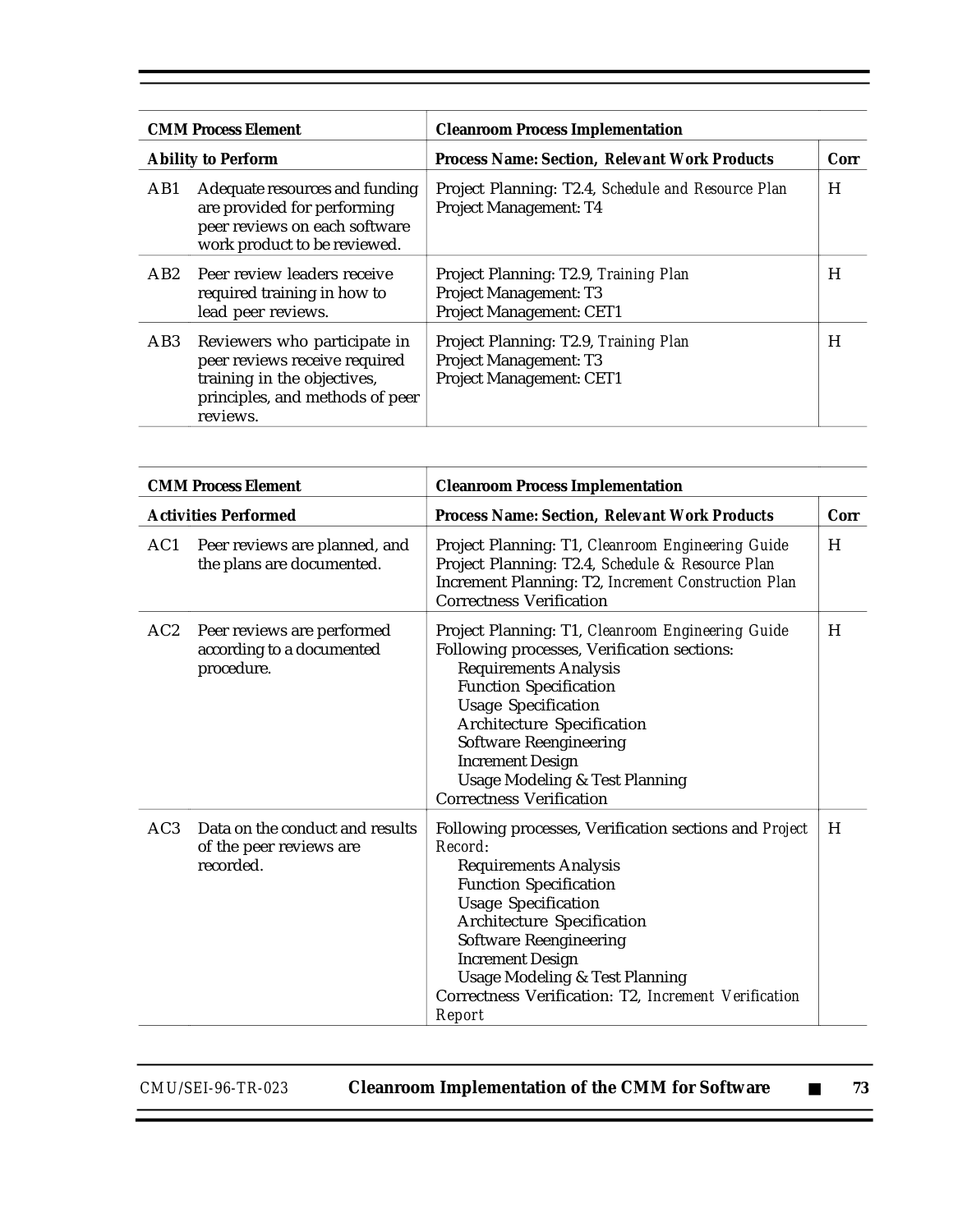| <b>CMM Process Element</b><br><b>Ability to Perform</b> |                                                                                                                                             | <b>Cleanroom Process Implementation</b>                                                            |      |
|---------------------------------------------------------|---------------------------------------------------------------------------------------------------------------------------------------------|----------------------------------------------------------------------------------------------------|------|
|                                                         |                                                                                                                                             | <b>Process Name: Section, Relevant Work Products</b>                                               | Corr |
| AB1                                                     | Adequate resources and funding<br>are provided for performing<br>peer reviews on each software<br>work product to be reviewed.              | Project Planning: T2.4, Schedule and Resource Plan<br>Project Management: T4                       | H    |
| AB2                                                     | Peer review leaders receive<br>required training in how to<br>lead peer reviews.                                                            | Project Planning: T2.9, Training Plan<br><b>Project Management: T3</b><br>Project Management: CET1 | н    |
| AB <sub>3</sub>                                         | Reviewers who participate in<br>peer reviews receive required<br>training in the objectives,<br>principles, and methods of peer<br>reviews. | Project Planning: T2.9, Training Plan<br>Project Management: T3<br>Project Management: CET1        | H    |

|     | <b>CMM Process Element</b>                                              | <b>Cleanroom Process Implementation</b>                                                                                                                                                                                                                                                                                                                                   |      |
|-----|-------------------------------------------------------------------------|---------------------------------------------------------------------------------------------------------------------------------------------------------------------------------------------------------------------------------------------------------------------------------------------------------------------------------------------------------------------------|------|
|     | <b>Activities Performed</b>                                             | <b>Process Name: Section, Relevant Work Products</b>                                                                                                                                                                                                                                                                                                                      | Corr |
| AC1 | Peer reviews are planned, and<br>the plans are documented.              | Project Planning: T1, Cleanroom Engineering Guide<br>Project Planning: T2.4, Schedule & Resource Plan<br>Increment Planning: T2, Increment Construction Plan<br><b>Correctness Verification</b>                                                                                                                                                                           | H    |
| AC2 | Peer reviews are performed<br>according to a documented<br>procedure.   | Project Planning: T1, Cleanroom Engineering Guide<br>Following processes, Verification sections:<br><b>Requirements Analysis</b><br><b>Function Specification</b><br><b>Usage Specification</b><br>Architecture Specification<br><b>Software Reengineering</b><br><b>Increment Design</b><br><b>Usage Modeling &amp; Test Planning</b><br><b>Correctness Verification</b> | H    |
| AC3 | Data on the conduct and results<br>of the peer reviews are<br>recorded. | Following processes, Verification sections and Project<br>Record:<br><b>Requirements Analysis</b><br><b>Function Specification</b><br><b>Usage Specification</b><br>Architecture Specification<br><b>Software Reengineering</b><br><b>Increment Design</b><br><b>Usage Modeling &amp; Test Planning</b><br>Correctness Verification: T2, Increment Verification<br>Report | H    |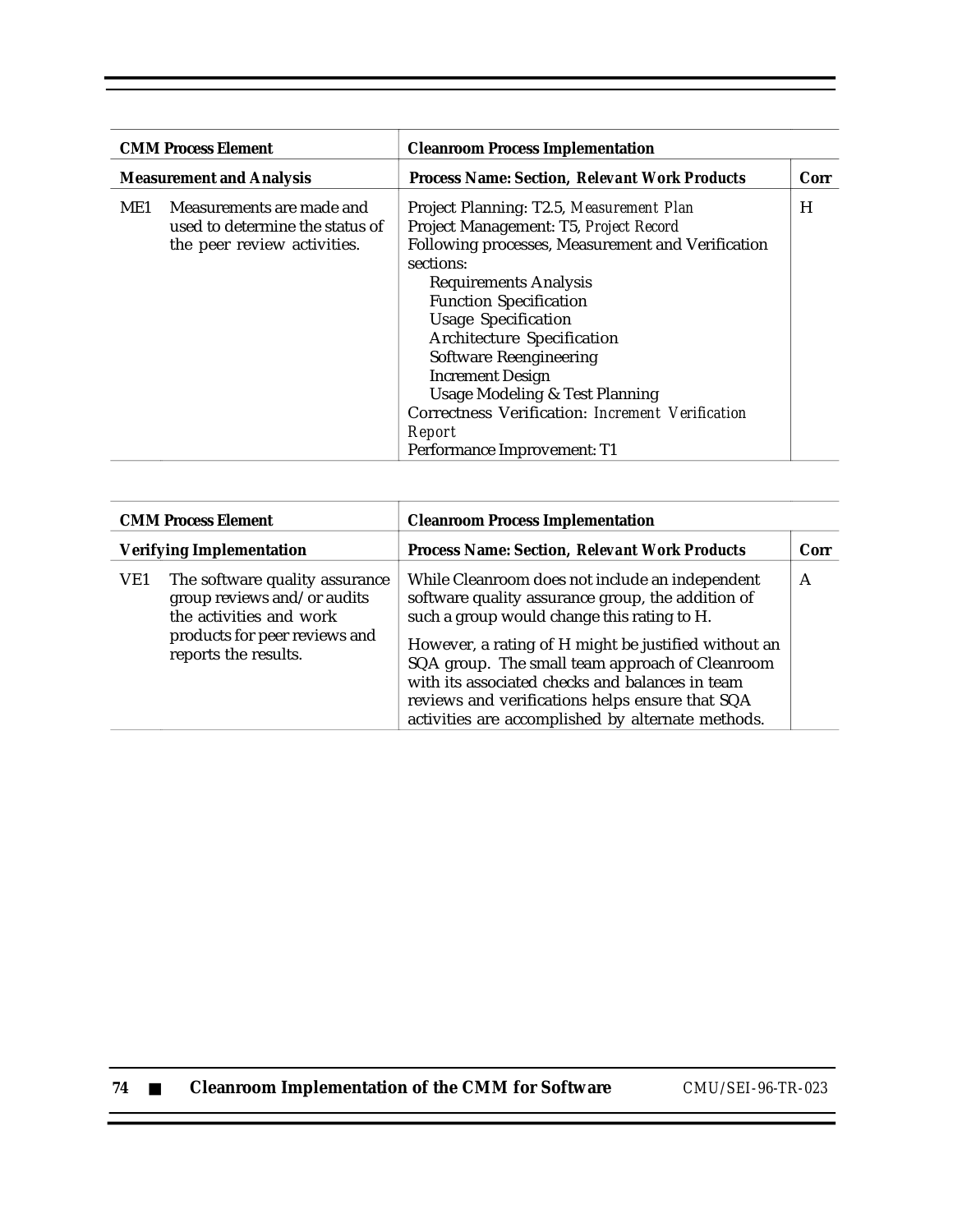|                                 | <b>CMM Process Element</b>                                                                  | <b>Cleanroom Process Implementation</b>                                                                                                                                                                                                                                                                                                                                                                                                                                                        |      |
|---------------------------------|---------------------------------------------------------------------------------------------|------------------------------------------------------------------------------------------------------------------------------------------------------------------------------------------------------------------------------------------------------------------------------------------------------------------------------------------------------------------------------------------------------------------------------------------------------------------------------------------------|------|
| <b>Measurement and Analysis</b> |                                                                                             | <b>Process Name: Section, Relevant Work Products</b>                                                                                                                                                                                                                                                                                                                                                                                                                                           | Corr |
| ME1                             | Measurements are made and<br>used to determine the status of<br>the peer review activities. | Project Planning: T2.5, Measurement Plan<br>Project Management: T5, Project Record<br>Following processes, Measurement and Verification<br>sections:<br><b>Requirements Analysis</b><br><b>Function Specification</b><br><b>Usage Specification</b><br><b>Architecture Specification</b><br><b>Software Reengineering</b><br><b>Increment Design</b><br><b>Usage Modeling &amp; Test Planning</b><br>Correctness Verification: Increment Verification<br>Report<br>Performance Improvement: T1 | H    |

| <b>CMM Process Element</b>      |                                                                                                                                                   | <b>Cleanroom Process Implementation</b>                                                                                                                                                                                                                                                                                                                                                                                   |      |
|---------------------------------|---------------------------------------------------------------------------------------------------------------------------------------------------|---------------------------------------------------------------------------------------------------------------------------------------------------------------------------------------------------------------------------------------------------------------------------------------------------------------------------------------------------------------------------------------------------------------------------|------|
| <b>Verifying Implementation</b> |                                                                                                                                                   | <b>Process Name: Section, Relevant Work Products</b>                                                                                                                                                                                                                                                                                                                                                                      | Corr |
| VE1                             | The software quality assurance<br>group reviews and/or audits<br>the activities and work<br>products for peer reviews and<br>reports the results. | While Cleanroom does not include an independent<br>software quality assurance group, the addition of<br>such a group would change this rating to H.<br>However, a rating of H might be justified without an<br>SQA group. The small team approach of Cleanroom<br>with its associated checks and balances in team<br>reviews and verifications helps ensure that SQA<br>activities are accomplished by alternate methods. | A    |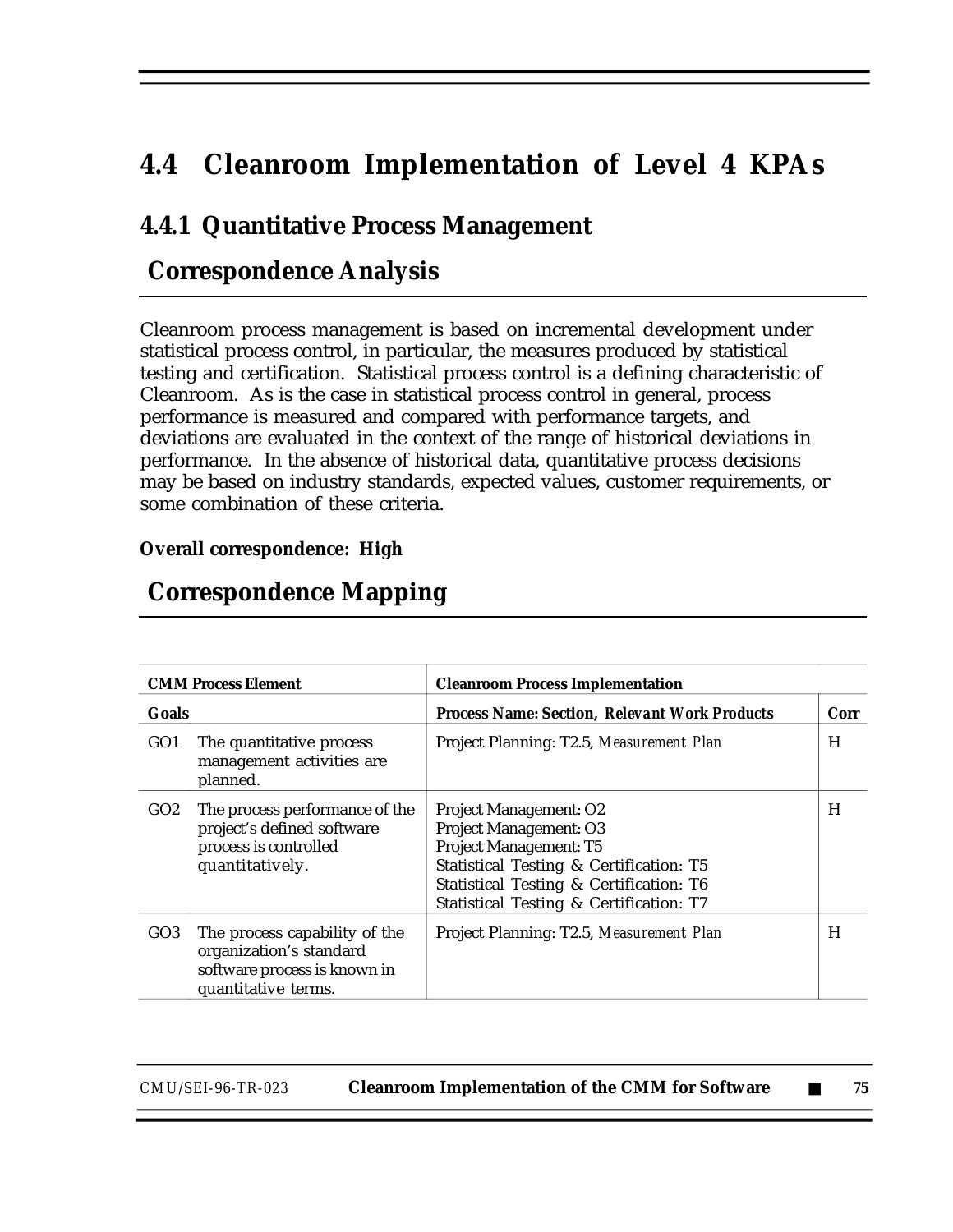# **4.4 Cleanroom Implementation of Level 4 KPAs**

### **4.4.1 Quantitative Process Management**

## **Correspondence Analysis**

Cleanroom process management is based on incremental development under statistical process control, in particular, the measures produced by statistical testing and certification. Statistical process control is a defining characteristic of Cleanroom. As is the case in statistical process control in general, process performance is measured and compared with performance targets, and deviations are evaluated in the context of the range of historical deviations in performance. In the absence of historical data, quantitative process decisions may be based on industry standards, expected values, customer requirements, or some combination of these criteria.

#### **Overall correspondence: High**

| <b>CMM Process Element</b><br><b>Goals</b> |                                                                                                                 | <b>Cleanroom Process Implementation</b>                                                                                                                                                                            |      |
|--------------------------------------------|-----------------------------------------------------------------------------------------------------------------|--------------------------------------------------------------------------------------------------------------------------------------------------------------------------------------------------------------------|------|
|                                            |                                                                                                                 | <b>Process Name: Section, Relevant Work Products</b>                                                                                                                                                               | Corr |
| GO <sub>1</sub>                            | The quantitative process<br>management activities are<br>planned.                                               | Project Planning: T2.5, Measurement Plan                                                                                                                                                                           | H    |
| GO2                                        | The process performance of the<br>project's defined software<br>process is controlled<br>quantitatively.        | <b>Project Management: O2</b><br>Project Management: O3<br>Project Management: T5<br>Statistical Testing & Certification: T5<br>Statistical Testing & Certification: T6<br>Statistical Testing & Certification: T7 | H    |
| GO <sub>3</sub>                            | The process capability of the<br>organization's standard<br>software process is known in<br>quantitative terms. | Project Planning: T2.5, Measurement Plan                                                                                                                                                                           | H    |

### **Correspondence Mapping**

| CMU/SEI-96-TR-023 | <b>Cleanroom Implementation of the CMM for Software</b> |  |  |
|-------------------|---------------------------------------------------------|--|--|
|-------------------|---------------------------------------------------------|--|--|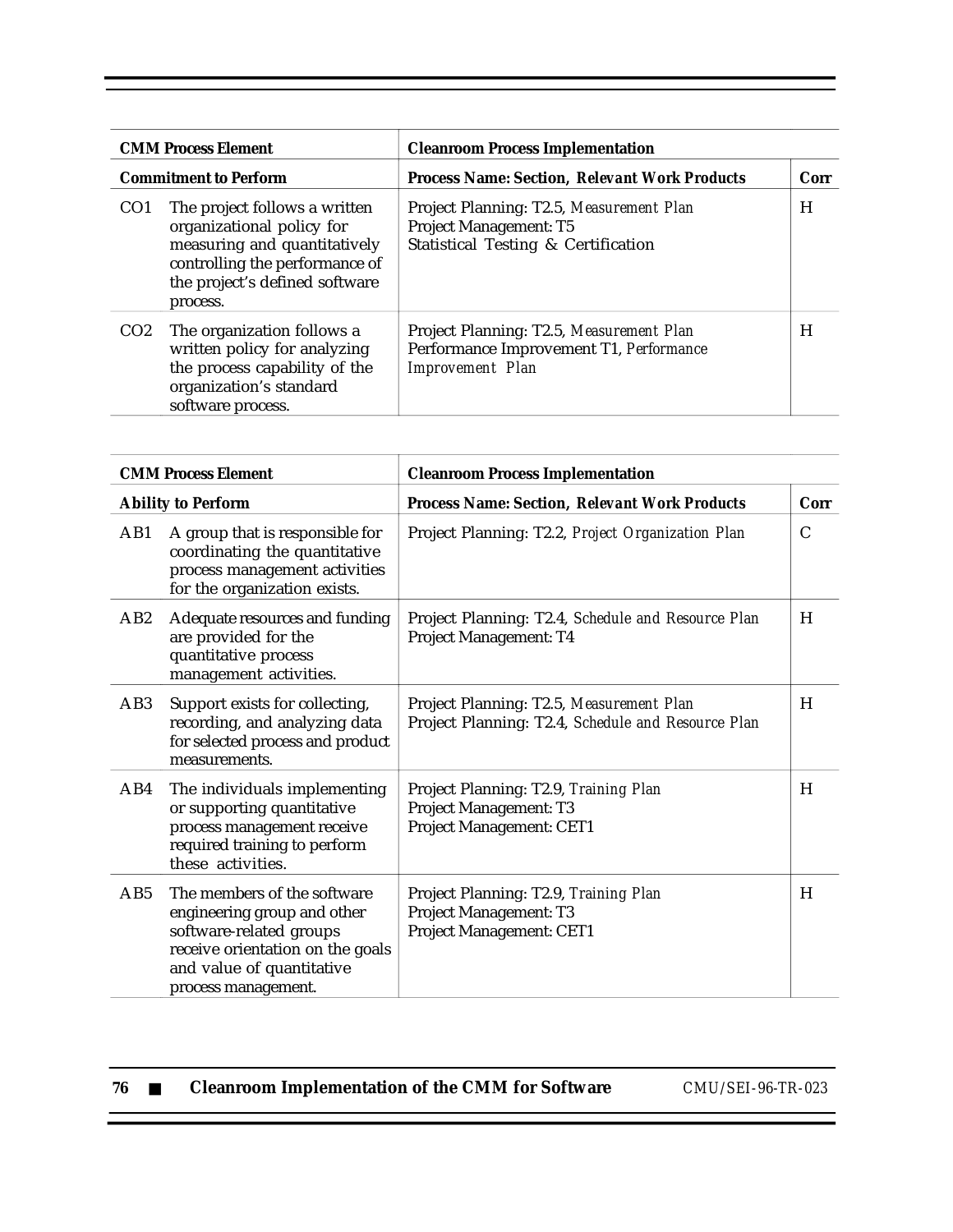|                 | <b>CMM Process Element</b>                                                                                                                                                 | <b>Cleanroom Process Implementation</b>                                                                          |      |
|-----------------|----------------------------------------------------------------------------------------------------------------------------------------------------------------------------|------------------------------------------------------------------------------------------------------------------|------|
|                 | <b>Commitment to Perform</b>                                                                                                                                               | <b>Process Name: Section, Relevant Work Products</b>                                                             | Corr |
| CO <sub>1</sub> | The project follows a written<br>organizational policy for<br>measuring and quantitatively<br>controlling the performance of<br>the project's defined software<br>process. | Project Planning: T2.5, Measurement Plan<br><b>Project Management: T5</b><br>Statistical Testing & Certification | H    |
| CO <sub>2</sub> | The organization follows a<br>written policy for analyzing<br>the process capability of the<br>organization's standard<br>software process.                                | Project Planning: T2.5, Measurement Plan<br>Performance Improvement T1, Performance<br><b>Improvement</b> Plan   | H    |

|                 | <b>CMM Process Element</b>                                                                                                                                                    | <b>Cleanroom Process Implementation</b>                                                        |               |
|-----------------|-------------------------------------------------------------------------------------------------------------------------------------------------------------------------------|------------------------------------------------------------------------------------------------|---------------|
|                 | <b>Ability to Perform</b>                                                                                                                                                     | <b>Process Name: Section, Relevant Work Products</b>                                           | Corr          |
| AB1             | A group that is responsible for<br>coordinating the quantitative<br>process management activities<br>for the organization exists.                                             | Project Planning: T2.2, Project Organization Plan                                              | $\mathcal{C}$ |
| AB2             | Adequate resources and funding<br>are provided for the<br>quantitative process<br>management activities.                                                                      | Project Planning: T2.4, Schedule and Resource Plan<br>Project Management: T4                   | H             |
| AB <sub>3</sub> | Support exists for collecting,<br>recording, and analyzing data<br>for selected process and product<br>measurements.                                                          | Project Planning: T2.5, Measurement Plan<br>Project Planning: T2.4, Schedule and Resource Plan | H             |
| AB4             | The individuals implementing<br>or supporting quantitative<br>process management receive<br>required training to perform<br>these activities.                                 | Project Planning: T2.9, Training Plan<br>Project Management: T3<br>Project Management: CET1    | H             |
| AB5             | The members of the software<br>engineering group and other<br>software-related groups<br>receive orientation on the goals<br>and value of quantitative<br>process management. | Project Planning: T2.9, Training Plan<br>Project Management: T3<br>Project Management: CET1    | H             |

| 76 | <b>Cleanroom Implementation of the CMM for Software</b> | CMU/SEI-96-TR-023 |
|----|---------------------------------------------------------|-------------------|
|    |                                                         |                   |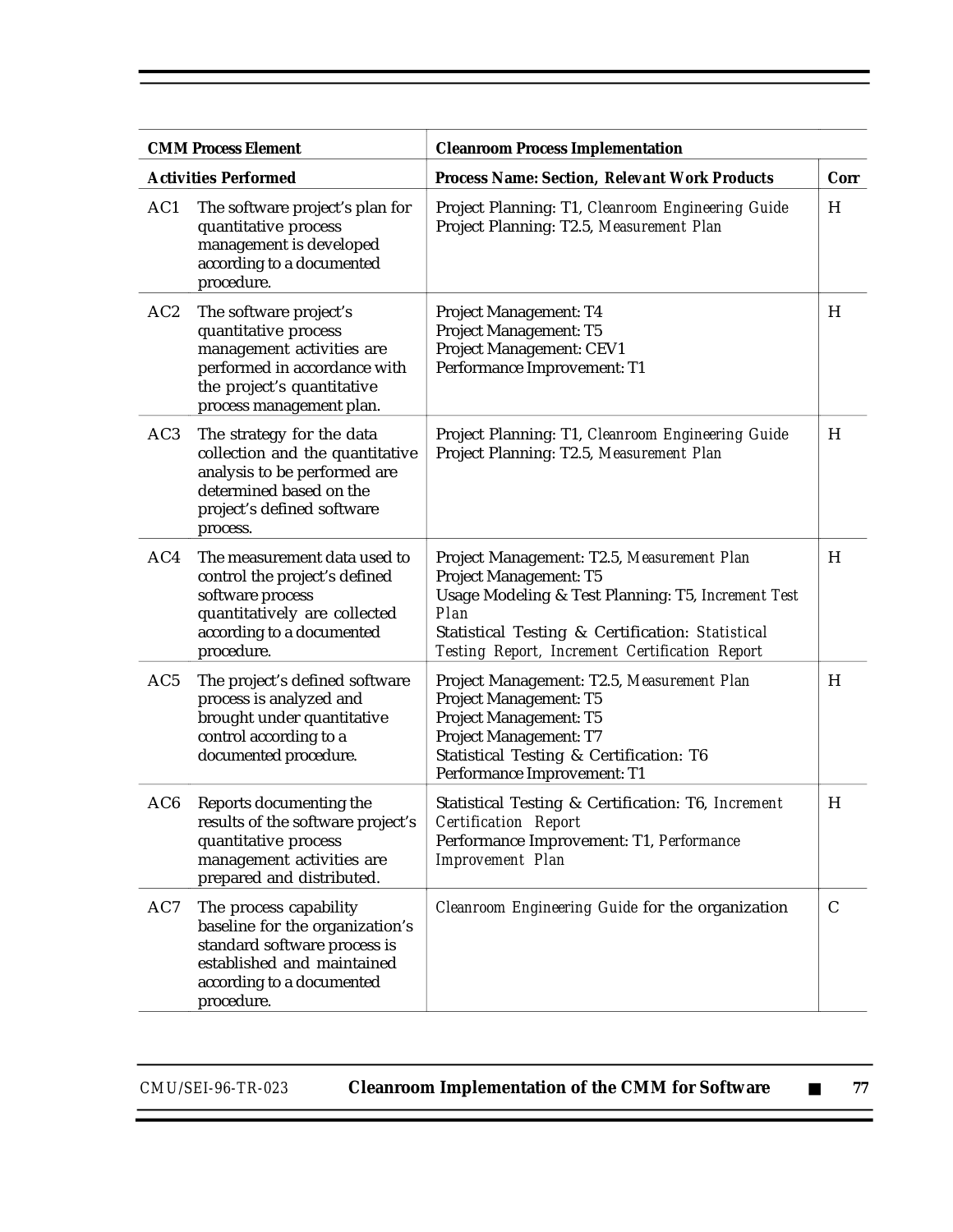| <b>CMM Process Element</b> |                                                                                                                                                                       | <b>Cleanroom Process Implementation</b>                                                                                                                                                                                                         |      |  |
|----------------------------|-----------------------------------------------------------------------------------------------------------------------------------------------------------------------|-------------------------------------------------------------------------------------------------------------------------------------------------------------------------------------------------------------------------------------------------|------|--|
|                            | <b>Activities Performed</b>                                                                                                                                           | <b>Process Name: Section, Relevant Work Products</b>                                                                                                                                                                                            | Corr |  |
| AC1                        | The software project's plan for<br>quantitative process<br>management is developed<br>according to a documented<br>procedure.                                         | Project Planning: T1, Cleanroom Engineering Guide<br>Project Planning: T2.5, Measurement Plan                                                                                                                                                   | H    |  |
| AC <sub>2</sub>            | The software project's<br>quantitative process<br>management activities are<br>performed in accordance with<br>the project's quantitative<br>process management plan. | Project Management: T4<br>Project Management: T5<br>Project Management: CEV1<br>Performance Improvement: T1                                                                                                                                     | H    |  |
| AC <sub>3</sub>            | The strategy for the data<br>collection and the quantitative<br>analysis to be performed are<br>determined based on the<br>project's defined software<br>process.     | Project Planning: T1, Cleanroom Engineering Guide<br>Project Planning: T2.5, Measurement Plan                                                                                                                                                   | H    |  |
| AC4                        | The measurement data used to<br>control the project's defined<br>software process<br>quantitatively are collected<br>according to a documented<br>procedure.          | Project Management: T2.5, Measurement Plan<br>Project Management: T5<br>Usage Modeling & Test Planning: T5, Increment Test<br>Plan<br>Statistical Testing & Certification: Statistical<br><b>Testing Report, Increment Certification Report</b> | H    |  |
| AC5                        | The project's defined software<br>process is analyzed and<br>brought under quantitative<br>control according to a<br>documented procedure.                            | Project Management: T2.5, Measurement Plan<br>Project Management: T5<br>Project Management: T5<br>Project Management: T7<br>Statistical Testing & Certification: T6<br>Performance Improvement: T1                                              | H    |  |
| AC <sub>6</sub>            | Reports documenting the<br>results of the software project's<br>quantitative process<br>management activities are<br>prepared and distributed.                        | Statistical Testing & Certification: T6, Increment<br><b>Certification Report</b><br>Performance Improvement: T1, Performance<br><b>Improvement</b> Plan                                                                                        | H    |  |
| AC7                        | The process capability<br>baseline for the organization's<br>standard software process is<br>established and maintained<br>according to a documented<br>procedure.    | Cleanroom Engineering Guide for the organization                                                                                                                                                                                                | C    |  |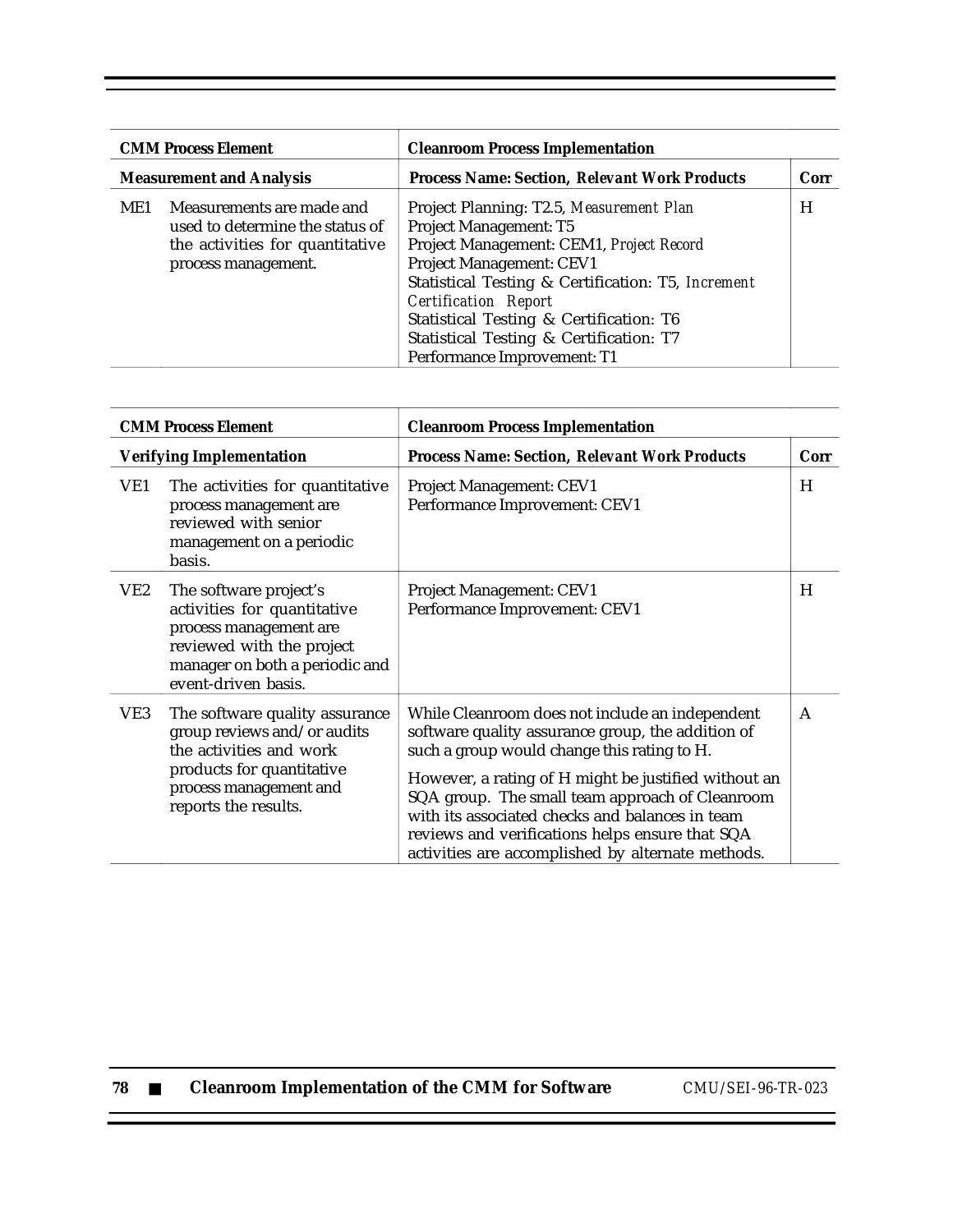| <b>CMM Process Element</b><br><b>Measurement and Analysis</b> |                                                                                                                        | <b>Cleanroom Process Implementation</b>                                                                                                                                                                                                                                                                                                              |      |
|---------------------------------------------------------------|------------------------------------------------------------------------------------------------------------------------|------------------------------------------------------------------------------------------------------------------------------------------------------------------------------------------------------------------------------------------------------------------------------------------------------------------------------------------------------|------|
|                                                               |                                                                                                                        | <b>Process Name: Section, Relevant Work Products</b>                                                                                                                                                                                                                                                                                                 | Corr |
| ME1                                                           | Measurements are made and<br>used to determine the status of<br>the activities for quantitative<br>process management. | Project Planning: T2.5, Measurement Plan<br>Project Management: T5<br>Project Management: CEM1, Project Record<br>Project Management: CEV1<br>Statistical Testing & Certification: T5, Increment<br><b>Certification Report</b><br>Statistical Testing & Certification: T6<br>Statistical Testing & Certification: T7<br>Performance Improvement: T1 | H    |

| <b>CMM Process Element</b> |                                                                                                                                                                         | <b>Cleanroom Process Implementation</b>                                                                                                                                                                                                                                                                                                                                                                                   |              |  |
|----------------------------|-------------------------------------------------------------------------------------------------------------------------------------------------------------------------|---------------------------------------------------------------------------------------------------------------------------------------------------------------------------------------------------------------------------------------------------------------------------------------------------------------------------------------------------------------------------------------------------------------------------|--------------|--|
|                            | <b>Verifying Implementation</b>                                                                                                                                         | <b>Process Name: Section, Relevant Work Products</b>                                                                                                                                                                                                                                                                                                                                                                      | Corr         |  |
| VE1                        | The activities for quantitative<br>process management are<br>reviewed with senior<br>management on a periodic<br>basis.                                                 | Project Management: CEV1<br>Performance Improvement: CEV1                                                                                                                                                                                                                                                                                                                                                                 | H            |  |
| VE2                        | The software project's<br>activities for quantitative<br>process management are<br>reviewed with the project<br>manager on both a periodic and<br>event-driven basis.   | Project Management: CEV1<br>Performance Improvement: CEV1                                                                                                                                                                                                                                                                                                                                                                 | H            |  |
| VE3                        | The software quality assurance<br>group reviews and/or audits<br>the activities and work<br>products for quantitative<br>process management and<br>reports the results. | While Cleanroom does not include an independent<br>software quality assurance group, the addition of<br>such a group would change this rating to H.<br>However, a rating of H might be justified without an<br>SQA group. The small team approach of Cleanroom<br>with its associated checks and balances in team<br>reviews and verifications helps ensure that SQA<br>activities are accomplished by alternate methods. | $\mathsf{A}$ |  |

| 78 |  |  |  |  | <b>Cleanroom Implementation of the CMM for Software</b> |
|----|--|--|--|--|---------------------------------------------------------|
|----|--|--|--|--|---------------------------------------------------------|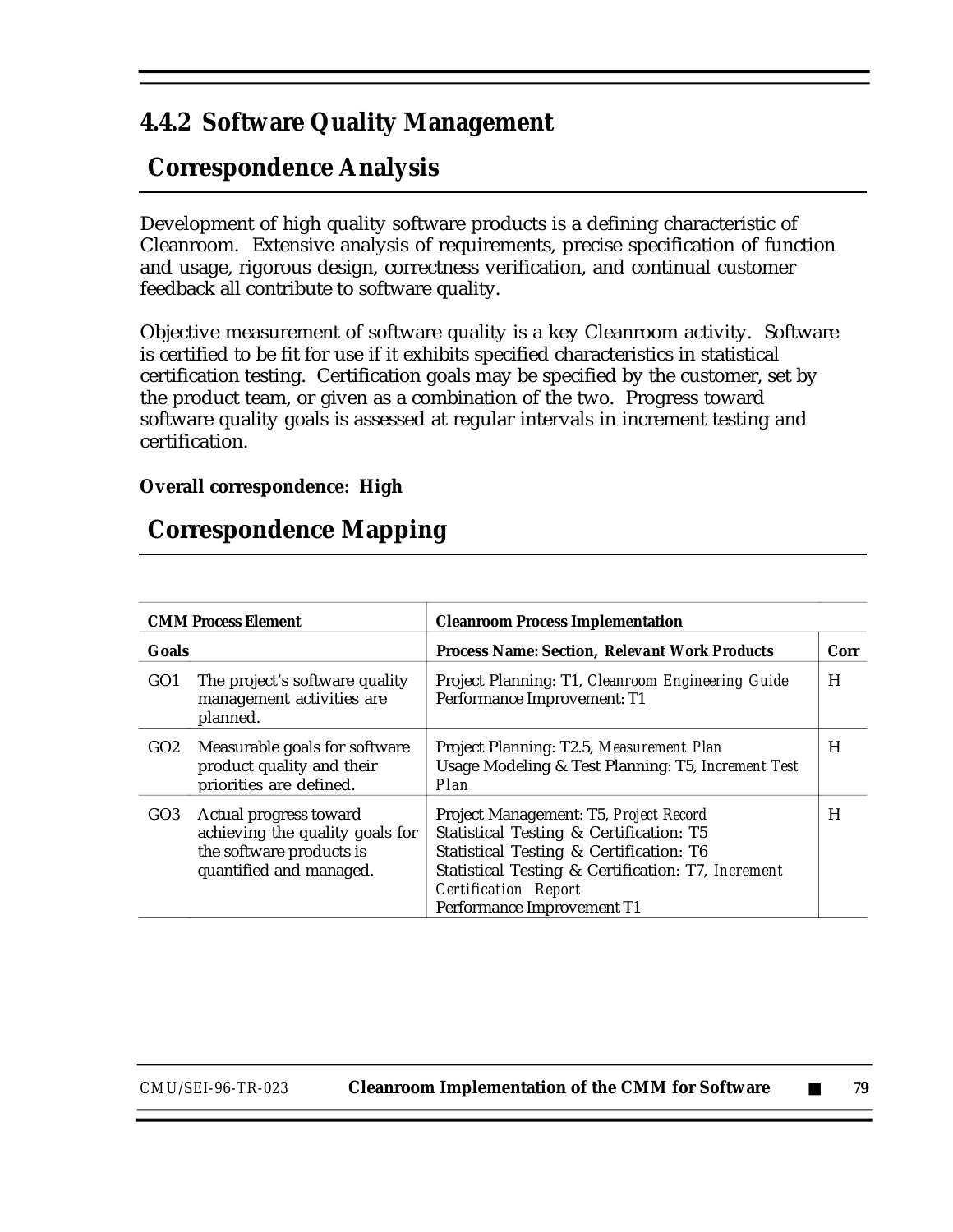## **4.4.2 Software Quality Management**

# **Correspondence Analysis**

Development of high quality software products is a defining characteristic of Cleanroom. Extensive analysis of requirements, precise specification of function and usage, rigorous design, correctness verification, and continual customer feedback all contribute to software quality.

Objective measurement of software quality is a key Cleanroom activity. Software is certified to be fit for use if it exhibits specified characteristics in statistical certification testing. Certification goals may be specified by the customer, set by the product team, or given as a combination of the two. Progress toward software quality goals is assessed at regular intervals in increment testing and certification.

### **Overall correspondence: High**

## **Correspondence Mapping**

|                 | <b>CMM Process Element</b>                                                                                       | <b>Cleanroom Process Implementation</b>                                                                                                                                                                                                         |      |
|-----------------|------------------------------------------------------------------------------------------------------------------|-------------------------------------------------------------------------------------------------------------------------------------------------------------------------------------------------------------------------------------------------|------|
| Goals           |                                                                                                                  | <b>Process Name: Section, Relevant Work Products</b>                                                                                                                                                                                            | Corr |
| GO <sub>1</sub> | The project's software quality<br>management activities are<br>planned.                                          | Project Planning: T1, Cleanroom Engineering Guide<br>Performance Improvement: T1                                                                                                                                                                | H    |
| GO2             | Measurable goals for software<br>product quality and their<br>priorities are defined.                            | Project Planning: T2.5, Measurement Plan<br>Usage Modeling & Test Planning: T5, Increment Test<br>Plan                                                                                                                                          | H    |
| GO3             | Actual progress toward<br>achieving the quality goals for<br>the software products is<br>quantified and managed. | Project Management: T5, Project Record<br>Statistical Testing & Certification: T5<br>Statistical Testing & Certification: T6<br>Statistical Testing & Certification: T7, Increment<br><b>Certification Report</b><br>Performance Improvement T1 | H    |

*CMU/SEI-96-TR-023* **Cleanroom Implementation of the CMM for Software** ■ **79**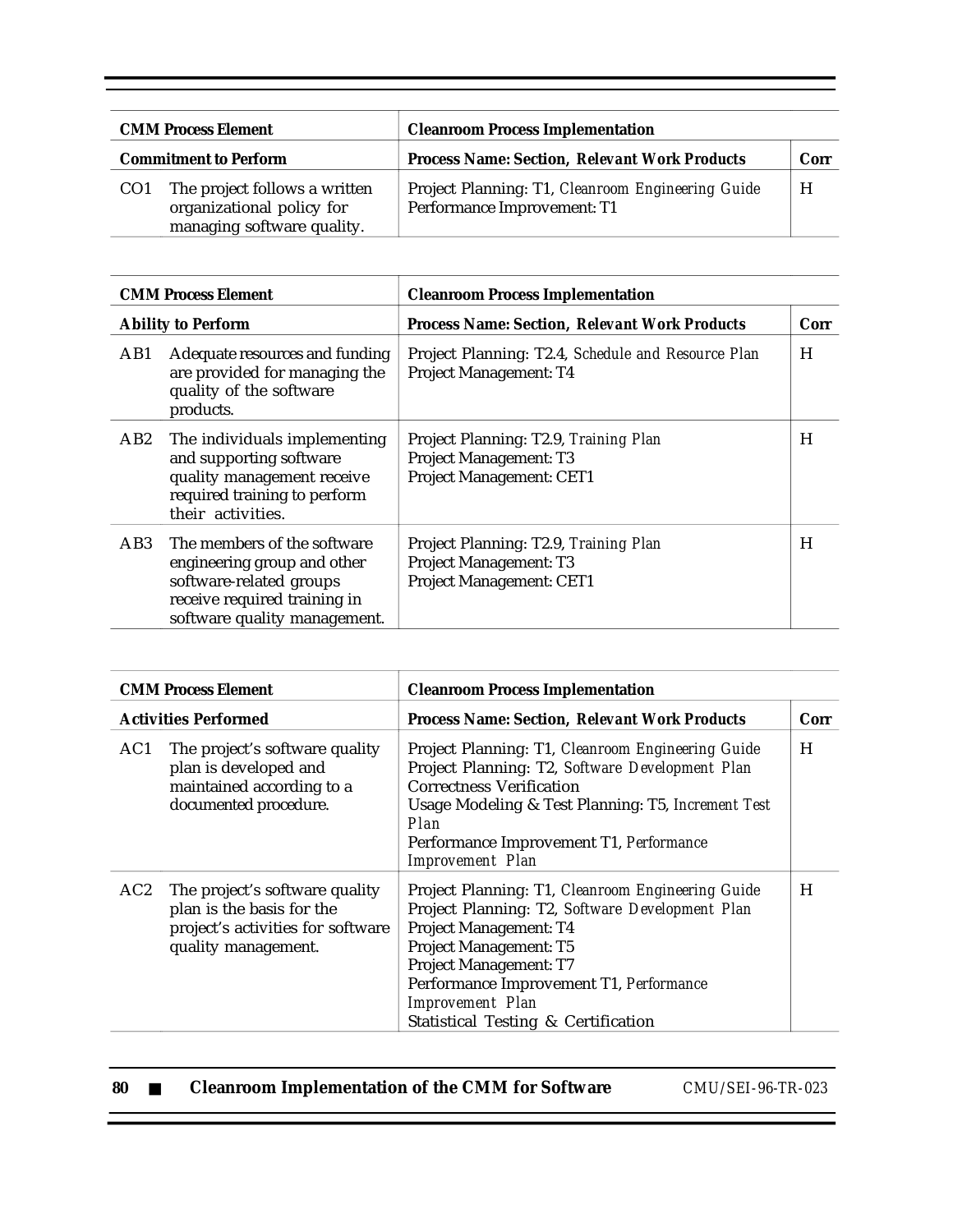| <b>CMM Process Element</b> |                                                                                          | <b>Cleanroom Process Implementation</b>                                          |      |
|----------------------------|------------------------------------------------------------------------------------------|----------------------------------------------------------------------------------|------|
|                            | <b>Commitment to Perform</b>                                                             | <b>Process Name: Section, Relevant Work Products</b>                             | Corr |
| CO <sub>1</sub>            | The project follows a written<br>organizational policy for<br>managing software quality. | Project Planning: T1, Cleanroom Engineering Guide<br>Performance Improvement: T1 | H    |

| <b>CMM Process Element</b> |                                                                                                                                                       | <b>Cleanroom Process Implementation</b>                                                                   |      |
|----------------------------|-------------------------------------------------------------------------------------------------------------------------------------------------------|-----------------------------------------------------------------------------------------------------------|------|
|                            | <b>Ability to Perform</b>                                                                                                                             | <b>Process Name: Section, Relevant Work Products</b>                                                      | Corr |
| AB1                        | Adequate resources and funding<br>are provided for managing the<br>quality of the software<br>products.                                               | Project Planning: T2.4, Schedule and Resource Plan<br>Project Management: T4                              | H    |
| AB2                        | The individuals implementing<br>and supporting software<br>quality management receive<br>required training to perform<br>their activities.            | Project Planning: T2.9, Training Plan<br><b>Project Management: T3</b><br>Project Management: CET1        | H    |
| AB3                        | The members of the software<br>engineering group and other<br>software-related groups<br>receive required training in<br>software quality management. | Project Planning: T2.9, Training Plan<br><b>Project Management: T3</b><br><b>Project Management: CET1</b> | H    |

| <b>CMM Process Element</b> |                                                                                                                         | <b>Cleanroom Process Implementation</b>                                                                                                                                                                                                                                                  |      |  |
|----------------------------|-------------------------------------------------------------------------------------------------------------------------|------------------------------------------------------------------------------------------------------------------------------------------------------------------------------------------------------------------------------------------------------------------------------------------|------|--|
|                            | <b>Activities Performed</b>                                                                                             | <b>Process Name: Section, Relevant Work Products</b>                                                                                                                                                                                                                                     | Corr |  |
| AC1                        | The project's software quality<br>plan is developed and<br>maintained according to a<br>documented procedure.           | Project Planning: T1, Cleanroom Engineering Guide<br>Project Planning: T2, Software Development Plan<br><b>Correctness Verification</b><br>Usage Modeling & Test Planning: T5, Increment Test<br>Plan<br>Performance Improvement T1, Performance<br><b>Improvement</b> Plan              | H    |  |
| AC2                        | The project's software quality<br>plan is the basis for the<br>project's activities for software<br>quality management. | Project Planning: T1, Cleanroom Engineering Guide<br>Project Planning: T2, Software Development Plan<br>Project Management: T4<br>Project Management: T5<br>Project Management: T7<br>Performance Improvement T1, Performance<br>Improvement Plan<br>Statistical Testing & Certification | H    |  |

|  | -80 |  |  | <b>Cleanroom Implementation of the CMM for Software</b> |
|--|-----|--|--|---------------------------------------------------------|
|--|-----|--|--|---------------------------------------------------------|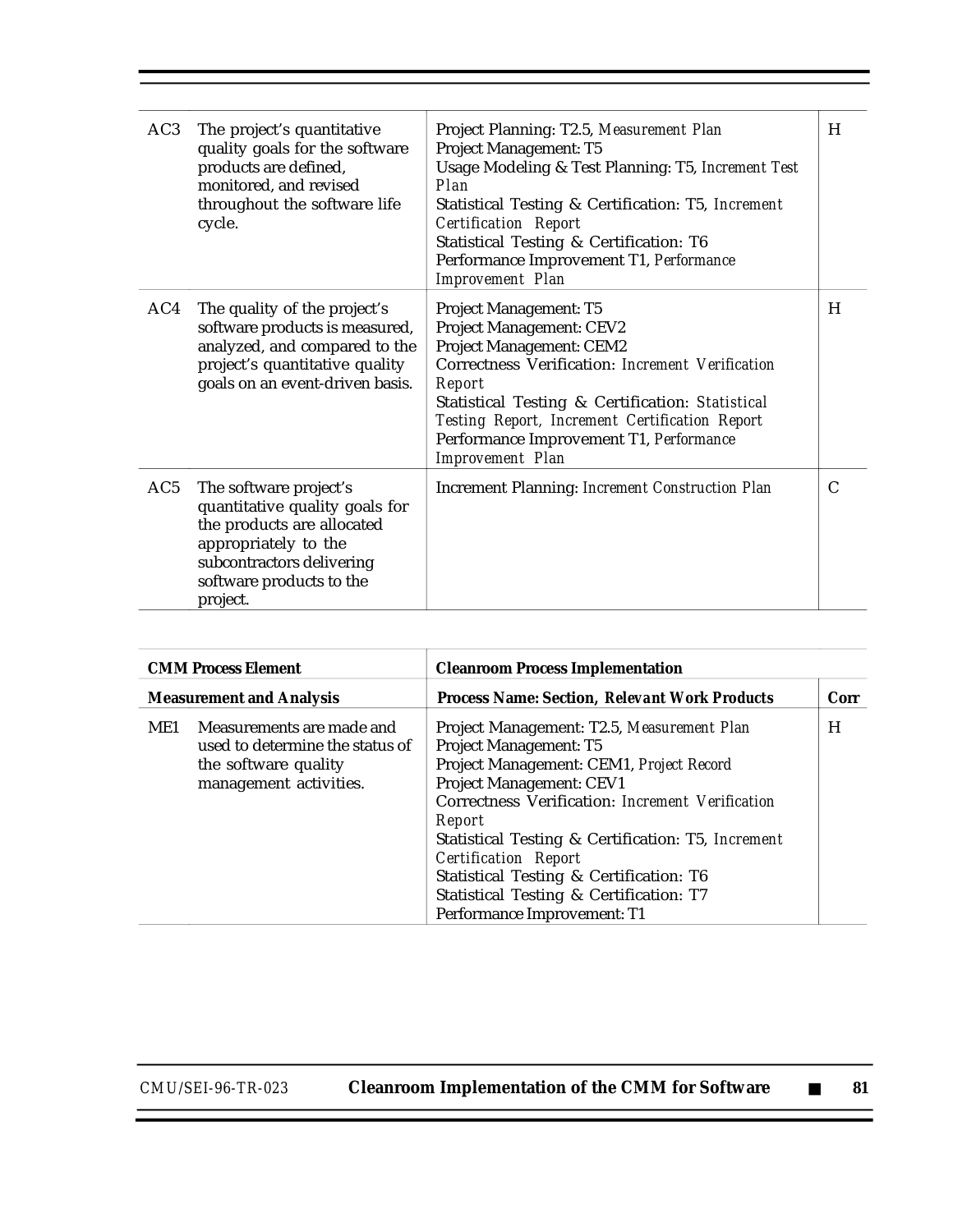| AC3 | The project's quantitative<br>quality goals for the software<br>products are defined,<br>monitored, and revised<br>throughout the software life<br>cycle.                           | Project Planning: T2.5, Measurement Plan<br>Project Management: T5<br>Usage Modeling & Test Planning: T5, Increment Test<br>Plan<br>Statistical Testing & Certification: T5, Increment<br><b>Certification Report</b><br>Statistical Testing & Certification: T6<br>Performance Improvement T1, Performance<br><b>Improvement Plan</b> | H             |
|-----|-------------------------------------------------------------------------------------------------------------------------------------------------------------------------------------|----------------------------------------------------------------------------------------------------------------------------------------------------------------------------------------------------------------------------------------------------------------------------------------------------------------------------------------|---------------|
| AC4 | The quality of the project's<br>software products is measured,<br>analyzed, and compared to the<br>project's quantitative quality<br>goals on an event-driven basis.                | Project Management: T5<br>Project Management: CEV2<br>Project Management: CEM2<br>Correctness Verification: Increment Verification<br>Report<br>Statistical Testing & Certification: Statistical<br>Testing Report, Increment Certification Report<br>Performance Improvement T1, Performance<br><b>Improvement</b> Plan               | H             |
| AC5 | The software project's<br>quantitative quality goals for<br>the products are allocated<br>appropriately to the<br>subcontractors delivering<br>software products to the<br>project. | Increment Planning: Increment Construction Plan                                                                                                                                                                                                                                                                                        | $\mathcal{C}$ |

| <b>CMM Process Element</b>      |                                                                                                                | <b>Cleanroom Process Implementation</b>                                                                                                                                                                                                                                                                                                                                                                                     |      |
|---------------------------------|----------------------------------------------------------------------------------------------------------------|-----------------------------------------------------------------------------------------------------------------------------------------------------------------------------------------------------------------------------------------------------------------------------------------------------------------------------------------------------------------------------------------------------------------------------|------|
| <b>Measurement and Analysis</b> |                                                                                                                | <b>Process Name: Section, Relevant Work Products</b>                                                                                                                                                                                                                                                                                                                                                                        | Corr |
| ME1                             | Measurements are made and<br>used to determine the status of<br>the software quality<br>management activities. | Project Management: T2.5, Measurement Plan<br><b>Project Management: T5</b><br>Project Management: CEM1, Project Record<br>Project Management: CEV1<br>Correctness Verification: Increment Verification<br>Report<br>Statistical Testing & Certification: T5, Increment<br><b>Certification Report</b><br>Statistical Testing & Certification: T6<br>Statistical Testing & Certification: T7<br>Performance Improvement: T1 | H    |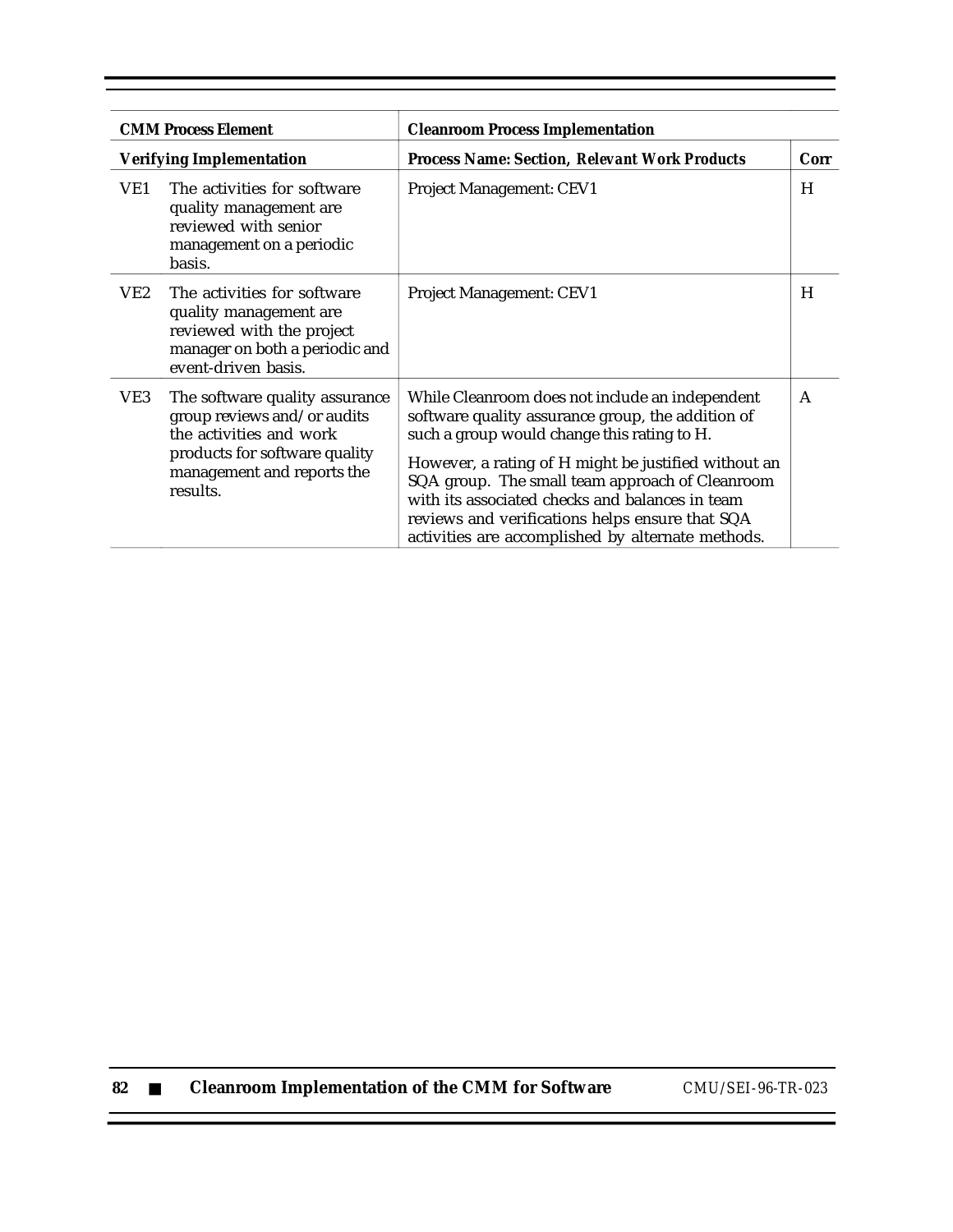|     | <b>CMM Process Element</b><br><b>Cleanroom Process Implementation</b>                                                                                               |                                                                                                                                                                                                                                                                                                                                                                                                                           |      |  |  |
|-----|---------------------------------------------------------------------------------------------------------------------------------------------------------------------|---------------------------------------------------------------------------------------------------------------------------------------------------------------------------------------------------------------------------------------------------------------------------------------------------------------------------------------------------------------------------------------------------------------------------|------|--|--|
|     | <b>Verifying Implementation</b>                                                                                                                                     | <b>Process Name: Section, Relevant Work Products</b>                                                                                                                                                                                                                                                                                                                                                                      | Corr |  |  |
| VE1 | The activities for software<br>quality management are<br>reviewed with senior<br>management on a periodic<br>basis.                                                 | <b>Project Management: CEV1</b>                                                                                                                                                                                                                                                                                                                                                                                           | H    |  |  |
| VE2 | The activities for software<br>quality management are<br>reviewed with the project<br>manager on both a periodic and<br>event-driven basis.                         | <b>Project Management: CEV1</b>                                                                                                                                                                                                                                                                                                                                                                                           | H    |  |  |
| VE3 | The software quality assurance<br>group reviews and/or audits<br>the activities and work<br>products for software quality<br>management and reports the<br>results. | While Cleanroom does not include an independent<br>software quality assurance group, the addition of<br>such a group would change this rating to H.<br>However, a rating of H might be justified without an<br>SQA group. The small team approach of Cleanroom<br>with its associated checks and balances in team<br>reviews and verifications helps ensure that SQA<br>activities are accomplished by alternate methods. | A    |  |  |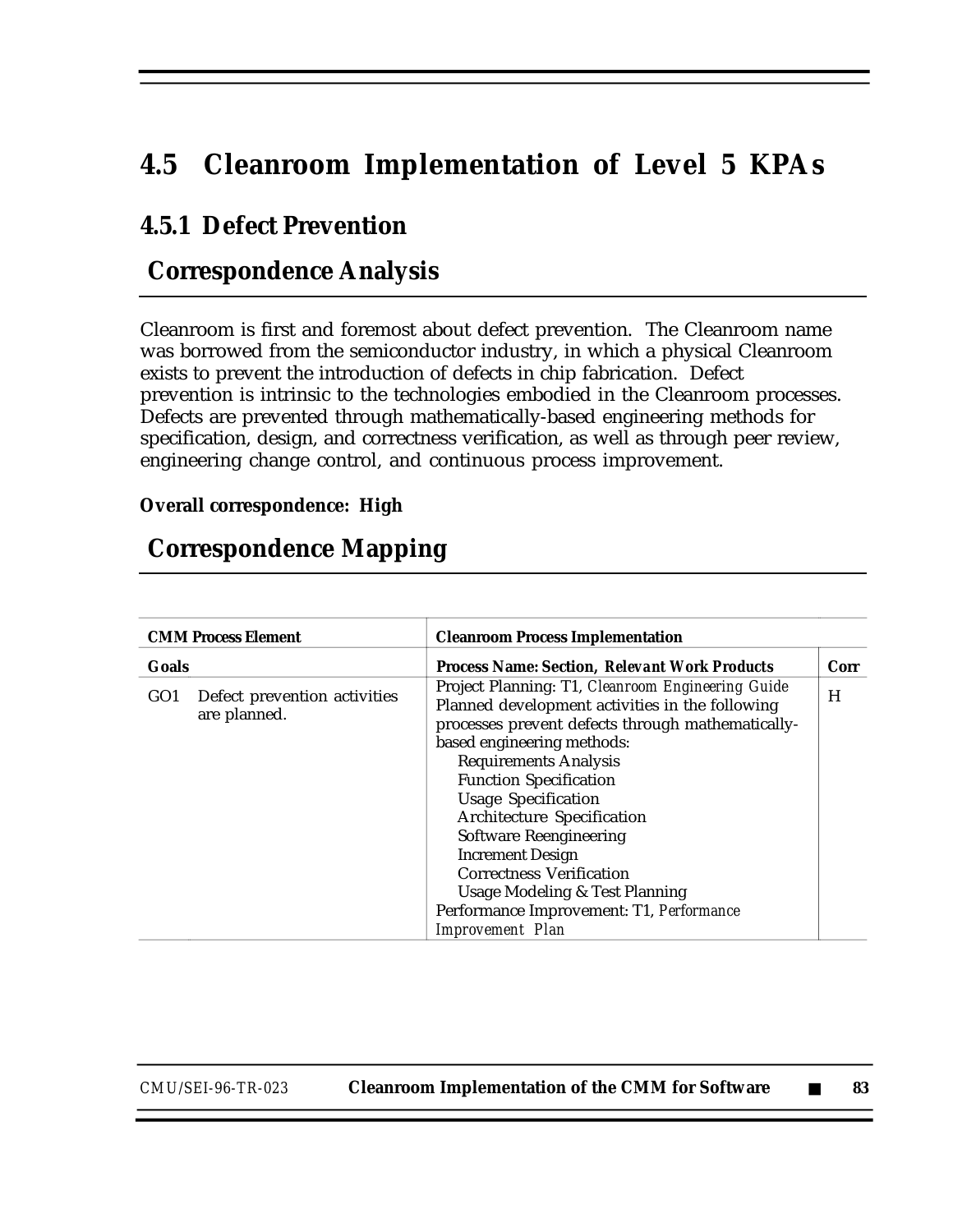# **4.5 Cleanroom Implementation of Level 5 KPAs**

### **4.5.1 Defect Prevention**

### **Correspondence Analysis**

Cleanroom is first and foremost about defect prevention. The Cleanroom name was borrowed from the semiconductor industry, in which a physical Cleanroom exists to prevent the introduction of defects in chip fabrication. Defect prevention is intrinsic to the technologies embodied in the Cleanroom processes. Defects are prevented through mathematically-based engineering methods for specification, design, and correctness verification, as well as through peer review, engineering change control, and continuous process improvement.

#### **Overall correspondence: High**

### **Correspondence Mapping**

| <b>CMM Process Element</b>                                      | <b>Cleanroom Process Implementation</b>                                                                                                                                                                                                                                                                                                                                                                                                                                                                                                        |      |
|-----------------------------------------------------------------|------------------------------------------------------------------------------------------------------------------------------------------------------------------------------------------------------------------------------------------------------------------------------------------------------------------------------------------------------------------------------------------------------------------------------------------------------------------------------------------------------------------------------------------------|------|
| Goals                                                           | <b>Process Name: Section, Relevant Work Products</b>                                                                                                                                                                                                                                                                                                                                                                                                                                                                                           | Corr |
| Defect prevention activities<br>GO <sub>1</sub><br>are planned. | Project Planning: T1, Cleanroom Engineering Guide<br>Planned development activities in the following<br>processes prevent defects through mathematically-<br>based engineering methods:<br><b>Requirements Analysis</b><br><b>Function Specification</b><br><b>Usage Specification</b><br><b>Architecture Specification</b><br><b>Software Reengineering</b><br><b>Increment Design</b><br><b>Correctness Verification</b><br><b>Usage Modeling &amp; Test Planning</b><br>Performance Improvement: T1, Performance<br><b>Improvement</b> Plan | H    |

*CMU/SEI-96-TR-023* **Cleanroom Implementation of the CMM for Software** ■ **83**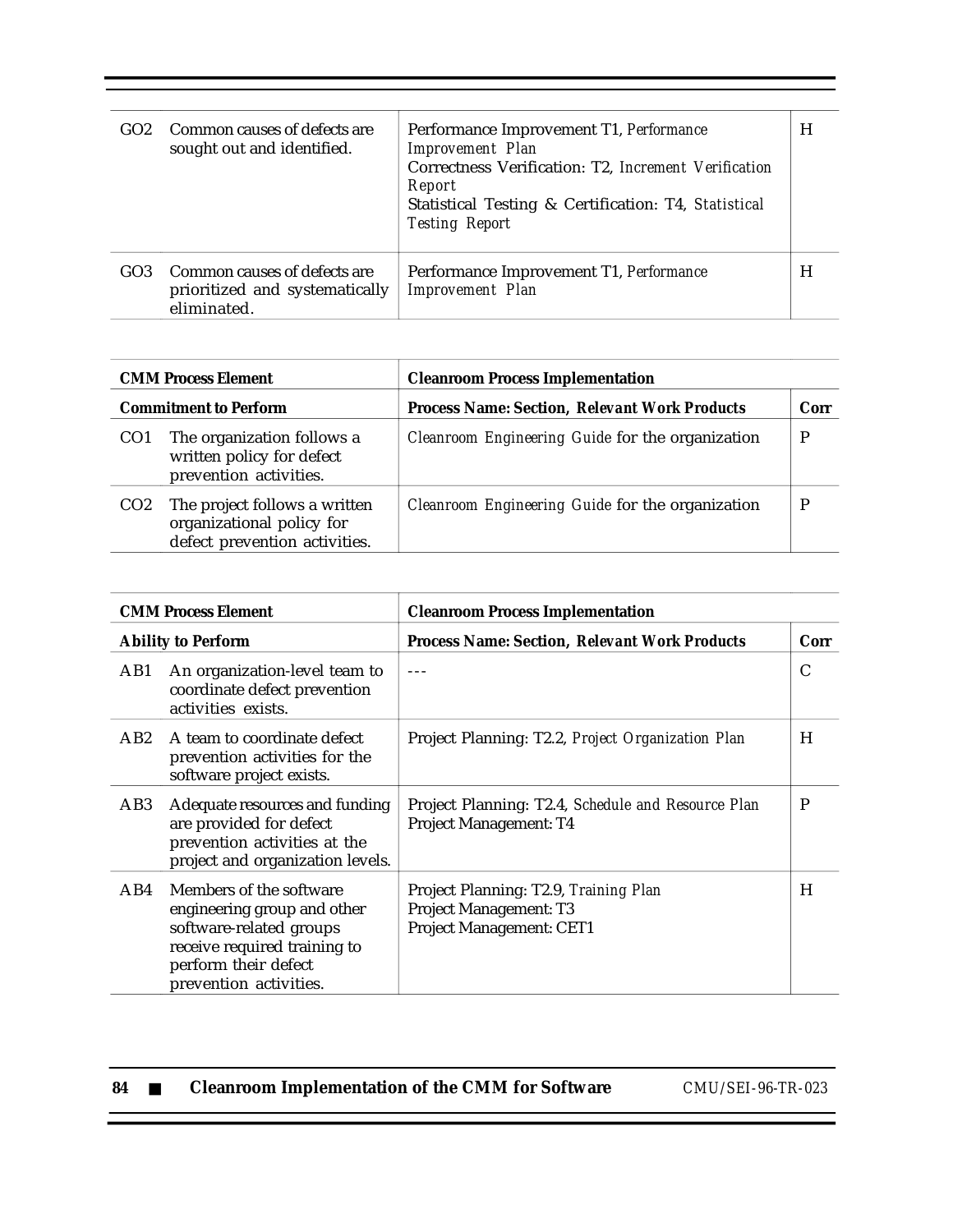| GO <sub>2</sub> | Common causes of defects are<br>sought out and identified.                    | Performance Improvement T1, Performance<br><b>Improvement</b> Plan<br>Correctness Verification: T2, Increment Verification<br>Report<br>Statistical Testing & Certification: T4, Statistical<br><b>Testing Report</b> | H |
|-----------------|-------------------------------------------------------------------------------|-----------------------------------------------------------------------------------------------------------------------------------------------------------------------------------------------------------------------|---|
| GO <sub>3</sub> | Common causes of defects are<br>prioritized and systematically<br>eliminated. | Performance Improvement T1, Performance<br><b>Improvement</b> Plan                                                                                                                                                    | H |

| <b>CMM Process Element</b>   |                                                                                             | <b>Cleanroom Process Implementation</b>              |   |
|------------------------------|---------------------------------------------------------------------------------------------|------------------------------------------------------|---|
| <b>Commitment to Perform</b> |                                                                                             | <b>Process Name: Section, Relevant Work Products</b> |   |
| CO <sub>1</sub>              | The organization follows a<br>written policy for defect<br>prevention activities.           | Cleanroom Engineering Guide for the organization     | D |
| CO <sub>2</sub>              | The project follows a written<br>organizational policy for<br>defect prevention activities. | Cleanroom Engineering Guide for the organization     |   |

| <b>CMM Process Element</b> |                                                                                                                                                                     | <b>Cleanroom Process Implementation</b>                                                     |      |
|----------------------------|---------------------------------------------------------------------------------------------------------------------------------------------------------------------|---------------------------------------------------------------------------------------------|------|
| <b>Ability to Perform</b>  |                                                                                                                                                                     | <b>Process Name: Section, Relevant Work Products</b>                                        | Corr |
| AB1                        | An organization-level team to<br>coordinate defect prevention<br>activities exists.                                                                                 |                                                                                             | C    |
| AB2                        | A team to coordinate defect<br>prevention activities for the<br>software project exists.                                                                            | Project Planning: T2.2, Project Organization Plan                                           | H    |
| AB3                        | Adequate resources and funding<br>are provided for defect<br>prevention activities at the<br>project and organization levels.                                       | Project Planning: T2.4, Schedule and Resource Plan<br>Project Management: T4                | P    |
| AB4                        | Members of the software<br>engineering group and other<br>software-related groups<br>receive required training to<br>perform their defect<br>prevention activities. | Project Planning: T2.9, Training Plan<br>Project Management: T3<br>Project Management: CET1 | H    |

| 84 |  | <b>Cleanroom Implementation of the CMM for Software</b> |  |
|----|--|---------------------------------------------------------|--|
|----|--|---------------------------------------------------------|--|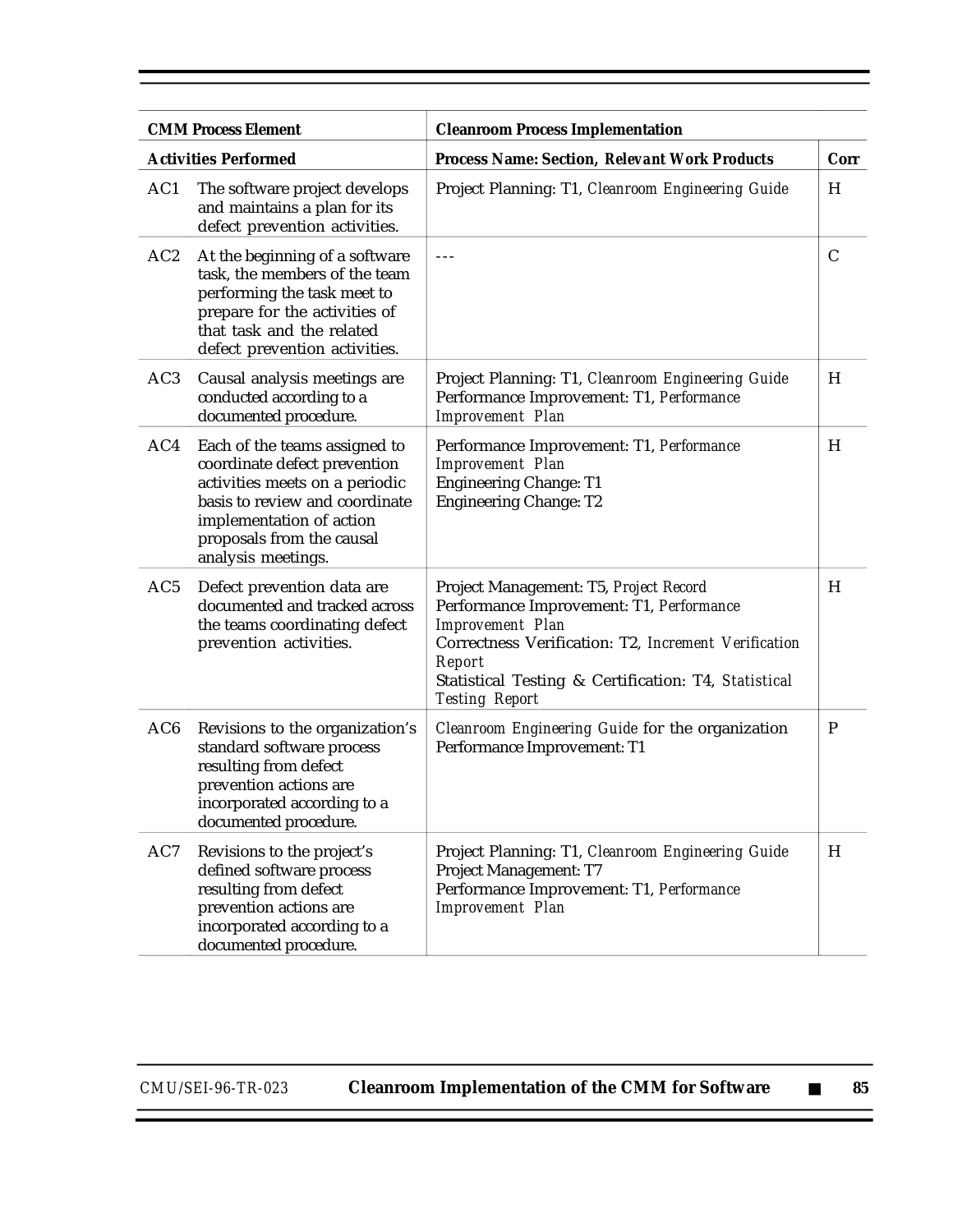|                 | <b>CMM Process Element</b><br><b>Cleanroom Process Implementation</b>                                                                                                                                            |                                                                                                                                                                                                                                                                  |              |  |
|-----------------|------------------------------------------------------------------------------------------------------------------------------------------------------------------------------------------------------------------|------------------------------------------------------------------------------------------------------------------------------------------------------------------------------------------------------------------------------------------------------------------|--------------|--|
|                 | <b>Activities Performed</b>                                                                                                                                                                                      | <b>Process Name: Section, Relevant Work Products</b>                                                                                                                                                                                                             | Corr         |  |
| AC1             | The software project develops<br>and maintains a plan for its<br>defect prevention activities.                                                                                                                   | Project Planning: T1, Cleanroom Engineering Guide                                                                                                                                                                                                                | H            |  |
| AC2             | At the beginning of a software<br>task, the members of the team<br>performing the task meet to<br>prepare for the activities of<br>that task and the related<br>defect prevention activities.                    | $- - -$                                                                                                                                                                                                                                                          | $\mathsf{C}$ |  |
| AC <sub>3</sub> | Causal analysis meetings are<br>conducted according to a<br>documented procedure.                                                                                                                                | Project Planning: T1, Cleanroom Engineering Guide<br>Performance Improvement: T1, Performance<br><b>Improvement Plan</b>                                                                                                                                         | H            |  |
| AC4             | Each of the teams assigned to<br>coordinate defect prevention<br>activities meets on a periodic<br>basis to review and coordinate<br>implementation of action<br>proposals from the causal<br>analysis meetings. | Performance Improvement: T1, Performance<br><b>Improvement Plan</b><br><b>Engineering Change: T1</b><br><b>Engineering Change: T2</b>                                                                                                                            | H            |  |
| AC <sub>5</sub> | Defect prevention data are<br>documented and tracked across<br>the teams coordinating defect<br>prevention activities.                                                                                           | Project Management: T5, Project Record<br>Performance Improvement: T1, Performance<br><b>Improvement Plan</b><br>Correctness Verification: T2, Increment Verification<br>Report<br>Statistical Testing & Certification: T4, Statistical<br><b>Testing Report</b> | H            |  |
| AC <sub>6</sub> | Revisions to the organization's<br>standard software process<br>resulting from defect<br>prevention actions are<br>incorporated according to a<br>documented procedure.                                          | Cleanroom Engineering Guide for the organization<br>Performance Improvement: T1                                                                                                                                                                                  | $\mathbf P$  |  |
| $\rm AC7$       | Revisions to the project's<br>defined software process<br>resulting from defect<br>prevention actions are<br>incorporated according to a<br>documented procedure.                                                | Project Planning: T1, Cleanroom Engineering Guide<br>Project Management: T7<br>Performance Improvement: T1, Performance<br><b>Improvement Plan</b>                                                                                                               | H            |  |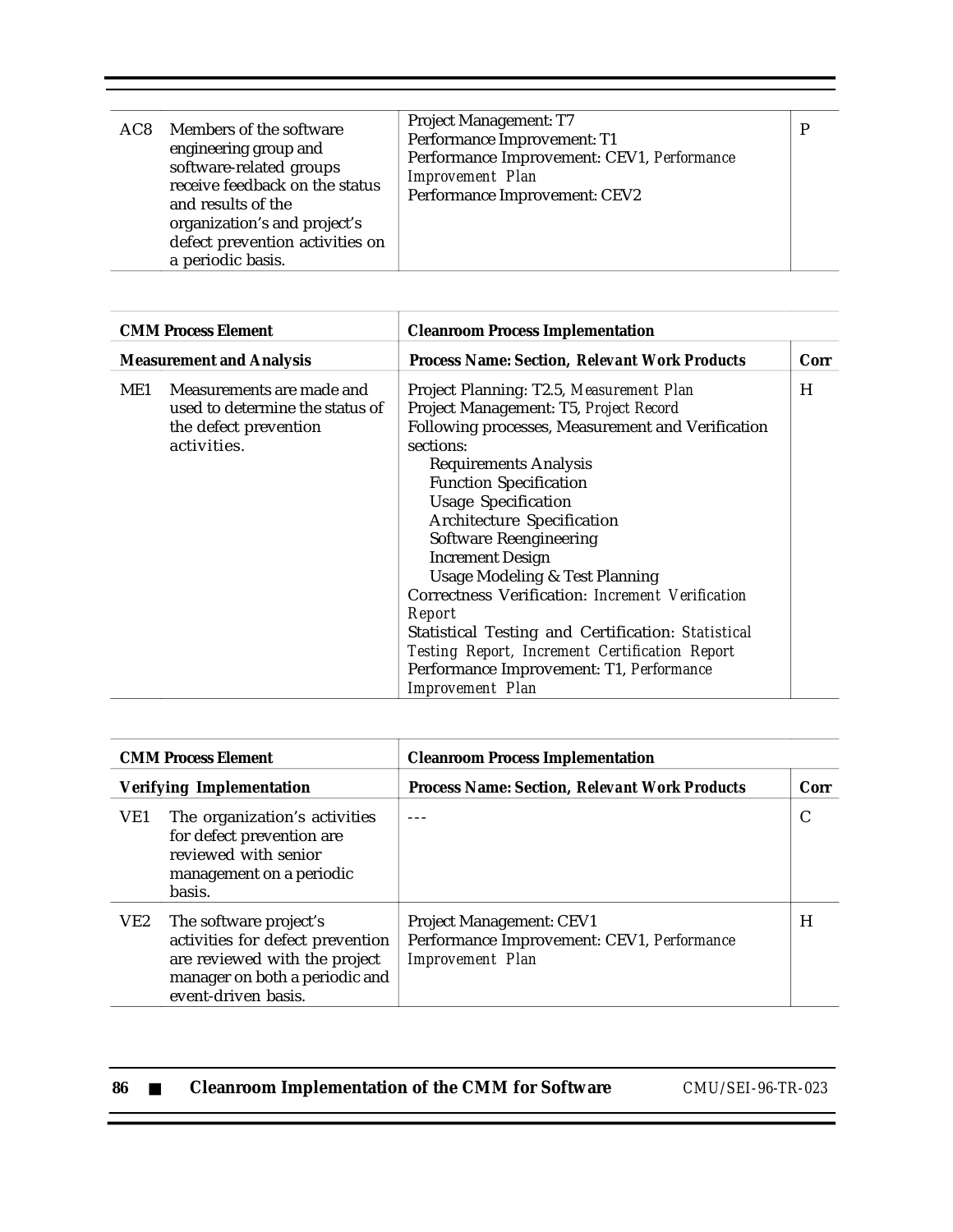| AC8 | Members of the software<br>engineering group and<br>software-related groups<br>receive feedback on the status<br>and results of the<br>organization's and project's<br>defect prevention activities on<br>a periodic basis. | Project Management: T7<br>Performance Improvement: T1<br>Performance Improvement: CEV1, Performance<br><b>Improvement</b> Plan<br>Performance Improvement: CEV2 | D |
|-----|-----------------------------------------------------------------------------------------------------------------------------------------------------------------------------------------------------------------------------|-----------------------------------------------------------------------------------------------------------------------------------------------------------------|---|
|-----|-----------------------------------------------------------------------------------------------------------------------------------------------------------------------------------------------------------------------------|-----------------------------------------------------------------------------------------------------------------------------------------------------------------|---|

T

| <b>CMM Process Element</b> |                                                                                                      | <b>Cleanroom Process Implementation</b>                                                                                                                                                                                                                                                                                                                                                                                                                                                                                                                                                                                                        |      |
|----------------------------|------------------------------------------------------------------------------------------------------|------------------------------------------------------------------------------------------------------------------------------------------------------------------------------------------------------------------------------------------------------------------------------------------------------------------------------------------------------------------------------------------------------------------------------------------------------------------------------------------------------------------------------------------------------------------------------------------------------------------------------------------------|------|
|                            | <b>Measurement and Analysis</b>                                                                      | <b>Process Name: Section, Relevant Work Products</b>                                                                                                                                                                                                                                                                                                                                                                                                                                                                                                                                                                                           | Corr |
| ME1                        | Measurements are made and<br>used to determine the status of<br>the defect prevention<br>activities. | Project Planning: T2.5, Measurement Plan<br>Project Management: T5, Project Record<br>Following processes, Measurement and Verification<br>sections:<br><b>Requirements Analysis</b><br><b>Function Specification</b><br><b>Usage Specification</b><br><b>Architecture Specification</b><br><b>Software Reengineering</b><br><b>Increment Design</b><br><b>Usage Modeling &amp; Test Planning</b><br>Correctness Verification: Increment Verification<br>Report<br>Statistical Testing and Certification: Statistical<br>Testing Report, Increment Certification Report<br>Performance Improvement: T1, Performance<br><b>Improvement</b> Plan | H    |

|                 | <b>CMM Process Element</b>                                                                                                                           | <b>Cleanroom Process Implementation</b>                                                                  |           |
|-----------------|------------------------------------------------------------------------------------------------------------------------------------------------------|----------------------------------------------------------------------------------------------------------|-----------|
|                 | <b>Verifying Implementation</b>                                                                                                                      | <b>Process Name: Section, Relevant Work Products</b>                                                     | Corr<br>C |
| VE1             | The organization's activities<br>for defect prevention are<br>reviewed with senior<br>management on a periodic<br>basis.                             |                                                                                                          |           |
| VE <sub>2</sub> | The software project's<br>activities for defect prevention<br>are reviewed with the project<br>manager on both a periodic and<br>event-driven basis. | <b>Project Management: CEV1</b><br>Performance Improvement: CEV1, Performance<br><b>Improvement</b> Plan | H         |

| 86 | <b>Cleanroom Implementation of the CMM for Software</b> | CMU/SEI-96-TR-023 |
|----|---------------------------------------------------------|-------------------|
|    |                                                         |                   |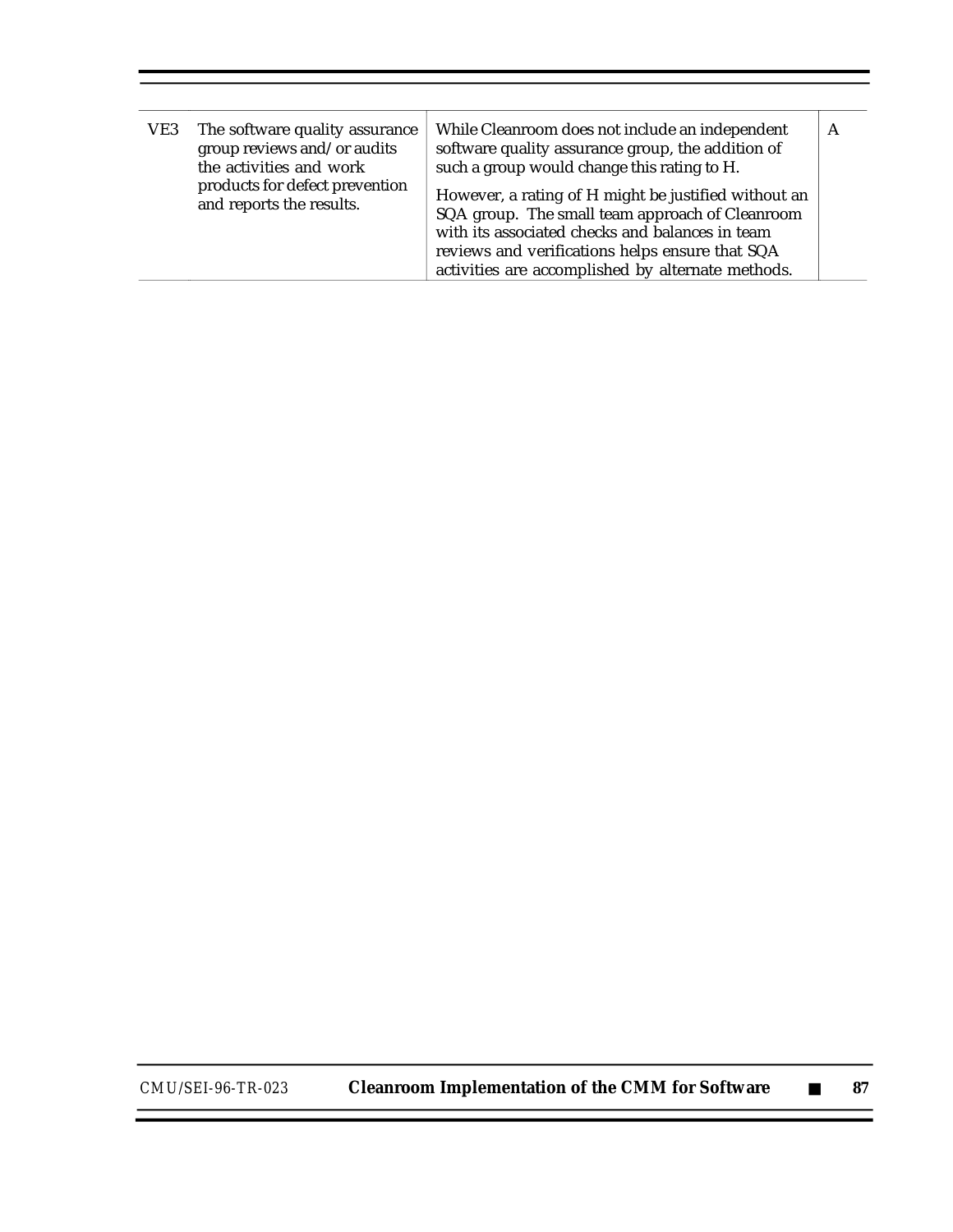| VE3 | The software quality assurance<br>group reviews and/or audits<br>the activities and work<br>products for defect prevention<br>and reports the results. | While Cleanroom does not include an independent<br>software quality assurance group, the addition of<br>such a group would change this rating to H.<br>However, a rating of H might be justified without an<br>SQA group. The small team approach of Cleanroom<br>with its associated checks and balances in team<br>reviews and verifications helps ensure that SQA |  |
|-----|--------------------------------------------------------------------------------------------------------------------------------------------------------|----------------------------------------------------------------------------------------------------------------------------------------------------------------------------------------------------------------------------------------------------------------------------------------------------------------------------------------------------------------------|--|
|     |                                                                                                                                                        | activities are accomplished by alternate methods.                                                                                                                                                                                                                                                                                                                    |  |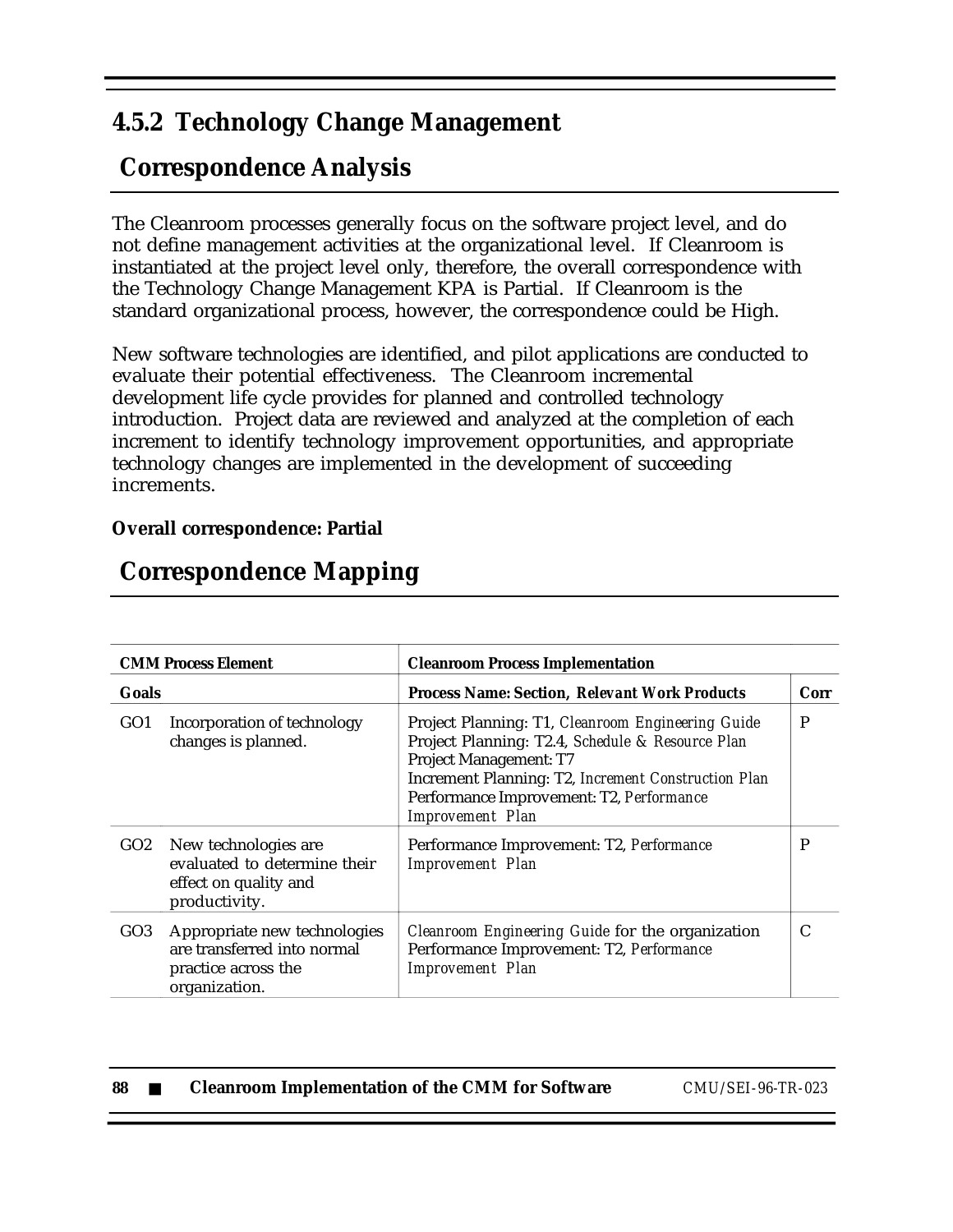## **4.5.2 Technology Change Management**

# **Correspondence Analysis**

The Cleanroom processes generally focus on the software project level, and do not define management activities at the organizational level. If Cleanroom is instantiated at the project level only, therefore, the overall correspondence with the Technology Change Management KPA is Partial. If Cleanroom is the standard organizational process, however, the correspondence could be High.

New software technologies are identified, and pilot applications are conducted to evaluate their potential effectiveness. The Cleanroom incremental development life cycle provides for planned and controlled technology introduction. Project data are reviewed and analyzed at the completion of each increment to identify technology improvement opportunities, and appropriate technology changes are implemented in the development of succeeding increments.

### **Overall correspondence: Partial**

|                 | <b>CMM Process Element</b><br><b>Cleanroom Process Implementation</b>                               |                                                                                                                                                                                                                                                                      |   |  |  |
|-----------------|-----------------------------------------------------------------------------------------------------|----------------------------------------------------------------------------------------------------------------------------------------------------------------------------------------------------------------------------------------------------------------------|---|--|--|
| Goals           |                                                                                                     | <b>Process Name: Section, Relevant Work Products</b>                                                                                                                                                                                                                 |   |  |  |
| GO <sub>1</sub> | Incorporation of technology<br>changes is planned.                                                  | Project Planning: T1, Cleanroom Engineering Guide<br>Project Planning: T2.4, Schedule & Resource Plan<br><b>Project Management: T7</b><br>Increment Planning: T2, Increment Construction Plan<br>Performance Improvement: T2, Performance<br><b>Improvement</b> Plan | P |  |  |
| GO2             | New technologies are<br>evaluated to determine their<br>effect on quality and<br>productivity.      | Performance Improvement: T2, Performance<br><b>Improvement Plan</b>                                                                                                                                                                                                  | P |  |  |
| GO3             | Appropriate new technologies<br>are transferred into normal<br>practice across the<br>organization. | Cleanroom Engineering Guide for the organization<br>Performance Improvement: T2, Performance<br><b>Improvement Plan</b>                                                                                                                                              | C |  |  |

# **Correspondence Mapping**

| 88 |  | <b>Cleanroom Implementation of the CMM for Software</b> |  |
|----|--|---------------------------------------------------------|--|
|----|--|---------------------------------------------------------|--|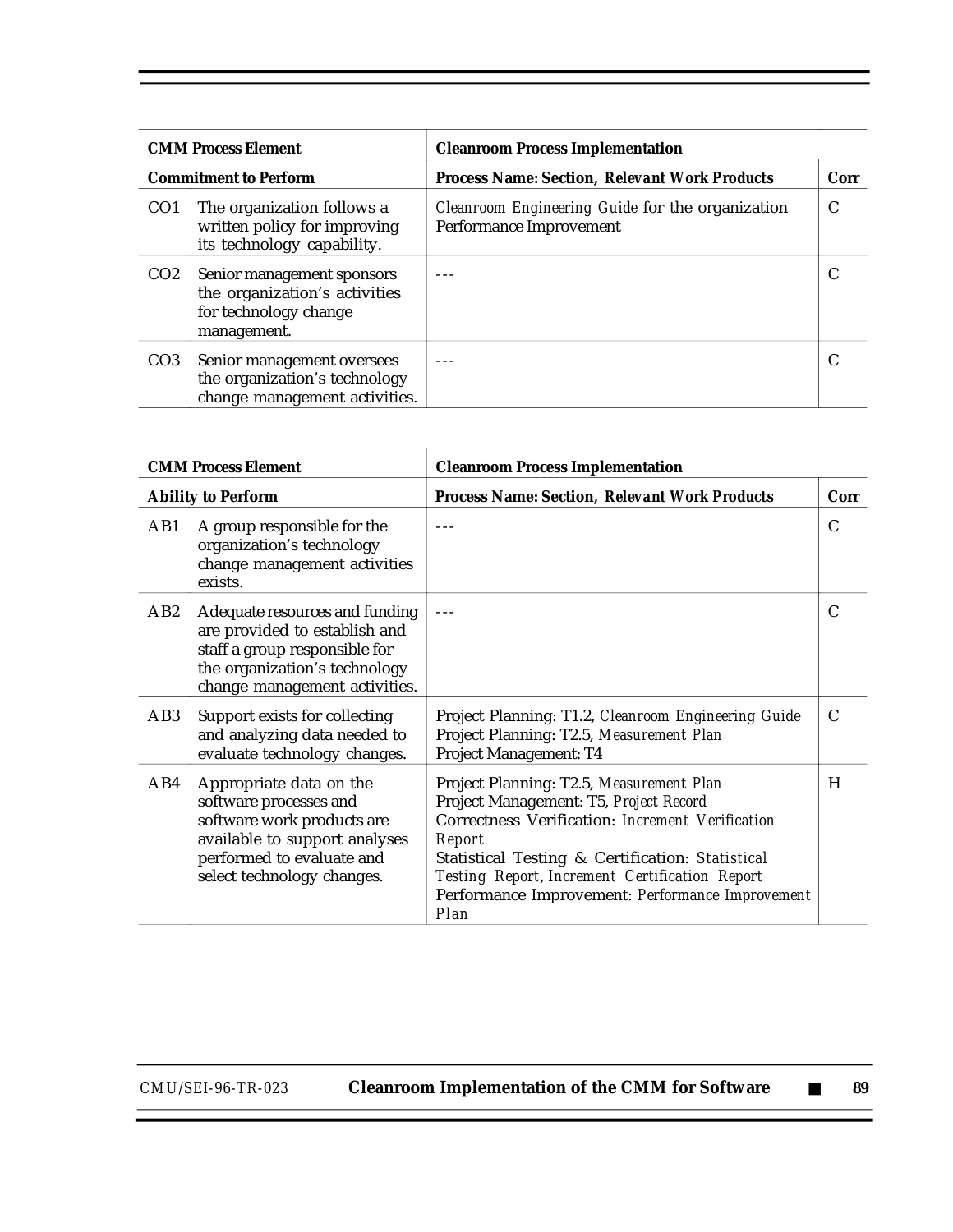| <b>CMM Process Element</b>   |                                                                                                     | <b>Cleanroom Process Implementation</b>                                     |      |  |
|------------------------------|-----------------------------------------------------------------------------------------------------|-----------------------------------------------------------------------------|------|--|
| <b>Commitment to Perform</b> |                                                                                                     | <b>Process Name: Section, Relevant Work Products</b>                        | Corr |  |
| CO <sub>1</sub>              | The organization follows a<br>written policy for improving<br>its technology capability.            | Cleanroom Engineering Guide for the organization<br>Performance Improvement | C    |  |
| CO <sub>2</sub>              | Senior management sponsors<br>the organization's activities<br>for technology change<br>management. |                                                                             |      |  |
| CO <sub>3</sub>              | Senior management oversees<br>the organization's technology<br>change management activities.        |                                                                             |      |  |

| <b>CMM Process Element</b> |                                                                                                                                                                             | <b>Cleanroom Process Implementation</b>                                                                                                                                                                                                                                                                            |      |  |
|----------------------------|-----------------------------------------------------------------------------------------------------------------------------------------------------------------------------|--------------------------------------------------------------------------------------------------------------------------------------------------------------------------------------------------------------------------------------------------------------------------------------------------------------------|------|--|
|                            | <b>Ability to Perform</b>                                                                                                                                                   | <b>Process Name: Section, Relevant Work Products</b>                                                                                                                                                                                                                                                               | Corr |  |
| AB1                        | A group responsible for the<br>organization's technology<br>change management activities<br>exists.                                                                         |                                                                                                                                                                                                                                                                                                                    | C    |  |
| AB2                        | Adequate resources and funding<br>are provided to establish and<br>staff a group responsible for<br>the organization's technology<br>change management activities.          |                                                                                                                                                                                                                                                                                                                    | C    |  |
| AB3                        | Support exists for collecting<br>and analyzing data needed to<br>evaluate technology changes.                                                                               | Project Planning: T1.2, Cleanroom Engineering Guide<br>Project Planning: T2.5, Measurement Plan<br>Project Management: T4                                                                                                                                                                                          | C    |  |
| AB4                        | Appropriate data on the<br>software processes and<br>software work products are<br>available to support analyses<br>performed to evaluate and<br>select technology changes. | Project Planning: T2.5, Measurement Plan<br>Project Management: T5, Project Record<br>Correctness Verification: Increment Verification<br>Report<br>Statistical Testing & Certification: Statistical<br>Testing Report, Increment Certification Report<br>Performance Improvement: Performance Improvement<br>Plan | H    |  |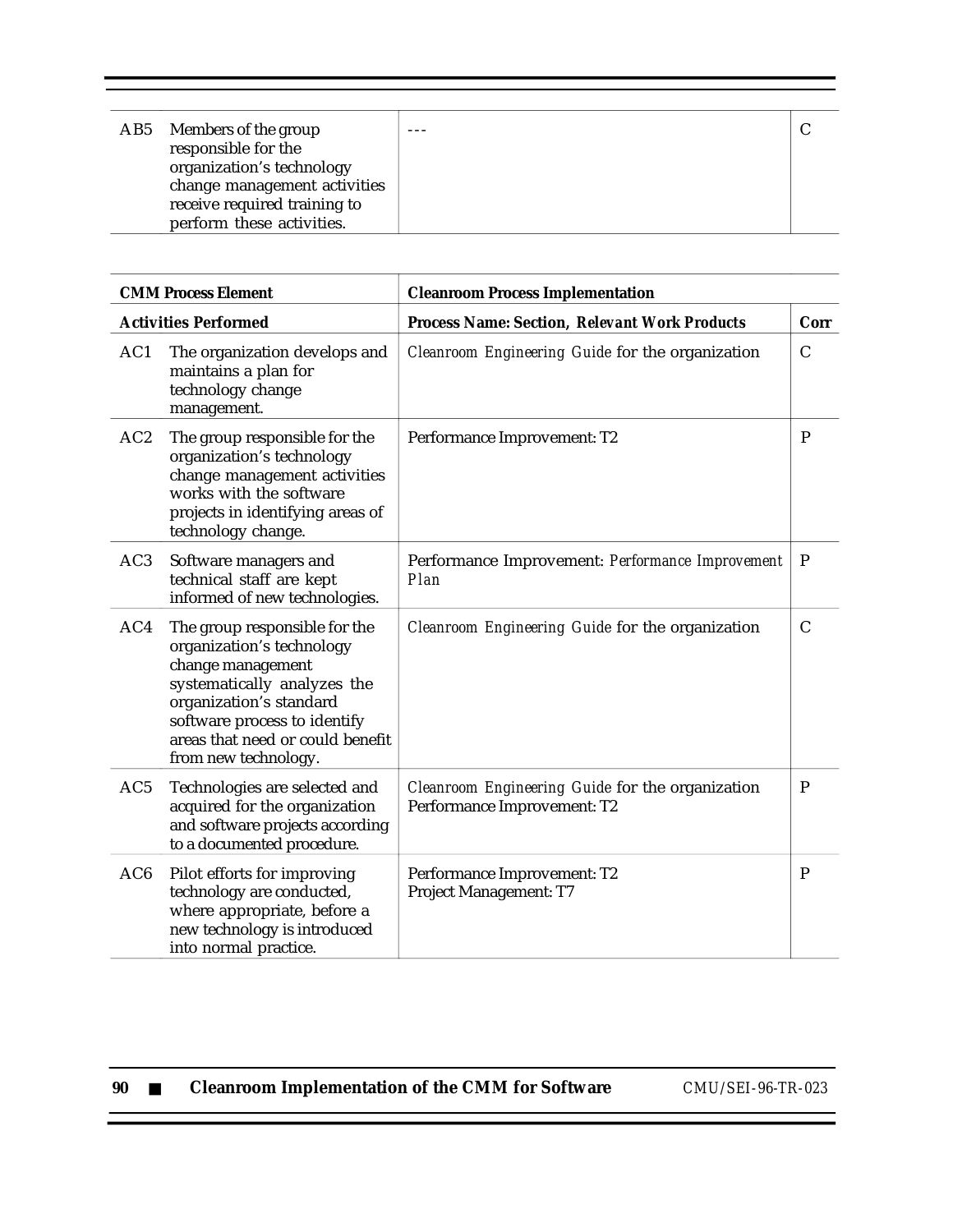| AB5 Members of the group                         |  |
|--------------------------------------------------|--|
| responsible for the<br>organization's technology |  |
| change management activities                     |  |
| receive required training to                     |  |
| perform these activities.                        |  |

| <b>CMM Process Element</b> |                                                                                                                                                                                                                                       | <b>Cleanroom Process Implementation</b>                                         |               |  |
|----------------------------|---------------------------------------------------------------------------------------------------------------------------------------------------------------------------------------------------------------------------------------|---------------------------------------------------------------------------------|---------------|--|
|                            | <b>Activities Performed</b>                                                                                                                                                                                                           | <b>Process Name: Section, Relevant Work Products</b>                            | Corr          |  |
| AC1                        | The organization develops and<br>maintains a plan for<br>technology change<br>management.                                                                                                                                             | Cleanroom Engineering Guide for the organization                                | $\mathcal{C}$ |  |
| AC2                        | The group responsible for the<br>organization's technology<br>change management activities<br>works with the software<br>projects in identifying areas of<br>technology change.                                                       | Performance Improvement: T2                                                     | P             |  |
| AC <sub>3</sub>            | Software managers and<br>technical staff are kept<br>informed of new technologies.                                                                                                                                                    | Performance Improvement: Performance Improvement<br>Plan                        | $\mathbf P$   |  |
| AC4                        | The group responsible for the<br>organization's technology<br>change management<br>systematically analyzes the<br>organization's standard<br>software process to identify<br>areas that need or could benefit<br>from new technology. | Cleanroom Engineering Guide for the organization                                | $\mathcal{C}$ |  |
| AC <sub>5</sub>            | Technologies are selected and<br>acquired for the organization<br>and software projects according<br>to a documented procedure.                                                                                                       | Cleanroom Engineering Guide for the organization<br>Performance Improvement: T2 | $\mathbf P$   |  |
| AC <sub>6</sub>            | Pilot efforts for improving<br>technology are conducted,<br>where appropriate, before a<br>new technology is introduced<br>into normal practice.                                                                                      | Performance Improvement: T2<br>Project Management: T7                           | P             |  |

| 90 |  |  |  |  | <b>Cleanroom Implementation of the CMM for Software</b> |
|----|--|--|--|--|---------------------------------------------------------|
|----|--|--|--|--|---------------------------------------------------------|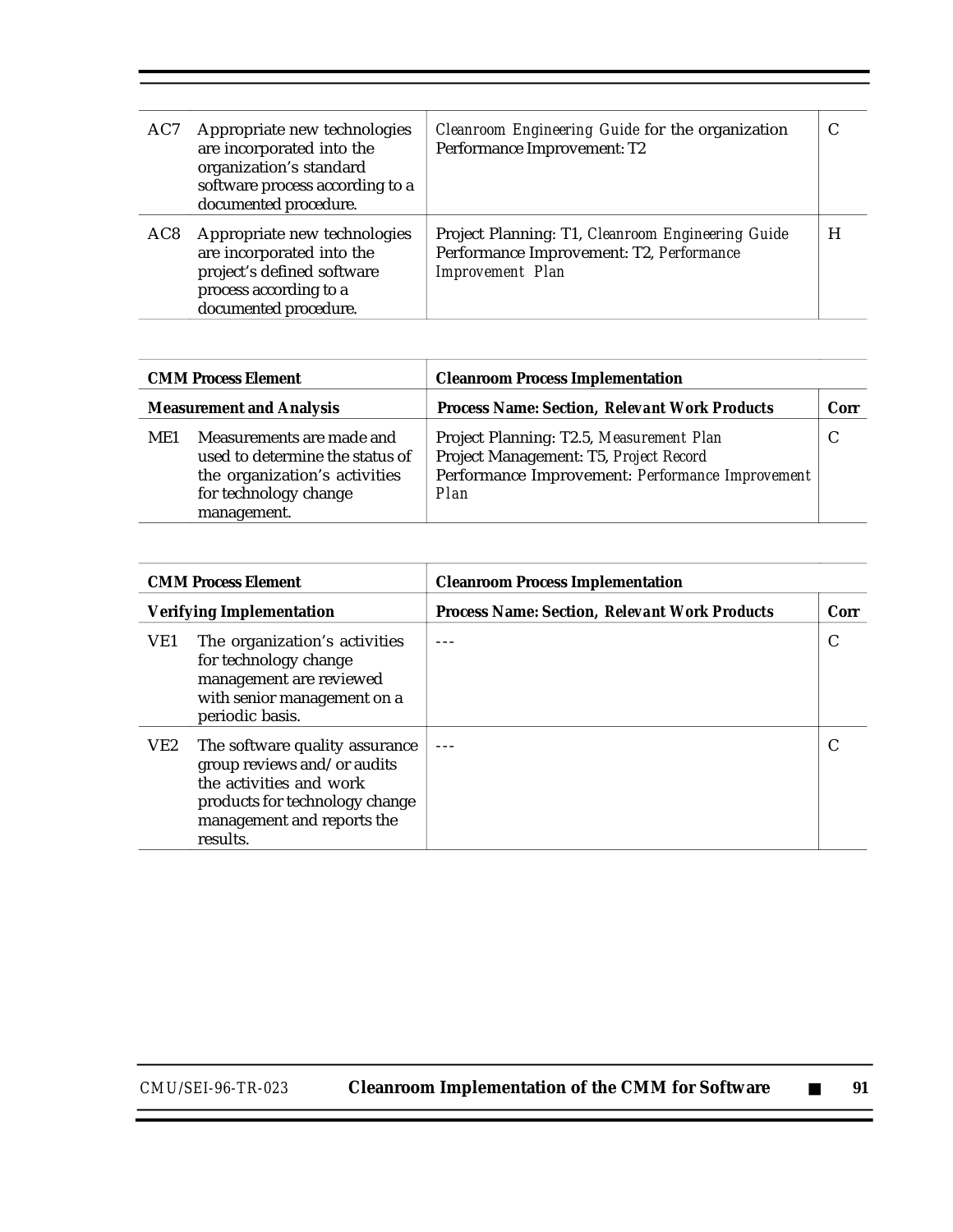| AC7 | Appropriate new technologies<br>are incorporated into the<br>organization's standard<br>software process according to a<br>documented procedure. | Cleanroom Engineering Guide for the organization<br>Performance Improvement: T2                                          | C |
|-----|--------------------------------------------------------------------------------------------------------------------------------------------------|--------------------------------------------------------------------------------------------------------------------------|---|
| AC8 | Appropriate new technologies<br>are incorporated into the<br>project's defined software<br>process according to a<br>documented procedure.       | Project Planning: T1, Cleanroom Engineering Guide<br>Performance Improvement: T2, Performance<br><b>Improvement</b> Plan | H |

| <b>CMM Process Element</b>                                                                                                                   | <b>Cleanroom Process Implementation</b>                                                                                                        |      |  |
|----------------------------------------------------------------------------------------------------------------------------------------------|------------------------------------------------------------------------------------------------------------------------------------------------|------|--|
| <b>Measurement and Analysis</b>                                                                                                              | <b>Process Name: Section, Relevant Work Products</b>                                                                                           | Corr |  |
| Measurements are made and<br>ME1<br>used to determine the status of<br>the organization's activities<br>for technology change<br>management. | Project Planning: T2.5, Measurement Plan<br>Project Management: T5, Project Record<br>Performance Improvement: Performance Improvement<br>Plan |      |  |

| <b>CMM Process Element</b>      |                                                                                                                                                                      | <b>Cleanroom Process Implementation</b>              |      |  |
|---------------------------------|----------------------------------------------------------------------------------------------------------------------------------------------------------------------|------------------------------------------------------|------|--|
| <b>Verifying Implementation</b> |                                                                                                                                                                      | <b>Process Name: Section, Relevant Work Products</b> | Corr |  |
| VE1                             | The organization's activities<br>for technology change<br>management are reviewed<br>with senior management on a<br>periodic basis.                                  |                                                      | C    |  |
| VE2                             | The software quality assurance<br>group reviews and/or audits<br>the activities and work<br>products for technology change<br>management and reports the<br>results. |                                                      |      |  |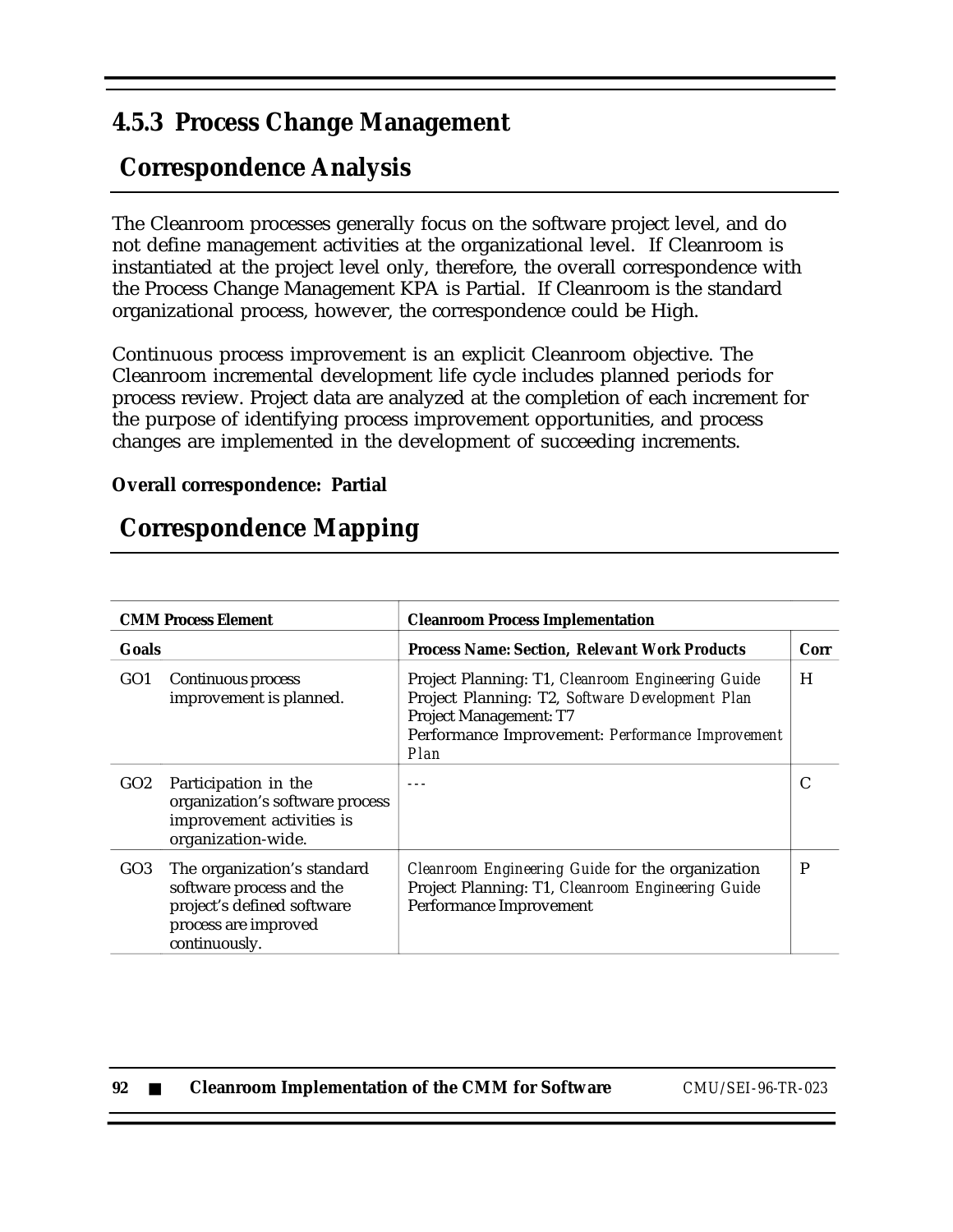### **4.5.3 Process Change Management**

# **Correspondence Analysis**

The Cleanroom processes generally focus on the software project level, and do not define management activities at the organizational level. If Cleanroom is instantiated at the project level only, therefore, the overall correspondence with the Process Change Management KPA is Partial. If Cleanroom is the standard organizational process, however, the correspondence could be High.

Continuous process improvement is an explicit Cleanroom objective. The Cleanroom incremental development life cycle includes planned periods for process review. Project data are analyzed at the completion of each increment for the purpose of identifying process improvement opportunities, and process changes are implemented in the development of succeeding increments.

### **Overall correspondence: Partial**

# **Correspondence Mapping**

|                 | <b>CMM Process Element</b><br><b>Cleanroom Process Implementation</b>                                                          |                                                                                                                                                                                                   |   |  |  |
|-----------------|--------------------------------------------------------------------------------------------------------------------------------|---------------------------------------------------------------------------------------------------------------------------------------------------------------------------------------------------|---|--|--|
| <b>Goals</b>    |                                                                                                                                | <b>Process Name: Section, Relevant Work Products</b>                                                                                                                                              |   |  |  |
| GO <sub>1</sub> | Continuous process<br>improvement is planned.                                                                                  | Project Planning: T1, Cleanroom Engineering Guide<br>Project Planning: T2, Software Development Plan<br><b>Project Management: T7</b><br>Performance Improvement: Performance Improvement<br>Plan | H |  |  |
| GO2             | Participation in the<br>organization's software process<br>improvement activities is<br>organization-wide.                     |                                                                                                                                                                                                   | C |  |  |
| GO3             | The organization's standard<br>software process and the<br>project's defined software<br>process are improved<br>continuously. | Cleanroom Engineering Guide for the organization<br>Project Planning: T1, Cleanroom Engineering Guide<br>Performance Improvement                                                                  | P |  |  |

| 92 |  | <b>Cleanroom Implementation of the CMM for Software</b> |
|----|--|---------------------------------------------------------|
|----|--|---------------------------------------------------------|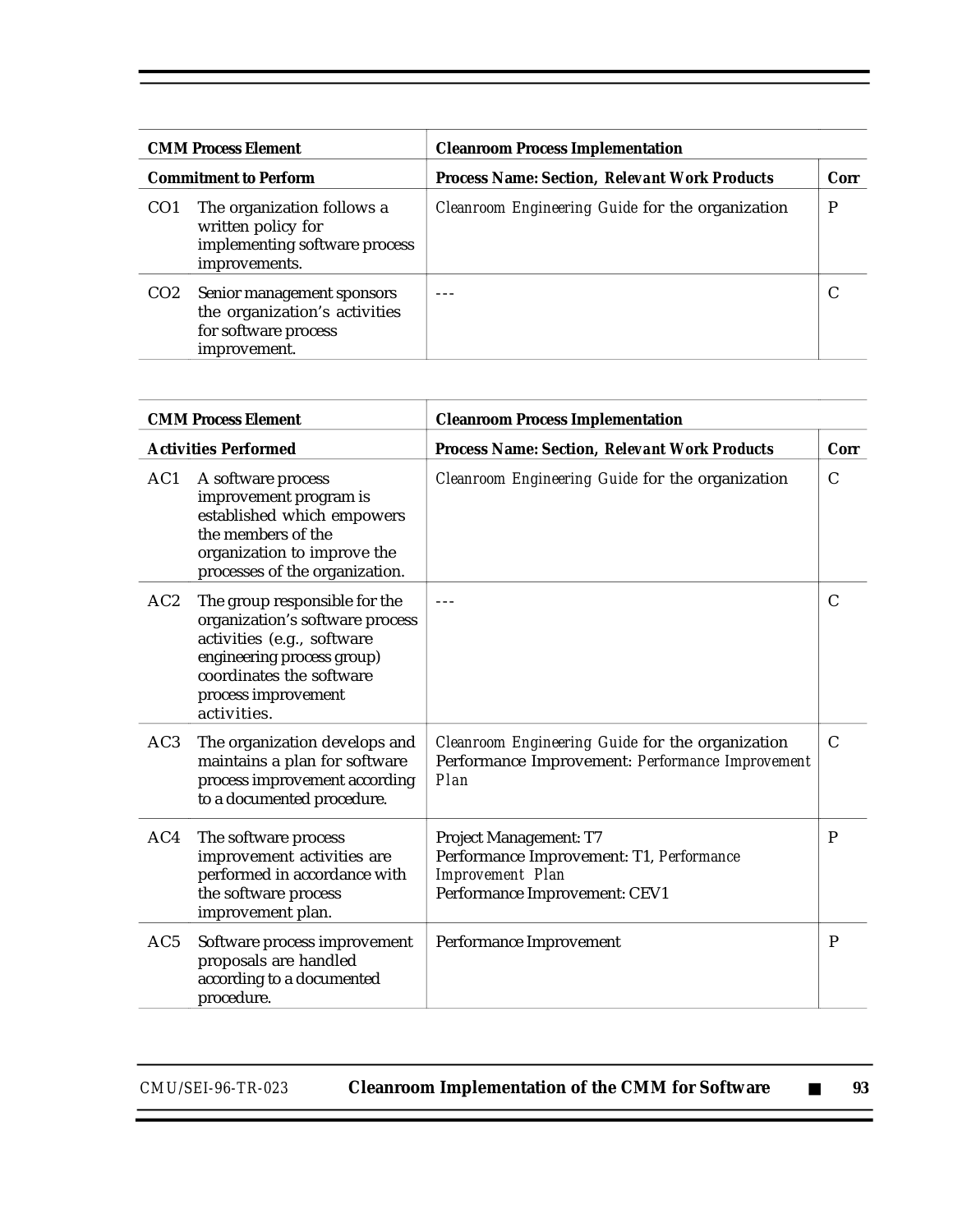| <b>CMM Process Element</b><br><b>Commitment to Perform</b><br>The organization follows a<br>CO <sub>1</sub><br>written policy for<br>implementing software process<br>improvements. |                                                                                                     | <b>Cleanroom Process Implementation</b>              |  |  |  |
|-------------------------------------------------------------------------------------------------------------------------------------------------------------------------------------|-----------------------------------------------------------------------------------------------------|------------------------------------------------------|--|--|--|
|                                                                                                                                                                                     |                                                                                                     | <b>Process Name: Section, Relevant Work Products</b> |  |  |  |
|                                                                                                                                                                                     |                                                                                                     | Cleanroom Engineering Guide for the organization     |  |  |  |
| CO <sub>2</sub>                                                                                                                                                                     | Senior management sponsors<br>the organization's activities<br>for software process<br>improvement. |                                                      |  |  |  |

| <b>CMM Process Element</b> |                                                                                                                                                                                                | <b>Cleanroom Process Implementation</b>                                                                                 |               |  |  |
|----------------------------|------------------------------------------------------------------------------------------------------------------------------------------------------------------------------------------------|-------------------------------------------------------------------------------------------------------------------------|---------------|--|--|
|                            | <b>Activities Performed</b>                                                                                                                                                                    | <b>Process Name: Section, Relevant Work Products</b>                                                                    | Corr          |  |  |
| AC1                        | A software process<br>improvement program is<br>established which empowers<br>the members of the<br>organization to improve the<br>processes of the organization.                              | Cleanroom Engineering Guide for the organization                                                                        | $\mathsf{C}$  |  |  |
| AC2                        | The group responsible for the<br>organization's software process<br>activities (e.g., software<br>engineering process group)<br>coordinates the software<br>process improvement<br>activities. | $- - -$                                                                                                                 | C             |  |  |
| AC <sub>3</sub>            | The organization develops and<br>maintains a plan for software<br>process improvement according<br>to a documented procedure.                                                                  | Cleanroom Engineering Guide for the organization<br>Performance Improvement: Performance Improvement<br>Plan            | $\mathcal{C}$ |  |  |
| AC4                        | The software process<br>improvement activities are<br>performed in accordance with<br>the software process<br>improvement plan.                                                                | Project Management: T7<br>Performance Improvement: T1, Performance<br>Improvement Plan<br>Performance Improvement: CEV1 | $\mathbf{P}$  |  |  |
| AC <sub>5</sub>            | Software process improvement<br>proposals are handled<br>according to a documented<br>procedure.                                                                                               | Performance Improvement                                                                                                 | P             |  |  |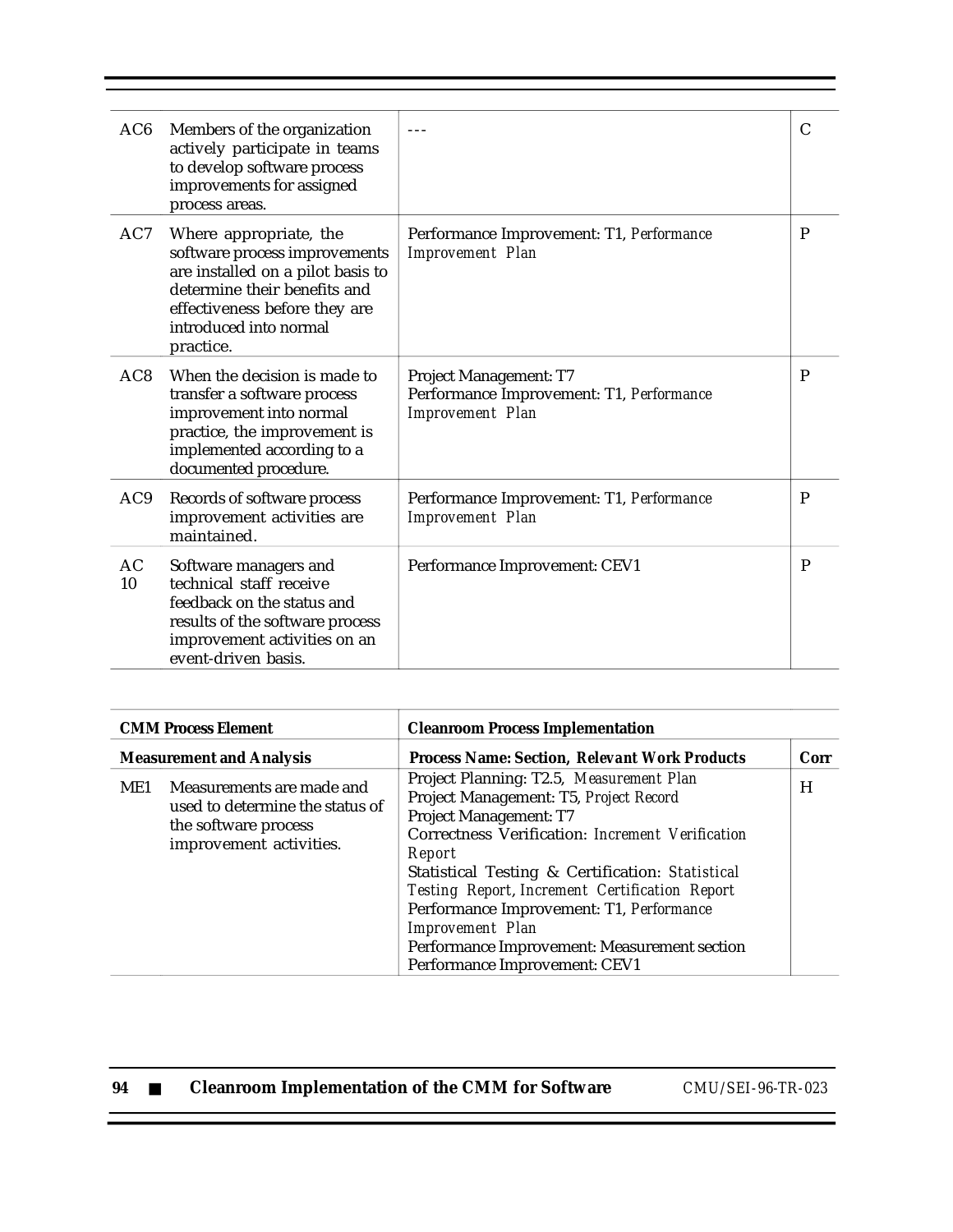| AC6             | Members of the organization<br>actively participate in teams<br>to develop software process<br>improvements for assigned<br>process areas.                                                           |                                                                                               | C |
|-----------------|------------------------------------------------------------------------------------------------------------------------------------------------------------------------------------------------------|-----------------------------------------------------------------------------------------------|---|
| AC7             | Where appropriate, the<br>software process improvements<br>are installed on a pilot basis to<br>determine their benefits and<br>effectiveness before they are<br>introduced into normal<br>practice. | Performance Improvement: T1, Performance<br><b>Improvement Plan</b>                           | P |
| AC <sub>8</sub> | When the decision is made to<br>transfer a software process<br>improvement into normal<br>practice, the improvement is<br>implemented according to a<br>documented procedure.                        | Project Management: T7<br>Performance Improvement: T1, Performance<br><b>Improvement Plan</b> | P |
| AC9             | Records of software process<br>improvement activities are<br>maintained.                                                                                                                             | Performance Improvement: T1, Performance<br><b>Improvement Plan</b>                           | P |
| AC<br>10        | Software managers and<br>technical staff receive<br>feedback on the status and<br>results of the software process<br>improvement activities on an<br>event-driven basis.                             | Performance Improvement: CEV1                                                                 | P |

| <b>CMM Process Element</b><br><b>Measurement and Analysis</b> |  | <b>Cleanroom Process Implementation</b><br><b>Process Name: Section, Relevant Work Products</b><br>Corr |  |  |
|---------------------------------------------------------------|--|---------------------------------------------------------------------------------------------------------|--|--|
|                                                               |  |                                                                                                         |  |  |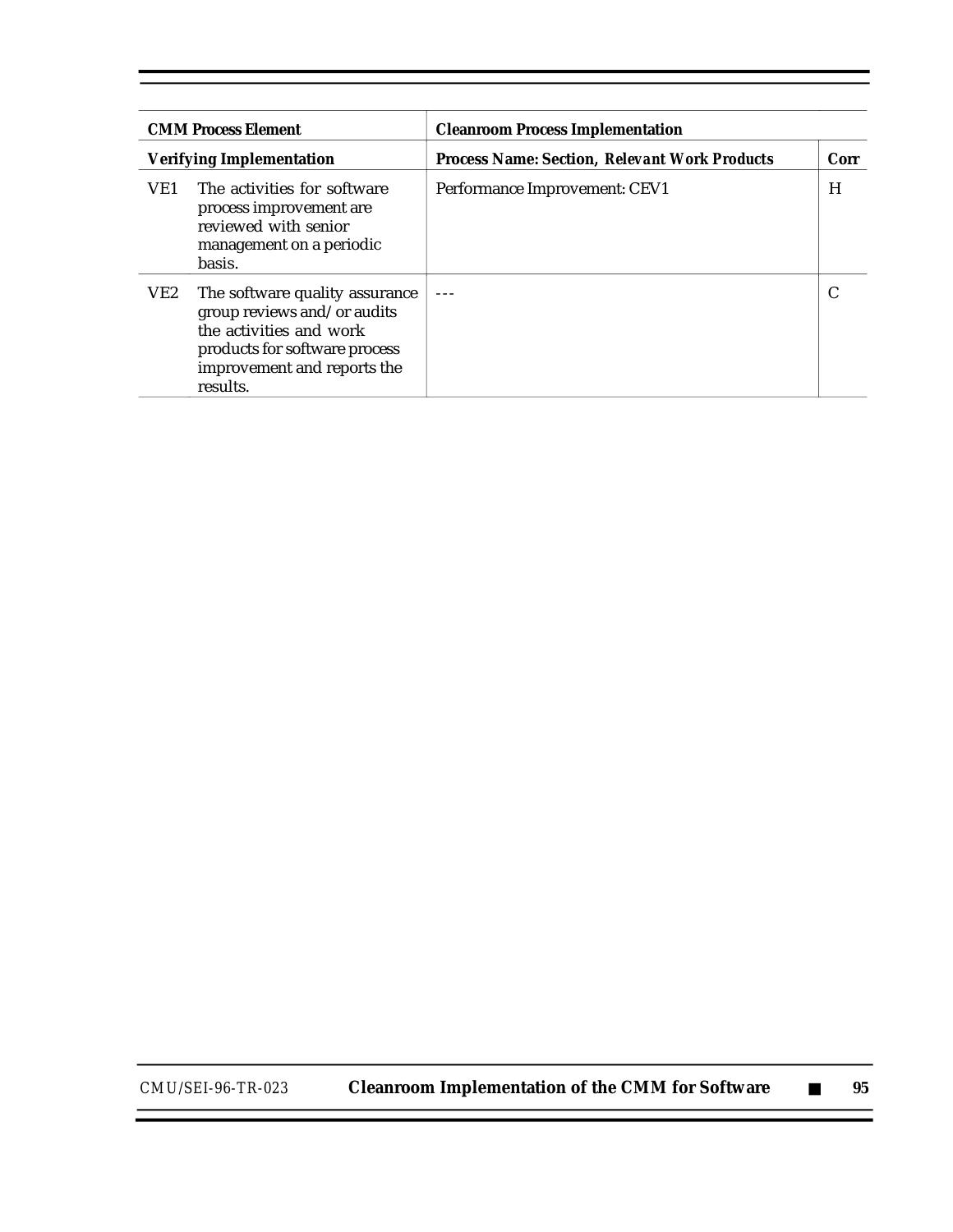| <b>CMM Process Element</b><br><b>Verifying Implementation</b><br>The activities for software<br>VE1<br>process improvement are<br>reviewed with senior<br>management on a periodic<br>basis. |                                                                                                                                                                      | <b>Cleanroom Process Implementation</b>              |  |  |  |
|----------------------------------------------------------------------------------------------------------------------------------------------------------------------------------------------|----------------------------------------------------------------------------------------------------------------------------------------------------------------------|------------------------------------------------------|--|--|--|
|                                                                                                                                                                                              |                                                                                                                                                                      | <b>Process Name: Section, Relevant Work Products</b> |  |  |  |
|                                                                                                                                                                                              |                                                                                                                                                                      | Performance Improvement: CEV1                        |  |  |  |
| VE2                                                                                                                                                                                          | The software quality assurance<br>group reviews and/or audits<br>the activities and work<br>products for software process<br>improvement and reports the<br>results. |                                                      |  |  |  |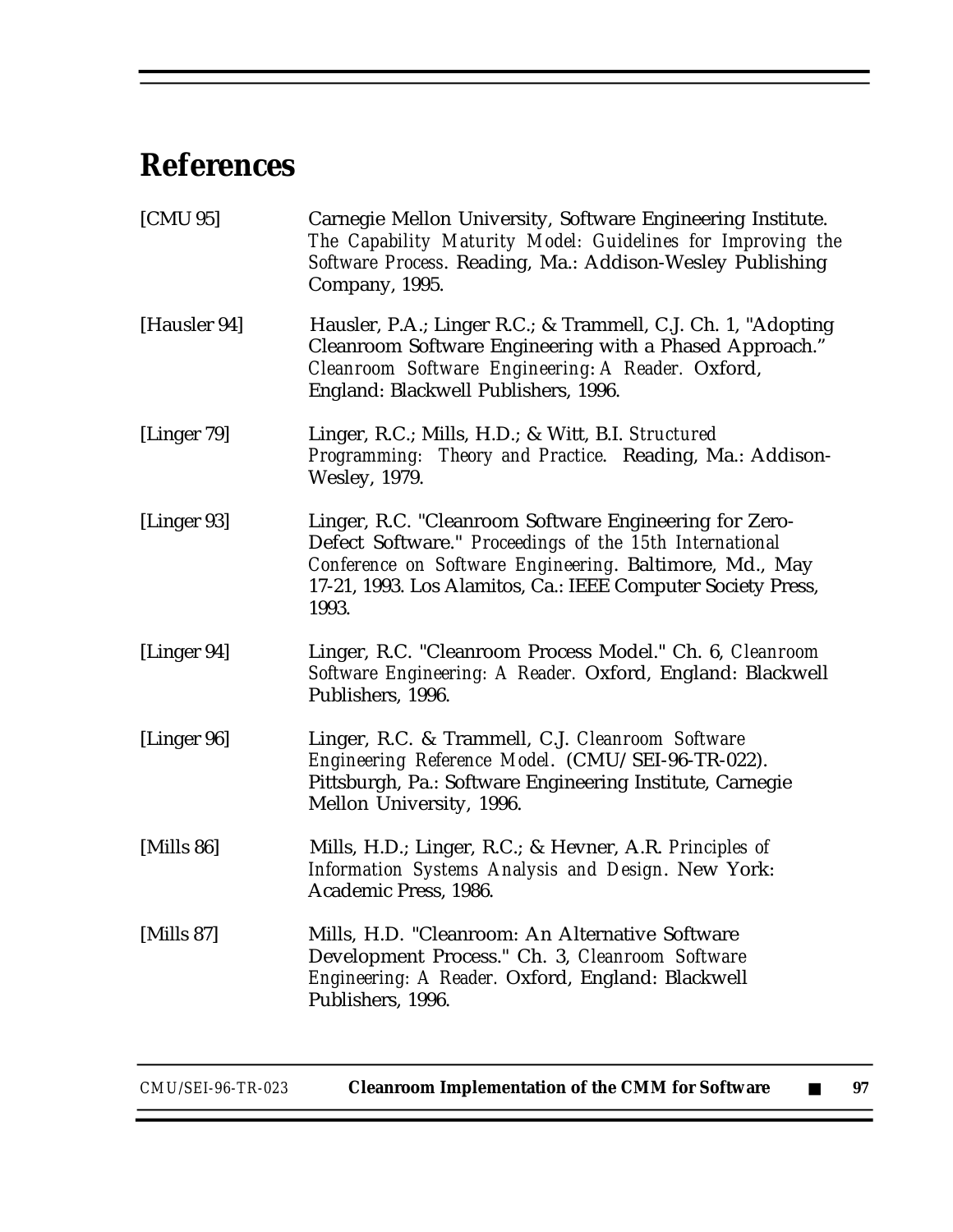# **References**

| [CMU 95]      | Carnegie Mellon University, Software Engineering Institute.<br>The Capability Maturity Model: Guidelines for Improving the<br>Software Process. Reading, Ma.: Addison-Wesley Publishing<br>Company, 1995.                                             |
|---------------|-------------------------------------------------------------------------------------------------------------------------------------------------------------------------------------------------------------------------------------------------------|
| [Hausler 94]  | Hausler, P.A.; Linger R.C.; & Trammell, C.J. Ch. 1, "Adopting<br>Cleanroom Software Engineering with a Phased Approach."<br>Cleanroom Software Engineering: A Reader. Oxford,<br>England: Blackwell Publishers, 1996.                                 |
| [Linger 79]   | Linger, R.C.; Mills, H.D.; & Witt, B.I. Structured<br>Programming: Theory and Practice. Reading, Ma.: Addison-<br><b>Wesley, 1979.</b>                                                                                                                |
| [Linger 93]   | Linger, R.C. "Cleanroom Software Engineering for Zero-<br>Defect Software." Proceedings of the 15th International<br>Conference on Software Engineering. Baltimore, Md., May<br>17-21, 1993. Los Alamitos, Ca.: IEEE Computer Society Press,<br>1993. |
| [Linger 94]   | Linger, R.C. "Cleanroom Process Model." Ch. 6, Cleanroom<br>Software Engineering: A Reader. Oxford, England: Blackwell<br>Publishers, 1996.                                                                                                           |
| [Linger 96]   | Linger, R.C. & Trammell, C.J. Cleanroom Software<br>Engineering Reference Model. (CMU/SEI-96-TR-022).<br>Pittsburgh, Pa.: Software Engineering Institute, Carnegie<br>Mellon University, 1996.                                                        |
| [Mills $86$ ] | Mills, H.D.; Linger, R.C.; & Hevner, A.R. Principles of<br>Information Systems Analysis and Design. New York:<br>Academic Press, 1986.                                                                                                                |
| [Mills 87]    | Mills, H.D. "Cleanroom: An Alternative Software<br>Development Process." Ch. 3, Cleanroom Software<br>Engineering: A Reader. Oxford, England: Blackwell<br>Publishers, 1996.                                                                          |
|               |                                                                                                                                                                                                                                                       |

*CMU/SEI-96-TR-023* **Cleanroom Implementation of the CMM for Software** ■ **97**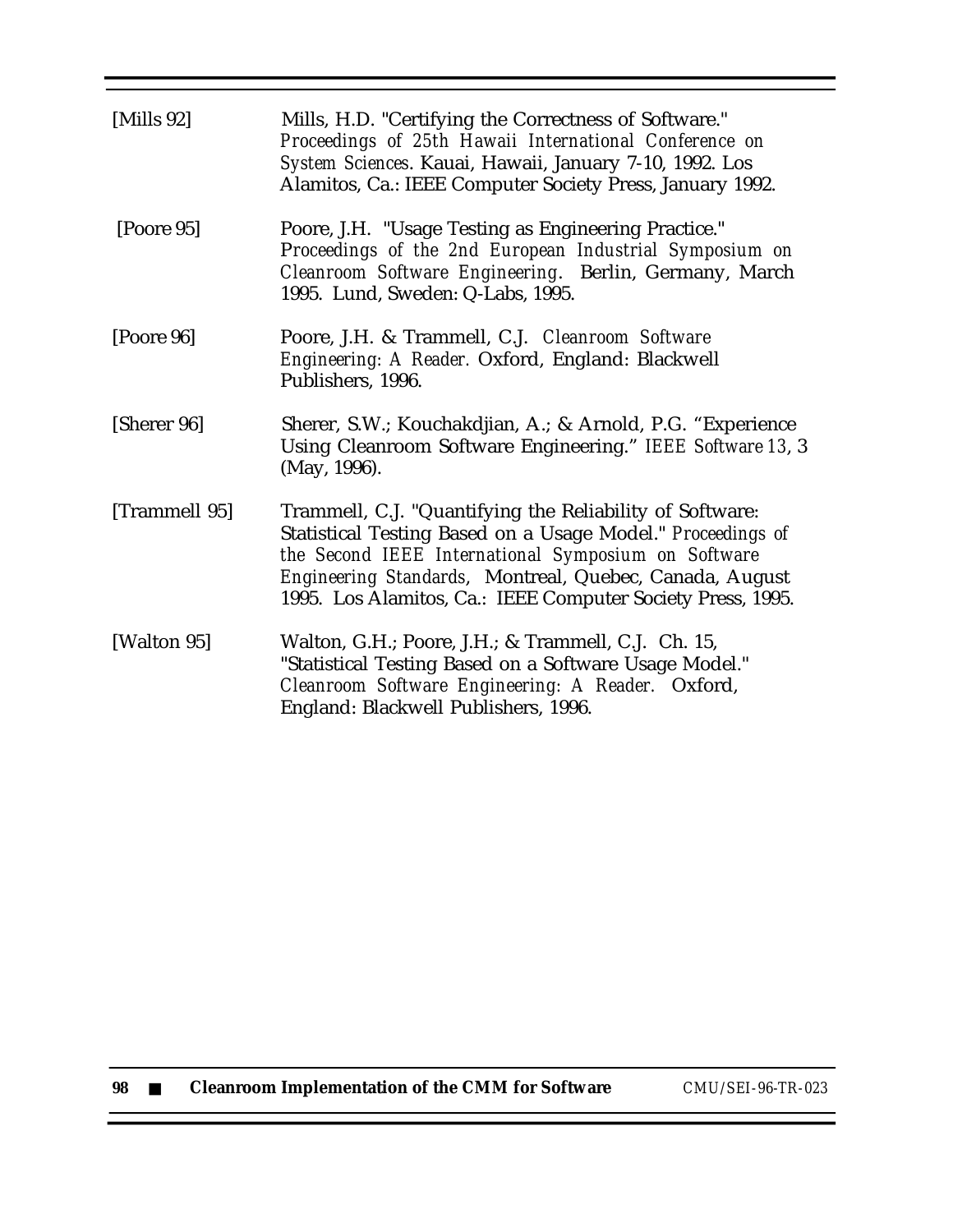| [Mills $92$ ] | Mills, H.D. "Certifying the Correctness of Software."<br>Proceedings of 25th Hawaii International Conference on<br>System Sciences. Kauai, Hawaii, January 7-10, 1992. Los<br>Alamitos, Ca.: IEEE Computer Society Press, January 1992.                                                                  |
|---------------|----------------------------------------------------------------------------------------------------------------------------------------------------------------------------------------------------------------------------------------------------------------------------------------------------------|
| [Poore 95]    | Poore, J.H. "Usage Testing as Engineering Practice."<br>Proceedings of the 2nd European Industrial Symposium on<br>Cleanroom Software Engineering. Berlin, Germany, March<br>1995. Lund, Sweden: Q-Labs, 1995.                                                                                           |
| [Poore 96]    | Poore, J.H. & Trammell, C.J. Cleanroom Software<br>Engineering: A Reader. Oxford, England: Blackwell<br>Publishers, 1996.                                                                                                                                                                                |
| [Sherer 96]   | Sherer, S.W.; Kouchakdjian, A.; & Arnold, P.G. "Experience<br>Using Cleanroom Software Engineering." IEEE Software 13, 3<br>(May, 1996).                                                                                                                                                                 |
| [Trammell 95] | Trammell, C.J. "Quantifying the Reliability of Software:<br>Statistical Testing Based on a Usage Model." Proceedings of<br>the Second IEEE International Symposium on Software<br>Engineering Standards, Montreal, Quebec, Canada, August<br>1995. Los Alamitos, Ca.: IEEE Computer Society Press, 1995. |
| [Walton 95]   | Walton, G.H.; Poore, J.H.; & Trammell, C.J. Ch. 15,<br>"Statistical Testing Based on a Software Usage Model."<br>Cleanroom Software Engineering: A Reader. Oxford,<br>England: Blackwell Publishers, 1996.                                                                                               |